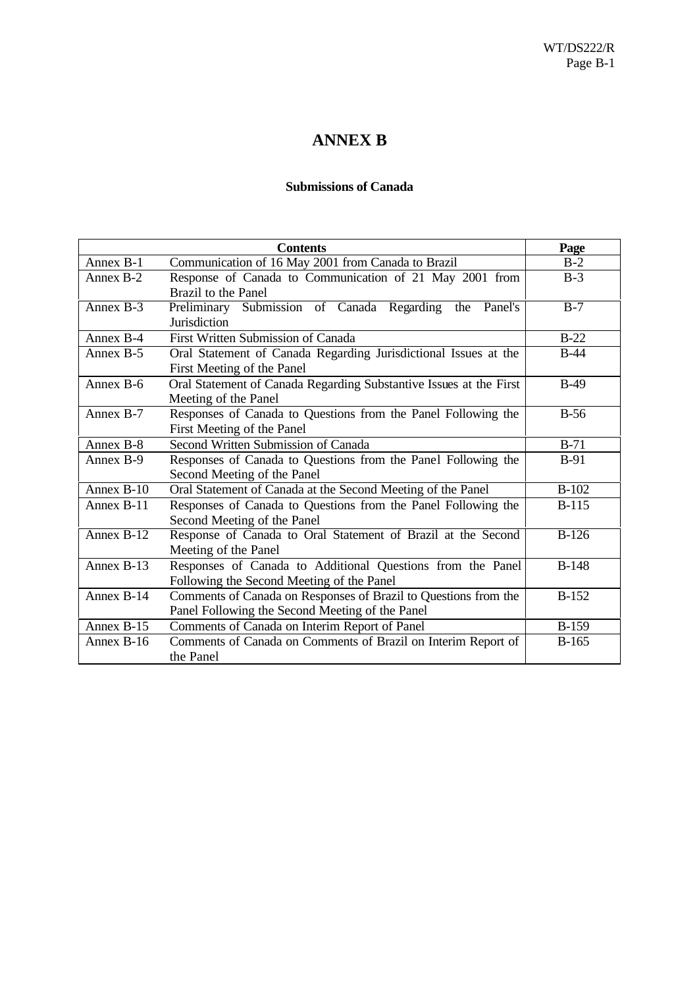# **ANNEX B**

#### **Submissions of Canada**

|            | Page                                                                                                               |         |
|------------|--------------------------------------------------------------------------------------------------------------------|---------|
| Annex B-1  | Communication of 16 May 2001 from Canada to Brazil                                                                 | $B-2$   |
| Annex B-2  | Response of Canada to Communication of 21 May 2001 from                                                            | $B-3$   |
|            | Brazil to the Panel                                                                                                |         |
| Annex B-3  | Preliminary Submission of Canada Regarding<br>Panel's<br>the<br><b>Jurisdiction</b>                                | $B-7$   |
| Annex B-4  | First Written Submission of Canada                                                                                 | $B-22$  |
| Annex B-5  | Oral Statement of Canada Regarding Jurisdictional Issues at the<br>First Meeting of the Panel                      | $B-44$  |
| Annex B-6  | Oral Statement of Canada Regarding Substantive Issues at the First<br>Meeting of the Panel                         | $B-49$  |
| Annex B-7  | Responses of Canada to Questions from the Panel Following the<br>First Meeting of the Panel                        | $B-56$  |
| Annex B-8  | Second Written Submission of Canada                                                                                | $B-71$  |
| Annex B-9  | Responses of Canada to Questions from the Panel Following the<br>Second Meeting of the Panel                       | $B-91$  |
| Annex B-10 | Oral Statement of Canada at the Second Meeting of the Panel                                                        | $B-102$ |
| Annex B-11 | Responses of Canada to Questions from the Panel Following the<br>Second Meeting of the Panel                       | $B-115$ |
| Annex B-12 | Response of Canada to Oral Statement of Brazil at the Second<br>Meeting of the Panel                               | $B-126$ |
| Annex B-13 | Responses of Canada to Additional Questions from the Panel<br>Following the Second Meeting of the Panel            | $B-148$ |
| Annex B-14 | Comments of Canada on Responses of Brazil to Questions from the<br>Panel Following the Second Meeting of the Panel | $B-152$ |
| Annex B-15 | Comments of Canada on Interim Report of Panel                                                                      | $B-159$ |
| Annex B-16 | Comments of Canada on Comments of Brazil on Interim Report of<br>the Panel                                         | $B-165$ |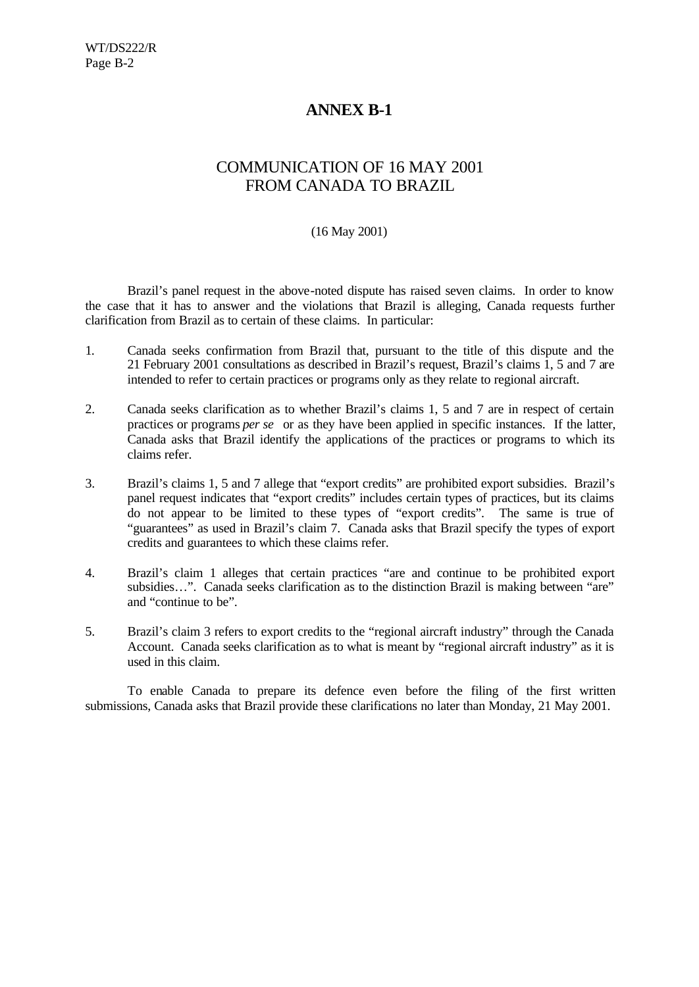## **ANNEX B-1**

## COMMUNICATION OF 16 MAY 2001 FROM CANADA TO BRAZIL

#### (16 May 2001)

Brazil's panel request in the above-noted dispute has raised seven claims. In order to know the case that it has to answer and the violations that Brazil is alleging, Canada requests further clarification from Brazil as to certain of these claims. In particular:

- 1. Canada seeks confirmation from Brazil that, pursuant to the title of this dispute and the 21 February 2001 consultations as described in Brazil's request, Brazil's claims 1, 5 and 7 are intended to refer to certain practices or programs only as they relate to regional aircraft.
- 2. Canada seeks clarification as to whether Brazil's claims 1, 5 and 7 are in respect of certain practices or programs *per se* or as they have been applied in specific instances. If the latter, Canada asks that Brazil identify the applications of the practices or programs to which its claims refer.
- 3. Brazil's claims 1, 5 and 7 allege that "export credits" are prohibited export subsidies. Brazil's panel request indicates that "export credits" includes certain types of practices, but its claims do not appear to be limited to these types of "export credits". The same is true of "guarantees" as used in Brazil's claim 7. Canada asks that Brazil specify the types of export credits and guarantees to which these claims refer.
- 4. Brazil's claim 1 alleges that certain practices "are and continue to be prohibited export subsidies...". Canada seeks clarification as to the distinction Brazil is making between "are" and "continue to be".
- 5. Brazil's claim 3 refers to export credits to the "regional aircraft industry" through the Canada Account. Canada seeks clarification as to what is meant by "regional aircraft industry" as it is used in this claim.

To enable Canada to prepare its defence even before the filing of the first written submissions, Canada asks that Brazil provide these clarifications no later than Monday, 21 May 2001.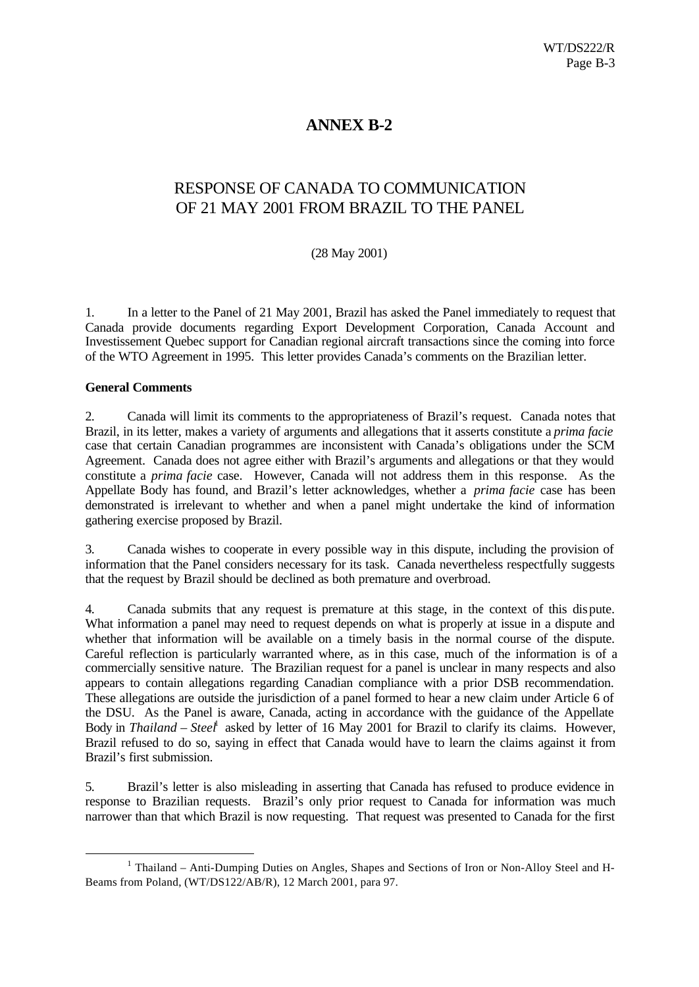## **ANNEX B-2**

# RESPONSE OF CANADA TO COMMUNICATION OF 21 MAY 2001 FROM BRAZIL TO THE PANEL

#### (28 May 2001)

1. In a letter to the Panel of 21 May 2001, Brazil has asked the Panel immediately to request that Canada provide documents regarding Export Development Corporation, Canada Account and Investissement Quebec support for Canadian regional aircraft transactions since the coming into force of the WTO Agreement in 1995. This letter provides Canada's comments on the Brazilian letter.

#### **General Comments**

l

2. Canada will limit its comments to the appropriateness of Brazil's request. Canada notes that Brazil, in its letter, makes a variety of arguments and allegations that it asserts constitute a *prima facie* case that certain Canadian programmes are inconsistent with Canada's obligations under the SCM Agreement. Canada does not agree either with Brazil's arguments and allegations or that they would constitute a *prima facie* case. However, Canada will not address them in this response. As the Appellate Body has found, and Brazil's letter acknowledges, whether a *prima facie* case has been demonstrated is irrelevant to whether and when a panel might undertake the kind of information gathering exercise proposed by Brazil.

3. Canada wishes to cooperate in every possible way in this dispute, including the provision of information that the Panel considers necessary for its task. Canada nevertheless respectfully suggests that the request by Brazil should be declined as both premature and overbroad.

4. Canada submits that any request is premature at this stage, in the context of this dispute. What information a panel may need to request depends on what is properly at issue in a dispute and whether that information will be available on a timely basis in the normal course of the dispute. Careful reflection is particularly warranted where, as in this case, much of the information is of a commercially sensitive nature. The Brazilian request for a panel is unclear in many respects and also appears to contain allegations regarding Canadian compliance with a prior DSB recommendation. These allegations are outside the jurisdiction of a panel formed to hear a new claim under Article 6 of the DSU. As the Panel is aware, Canada, acting in accordance with the guidance of the Appellate Body in *Thailand – Steel*<sup>1</sup> asked by letter of 16 May 2001 for Brazil to clarify its claims. However, Brazil refused to do so, saying in effect that Canada would have to learn the claims against it from Brazil's first submission.

5. Brazil's letter is also misleading in asserting that Canada has refused to produce evidence in response to Brazilian requests. Brazil's only prior request to Canada for information was much narrower than that which Brazil is now requesting. That request was presented to Canada for the first

<sup>&</sup>lt;sup>1</sup> Thailand – Anti-Dumping Duties on Angles, Shapes and Sections of Iron or Non-Alloy Steel and H-Beams from Poland, (WT/DS122/AB/R), 12 March 2001, para 97.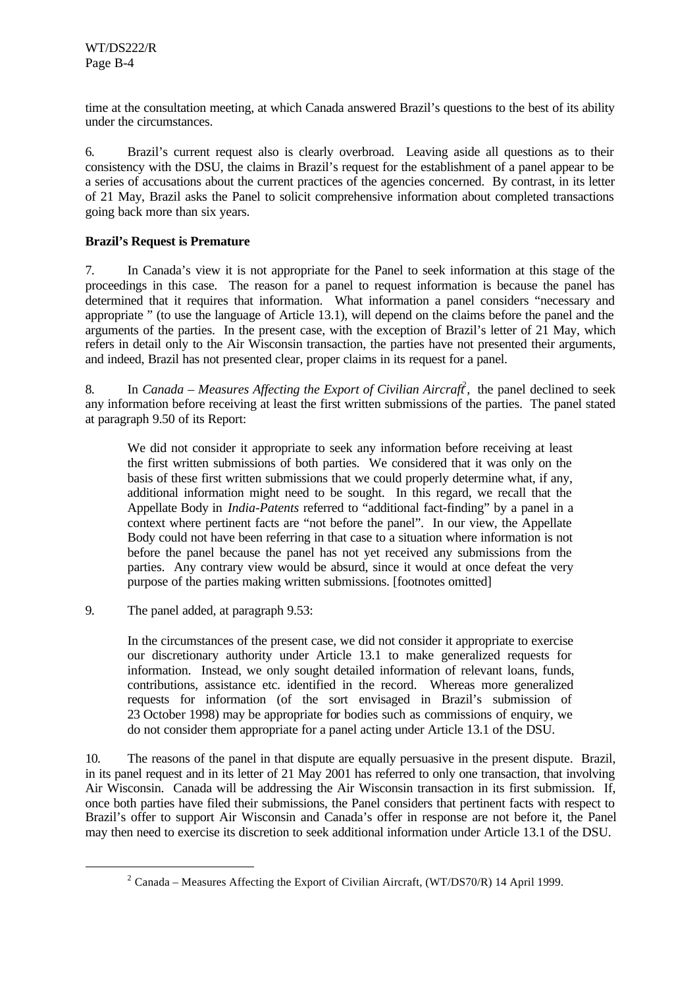time at the consultation meeting, at which Canada answered Brazil's questions to the best of its ability under the circumstances.

6. Brazil's current request also is clearly overbroad. Leaving aside all questions as to their consistency with the DSU, the claims in Brazil's request for the establishment of a panel appear to be a series of accusations about the current practices of the agencies concerned. By contrast, in its letter of 21 May, Brazil asks the Panel to solicit comprehensive information about completed transactions going back more than six years.

## **Brazil's Request is Premature**

7. In Canada's view it is not appropriate for the Panel to seek information at this stage of the proceedings in this case. The reason for a panel to request information is because the panel has determined that it requires that information. What information a panel considers "necessary and appropriate " (to use the language of Article 13.1), will depend on the claims before the panel and the arguments of the parties. In the present case, with the exception of Brazil's letter of 21 May, which refers in detail only to the Air Wisconsin transaction, the parties have not presented their arguments, and indeed, Brazil has not presented clear, proper claims in its request for a panel.

8. In *Canada – Measures Affecting the Export of Civilian Aircraft*, the panel declined to seek any information before receiving at least the first written submissions of the parties. The panel stated at paragraph 9.50 of its Report:

We did not consider it appropriate to seek any information before receiving at least the first written submissions of both parties. We considered that it was only on the basis of these first written submissions that we could properly determine what, if any, additional information might need to be sought. In this regard, we recall that the Appellate Body in *India-Patents* referred to "additional fact-finding" by a panel in a context where pertinent facts are "not before the panel". In our view, the Appellate Body could not have been referring in that case to a situation where information is not before the panel because the panel has not yet received any submissions from the parties. Any contrary view would be absurd, since it would at once defeat the very purpose of the parties making written submissions. [footnotes omitted]

9. The panel added, at paragraph 9.53:

l

In the circumstances of the present case, we did not consider it appropriate to exercise our discretionary authority under Article 13.1 to make generalized requests for information. Instead, we only sought detailed information of relevant loans, funds, contributions, assistance etc. identified in the record. Whereas more generalized requests for information (of the sort envisaged in Brazil's submission of 23 October 1998) may be appropriate for bodies such as commissions of enquiry, we do not consider them appropriate for a panel acting under Article 13.1 of the DSU.

10. The reasons of the panel in that dispute are equally persuasive in the present dispute. Brazil, in its panel request and in its letter of 21 May 2001 has referred to only one transaction, that involving Air Wisconsin. Canada will be addressing the Air Wisconsin transaction in its first submission. If, once both parties have filed their submissions, the Panel considers that pertinent facts with respect to Brazil's offer to support Air Wisconsin and Canada's offer in response are not before it, the Panel may then need to exercise its discretion to seek additional information under Article 13.1 of the DSU.

<sup>&</sup>lt;sup>2</sup> Canada – Measures Affecting the Export of Civilian Aircraft, (WT/DS70/R) 14 April 1999.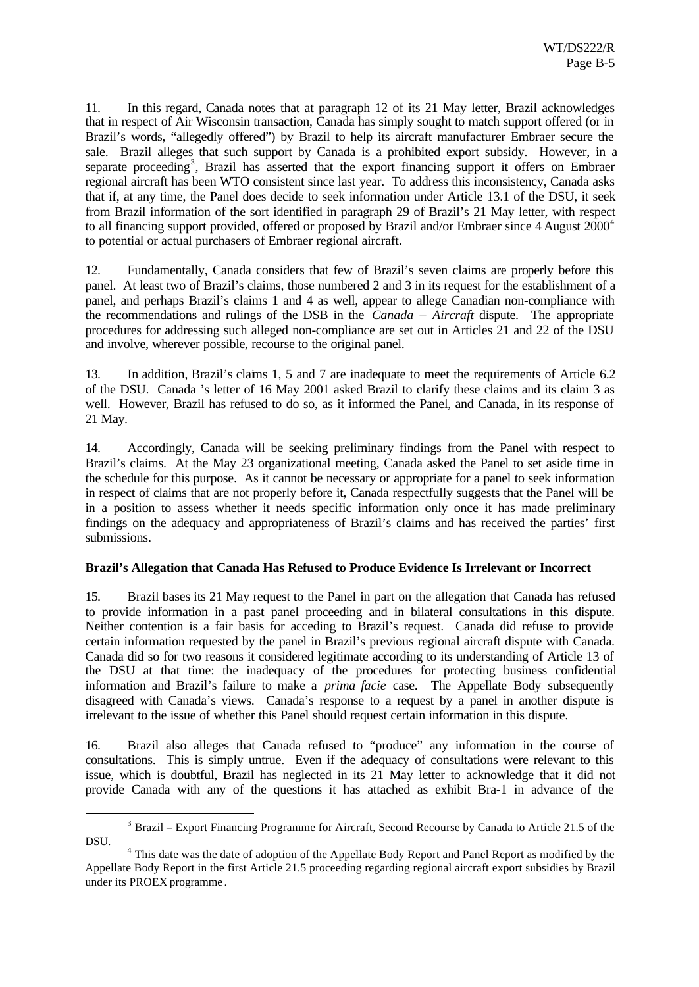11. In this regard, Canada notes that at paragraph 12 of its 21 May letter, Brazil acknowledges that in respect of Air Wisconsin transaction, Canada has simply sought to match support offered (or in Brazil's words, "allegedly offered") by Brazil to help its aircraft manufacturer Embraer secure the sale. Brazil alleges that such support by Canada is a prohibited export subsidy. However, in a separate proceeding<sup>3</sup>, Brazil has asserted that the export financing support it offers on Embraer regional aircraft has been WTO consistent since last year. To address this inconsistency, Canada asks that if, at any time, the Panel does decide to seek information under Article 13.1 of the DSU, it seek from Brazil information of the sort identified in paragraph 29 of Brazil's 21 May letter, with respect to all financing support provided, offered or proposed by Brazil and/or Embraer since  $4$  August  $2000<sup>4</sup>$ to potential or actual purchasers of Embraer regional aircraft.

12. Fundamentally, Canada considers that few of Brazil's seven claims are properly before this panel. At least two of Brazil's claims, those numbered 2 and 3 in its request for the establishment of a panel, and perhaps Brazil's claims 1 and 4 as well, appear to allege Canadian non-compliance with the recommendations and rulings of the DSB in the *Canada – Aircraft* dispute. The appropriate procedures for addressing such alleged non-compliance are set out in Articles 21 and 22 of the DSU and involve, wherever possible, recourse to the original panel.

13. In addition, Brazil's claims 1, 5 and 7 are inadequate to meet the requirements of Article 6.2 of the DSU. Canada 's letter of 16 May 2001 asked Brazil to clarify these claims and its claim 3 as well. However, Brazil has refused to do so, as it informed the Panel, and Canada, in its response of 21 May.

14. Accordingly, Canada will be seeking preliminary findings from the Panel with respect to Brazil's claims. At the May 23 organizational meeting, Canada asked the Panel to set aside time in the schedule for this purpose. As it cannot be necessary or appropriate for a panel to seek information in respect of claims that are not properly before it, Canada respectfully suggests that the Panel will be in a position to assess whether it needs specific information only once it has made preliminary findings on the adequacy and appropriateness of Brazil's claims and has received the parties' first submissions.

#### **Brazil's Allegation that Canada Has Refused to Produce Evidence Is Irrelevant or Incorrect**

15. Brazil bases its 21 May request to the Panel in part on the allegation that Canada has refused to provide information in a past panel proceeding and in bilateral consultations in this dispute. Neither contention is a fair basis for acceding to Brazil's request. Canada did refuse to provide certain information requested by the panel in Brazil's previous regional aircraft dispute with Canada. Canada did so for two reasons it considered legitimate according to its understanding of Article 13 of the DSU at that time: the inadequacy of the procedures for protecting business confidential information and Brazil's failure to make a *prima facie* case. The Appellate Body subsequently disagreed with Canada's views. Canada's response to a request by a panel in another dispute is irrelevant to the issue of whether this Panel should request certain information in this dispute.

16. Brazil also alleges that Canada refused to "produce" any information in the course of consultations. This is simply untrue. Even if the adequacy of consultations were relevant to this issue, which is doubtful, Brazil has neglected in its 21 May letter to acknowledge that it did not provide Canada with any of the questions it has attached as exhibit Bra-1 in advance of the

 $3$  Brazil – Export Financing Programme for Aircraft, Second Recourse by Canada to Article 21.5 of the DSU.

<sup>&</sup>lt;sup>4</sup> This date was the date of adoption of the Appellate Body Report and Panel Report as modified by the Appellate Body Report in the first Article 21.5 proceeding regarding regional aircraft export subsidies by Brazil under its PROEX programme .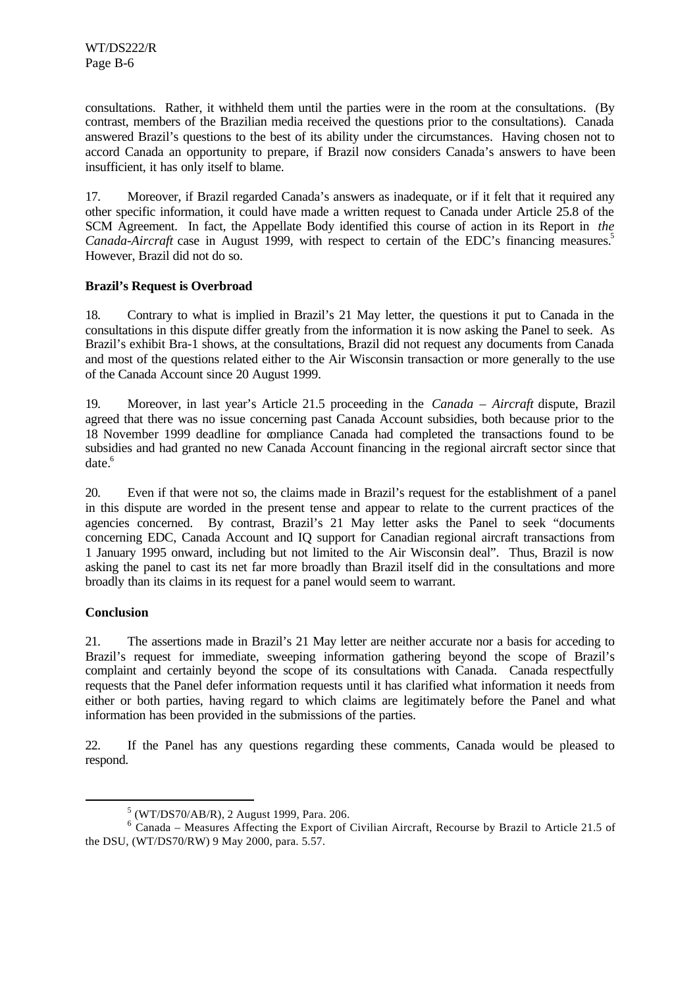consultations. Rather, it withheld them until the parties were in the room at the consultations. (By contrast, members of the Brazilian media received the questions prior to the consultations). Canada answered Brazil's questions to the best of its ability under the circumstances. Having chosen not to accord Canada an opportunity to prepare, if Brazil now considers Canada's answers to have been insufficient, it has only itself to blame.

17. Moreover, if Brazil regarded Canada's answers as inadequate, or if it felt that it required any other specific information, it could have made a written request to Canada under Article 25.8 of the SCM Agreement. In fact, the Appellate Body identified this course of action in its Report in *the Canada-Aircraft* case in August 1999, with respect to certain of the EDC's financing measures.<sup>5</sup> However, Brazil did not do so.

## **Brazil's Request is Overbroad**

18. Contrary to what is implied in Brazil's 21 May letter, the questions it put to Canada in the consultations in this dispute differ greatly from the information it is now asking the Panel to seek. As Brazil's exhibit Bra-1 shows, at the consultations, Brazil did not request any documents from Canada and most of the questions related either to the Air Wisconsin transaction or more generally to the use of the Canada Account since 20 August 1999.

19. Moreover, in last year's Article 21.5 proceeding in the *Canada – Aircraft* dispute, Brazil agreed that there was no issue concerning past Canada Account subsidies, both because prior to the 18 November 1999 deadline for compliance Canada had completed the transactions found to be subsidies and had granted no new Canada Account financing in the regional aircraft sector since that  $date.<sup>6</sup>$ 

20. Even if that were not so, the claims made in Brazil's request for the establishment of a panel in this dispute are worded in the present tense and appear to relate to the current practices of the agencies concerned. By contrast, Brazil's 21 May letter asks the Panel to seek "documents concerning EDC, Canada Account and IQ support for Canadian regional aircraft transactions from 1 January 1995 onward, including but not limited to the Air Wisconsin deal". Thus, Brazil is now asking the panel to cast its net far more broadly than Brazil itself did in the consultations and more broadly than its claims in its request for a panel would seem to warrant.

## **Conclusion**

l

21. The assertions made in Brazil's 21 May letter are neither accurate nor a basis for acceding to Brazil's request for immediate, sweeping information gathering beyond the scope of Brazil's complaint and certainly beyond the scope of its consultations with Canada. Canada respectfully requests that the Panel defer information requests until it has clarified what information it needs from either or both parties, having regard to which claims are legitimately before the Panel and what information has been provided in the submissions of the parties.

22. If the Panel has any questions regarding these comments, Canada would be pleased to respond.

 $<sup>5</sup>$  (WT/DS70/AB/R), 2 August 1999, Para. 206.</sup>

<sup>&</sup>lt;sup>6</sup> Canada – Measures Affecting the Export of Civilian Aircraft, Recourse by Brazil to Article 21.5 of the DSU, (WT/DS70/RW) 9 May 2000, para. 5.57.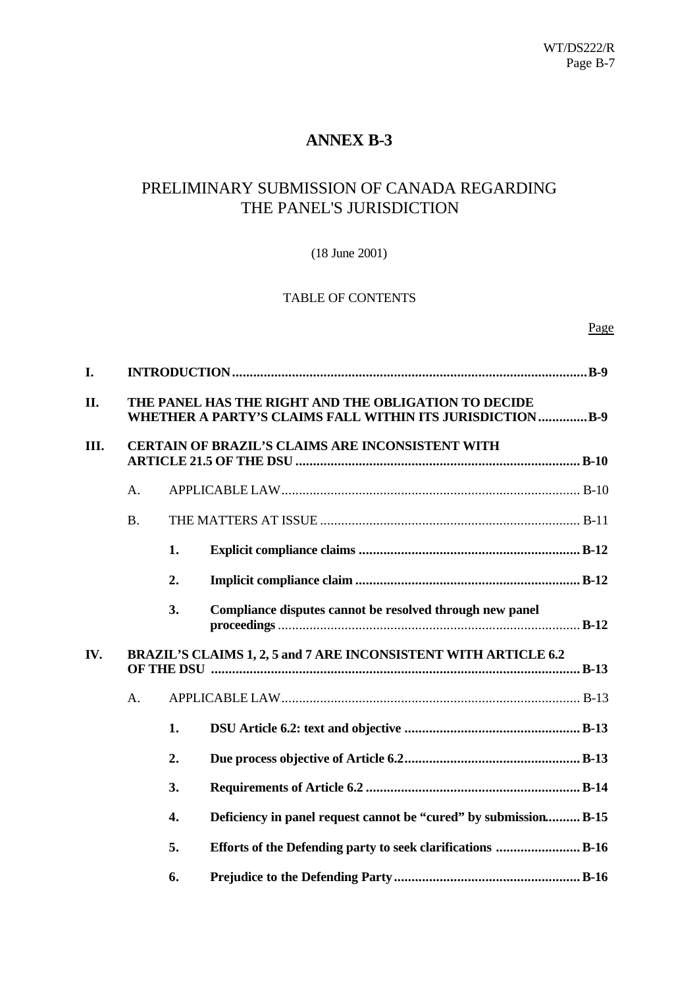# **ANNEX B-3**

# PRELIMINARY SUBMISSION OF CANADA REGARDING THE PANEL'S JURISDICTION

## (18 June 2001)

## TABLE OF CONTENTS

#### Page

| I.   | THE PANEL HAS THE RIGHT AND THE OBLIGATION TO DECIDE<br><b>WHETHER A PARTY'S CLAIMS FALL WITHIN ITS JURISDICTIONB-9</b> |                                                                        |                                                                  |  |
|------|-------------------------------------------------------------------------------------------------------------------------|------------------------------------------------------------------------|------------------------------------------------------------------|--|
| II.  |                                                                                                                         |                                                                        |                                                                  |  |
| III. |                                                                                                                         |                                                                        | <b>CERTAIN OF BRAZIL'S CLAIMS ARE INCONSISTENT WITH</b>          |  |
|      | A.                                                                                                                      |                                                                        |                                                                  |  |
|      | <b>B.</b>                                                                                                               |                                                                        |                                                                  |  |
|      |                                                                                                                         | 1.                                                                     |                                                                  |  |
|      |                                                                                                                         | 2.                                                                     |                                                                  |  |
|      |                                                                                                                         | 3.                                                                     | Compliance disputes cannot be resolved through new panel         |  |
| IV.  |                                                                                                                         | <b>BRAZIL'S CLAIMS 1, 2, 5 and 7 ARE INCONSISTENT WITH ARTICLE 6.2</b> |                                                                  |  |
|      | A.                                                                                                                      |                                                                        |                                                                  |  |
|      |                                                                                                                         | 1.                                                                     |                                                                  |  |
|      |                                                                                                                         | 2.                                                                     |                                                                  |  |
|      |                                                                                                                         | 3.                                                                     |                                                                  |  |
|      |                                                                                                                         | 4.                                                                     | Deficiency in panel request cannot be "cured" by submission B-15 |  |
|      |                                                                                                                         | 5.                                                                     |                                                                  |  |
|      |                                                                                                                         | 6.                                                                     |                                                                  |  |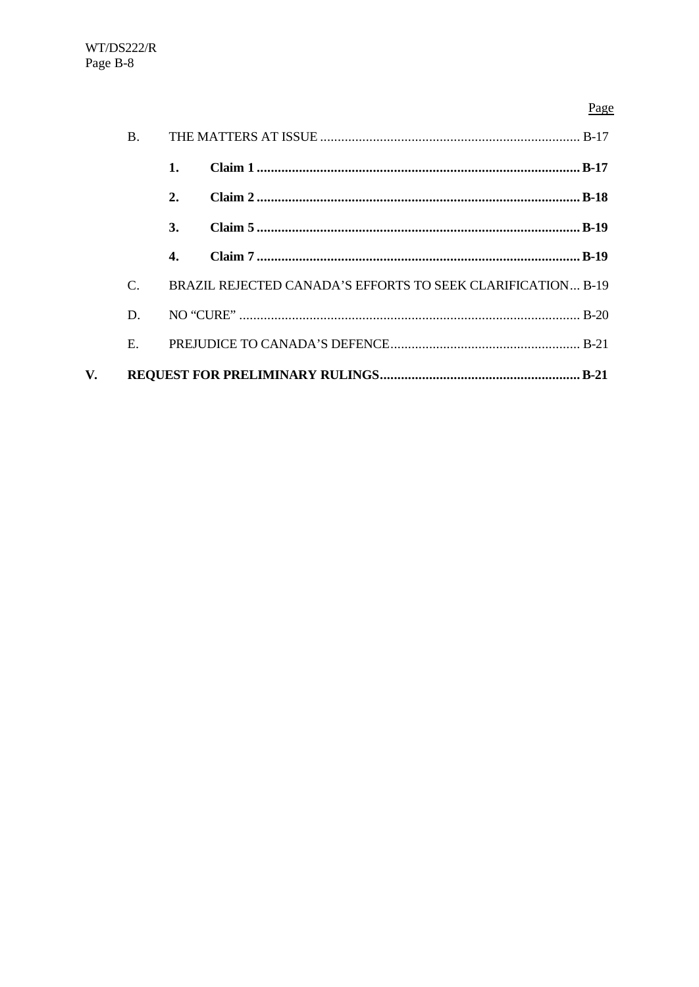$\mathbf{V}$ .

## Page

| $\mathbf{B}$ . |    |                                                             |  |
|----------------|----|-------------------------------------------------------------|--|
|                | 1. |                                                             |  |
|                | 2. |                                                             |  |
|                | 3. |                                                             |  |
|                | 4. |                                                             |  |
| $\mathbf{C}$ . |    | BRAZIL REJECTED CANADA'S EFFORTS TO SEEK CLARIFICATION B-19 |  |
| D.             |    |                                                             |  |
| Е.             |    |                                                             |  |
|                |    |                                                             |  |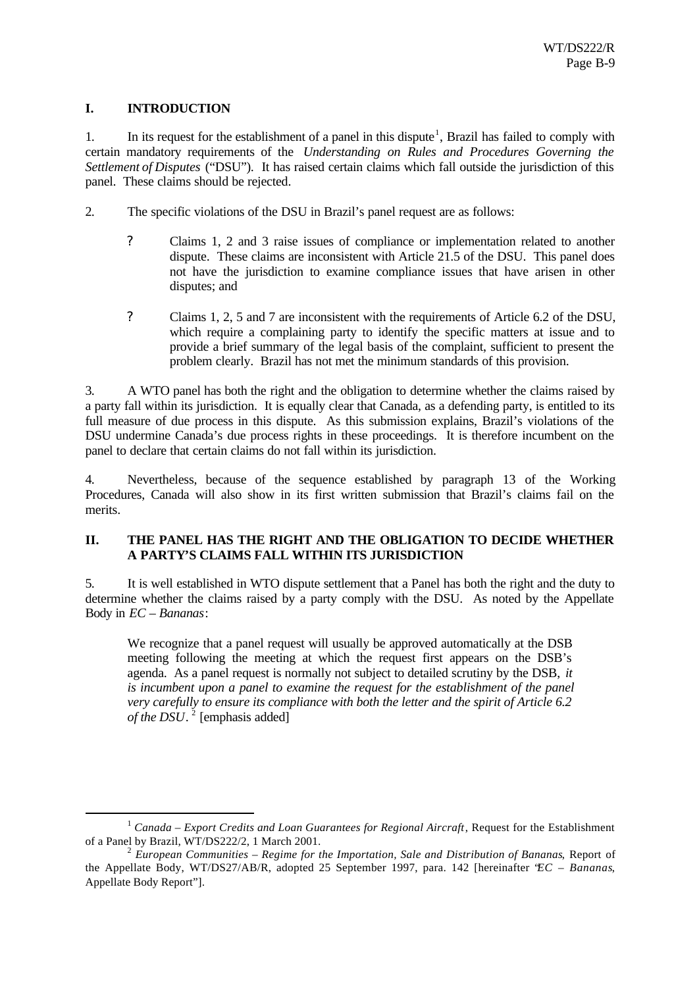#### **I. INTRODUCTION**

l

1. In its request for the establishment of a panel in this dispute<sup>1</sup>, Brazil has failed to comply with certain mandatory requirements of the *Understanding on Rules and Procedures Governing the Settlement of Disputes* ("DSU"). It has raised certain claims which fall outside the jurisdiction of this panel. These claims should be rejected.

- 2. The specific violations of the DSU in Brazil's panel request are as follows:
	- ? Claims 1, 2 and 3 raise issues of compliance or implementation related to another dispute. These claims are inconsistent with Article 21.5 of the DSU. This panel does not have the jurisdiction to examine compliance issues that have arisen in other disputes; and
	- ? Claims 1, 2, 5 and 7 are inconsistent with the requirements of Article 6.2 of the DSU, which require a complaining party to identify the specific matters at issue and to provide a brief summary of the legal basis of the complaint, sufficient to present the problem clearly. Brazil has not met the minimum standards of this provision.

3. A WTO panel has both the right and the obligation to determine whether the claims raised by a party fall within its jurisdiction. It is equally clear that Canada, as a defending party, is entitled to its full measure of due process in this dispute. As this submission explains, Brazil's violations of the DSU undermine Canada's due process rights in these proceedings. It is therefore incumbent on the panel to declare that certain claims do not fall within its jurisdiction.

4. Nevertheless, because of the sequence established by paragraph 13 of the Working Procedures, Canada will also show in its first written submission that Brazil's claims fail on the merits.

#### **II. THE PANEL HAS THE RIGHT AND THE OBLIGATION TO DECIDE WHETHER A PARTY'S CLAIMS FALL WITHIN ITS JURISDICTION**

5. It is well established in WTO dispute settlement that a Panel has both the right and the duty to determine whether the claims raised by a party comply with the DSU. As noted by the Appellate Body in *EC – Bananas*:

We recognize that a panel request will usually be approved automatically at the DSB meeting following the meeting at which the request first appears on the DSB's agenda. As a panel request is normally not subject to detailed scrutiny by the DSB, *it is incumbent upon a panel to examine the request for the establishment of the panel very carefully to ensure its compliance with both the letter and the spirit of Article 6.2* of the DSU.<sup>2</sup> [emphasis added]

<sup>&</sup>lt;sup>1</sup> Canada – Export Credits and Loan Guarantees for Regional Aircraft, Request for the Establishment of a Panel by Brazil, WT/DS222/2, 1 March 2001.

<sup>2</sup> *European Communities – Regime for the Importation, Sale and Distribution of Bananas*, Report of the Appellate Body, WT/DS27/AB/R, adopted 25 September 1997, para. 142 [hereinafter "*EC – Bananas*, Appellate Body Report"].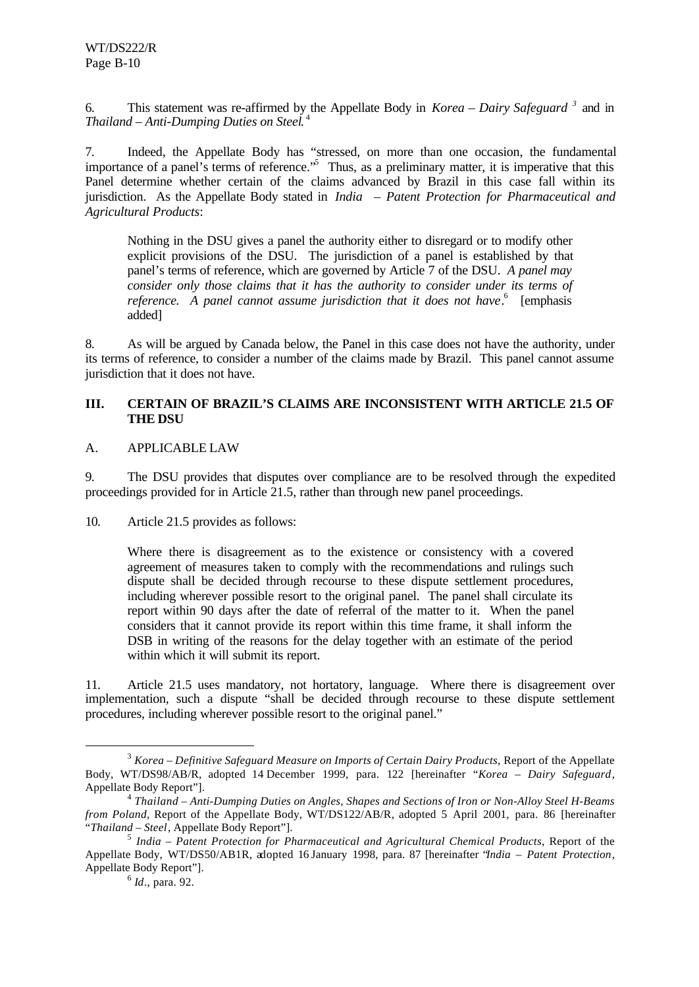6. This statement was re-affirmed by the Appellate Body in *Korea – Dairy Safeguard <sup>3</sup>* and in *Thailand – Anti-Dumping Duties on Steel*. 4

7. Indeed, the Appellate Body has "stressed, on more than one occasion, the fundamental importance of a panel's terms of reference.<sup>55</sup> Thus, as a preliminary matter, it is imperative that this Panel determine whether certain of the claims advanced by Brazil in this case fall within its jurisdiction. As the Appellate Body stated in *India – Patent Protection for Pharmaceutical and Agricultural Products*:

Nothing in the DSU gives a panel the authority either to disregard or to modify other explicit provisions of the DSU. The jurisdiction of a panel is established by that panel's terms of reference, which are governed by Article 7 of the DSU. *A panel may consider only those claims that it has the authority to consider under its terms of* reference. A panel cannot assume jurisdiction that it does not have.<sup>6</sup> [emphasis added]

8. As will be argued by Canada below, the Panel in this case does not have the authority, under its terms of reference, to consider a number of the claims made by Brazil. This panel cannot assume jurisdiction that it does not have.

### **III. CERTAIN OF BRAZIL'S CLAIMS ARE INCONSISTENT WITH ARTICLE 21.5 OF THE DSU**

#### A. APPLICABLE LAW

9. The DSU provides that disputes over compliance are to be resolved through the expedited proceedings provided for in Article 21.5, rather than through new panel proceedings.

10. Article 21.5 provides as follows:

Where there is disagreement as to the existence or consistency with a covered agreement of measures taken to comply with the recommendations and rulings such dispute shall be decided through recourse to these dispute settlement procedures, including wherever possible resort to the original panel. The panel shall circulate its report within 90 days after the date of referral of the matter to it. When the panel considers that it cannot provide its report within this time frame, it shall inform the DSB in writing of the reasons for the delay together with an estimate of the period within which it will submit its report.

11. Article 21.5 uses mandatory, not hortatory, language. Where there is disagreement over implementation, such a dispute "shall be decided through recourse to these dispute settlement procedures, including wherever possible resort to the original panel."

<sup>3</sup> *Korea – Definitive Safeguard Measure on Imports of Certain Dairy Products*, Report of the Appellate Body, WT/DS98/AB/R, adopted 14 December 1999, para. 122 [hereinafter "*Korea – Dairy Safeguard*, Appellate Body Report"].

<sup>4</sup> *Thailand – Anti-Dumping Duties on Angles, Shapes and Sections of Iron or Non-Alloy Steel H-Beams from Poland*, Report of the Appellate Body, WT/DS122/AB/R, adopted 5 April 2001, para. 86 [hereinafter "*Thailand – Steel*, Appellate Body Report"].

<sup>5</sup> *India – Patent Protection for Pharmaceutical and Agricultural Chemical Products*, Report of the Appellate Body, WT/DS50/AB1R, adopted 16 January 1998, para. 87 [hereinafter "*India – Patent Protection*, Appellate Body Report"].

<sup>6</sup> *Id*., para. 92.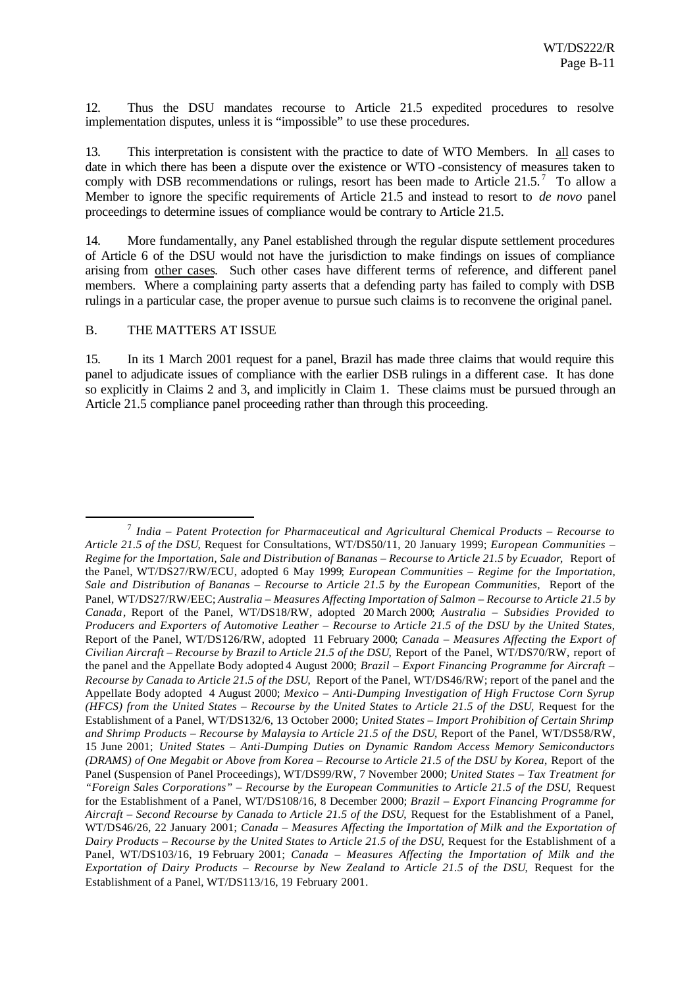12. Thus the DSU mandates recourse to Article 21.5 expedited procedures to resolve implementation disputes, unless it is "impossible" to use these procedures.

13. This interpretation is consistent with the practice to date of WTO Members. In all cases to date in which there has been a dispute over the existence or WTO -consistency of measures taken to comply with DSB recommendations or rulings, resort has been made to Article 21.5.<sup>7</sup> To allow a Member to ignore the specific requirements of Article 21.5 and instead to resort to *de novo* panel proceedings to determine issues of compliance would be contrary to Article 21.5.

14. More fundamentally, any Panel established through the regular dispute settlement procedures of Article 6 of the DSU would not have the jurisdiction to make findings on issues of compliance arising from other cases. Such other cases have different terms of reference, and different panel members. Where a complaining party asserts that a defending party has failed to comply with DSB rulings in a particular case, the proper avenue to pursue such claims is to reconvene the original panel.

#### B. THE MATTERS AT ISSUE

l

15. In its 1 March 2001 request for a panel, Brazil has made three claims that would require this panel to adjudicate issues of compliance with the earlier DSB rulings in a different case. It has done so explicitly in Claims 2 and 3, and implicitly in Claim 1. These claims must be pursued through an Article 21.5 compliance panel proceeding rather than through this proceeding.

<sup>7</sup> *India – Patent Protection for Pharmaceutical and Agricultural Chemical Products – Recourse to Article 21.5 of the DSU*, Request for Consultations, WT/DS50/11, 20 January 1999; *European Communities – Regime for the Importation, Sale and Distribution of Bananas – Recourse to Article 21.5 by Ecuador*, Report of the Panel, WT/DS27/RW/ECU, adopted 6 May 1999; *European Communities – Regime for the Importation, Sale and Distribution of Bananas – Recourse to Article 21.5 by the European Communities*, Report of the Panel, WT/DS27/RW/EEC; *Australia – Measures Affecting Importation of Salmon – Recourse to Article 21.5 by Canada*, Report of the Panel, WT/DS18/RW, adopted 20 March 2000; *Australia – Subsidies Provided to Producers and Exporters of Automotive Leather – Recourse to Article 21.5 of the DSU by the United States*, Report of the Panel, WT/DS126/RW, adopted 11 February 2000; *Canada – Measures Affecting the Export of Civilian Aircraft – Recourse by Brazil to Article 21.5 of the DSU*, Report of the Panel, WT/DS70/RW, report of the panel and the Appellate Body adopted 4 August 2000; *Brazil – Export Financing Programme for Aircraft – Recourse by Canada to Article 21.5 of the DSU*, Report of the Panel, WT/DS46/RW; report of the panel and the Appellate Body adopted 4 August 2000; *Mexico – Anti-Dumping Investigation of High Fructose Corn Syrup (HFCS) from the United States – Recourse by the United States to Article 21.5 of the DSU*, Request for the Establishment of a Panel, WT/DS132/6, 13 October 2000; *United States – Import Prohibition of Certain Shrimp and Shrimp Products – Recourse by Malaysia to Article 21.5 of the DSU*, Report of the Panel, WT/DS58/RW, 15 June 2001; *United States – Anti-Dumping Duties on Dynamic Random Access Memory Semiconductors (DRAMS) of One Megabit or Above from Korea – Recourse to Article 21.5 of the DSU by Korea*, Report of the Panel (Suspension of Panel Proceedings), WT/DS99/RW, 7 November 2000; *United States – Tax Treatment for "Foreign Sales Corporations" – Recourse by the European Communities to Article 21.5 of the DSU*, Request for the Establishment of a Panel, WT/DS108/16, 8 December 2000; *Brazil – Export Financing Programme for Aircraft – Second Recourse by Canada to Article 21.5 of the DSU*, Request for the Establishment of a Panel, WT/DS46/26, 22 January 2001; *Canada – Measures Affecting the Importation of Milk and the Exportation of Dairy Products – Recourse by the United States to Article 21.5 of the DSU*, Request for the Establishment of a Panel, WT/DS103/16, 19 February 2001; *Canada – Measures Affecting the Importation of Milk and the Exportation of Dairy Products – Recourse by New Zealand to Article 21.5 of the DSU*, Request for the Establishment of a Panel, WT/DS113/16, 19 February 2001.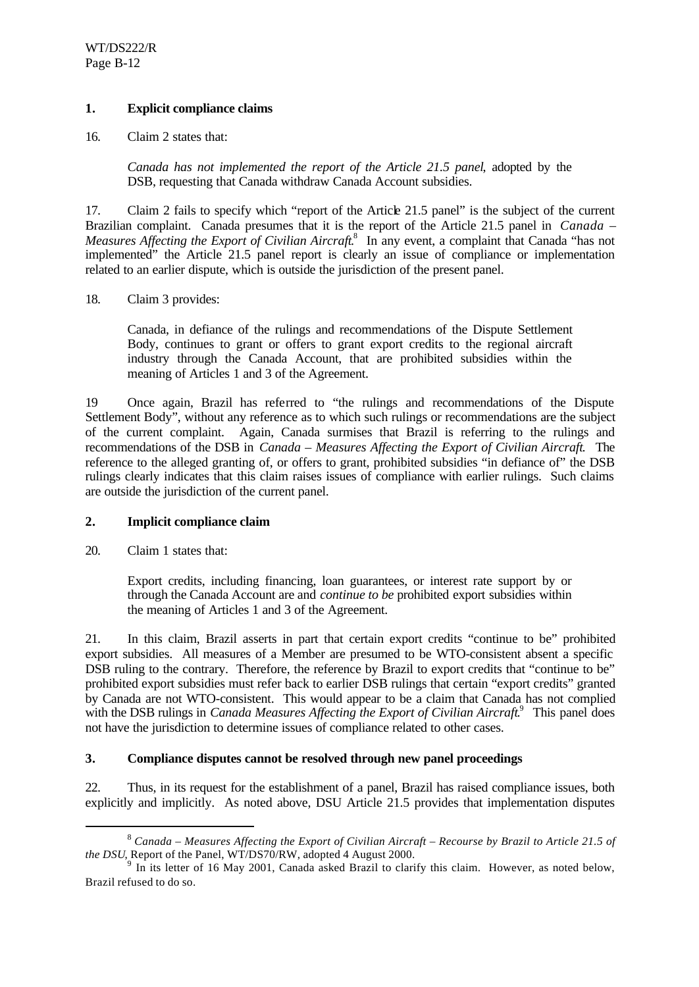## **1. Explicit compliance claims**

16. Claim 2 states that:

*Canada has not implemented the report of the Article 21.5 panel*, adopted by the DSB, requesting that Canada withdraw Canada Account subsidies.

17. Claim 2 fails to specify which "report of the Article 21.5 panel" is the subject of the current Brazilian complaint. Canada presumes that it is the report of the Article 21.5 panel in *Canada – Measures Affecting the Export of Civilian Aircraft*. 8 In any event, a complaint that Canada "has not implemented" the Article 21.5 panel report is clearly an issue of compliance or implementation related to an earlier dispute, which is outside the jurisdiction of the present panel.

#### 18. Claim 3 provides:

Canada, in defiance of the rulings and recommendations of the Dispute Settlement Body, continues to grant or offers to grant export credits to the regional aircraft industry through the Canada Account, that are prohibited subsidies within the meaning of Articles 1 and 3 of the Agreement.

19 Once again, Brazil has referred to "the rulings and recommendations of the Dispute Settlement Body", without any reference as to which such rulings or recommendations are the subject of the current complaint. Again, Canada surmises that Brazil is referring to the rulings and recommendations of the DSB in *Canada – Measures Affecting the Export of Civilian Aircraft*. The reference to the alleged granting of, or offers to grant, prohibited subsidies "in defiance of" the DSB rulings clearly indicates that this claim raises issues of compliance with earlier rulings. Such claims are outside the jurisdiction of the current panel.

## **2. Implicit compliance claim**

20. Claim 1 states that:

l

Export credits, including financing, loan guarantees, or interest rate support by or through the Canada Account are and *continue to be* prohibited export subsidies within the meaning of Articles 1 and 3 of the Agreement.

21. In this claim, Brazil asserts in part that certain export credits "continue to be" prohibited export subsidies. All measures of a Member are presumed to be WTO-consistent absent a specific DSB ruling to the contrary. Therefore, the reference by Brazil to export credits that "continue to be" prohibited export subsidies must refer back to earlier DSB rulings that certain "export credits" granted by Canada are not WTO-consistent. This would appear to be a claim that Canada has not complied with the DSB rulings in *Canada Measures Affecting the Export of Civilian Aircraft*.<sup>9</sup> This panel does not have the jurisdiction to determine issues of compliance related to other cases.

## **3. Compliance disputes cannot be resolved through new panel proceedings**

22. Thus, in its request for the establishment of a panel, Brazil has raised compliance issues, both explicitly and implicitly. As noted above, DSU Article 21.5 provides that implementation disputes

<sup>8</sup> *Canada – Measures Affecting the Export of Civilian Aircraft – Recourse by Brazil to Article 21.5 of the DSU*, Report of the Panel, WT/DS70/RW, adopted 4 August 2000.

<sup>&</sup>lt;sup>9</sup> In its letter of 16 May 2001, Canada asked Brazil to clarify this claim. However, as noted below, Brazil refused to do so.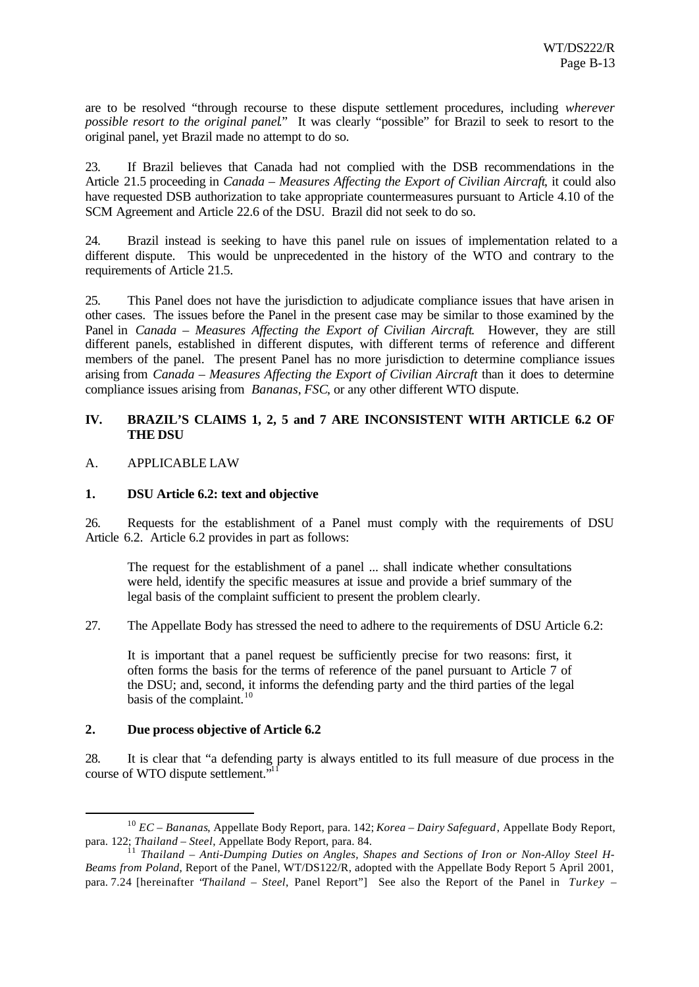are to be resolved "through recourse to these dispute settlement procedures, including *wherever possible resort to the original panel*." It was clearly "possible" for Brazil to seek to resort to the original panel, yet Brazil made no attempt to do so.

23. If Brazil believes that Canada had not complied with the DSB recommendations in the Article 21.5 proceeding in *Canada – Measures Affecting the Export of Civilian Aircraft*, it could also have requested DSB authorization to take appropriate countermeasures pursuant to Article 4.10 of the SCM Agreement and Article 22.6 of the DSU. Brazil did not seek to do so.

24. Brazil instead is seeking to have this panel rule on issues of implementation related to a different dispute. This would be unprecedented in the history of the WTO and contrary to the requirements of Article 21.5.

25. This Panel does not have the jurisdiction to adjudicate compliance issues that have arisen in other cases. The issues before the Panel in the present case may be similar to those examined by the Panel in *Canada – Measures Affecting the Export of Civilian Aircraft*. However, they are still different panels, established in different disputes, with different terms of reference and different members of the panel. The present Panel has no more jurisdiction to determine compliance issues arising from *Canada – Measures Affecting the Export of Civilian Aircraft* than it does to determine compliance issues arising from *Bananas*, *FSC*, or any other different WTO dispute.

### **IV. BRAZIL'S CLAIMS 1, 2, 5 and 7 ARE INCONSISTENT WITH ARTICLE 6.2 OF THE DSU**

#### A. APPLICABLE LAW

#### **1. DSU Article 6.2: text and objective**

26. Requests for the establishment of a Panel must comply with the requirements of DSU Article 6.2. Article 6.2 provides in part as follows:

The request for the establishment of a panel ... shall indicate whether consultations were held, identify the specific measures at issue and provide a brief summary of the legal basis of the complaint sufficient to present the problem clearly.

27. The Appellate Body has stressed the need to adhere to the requirements of DSU Article 6.2:

It is important that a panel request be sufficiently precise for two reasons: first, it often forms the basis for the terms of reference of the panel pursuant to Article 7 of the DSU; and, second, it informs the defending party and the third parties of the legal basis of the complaint. $10$ 

#### **2. Due process objective of Article 6.2**

l

28. It is clear that "a defending party is always entitled to its full measure of due process in the course of WTO dispute settlement."

<sup>10</sup> *EC – Bananas*, Appellate Body Report, para. 142; *Korea – Dairy Safeguard*, Appellate Body Report, para. 122; *Thailand – Steel*, Appellate Body Report, para. 84.

<sup>&</sup>lt;sup>11</sup> Thailand – Anti-Dumping Duties on Angles, Shapes and Sections of Iron or Non-Alloy Steel H-*Beams from Poland*, Report of the Panel, WT/DS122/R, adopted with the Appellate Body Report 5 April 2001, para. 7.24 [hereinafter "*Thailand – Steel*, Panel Report"] See also the Report of the Panel in *Turkey –*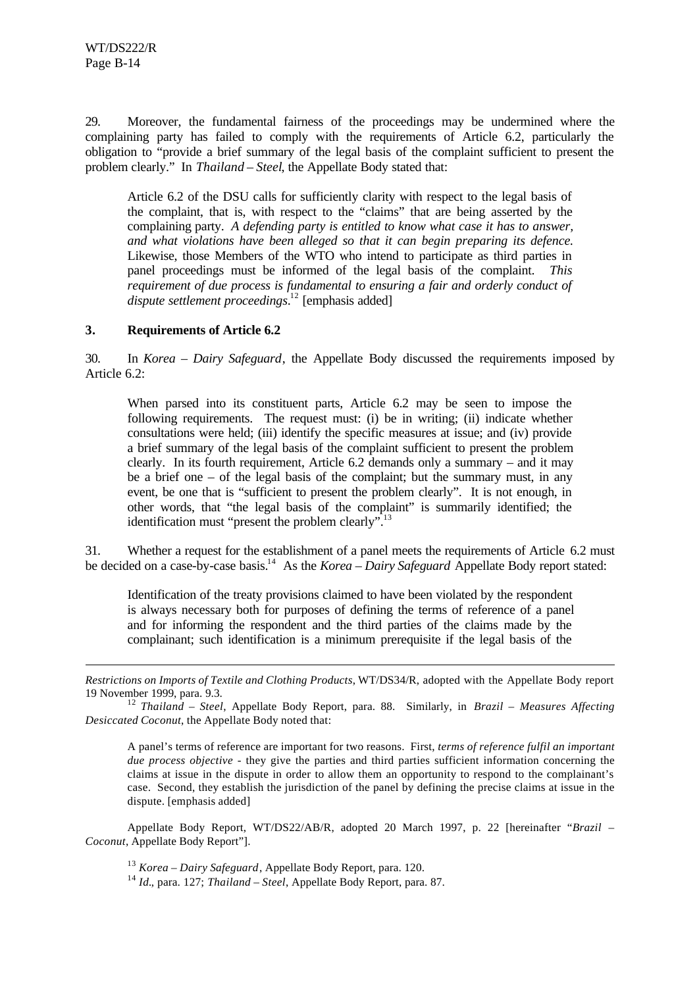l

29. Moreover, the fundamental fairness of the proceedings may be undermined where the complaining party has failed to comply with the requirements of Article 6.2, particularly the obligation to "provide a brief summary of the legal basis of the complaint sufficient to present the problem clearly." In *Thailand – Steel*, the Appellate Body stated that:

Article 6.2 of the DSU calls for sufficiently clarity with respect to the legal basis of the complaint, that is, with respect to the "claims" that are being asserted by the complaining party. *A defending party is entitled to know what case it has to answer, and what violations have been alleged so that it can begin preparing its defence.* Likewise, those Members of the WTO who intend to participate as third parties in panel proceedings must be informed of the legal basis of the complaint. *This requirement of due process is fundamental to ensuring a fair and orderly conduct of dispute settlement proceedings*. <sup>12</sup> [emphasis added]

## **3. Requirements of Article 6.2**

30. In *Korea – Dairy Safeguard*, the Appellate Body discussed the requirements imposed by Article 6.2:

When parsed into its constituent parts, Article 6.2 may be seen to impose the following requirements. The request must: (i) be in writing; (ii) indicate whether consultations were held; (iii) identify the specific measures at issue; and (iv) provide a brief summary of the legal basis of the complaint sufficient to present the problem clearly. In its fourth requirement, Article 6.2 demands only a summary – and it may be a brief one – of the legal basis of the complaint; but the summary must, in any event, be one that is "sufficient to present the problem clearly". It is not enough, in other words, that "the legal basis of the complaint" is summarily identified; the identification must "present the problem clearly".<sup>13</sup>

31. Whether a request for the establishment of a panel meets the requirements of Article 6.2 must be decided on a case-by-case basis.<sup>14</sup> As the *Korea – Dairy Safeguard* Appellate Body report stated:

Identification of the treaty provisions claimed to have been violated by the respondent is always necessary both for purposes of defining the terms of reference of a panel and for informing the respondent and the third parties of the claims made by the complainant; such identification is a minimum prerequisite if the legal basis of the

A panel's terms of reference are important for two reasons. First, *terms of reference fulfil an important due process objective* - they give the parties and third parties sufficient information concerning the claims at issue in the dispute in order to allow them an opportunity to respond to the complainant's case. Second, they establish the jurisdiction of the panel by defining the precise claims at issue in the dispute. [emphasis added]

Appellate Body Report, WT/DS22/AB/R, adopted 20 March 1997, p. 22 [hereinafter "*Brazil – Coconut*, Appellate Body Report"].

<sup>13</sup> *Korea – Dairy Safeguard*, Appellate Body Report, para. 120.

<sup>14</sup> *Id.*, para. 127; *Thailand – Steel*, Appellate Body Report, para. 87.

*Restrictions on Imports of Textile and Clothing Products*, WT/DS34/R, adopted with the Appellate Body report 19 November 1999, para. 9.3.

<sup>12</sup> *Thailand – Steel*, Appellate Body Report, para. 88. Similarly, in *Brazil – Measures Affecting Desiccated Coconut*, the Appellate Body noted that: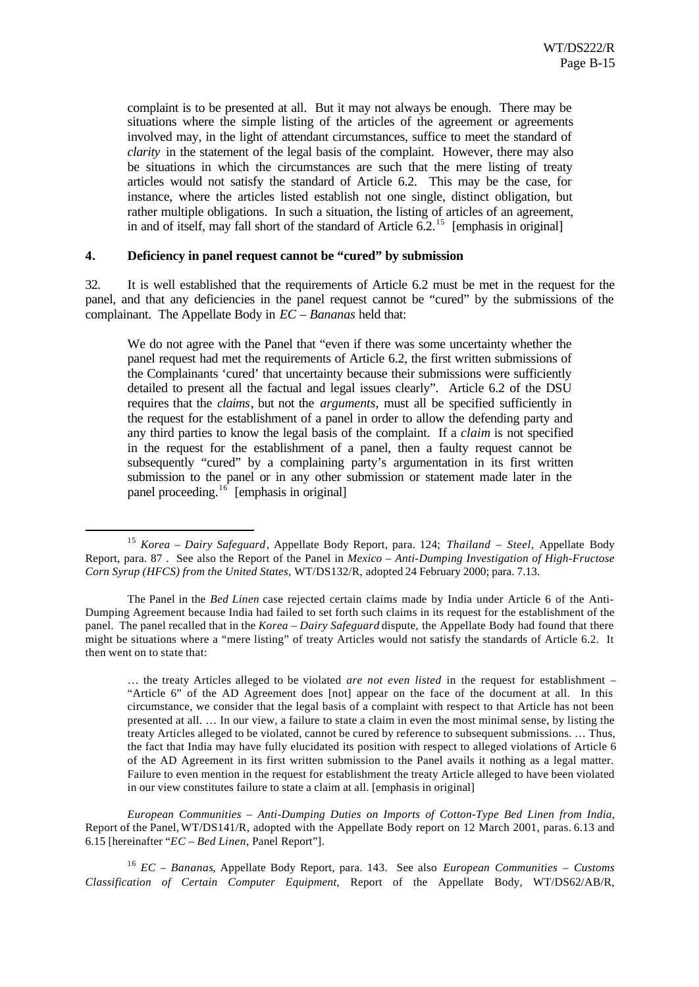complaint is to be presented at all. But it may not always be enough. There may be situations where the simple listing of the articles of the agreement or agreements involved may, in the light of attendant circumstances, suffice to meet the standard of *clarity* in the statement of the legal basis of the complaint. However, there may also be situations in which the circumstances are such that the mere listing of treaty articles would not satisfy the standard of Article 6.2. This may be the case, for instance, where the articles listed establish not one single, distinct obligation, but rather multiple obligations. In such a situation, the listing of articles of an agreement, in and of itself, may fall short of the standard of Article  $6.2$ .<sup>15</sup> [emphasis in original]

#### **4. Deficiency in panel request cannot be "cured" by submission**

l

32. It is well established that the requirements of Article 6.2 must be met in the request for the panel, and that any deficiencies in the panel request cannot be "cured" by the submissions of the complainant. The Appellate Body in *EC – Bananas* held that:

We do not agree with the Panel that "even if there was some uncertainty whether the panel request had met the requirements of Article 6.2, the first written submissions of the Complainants 'cured' that uncertainty because their submissions were sufficiently detailed to present all the factual and legal issues clearly". Article 6.2 of the DSU requires that the *claims*, but not the *arguments*, must all be specified sufficiently in the request for the establishment of a panel in order to allow the defending party and any third parties to know the legal basis of the complaint. If a *claim* is not specified in the request for the establishment of a panel, then a faulty request cannot be subsequently "cured" by a complaining party's argumentation in its first written submission to the panel or in any other submission or statement made later in the panel proceeding. $16$  [emphasis in original]

*European Communities – Anti-Dumping Duties on Imports of Cotton-Type Bed Linen from India*, Report of the Panel, WT/DS141/R, adopted with the Appellate Body report on 12 March 2001, paras. 6.13 and 6.15 [hereinafter "*EC – Bed Linen*, Panel Report"].

<sup>16</sup> *EC – Bananas*, Appellate Body Report, para. 143. See also *European Communities – Customs Classification of Certain Computer Equipment*, Report of the Appellate Body, WT/DS62/AB/R,

<sup>15</sup> *Korea – Dairy Safeguard*, Appellate Body Report, para. 124; *Thailand – Steel*, Appellate Body Report, para. 87 . See also the Report of the Panel in *Mexico – Anti-Dumping Investigation of High-Fructose Corn Syrup (HFCS) from the United States*, WT/DS132/R, adopted 24 February 2000; para. 7.13.

The Panel in the *Bed Linen* case rejected certain claims made by India under Article 6 of the Anti-Dumping Agreement because India had failed to set forth such claims in its request for the establishment of the panel. The panel recalled that in the *Korea – Dairy Safeguard* dispute, the Appellate Body had found that there might be situations where a "mere listing" of treaty Articles would not satisfy the standards of Article 6.2. It then went on to state that:

<sup>…</sup> the treaty Articles alleged to be violated *are not even listed* in the request for establishment – "Article 6" of the AD Agreement does [not] appear on the face of the document at all. In this circumstance, we consider that the legal basis of a complaint with respect to that Article has not been presented at all. … In our view, a failure to state a claim in even the most minimal sense, by listing the treaty Articles alleged to be violated, cannot be cured by reference to subsequent submissions. … Thus, the fact that India may have fully elucidated its position with respect to alleged violations of Article 6 of the AD Agreement in its first written submission to the Panel avails it nothing as a legal matter. Failure to even mention in the request for establishment the treaty Article alleged to have been violated in our view constitutes failure to state a claim at all. [emphasis in original]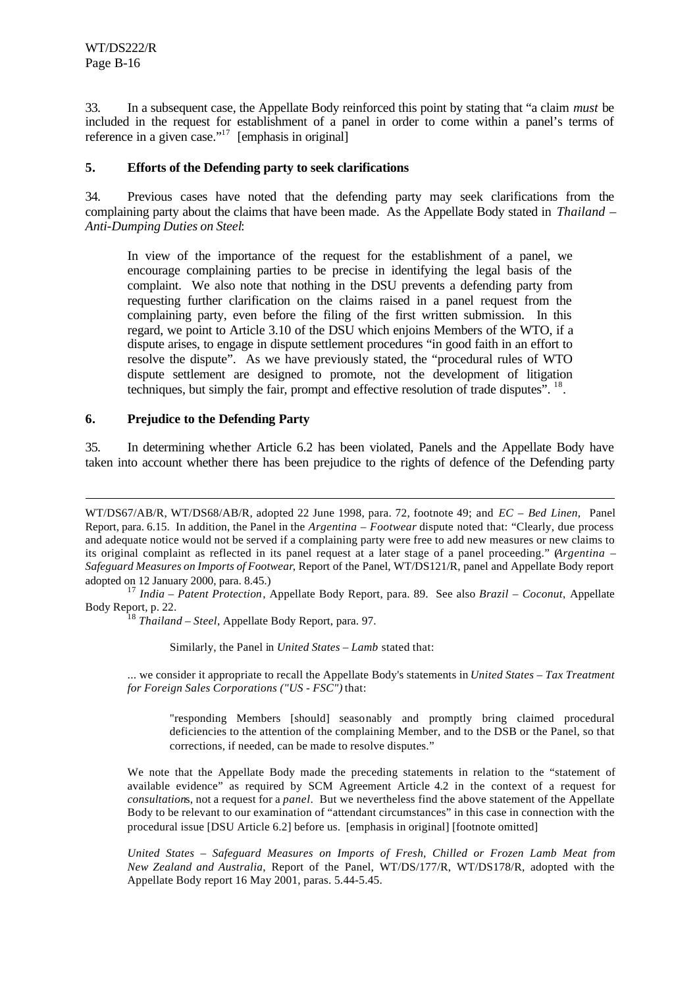l

33. In a subsequent case, the Appellate Body reinforced this point by stating that "a claim *must* be included in the request for establishment of a panel in order to come within a panel's terms of reference in a given case."<sup>17</sup> [emphasis in original]

#### **5. Efforts of the Defending party to seek clarifications**

34. Previous cases have noted that the defending party may seek clarifications from the complaining party about the claims that have been made. As the Appellate Body stated in *Thailand – Anti-Dumping Duties on Steel*:

In view of the importance of the request for the establishment of a panel, we encourage complaining parties to be precise in identifying the legal basis of the complaint. We also note that nothing in the DSU prevents a defending party from requesting further clarification on the claims raised in a panel request from the complaining party, even before the filing of the first written submission. In this regard, we point to Article 3.10 of the DSU which enjoins Members of the WTO, if a dispute arises, to engage in dispute settlement procedures "in good faith in an effort to resolve the dispute". As we have previously stated, the "procedural rules of WTO dispute settlement are designed to promote, not the development of litigation techniques, but simply the fair, prompt and effective resolution of trade disputes". <sup>18</sup>.

#### **6. Prejudice to the Defending Party**

35. In determining whether Article 6.2 has been violated, Panels and the Appellate Body have taken into account whether there has been prejudice to the rights of defence of the Defending party

<sup>17</sup> *India – Patent Protection*, Appellate Body Report, para. 89. See also *Brazil – Coconut*, Appellate Body Report, p. 22.

<sup>18</sup> *Thailand – Steel*, Appellate Body Report, para. 97.

Similarly, the Panel in *United States – Lamb* stated that:

... we consider it appropriate to recall the Appellate Body's statements in *United States – Tax Treatment for Foreign Sales Corporations ("US - FSC")* that:

"responding Members [should] seasonably and promptly bring claimed procedural deficiencies to the attention of the complaining Member, and to the DSB or the Panel, so that corrections, if needed, can be made to resolve disputes."

We note that the Appellate Body made the preceding statements in relation to the "statement of available evidence" as required by SCM Agreement Article 4.2 in the context of a request for *consultation*s, not a request for a *panel*. But we nevertheless find the above statement of the Appellate Body to be relevant to our examination of "attendant circumstances" in this case in connection with the procedural issue [DSU Article 6.2] before us. [emphasis in original] [footnote omitted]

*United States – Safeguard Measures on Imports of Fresh, Chilled or Frozen Lamb Meat from New Zealand and Australia*, Report of the Panel, WT/DS/177/R, WT/DS178/R, adopted with the Appellate Body report 16 May 2001, paras. 5.44-5.45.

WT/DS67/AB/R, WT/DS68/AB/R, adopted 22 June 1998, para. 72, footnote 49; and *EC – Bed Linen*, Panel Report, para. 6.15. In addition, the Panel in the *Argentina – Footwear* dispute noted that: "Clearly, due process and adequate notice would not be served if a complaining party were free to add new measures or new claims to its original complaint as reflected in its panel request at a later stage of a panel proceeding." (*Argentina – Safeguard Measures on Imports of Footwear*, Report of the Panel, WT/DS121/R, panel and Appellate Body report adopted on 12 January 2000, para. 8.45.)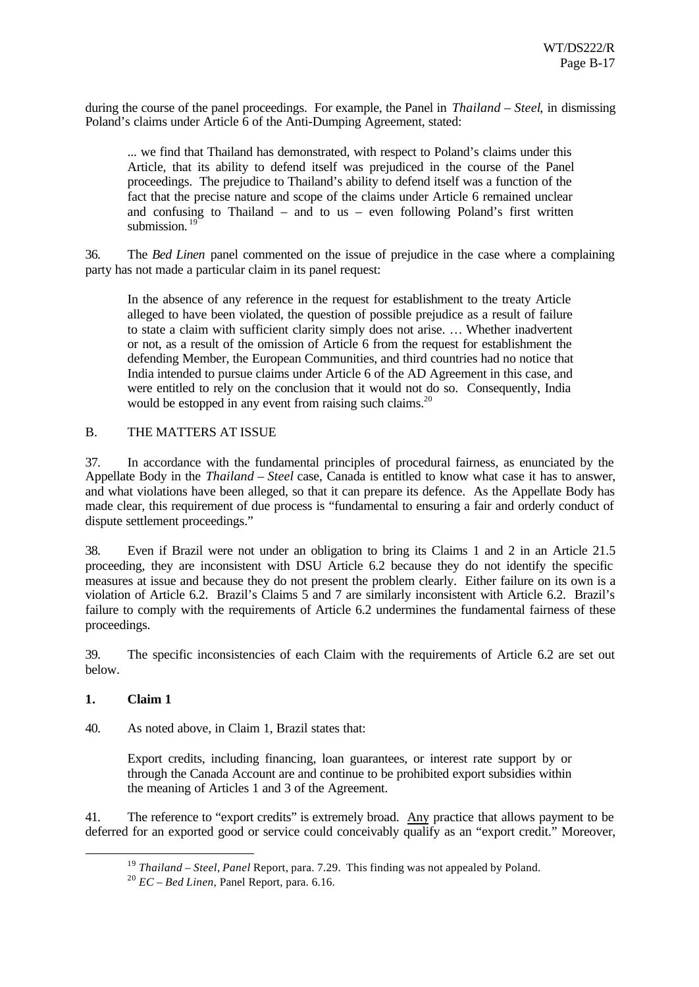during the course of the panel proceedings. For example, the Panel in *Thailand – Steel*, in dismissing Poland's claims under Article 6 of the Anti-Dumping Agreement, stated:

... we find that Thailand has demonstrated, with respect to Poland's claims under this Article, that its ability to defend itself was prejudiced in the course of the Panel proceedings. The prejudice to Thailand's ability to defend itself was a function of the fact that the precise nature and scope of the claims under Article 6 remained unclear and confusing to Thailand – and to us – even following Poland's first written submission. $19$ 

36. The *Bed Linen* panel commented on the issue of prejudice in the case where a complaining party has not made a particular claim in its panel request:

In the absence of any reference in the request for establishment to the treaty Article alleged to have been violated, the question of possible prejudice as a result of failure to state a claim with sufficient clarity simply does not arise. … Whether inadvertent or not, as a result of the omission of Article 6 from the request for establishment the defending Member, the European Communities, and third countries had no notice that India intended to pursue claims under Article 6 of the AD Agreement in this case, and were entitled to rely on the conclusion that it would not do so. Consequently, India would be estopped in any event from raising such claims.<sup>20</sup>

### B. THE MATTERS AT ISSUE

37. In accordance with the fundamental principles of procedural fairness, as enunciated by the Appellate Body in the *Thailand – Steel* case, Canada is entitled to know what case it has to answer, and what violations have been alleged, so that it can prepare its defence. As the Appellate Body has made clear, this requirement of due process is "fundamental to ensuring a fair and orderly conduct of dispute settlement proceedings."

38. Even if Brazil were not under an obligation to bring its Claims 1 and 2 in an Article 21.5 proceeding, they are inconsistent with DSU Article 6.2 because they do not identify the specific measures at issue and because they do not present the problem clearly. Either failure on its own is a violation of Article 6.2. Brazil's Claims 5 and 7 are similarly inconsistent with Article 6.2. Brazil's failure to comply with the requirements of Article 6.2 undermines the fundamental fairness of these proceedings.

39. The specific inconsistencies of each Claim with the requirements of Article 6.2 are set out below.

## **1. Claim 1**

l

40. As noted above, in Claim 1, Brazil states that:

Export credits, including financing, loan guarantees, or interest rate support by or through the Canada Account are and continue to be prohibited export subsidies within the meaning of Articles 1 and 3 of the Agreement.

41. The reference to "export credits" is extremely broad. Any practice that allows payment to be deferred for an exported good or service could conceivably qualify as an "export credit." Moreover,

<sup>19</sup> *Thailand – Steel*, *Panel* Report, para. 7.29. This finding was not appealed by Poland.

<sup>20</sup> *EC – Bed Linen*, Panel Report, para. 6.16.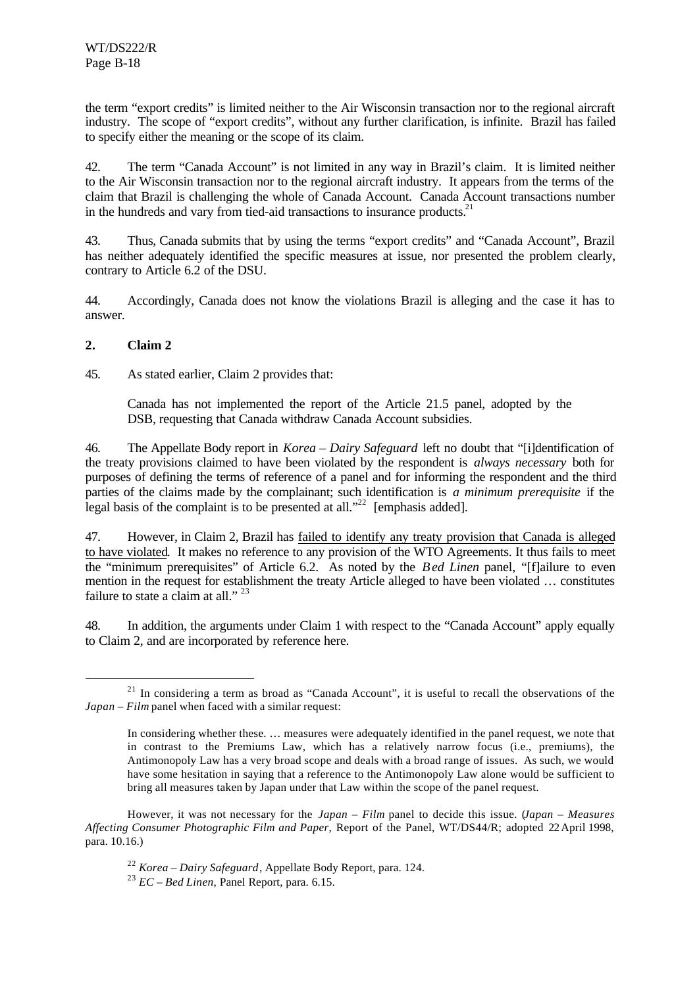the term "export credits" is limited neither to the Air Wisconsin transaction nor to the regional aircraft industry. The scope of "export credits", without any further clarification, is infinite. Brazil has failed to specify either the meaning or the scope of its claim.

42. The term "Canada Account" is not limited in any way in Brazil's claim. It is limited neither to the Air Wisconsin transaction nor to the regional aircraft industry. It appears from the terms of the claim that Brazil is challenging the whole of Canada Account. Canada Account transactions number in the hundreds and vary from tied-aid transactions to insurance products. $2<sup>1</sup>$ 

43. Thus, Canada submits that by using the terms "export credits" and "Canada Account", Brazil has neither adequately identified the specific measures at issue, nor presented the problem clearly, contrary to Article 6.2 of the DSU.

44. Accordingly, Canada does not know the violations Brazil is alleging and the case it has to answer.

## **2. Claim 2**

l

45. As stated earlier, Claim 2 provides that:

Canada has not implemented the report of the Article 21.5 panel, adopted by the DSB, requesting that Canada withdraw Canada Account subsidies.

46. The Appellate Body report in *Korea – Dairy Safeguard* left no doubt that "[i]dentification of the treaty provisions claimed to have been violated by the respondent is *always necessary* both for purposes of defining the terms of reference of a panel and for informing the respondent and the third parties of the claims made by the complainant; such identification is *a minimum prerequisite* if the legal basis of the complaint is to be presented at all."<sup>22</sup> [emphasis added].

47. However, in Claim 2, Brazil has failed to identify any treaty provision that Canada is alleged to have violated. It makes no reference to any provision of the WTO Agreements. It thus fails to meet the "minimum prerequisites" of Article 6.2. As noted by the *Bed Linen* panel, "[f]ailure to even mention in the request for establishment the treaty Article alleged to have been violated … constitutes failure to state a claim at all."<sup>23</sup>

48. In addition, the arguments under Claim 1 with respect to the "Canada Account" apply equally to Claim 2, and are incorporated by reference here.

 $21$  In considering a term as broad as "Canada Account", it is useful to recall the observations of the *Japan – Film* panel when faced with a similar request:

In considering whether these. … measures were adequately identified in the panel request, we note that in contrast to the Premiums Law, which has a relatively narrow focus (i.e., premiums), the Antimonopoly Law has a very broad scope and deals with a broad range of issues. As such, we would have some hesitation in saying that a reference to the Antimonopoly Law alone would be sufficient to bring all measures taken by Japan under that Law within the scope of the panel request.

However, it was not necessary for the *Japan – Film* panel to decide this issue. (*Japan – Measures Affecting Consumer Photographic Film and Paper*, Report of the Panel, WT/DS44/R; adopted 22 April 1998, para. 10.16.)

<sup>22</sup> *Korea – Dairy Safeguard*, Appellate Body Report, para. 124.

<sup>23</sup> *EC – Bed Linen*, Panel Report, para. 6.15.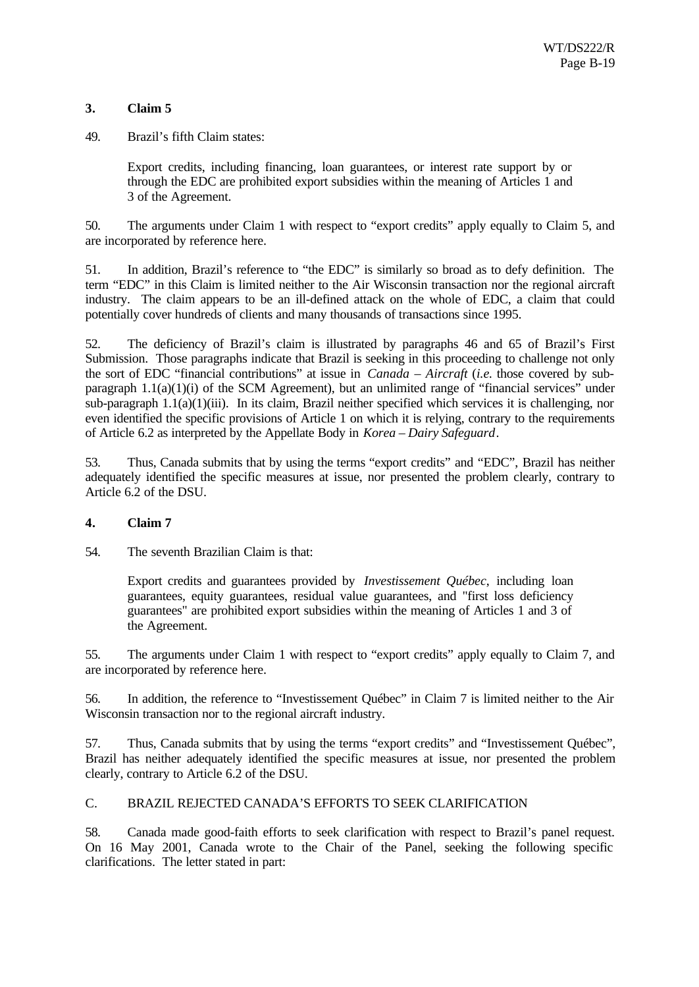## **3. Claim 5**

#### 49. Brazil's fifth Claim states:

Export credits, including financing, loan guarantees, or interest rate support by or through the EDC are prohibited export subsidies within the meaning of Articles 1 and 3 of the Agreement.

50. The arguments under Claim 1 with respect to "export credits" apply equally to Claim 5, and are incorporated by reference here.

51. In addition, Brazil's reference to "the EDC" is similarly so broad as to defy definition. The term "EDC" in this Claim is limited neither to the Air Wisconsin transaction nor the regional aircraft industry. The claim appears to be an ill-defined attack on the whole of EDC, a claim that could potentially cover hundreds of clients and many thousands of transactions since 1995.

52. The deficiency of Brazil's claim is illustrated by paragraphs 46 and 65 of Brazil's First Submission. Those paragraphs indicate that Brazil is seeking in this proceeding to challenge not only the sort of EDC "financial contributions" at issue in *Canada – Aircraft* (*i.e.* those covered by subparagraph  $1.1(a)(1)(i)$  of the SCM Agreement), but an unlimited range of "financial services" under sub-paragraph 1.1(a)(1)(iii). In its claim, Brazil neither specified which services it is challenging, nor even identified the specific provisions of Article 1 on which it is relying, contrary to the requirements of Article 6.2 as interpreted by the Appellate Body in *Korea – Dairy Safeguard*.

53. Thus, Canada submits that by using the terms "export credits" and "EDC", Brazil has neither adequately identified the specific measures at issue, nor presented the problem clearly, contrary to Article 6.2 of the DSU.

## **4. Claim 7**

54. The seventh Brazilian Claim is that:

Export credits and guarantees provided by *Investissement Québec*, including loan guarantees, equity guarantees, residual value guarantees, and "first loss deficiency guarantees" are prohibited export subsidies within the meaning of Articles 1 and 3 of the Agreement.

55. The arguments under Claim 1 with respect to "export credits" apply equally to Claim 7, and are incorporated by reference here.

56. In addition, the reference to "Investissement Québec" in Claim 7 is limited neither to the Air Wisconsin transaction nor to the regional aircraft industry.

57. Thus, Canada submits that by using the terms "export credits" and "Investissement Québec", Brazil has neither adequately identified the specific measures at issue, nor presented the problem clearly, contrary to Article 6.2 of the DSU.

## C. BRAZIL REJECTED CANADA'S EFFORTS TO SEEK CLARIFICATION

58. Canada made good-faith efforts to seek clarification with respect to Brazil's panel request. On 16 May 2001, Canada wrote to the Chair of the Panel, seeking the following specific clarifications. The letter stated in part: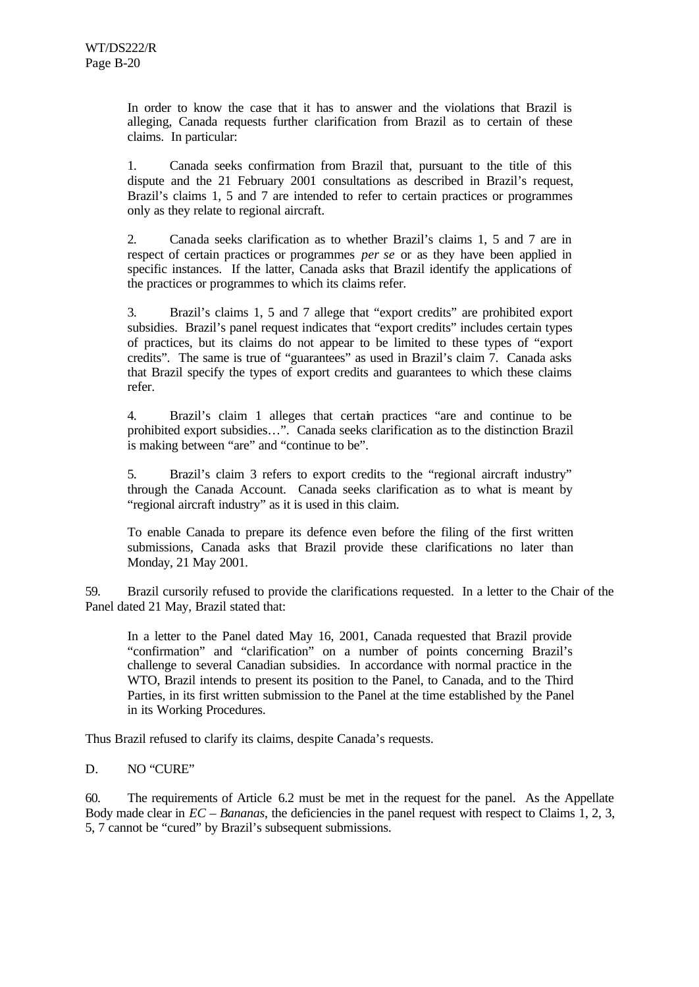In order to know the case that it has to answer and the violations that Brazil is alleging, Canada requests further clarification from Brazil as to certain of these claims. In particular:

1. Canada seeks confirmation from Brazil that, pursuant to the title of this dispute and the 21 February 2001 consultations as described in Brazil's request, Brazil's claims 1, 5 and 7 are intended to refer to certain practices or programmes only as they relate to regional aircraft.

2. Canada seeks clarification as to whether Brazil's claims 1, 5 and 7 are in respect of certain practices or programmes *per se* or as they have been applied in specific instances. If the latter, Canada asks that Brazil identify the applications of the practices or programmes to which its claims refer.

3. Brazil's claims 1, 5 and 7 allege that "export credits" are prohibited export subsidies. Brazil's panel request indicates that "export credits" includes certain types of practices, but its claims do not appear to be limited to these types of "export credits". The same is true of "guarantees" as used in Brazil's claim 7. Canada asks that Brazil specify the types of export credits and guarantees to which these claims refer.

4. Brazil's claim 1 alleges that certain practices "are and continue to be prohibited export subsidies…". Canada seeks clarification as to the distinction Brazil is making between "are" and "continue to be".

5. Brazil's claim 3 refers to export credits to the "regional aircraft industry" through the Canada Account. Canada seeks clarification as to what is meant by "regional aircraft industry" as it is used in this claim.

To enable Canada to prepare its defence even before the filing of the first written submissions, Canada asks that Brazil provide these clarifications no later than Monday, 21 May 2001.

59. Brazil cursorily refused to provide the clarifications requested. In a letter to the Chair of the Panel dated 21 May, Brazil stated that:

In a letter to the Panel dated May 16, 2001, Canada requested that Brazil provide "confirmation" and "clarification" on a number of points concerning Brazil's challenge to several Canadian subsidies. In accordance with normal practice in the WTO, Brazil intends to present its position to the Panel, to Canada, and to the Third Parties, in its first written submission to the Panel at the time established by the Panel in its Working Procedures.

Thus Brazil refused to clarify its claims, despite Canada's requests.

## D. NO "CURE"

60. The requirements of Article 6.2 must be met in the request for the panel. As the Appellate Body made clear in *EC – Bananas*, the deficiencies in the panel request with respect to Claims 1, 2, 3, 5, 7 cannot be "cured" by Brazil's subsequent submissions.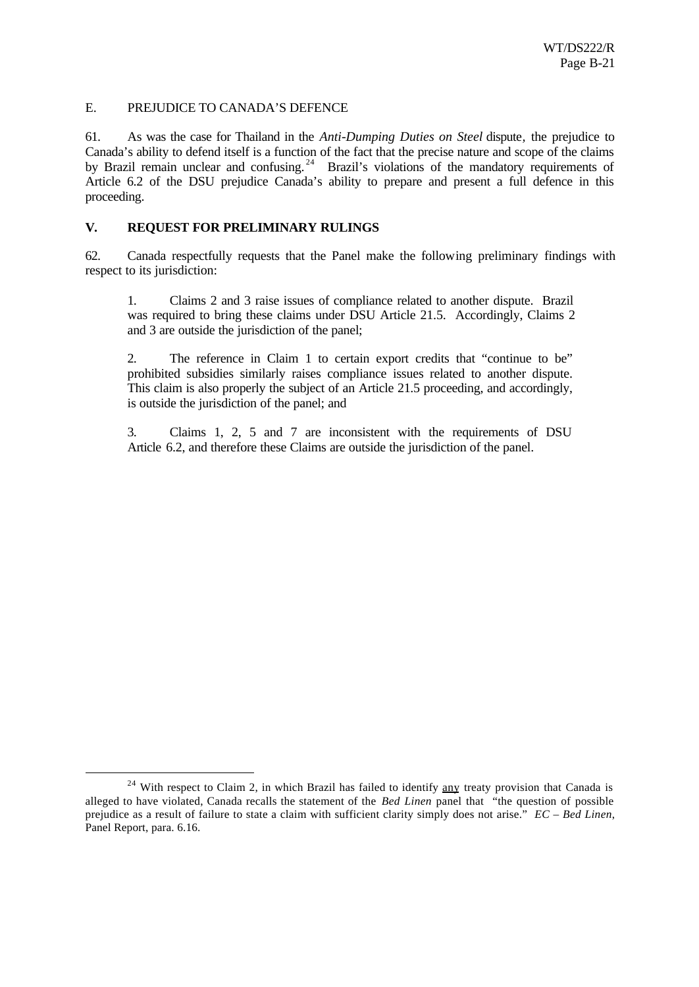#### E. PREJUDICE TO CANADA'S DEFENCE

61. As was the case for Thailand in the *Anti-Dumping Duties on Steel* dispute*,* the prejudice to Canada's ability to defend itself is a function of the fact that the precise nature and scope of the claims by Brazil remain unclear and confusing.<sup>24</sup> Brazil's violations of the mandatory requirements of Article 6.2 of the DSU prejudice Canada's ability to prepare and present a full defence in this proceeding.

#### **V. REQUEST FOR PRELIMINARY RULINGS**

l

62. Canada respectfully requests that the Panel make the following preliminary findings with respect to its jurisdiction:

1. Claims 2 and 3 raise issues of compliance related to another dispute. Brazil was required to bring these claims under DSU Article 21.5. Accordingly, Claims 2 and 3 are outside the jurisdiction of the panel;

2. The reference in Claim 1 to certain export credits that "continue to be" prohibited subsidies similarly raises compliance issues related to another dispute. This claim is also properly the subject of an Article 21.5 proceeding, and accordingly, is outside the jurisdiction of the panel; and

3. Claims 1, 2, 5 and 7 are inconsistent with the requirements of DSU Article 6.2, and therefore these Claims are outside the jurisdiction of the panel.

 $24$  With respect to Claim 2, in which Brazil has failed to identify  $\frac{any}{any}$  treaty provision that Canada is alleged to have violated, Canada recalls the statement of the *Bed Linen* panel that "the question of possible prejudice as a result of failure to state a claim with sufficient clarity simply does not arise." *EC – Bed Linen*, Panel Report, para. 6.16.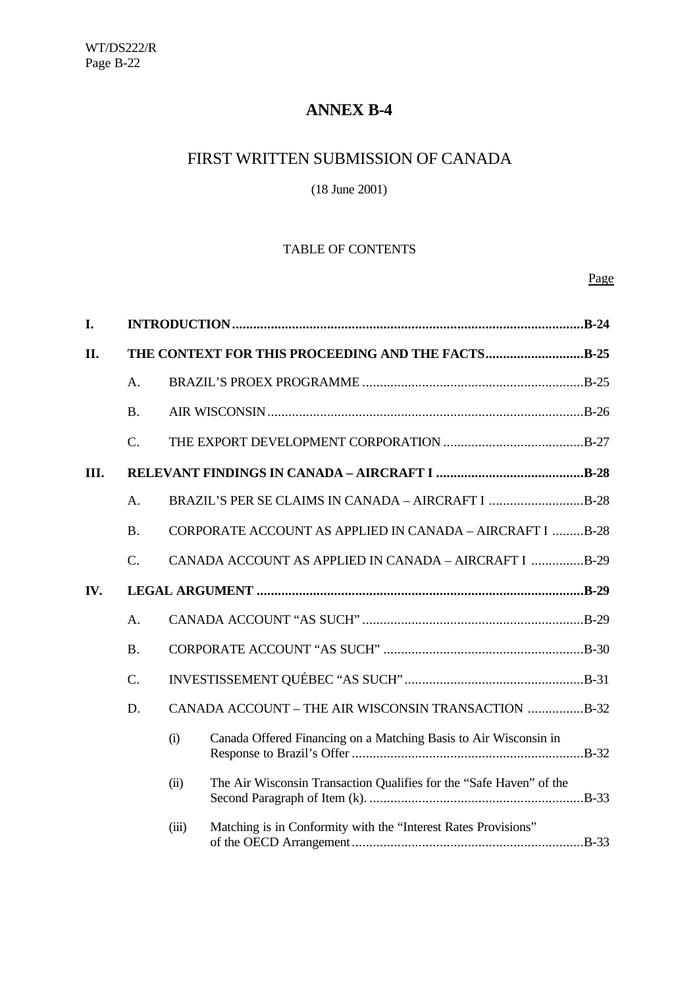# **ANNEX B-4**

# FIRST WRITTEN SUBMISSION OF CANADA

## (18 June 2001)

## TABLE OF CONTENTS

#### Page

| I.   |                                                   |       |                                                                     |  |  |
|------|---------------------------------------------------|-------|---------------------------------------------------------------------|--|--|
| II.  | THE CONTEXT FOR THIS PROCEEDING AND THE FACTSB-25 |       |                                                                     |  |  |
|      | A.                                                |       |                                                                     |  |  |
|      | <b>B.</b>                                         |       |                                                                     |  |  |
|      | $\mathcal{C}$ .                                   |       |                                                                     |  |  |
| III. |                                                   |       |                                                                     |  |  |
|      | A.                                                |       | BRAZIL'S PER SE CLAIMS IN CANADA - AIRCRAFT I B-28                  |  |  |
|      | <b>B.</b>                                         |       | CORPORATE ACCOUNT AS APPLIED IN CANADA - AIRCRAFT I B-28            |  |  |
|      | C.                                                |       | CANADA ACCOUNT AS APPLIED IN CANADA - AIRCRAFT I B-29               |  |  |
| IV.  |                                                   |       |                                                                     |  |  |
|      | A.                                                |       |                                                                     |  |  |
|      | <b>B.</b>                                         |       |                                                                     |  |  |
|      | C.                                                |       |                                                                     |  |  |
|      | D.                                                |       | CANADA ACCOUNT - THE AIR WISCONSIN TRANSACTION B-32                 |  |  |
|      |                                                   | (i)   | Canada Offered Financing on a Matching Basis to Air Wisconsin in    |  |  |
|      |                                                   | (ii)  | The Air Wisconsin Transaction Qualifies for the "Safe Haven" of the |  |  |
|      |                                                   | (iii) | Matching is in Conformity with the "Interest Rates Provisions"      |  |  |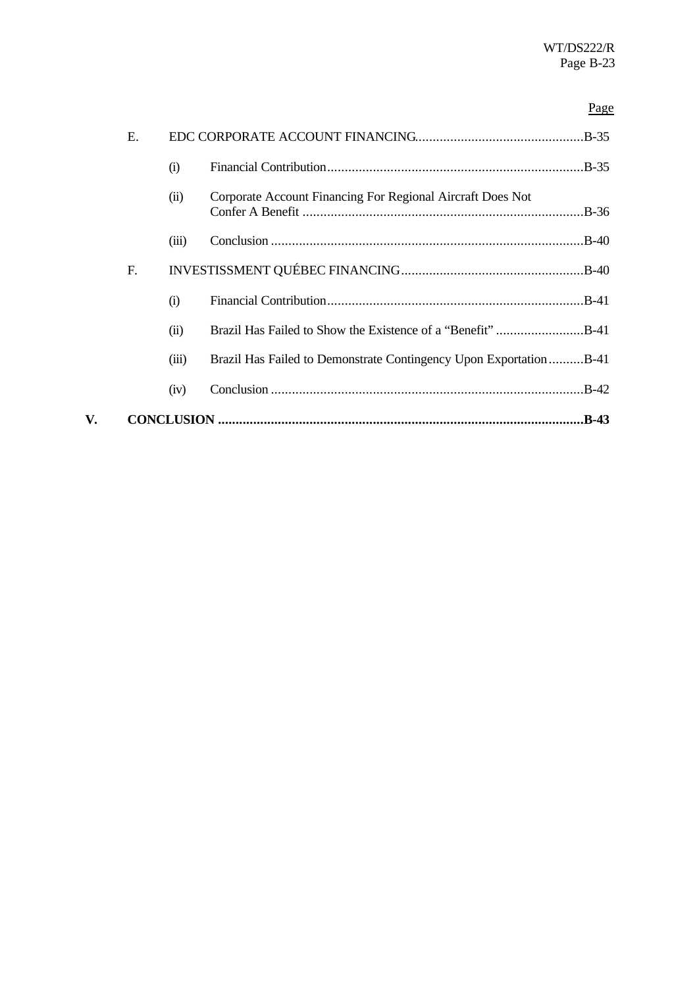|    | Ε. |       |                                                                    |  |
|----|----|-------|--------------------------------------------------------------------|--|
|    |    | (i)   |                                                                    |  |
|    |    | (ii)  | Corporate Account Financing For Regional Aircraft Does Not         |  |
|    |    | (iii) |                                                                    |  |
|    | F. |       |                                                                    |  |
|    |    | (i)   |                                                                    |  |
|    |    | (ii)  |                                                                    |  |
|    |    | (iii) | Brazil Has Failed to Demonstrate Contingency Upon Exportation B-41 |  |
|    |    | (iv)  |                                                                    |  |
| V. |    |       | <b>B-43</b>                                                        |  |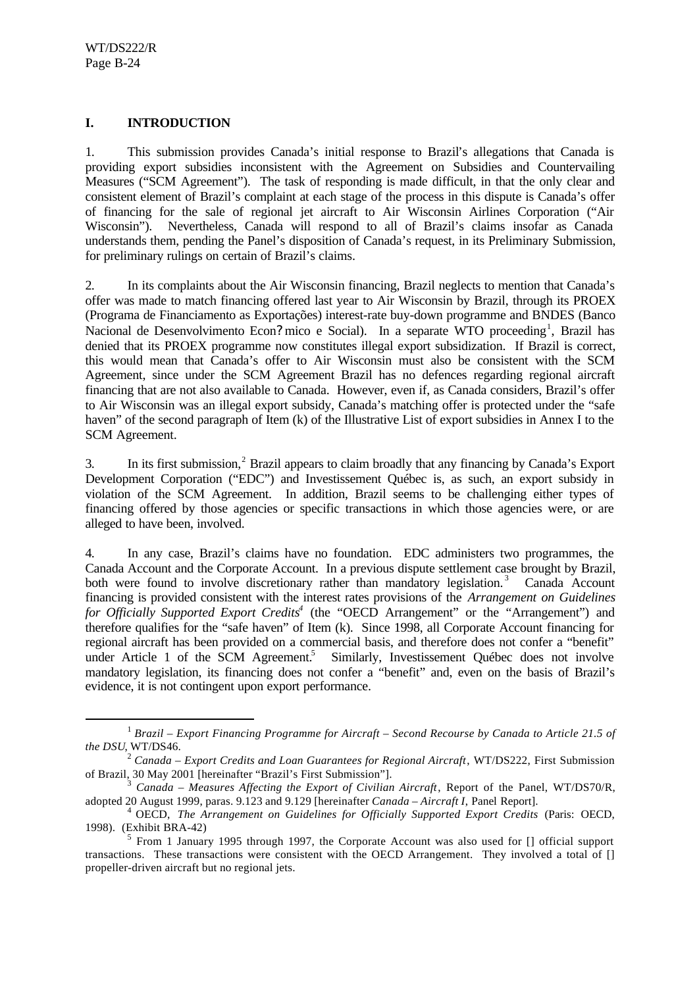l

## **I. INTRODUCTION**

1. This submission provides Canada's initial response to Brazil's allegations that Canada is providing export subsidies inconsistent with the Agreement on Subsidies and Countervailing Measures ("SCM Agreement"). The task of responding is made difficult, in that the only clear and consistent element of Brazil's complaint at each stage of the process in this dispute is Canada's offer of financing for the sale of regional jet aircraft to Air Wisconsin Airlines Corporation ("Air Wisconsin"). Nevertheless, Canada will respond to all of Brazil's claims insofar as Canada understands them, pending the Panel's disposition of Canada's request, in its Preliminary Submission, for preliminary rulings on certain of Brazil's claims.

2. In its complaints about the Air Wisconsin financing, Brazil neglects to mention that Canada's offer was made to match financing offered last year to Air Wisconsin by Brazil, through its PROEX (Programa de Financiamento as Exportações) interest-rate buy-down programme and BNDES (Banco Nacional de Desenvolvimento Econ? mico e Social). In a separate WTO proceeding<sup>1</sup>, Brazil has denied that its PROEX programme now constitutes illegal export subsidization. If Brazil is correct, this would mean that Canada's offer to Air Wisconsin must also be consistent with the SCM Agreement, since under the SCM Agreement Brazil has no defences regarding regional aircraft financing that are not also available to Canada. However, even if, as Canada considers, Brazil's offer to Air Wisconsin was an illegal export subsidy, Canada's matching offer is protected under the "safe haven" of the second paragraph of Item (k) of the Illustrative List of export subsidies in Annex I to the SCM Agreement.

3. In its first submission,<sup>2</sup> Brazil appears to claim broadly that any financing by Canada's Export Development Corporation ("EDC") and Investissement Québec is, as such, an export subsidy in violation of the SCM Agreement. In addition, Brazil seems to be challenging either types of financing offered by those agencies or specific transactions in which those agencies were, or are alleged to have been, involved.

4. In any case, Brazil's claims have no foundation. EDC administers two programmes, the Canada Account and the Corporate Account. In a previous dispute settlement case brought by Brazil, both were found to involve discretionary rather than mandatory legislation.<sup>3</sup> Canada Account financing is provided consistent with the interest rates provisions of the *Arrangement on Guidelines* for Officially Supported Export Credits<sup>4</sup> (the "OECD Arrangement" or the "Arrangement") and therefore qualifies for the "safe haven" of Item (k). Since 1998, all Corporate Account financing for regional aircraft has been provided on a commercial basis, and therefore does not confer a "benefit" under Article 1 of the SCM Agreement.<sup>5</sup> Similarly, Investissement Québec does not involve mandatory legislation, its financing does not confer a "benefit" and, even on the basis of Brazil's evidence, it is not contingent upon export performance.

<sup>1</sup> *Brazil – Export Financing Programme for Aircraft – Second Recourse by Canada to Article 21.5 of the DSU*, WT/DS46.

<sup>&</sup>lt;sup>2</sup> Canada – Export Credits and Loan Guarantees for Regional Aircraft, WT/DS222, First Submission of Brazil, 30 May 2001 [hereinafter "Brazil's First Submission"].

<sup>3</sup> *Canada – Measures Affecting the Export of Civilian Aircraft*, Report of the Panel, WT/DS70/R, adopted 20 August 1999, paras. 9.123 and 9.129 [hereinafter *Canada – Aircraft I*, Panel Report].

<sup>4</sup> OECD, *The Arrangement on Guidelines for Officially Supported Export Credits* (Paris: OECD, 1998). (Exhibit BRA-42)

<sup>&</sup>lt;sup>5</sup> From 1 January 1995 through 1997, the Corporate Account was also used for [] official support transactions. These transactions were consistent with the OECD Arrangement. They involved a total of [] propeller-driven aircraft but no regional jets.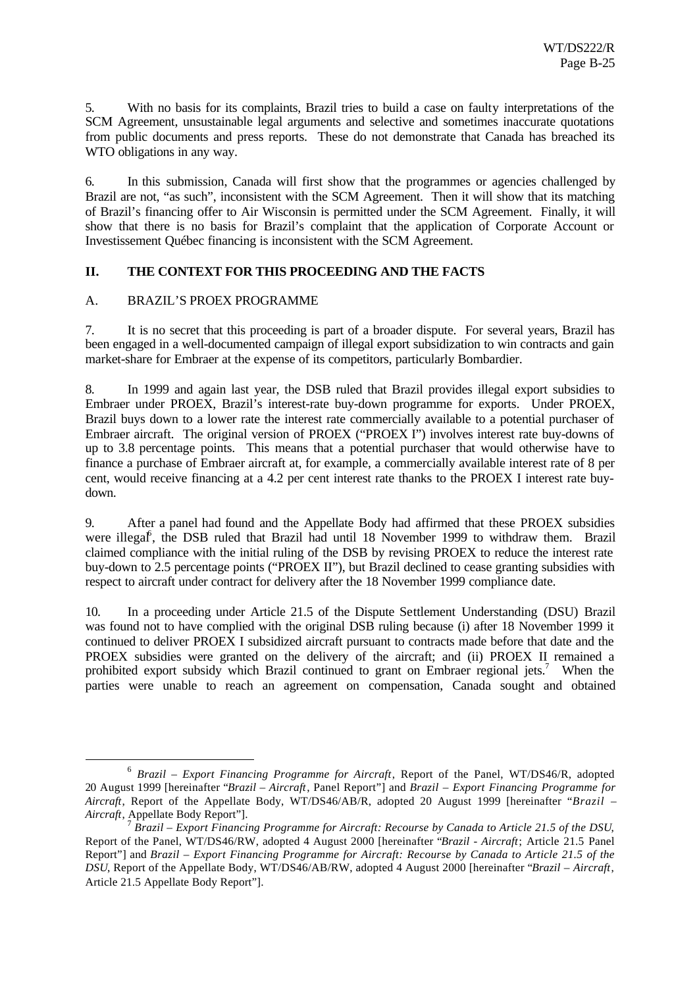5. With no basis for its complaints, Brazil tries to build a case on faulty interpretations of the SCM Agreement, unsustainable legal arguments and selective and sometimes inaccurate quotations from public documents and press reports. These do not demonstrate that Canada has breached its WTO obligations in any way.

6. In this submission, Canada will first show that the programmes or agencies challenged by Brazil are not, "as such", inconsistent with the SCM Agreement. Then it will show that its matching of Brazil's financing offer to Air Wisconsin is permitted under the SCM Agreement. Finally, it will show that there is no basis for Brazil's complaint that the application of Corporate Account or Investissement Québec financing is inconsistent with the SCM Agreement.

## **II. THE CONTEXT FOR THIS PROCEEDING AND THE FACTS**

#### A. BRAZIL'S PROEX PROGRAMME

l

7. It is no secret that this proceeding is part of a broader dispute. For several years, Brazil has been engaged in a well-documented campaign of illegal export subsidization to win contracts and gain market-share for Embraer at the expense of its competitors, particularly Bombardier.

8. In 1999 and again last year, the DSB ruled that Brazil provides illegal export subsidies to Embraer under PROEX, Brazil's interest-rate buy-down programme for exports. Under PROEX, Brazil buys down to a lower rate the interest rate commercially available to a potential purchaser of Embraer aircraft. The original version of PROEX ("PROEX I") involves interest rate buy-downs of up to 3.8 percentage points. This means that a potential purchaser that would otherwise have to finance a purchase of Embraer aircraft at, for example, a commercially available interest rate of 8 per cent, would receive financing at a 4.2 per cent interest rate thanks to the PROEX I interest rate buydown.

9. After a panel had found and the Appellate Body had affirmed that these PROEX subsidies were illegal<sup>6</sup>, the DSB ruled that Brazil had until 18 November 1999 to withdraw them. Brazil claimed compliance with the initial ruling of the DSB by revising PROEX to reduce the interest rate buy-down to 2.5 percentage points ("PROEX II"), but Brazil declined to cease granting subsidies with respect to aircraft under contract for delivery after the 18 November 1999 compliance date.

10. In a proceeding under Article 21.5 of the Dispute Settlement Understanding (DSU) Brazil was found not to have complied with the original DSB ruling because (i) after 18 November 1999 it continued to deliver PROEX I subsidized aircraft pursuant to contracts made before that date and the PROEX subsidies were granted on the delivery of the aircraft; and (ii) PROEX II remained a prohibited export subsidy which Brazil continued to grant on Embraer regional jets.<sup>7</sup> When the parties were unable to reach an agreement on compensation, Canada sought and obtained

<sup>6</sup> *Brazil – Export Financing Programme for Aircraft*, Report of the Panel, WT/DS46/R, adopted 20 August 1999 [hereinafter "*Brazil – Aircraft*, Panel Report"] and *Brazil – Export Financing Programme for Aircraft*, Report of the Appellate Body, WT/DS46/AB/R, adopted 20 August 1999 [hereinafter "*Brazil – Aircraft*, Appellate Body Report"].

<sup>7</sup> *Brazil – Export Financing Programme for Aircraft: Recourse by Canada to Article 21.5 of the DSU*, Report of the Panel, WT/DS46/RW, adopted 4 August 2000 [hereinafter "*Brazil - Aircraft*; Article 21.5 Panel Report"] and *Brazil – Export Financing Programme for Aircraft: Recourse by Canada to Article 21.5 of the DSU*, Report of the Appellate Body, WT/DS46/AB/RW, adopted 4 August 2000 [hereinafter "*Brazil – Aircraft*, Article 21.5 Appellate Body Report"].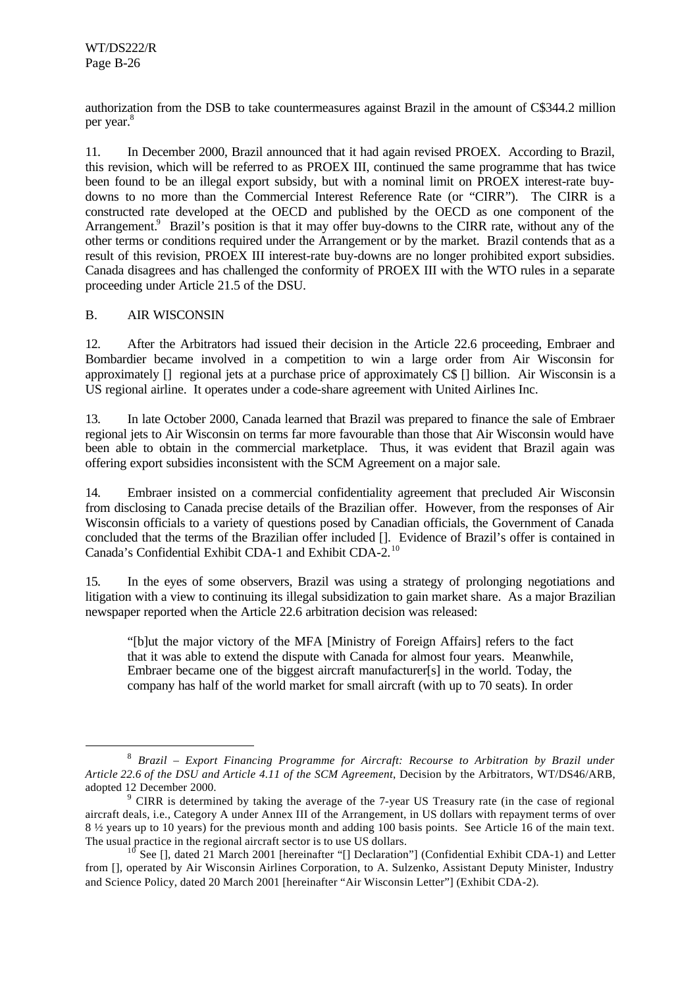authorization from the DSB to take countermeasures against Brazil in the amount of C\$344.2 million per year. 8

11. In December 2000, Brazil announced that it had again revised PROEX. According to Brazil, this revision, which will be referred to as PROEX III, continued the same programme that has twice been found to be an illegal export subsidy, but with a nominal limit on PROEX interest-rate buydowns to no more than the Commercial Interest Reference Rate (or "CIRR"). The CIRR is a constructed rate developed at the OECD and published by the OECD as one component of the Arrangement.<sup>9</sup> Brazil's position is that it may offer buy-downs to the CIRR rate, without any of the other terms or conditions required under the Arrangement or by the market. Brazil contends that as a result of this revision, PROEX III interest-rate buy-downs are no longer prohibited export subsidies. Canada disagrees and has challenged the conformity of PROEX III with the WTO rules in a separate proceeding under Article 21.5 of the DSU.

#### B. AIR WISCONSIN

l

12. After the Arbitrators had issued their decision in the Article 22.6 proceeding, Embraer and Bombardier became involved in a competition to win a large order from Air Wisconsin for approximately [] regional jets at a purchase price of approximately C\$ [] billion. Air Wisconsin is a US regional airline. It operates under a code-share agreement with United Airlines Inc.

13. In late October 2000, Canada learned that Brazil was prepared to finance the sale of Embraer regional jets to Air Wisconsin on terms far more favourable than those that Air Wisconsin would have been able to obtain in the commercial marketplace. Thus, it was evident that Brazil again was offering export subsidies inconsistent with the SCM Agreement on a major sale.

14. Embraer insisted on a commercial confidentiality agreement that precluded Air Wisconsin from disclosing to Canada precise details of the Brazilian offer. However, from the responses of Air Wisconsin officials to a variety of questions posed by Canadian officials, the Government of Canada concluded that the terms of the Brazilian offer included []. Evidence of Brazil's offer is contained in Canada's Confidential Exhibit CDA-1 and Exhibit CDA-2.<sup>10</sup>

15. In the eyes of some observers, Brazil was using a strategy of prolonging negotiations and litigation with a view to continuing its illegal subsidization to gain market share. As a major Brazilian newspaper reported when the Article 22.6 arbitration decision was released:

"[b]ut the major victory of the MFA [Ministry of Foreign Affairs] refers to the fact that it was able to extend the dispute with Canada for almost four years. Meanwhile, Embraer became one of the biggest aircraft manufacturer[s] in the world. Today, the company has half of the world market for small aircraft (with up to 70 seats). In order

<sup>8</sup> *Brazil – Export Financing Programme for Aircraft: Recourse to Arbitration by Brazil under Article 22.6 of the DSU and Article 4.11 of the SCM Agreement*, Decision by the Arbitrators, WT/DS46/ARB, adopted 12 December 2000.

 $9$  CIRR is determined by taking the average of the 7-year US Treasury rate (in the case of regional aircraft deals, i.e., Category A under Annex III of the Arrangement, in US dollars with repayment terms of over 8 ½ years up to 10 years) for the previous month and adding 100 basis points. See Article 16 of the main text. The usual practice in the regional aircraft sector is to use US dollars.

<sup>10</sup> See [], dated 21 March 2001 [hereinafter "[] Declaration"] (Confidential Exhibit CDA-1) and Letter from [], operated by Air Wisconsin Airlines Corporation, to A. Sulzenko, Assistant Deputy Minister, Industry and Science Policy, dated 20 March 2001 [hereinafter "Air Wisconsin Letter"] (Exhibit CDA-2).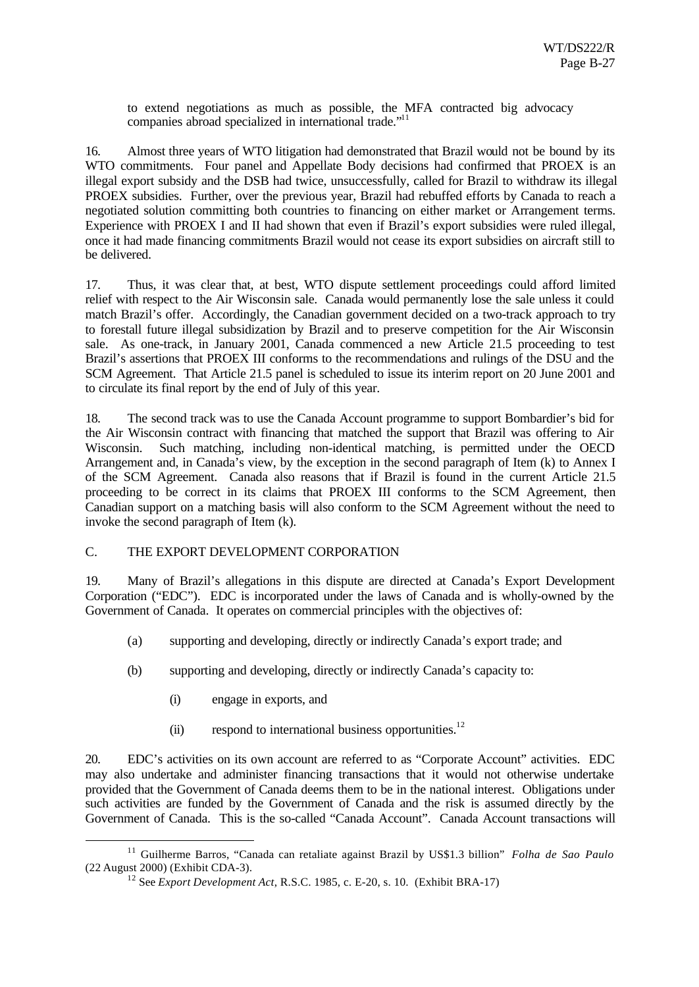to extend negotiations as much as possible, the MFA contracted big advocacy companies abroad specialized in international trade."<sup>11</sup>

16. Almost three years of WTO litigation had demonstrated that Brazil would not be bound by its WTO commitments. Four panel and Appellate Body decisions had confirmed that PROEX is an illegal export subsidy and the DSB had twice, unsuccessfully, called for Brazil to withdraw its illegal PROEX subsidies. Further, over the previous year, Brazil had rebuffed efforts by Canada to reach a negotiated solution committing both countries to financing on either market or Arrangement terms. Experience with PROEX I and II had shown that even if Brazil's export subsidies were ruled illegal, once it had made financing commitments Brazil would not cease its export subsidies on aircraft still to be delivered.

17. Thus, it was clear that, at best, WTO dispute settlement proceedings could afford limited relief with respect to the Air Wisconsin sale. Canada would permanently lose the sale unless it could match Brazil's offer. Accordingly, the Canadian government decided on a two-track approach to try to forestall future illegal subsidization by Brazil and to preserve competition for the Air Wisconsin sale. As one-track, in January 2001, Canada commenced a new Article 21.5 proceeding to test Brazil's assertions that PROEX III conforms to the recommendations and rulings of the DSU and the SCM Agreement. That Article 21.5 panel is scheduled to issue its interim report on 20 June 2001 and to circulate its final report by the end of July of this year.

18. The second track was to use the Canada Account programme to support Bombardier's bid for the Air Wisconsin contract with financing that matched the support that Brazil was offering to Air Wisconsin. Such matching, including non-identical matching, is permitted under the OECD Arrangement and, in Canada's view, by the exception in the second paragraph of Item (k) to Annex I of the SCM Agreement. Canada also reasons that if Brazil is found in the current Article 21.5 proceeding to be correct in its claims that PROEX III conforms to the SCM Agreement, then Canadian support on a matching basis will also conform to the SCM Agreement without the need to invoke the second paragraph of Item (k).

## C. THE EXPORT DEVELOPMENT CORPORATION

19. Many of Brazil's allegations in this dispute are directed at Canada's Export Development Corporation ("EDC"). EDC is incorporated under the laws of Canada and is wholly-owned by the Government of Canada. It operates on commercial principles with the objectives of:

- (a) supporting and developing, directly or indirectly Canada's export trade; and
- (b) supporting and developing, directly or indirectly Canada's capacity to:
	- (i) engage in exports, and

l

(ii) respond to international business opportunities.<sup>12</sup>

20. EDC's activities on its own account are referred to as "Corporate Account" activities. EDC may also undertake and administer financing transactions that it would not otherwise undertake provided that the Government of Canada deems them to be in the national interest. Obligations under such activities are funded by the Government of Canada and the risk is assumed directly by the Government of Canada. This is the so-called "Canada Account". Canada Account transactions will

<sup>11</sup> Guilherme Barros, "Canada can retaliate against Brazil by US\$1.3 billion" *Folha de Sao Paulo* (22 August 2000) (Exhibit CDA-3).

<sup>12</sup> See *Export Development Act*, R.S.C. 1985, c. E-20, s. 10. (Exhibit BRA-17)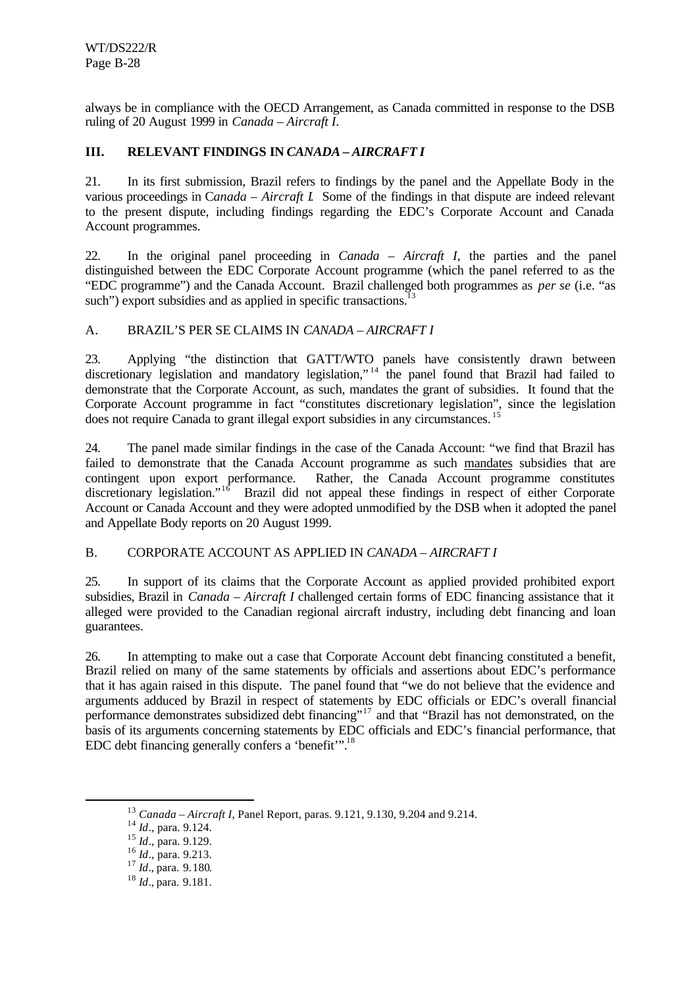always be in compliance with the OECD Arrangement, as Canada committed in response to the DSB ruling of 20 August 1999 in *Canada – Aircraft I*.

## **III.** RELEVANT FINDINGS IN *CANADA – AIRCRAFT I*

21. In its first submission, Brazil refers to findings by the panel and the Appellate Body in the various proceedings in C*anada – Aircraft I*. Some of the findings in that dispute are indeed relevant to the present dispute, including findings regarding the EDC's Corporate Account and Canada Account programmes.

22. In the original panel proceeding in *Canada – Aircraft I*, the parties and the panel distinguished between the EDC Corporate Account programme (which the panel referred to as the "EDC programme") and the Canada Account. Brazil challenged both programmes as *per se* (i.e. "as such") export subsidies and as applied in specific transactions.<sup>13</sup>

## A. BRAZIL'S PER SE CLAIMS IN *CANADA – AIRCRAFT I*

23. Applying "the distinction that GATT/WTO panels have consistently drawn between discretionary legislation and mandatory legislation,"<sup>14</sup> the panel found that Brazil had failed to demonstrate that the Corporate Account, as such, mandates the grant of subsidies. It found that the Corporate Account programme in fact "constitutes discretionary legislation", since the legislation does not require Canada to grant illegal export subsidies in any circumstances.<sup>15</sup>

24. The panel made similar findings in the case of the Canada Account: "we find that Brazil has failed to demonstrate that the Canada Account programme as such mandates subsidies that are contingent upon export performance. Rather, the Canada Account programme constitutes discretionary legislation."<sup>16</sup> Brazil did not appeal these findings in respect of either Corporate Account or Canada Account and they were adopted unmodified by the DSB when it adopted the panel and Appellate Body reports on 20 August 1999.

## B. CORPORATE ACCOUNT AS APPLIED IN *CANADA – AIRCRAFT I*

25. In support of its claims that the Corporate Account as applied provided prohibited export subsidies, Brazil in *Canada – Aircraft I* challenged certain forms of EDC financing assistance that it alleged were provided to the Canadian regional aircraft industry, including debt financing and loan guarantees.

26. In attempting to make out a case that Corporate Account debt financing constituted a benefit, Brazil relied on many of the same statements by officials and assertions about EDC's performance that it has again raised in this dispute. The panel found that "we do not believe that the evidence and arguments adduced by Brazil in respect of statements by EDC officials or EDC's overall financial performance demonstrates subsidized debt financing"<sup>17</sup> and that "Brazil has not demonstrated, on the basis of its arguments concerning statements by EDC officials and EDC's financial performance, that EDC debt financing generally confers a 'benefit'".<sup>18</sup>

<sup>13</sup> *Canada – Aircraft I*, Panel Report, paras. 9.121, 9.130, 9.204 and 9.214.

<sup>14</sup> *Id*., para. 9.124.

<sup>15</sup> *Id*., para. 9.129.

<sup>16</sup> *Id*., para. 9.213.

<sup>17</sup> *Id*., para. 9.180.

<sup>18</sup> *Id*., para. 9.181.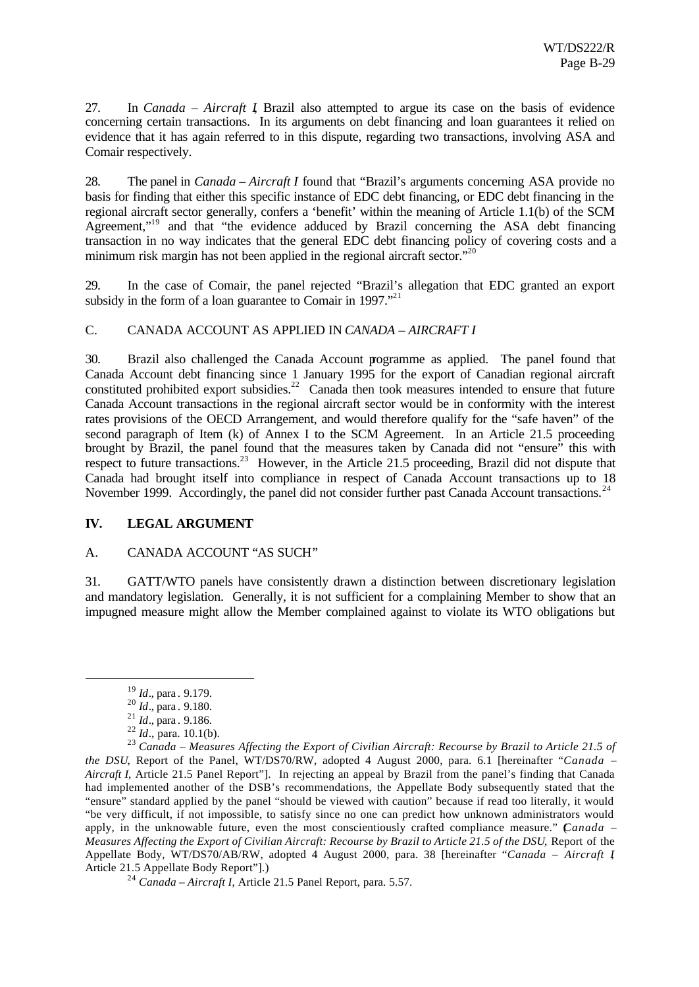27. In *Canada – Aircraft I*, Brazil also attempted to argue its case on the basis of evidence concerning certain transactions. In its arguments on debt financing and loan guarantees it relied on evidence that it has again referred to in this dispute, regarding two transactions, involving ASA and Comair respectively.

28. The panel in *Canada – Aircraft I* found that "Brazil's arguments concerning ASA provide no basis for finding that either this specific instance of EDC debt financing, or EDC debt financing in the regional aircraft sector generally, confers a 'benefit' within the meaning of Article 1.1(b) of the SCM Agreement,"<sup>19</sup> and that "the evidence adduced by Brazil concerning the ASA debt financing transaction in no way indicates that the general EDC debt financing policy of covering costs and a minimum risk margin has not been applied in the regional aircraft sector."<sup>20</sup>

29. In the case of Comair, the panel rejected "Brazil's allegation that EDC granted an export subsidy in the form of a loan guarantee to Comair in 1997. $^{21}$ 

#### C. CANADA ACCOUNT AS APPLIED IN *CANADA – AIRCRAFT I*

30. Brazil also challenged the Canada Account programme as applied. The panel found that Canada Account debt financing since 1 January 1995 for the export of Canadian regional aircraft constituted prohibited export subsidies.<sup>22</sup> Canada then took measures intended to ensure that future Canada Account transactions in the regional aircraft sector would be in conformity with the interest rates provisions of the OECD Arrangement, and would therefore qualify for the "safe haven" of the second paragraph of Item (k) of Annex I to the SCM Agreement. In an Article 21.5 proceeding brought by Brazil, the panel found that the measures taken by Canada did not "ensure" this with respect to future transactions.<sup>23</sup> However, in the Article 21.5 proceeding, Brazil did not dispute that Canada had brought itself into compliance in respect of Canada Account transactions up to 18 November 1999. Accordingly, the panel did not consider further past Canada Account transactions.<sup>24</sup>

#### **IV. LEGAL ARGUMENT**

#### A. CANADA ACCOUNT "AS SUCH"

31. GATT/WTO panels have consistently drawn a distinction between discretionary legislation and mandatory legislation. Generally, it is not sufficient for a complaining Member to show that an impugned measure might allow the Member complained against to violate its WTO obligations but

<sup>19</sup> *Id*., para . 9.179.

<sup>20</sup> *Id*., para . 9.180.

<sup>21</sup> *Id*., para . 9.186.

<sup>22</sup> *Id*., para. 10.1(b).

<sup>23</sup> *Canada – Measures Affecting the Export of Civilian Aircraft: Recourse by Brazil to Article 21.5 of the DSU*, Report of the Panel, WT/DS70/RW, adopted 4 August 2000, para. 6.1 [hereinafter "*Canada – Aircraft I*, Article 21.5 Panel Report"]. In rejecting an appeal by Brazil from the panel's finding that Canada had implemented another of the DSB's recommendations, the Appellate Body subsequently stated that the "ensure" standard applied by the panel "should be viewed with caution" because if read too literally, it would "be very difficult, if not impossible, to satisfy since no one can predict how unknown administrators would apply, in the unknowable future, even the most conscientiously crafted compliance measure." (*Canada – Measures Affecting the Export of Civilian Aircraft: Recourse by Brazil to Article 21.5 of the DSU*, Report of the Appellate Body, WT/DS70/AB/RW, adopted 4 August 2000, para. 38 [hereinafter "*Canada – Aircraft I*, Article 21.5 Appellate Body Report"].)

<sup>24</sup> *Canada – Aircraft I*, Article 21.5 Panel Report, para. 5.57.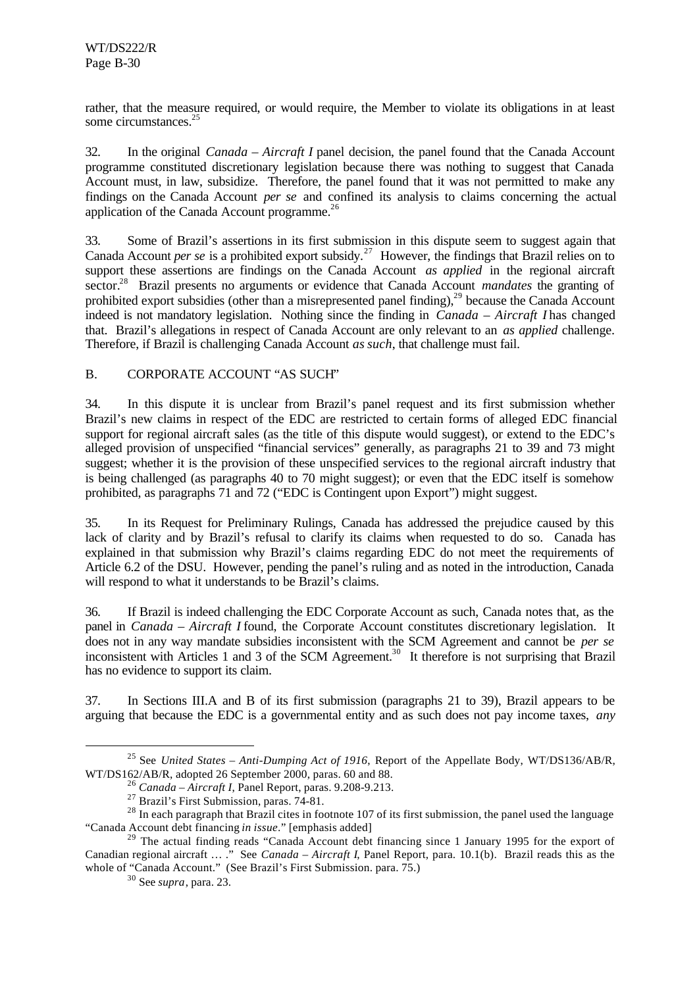rather, that the measure required, or would require, the Member to violate its obligations in at least some circumstances.<sup>25</sup>

32. In the original *Canada – Aircraft I* panel decision, the panel found that the Canada Account programme constituted discretionary legislation because there was nothing to suggest that Canada Account must, in law, subsidize. Therefore, the panel found that it was not permitted to make any findings on the Canada Account *per se* and confined its analysis to claims concerning the actual application of the Canada Account programme.<sup>26</sup>

33. Some of Brazil's assertions in its first submission in this dispute seem to suggest again that Canada Account *per se* is a prohibited export subsidy.<sup>27</sup> However, the findings that Brazil relies on to support these assertions are findings on the Canada Account *as applied* in the regional aircraft sector.<sup>28</sup> Brazil presents no arguments or evidence that Canada Account *mandates* the granting of prohibited export subsidies (other than a misrepresented panel finding),<sup>29</sup> because the Canada Account indeed is not mandatory legislation. Nothing since the finding in *Canada – Aircraft I* has changed that. Brazil's allegations in respect of Canada Account are only relevant to an *as applied* challenge. Therefore, if Brazil is challenging Canada Account *as such*, that challenge must fail.

## B. CORPORATE ACCOUNT "AS SUCH"

34. In this dispute it is unclear from Brazil's panel request and its first submission whether Brazil's new claims in respect of the EDC are restricted to certain forms of alleged EDC financial support for regional aircraft sales (as the title of this dispute would suggest), or extend to the EDC's alleged provision of unspecified "financial services" generally, as paragraphs 21 to 39 and 73 might suggest; whether it is the provision of these unspecified services to the regional aircraft industry that is being challenged (as paragraphs 40 to 70 might suggest); or even that the EDC itself is somehow prohibited, as paragraphs 71 and 72 ("EDC is Contingent upon Export") might suggest.

35. In its Request for Preliminary Rulings, Canada has addressed the prejudice caused by this lack of clarity and by Brazil's refusal to clarify its claims when requested to do so. Canada has explained in that submission why Brazil's claims regarding EDC do not meet the requirements of Article 6.2 of the DSU. However, pending the panel's ruling and as noted in the introduction, Canada will respond to what it understands to be Brazil's claims.

36. If Brazil is indeed challenging the EDC Corporate Account as such, Canada notes that, as the panel in *Canada – Aircraft I* found, the Corporate Account constitutes discretionary legislation. It does not in any way mandate subsidies inconsistent with the SCM Agreement and cannot be *per se* inconsistent with Articles 1 and 3 of the SCM Agreement.<sup>30</sup> It therefore is not surprising that Brazil has no evidence to support its claim.

37. In Sections III.A and B of its first submission (paragraphs 21 to 39), Brazil appears to be arguing that because the EDC is a governmental entity and as such does not pay income taxes, *any*

<sup>25</sup> See *United States – Anti-Dumping Act of 1916*, Report of the Appellate Body, WT/DS136/AB/R, WT/DS162/AB/R, adopted 26 September 2000, paras. 60 and 88.

<sup>26</sup> *Canada – Aircraft I*, Panel Report, paras. 9.208-9.213.

<sup>27</sup> Brazil's First Submission, paras. 74-81.

<sup>&</sup>lt;sup>28</sup> In each paragraph that Brazil cites in footnote 107 of its first submission, the panel used the language "Canada Account debt financing *in issue*." [emphasis added]

<sup>&</sup>lt;sup>29</sup> The actual finding reads "Canada Account debt financing since 1 January 1995 for the export of Canadian regional aircraft … ." See *Canada – Aircraft I*, Panel Report, para. 10.1(b). Brazil reads this as the whole of "Canada Account." (See Brazil's First Submission. para. 75.)

<sup>30</sup> See *supra*, para. 23.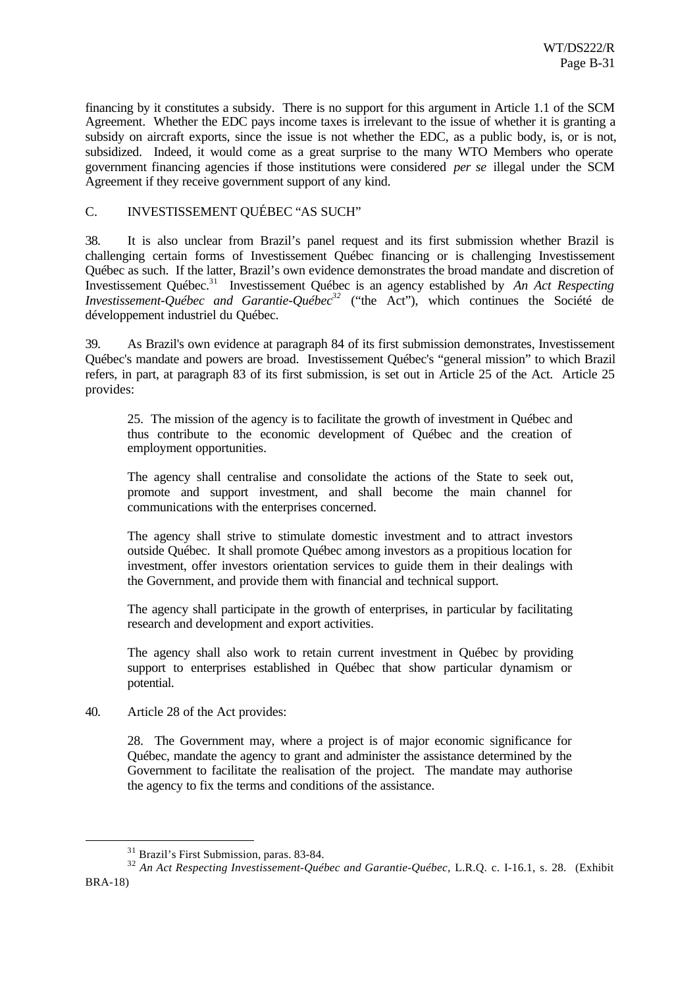financing by it constitutes a subsidy. There is no support for this argument in Article 1.1 of the SCM Agreement. Whether the EDC pays income taxes is irrelevant to the issue of whether it is granting a subsidy on aircraft exports, since the issue is not whether the EDC, as a public body, is, or is not, subsidized. Indeed, it would come as a great surprise to the many WTO Members who operate government financing agencies if those institutions were considered *per se* illegal under the SCM Agreement if they receive government support of any kind.

#### C. INVESTISSEMENT QUÉBEC "AS SUCH"

38. It is also unclear from Brazil's panel request and its first submission whether Brazil is challenging certain forms of Investissement Québec financing or is challenging Investissement Québec as such. If the latter, Brazil's own evidence demonstrates the broad mandate and discretion of Investissement Québec.<sup>31</sup> Investissement Québec is an agency established by *An Act Respecting Investissement-Québec and Garantie-Québec<sup>32</sup>* ("the Act"), which continues the Société de développement industriel du Québec.

39. As Brazil's own evidence at paragraph 84 of its first submission demonstrates, Investissement Québec's mandate and powers are broad. Investissement Québec's "general mission" to which Brazil refers, in part, at paragraph 83 of its first submission, is set out in Article 25 of the Act. Article 25 provides:

25. The mission of the agency is to facilitate the growth of investment in Québec and thus contribute to the economic development of Québec and the creation of employment opportunities.

The agency shall centralise and consolidate the actions of the State to seek out, promote and support investment, and shall become the main channel for communications with the enterprises concerned.

The agency shall strive to stimulate domestic investment and to attract investors outside Québec. It shall promote Québec among investors as a propitious location for investment, offer investors orientation services to guide them in their dealings with the Government, and provide them with financial and technical support.

The agency shall participate in the growth of enterprises, in particular by facilitating research and development and export activities.

The agency shall also work to retain current investment in Québec by providing support to enterprises established in Québec that show particular dynamism or potential.

40. Article 28 of the Act provides:

l

28. The Government may, where a project is of major economic significance for Québec, mandate the agency to grant and administer the assistance determined by the Government to facilitate the realisation of the project. The mandate may authorise the agency to fix the terms and conditions of the assistance.

<sup>31</sup> Brazil's First Submission, paras. 83-84.

<sup>32</sup> *An Act Respecting Investissement-Québec and Garantie-Québec*, L.R.Q. c. I-16.1, s. 28. (Exhibit BRA-18)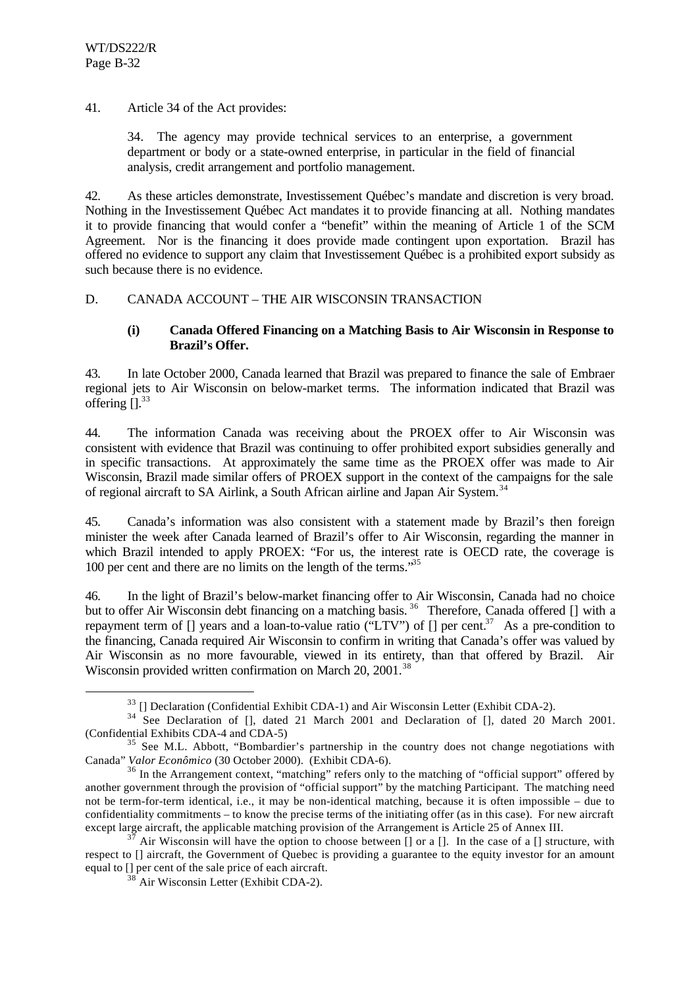l

41. Article 34 of the Act provides:

34. The agency may provide technical services to an enterprise, a government department or body or a state-owned enterprise, in particular in the field of financial analysis, credit arrangement and portfolio management.

42. As these articles demonstrate, Investissement Québec's mandate and discretion is very broad. Nothing in the Investissement Québec Act mandates it to provide financing at all. Nothing mandates it to provide financing that would confer a "benefit" within the meaning of Article 1 of the SCM Agreement. Nor is the financing it does provide made contingent upon exportation. Brazil has offered no evidence to support any claim that Investissement Québec is a prohibited export subsidy as such because there is no evidence.

## D. CANADA ACCOUNT – THE AIR WISCONSIN TRANSACTION

#### **(i) Canada Offered Financing on a Matching Basis to Air Wisconsin in Response to Brazil's Offer.**

43. In late October 2000, Canada learned that Brazil was prepared to finance the sale of Embraer regional jets to Air Wisconsin on below-market terms. The information indicated that Brazil was offering  $[1]^{33}$ 

44. The information Canada was receiving about the PROEX offer to Air Wisconsin was consistent with evidence that Brazil was continuing to offer prohibited export subsidies generally and in specific transactions. At approximately the same time as the PROEX offer was made to Air Wisconsin, Brazil made similar offers of PROEX support in the context of the campaigns for the sale of regional aircraft to SA Airlink, a South African airline and Japan Air System.<sup>34</sup>

45. Canada's information was also consistent with a statement made by Brazil's then foreign minister the week after Canada learned of Brazil's offer to Air Wisconsin, regarding the manner in which Brazil intended to apply PROEX: "For us, the interest rate is OECD rate, the coverage is 100 per cent and there are no limits on the length of the terms."<sup>35</sup>

46. In the light of Brazil's below-market financing offer to Air Wisconsin, Canada had no choice but to offer Air Wisconsin debt financing on a matching basis.<sup>36</sup> Therefore, Canada offered [] with a repayment term of  $\Box$  years and a loan-to-value ratio ("LTV") of  $\Box$  per cent.<sup>37</sup> As a pre-condition to the financing, Canada required Air Wisconsin to confirm in writing that Canada's offer was valued by Air Wisconsin as no more favourable, viewed in its entirety, than that offered by Brazil. Air Wisconsin provided written confirmation on March 20, 2001.<sup>38</sup>

<sup>&</sup>lt;sup>33</sup> [] Declaration (Confidential Exhibit CDA-1) and Air Wisconsin Letter (Exhibit CDA-2).

<sup>&</sup>lt;sup>34</sup> See Declaration of [], dated 21 March 2001 and Declaration of [], dated 20 March 2001. (Confidential Exhibits CDA-4 and CDA-5)

 $35$  See M.L. Abbott, "Bombardier's partnership in the country does not change negotiations with Canada" *Valor Econômico* (30 October 2000). (Exhibit CDA-6).

 $36$  In the Arrangement context, "matching" refers only to the matching of "official support" offered by another government through the provision of "official support" by the matching Participant. The matching need not be term-for-term identical, i.e., it may be non-identical matching, because it is often impossible – due to confidentiality commitments – to know the precise terms of the initiating offer (as in this case). For new aircraft except large aircraft, the applicable matching provision of the Arrangement is Article 25 of Annex III.

<sup>&</sup>lt;sup>37</sup> Air Wisconsin will have the option to choose between  $\lceil \rceil$  or a  $\lceil \rceil$ . In the case of a  $\lceil \rceil$  structure, with respect to [] aircraft, the Government of Quebec is providing a guarantee to the equity investor for an amount equal to [] per cent of the sale price of each aircraft.

 $3^3$  Air Wisconsin Letter (Exhibit CDA-2).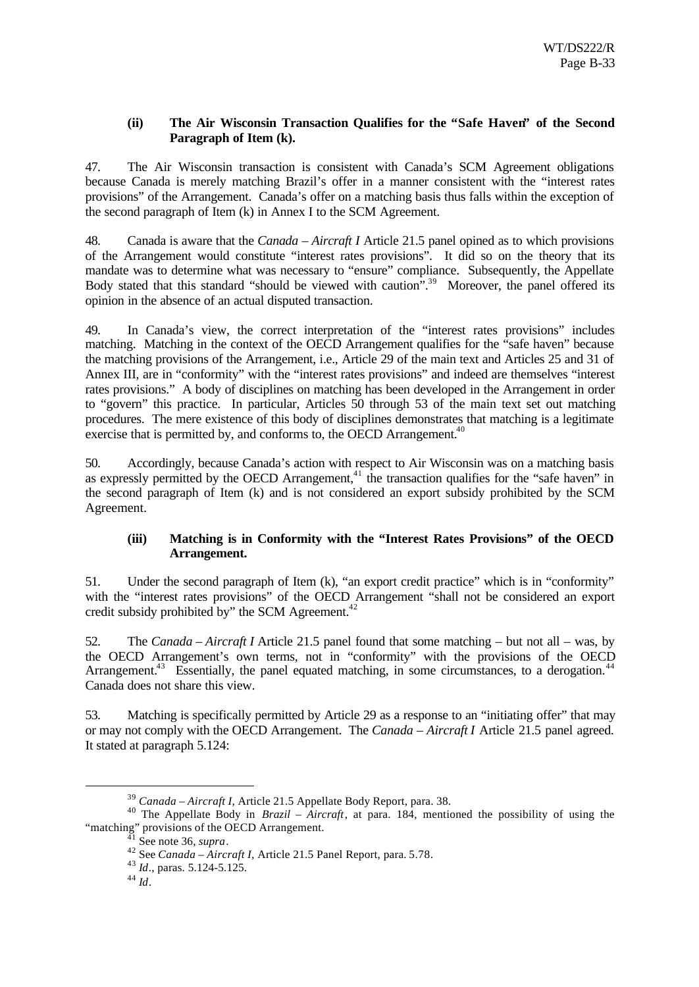## **(ii) The Air Wisconsin Transaction Qualifies for the "Safe Haven" of the Second Paragraph of Item (k).**

47. The Air Wisconsin transaction is consistent with Canada's SCM Agreement obligations because Canada is merely matching Brazil's offer in a manner consistent with the "interest rates provisions" of the Arrangement. Canada's offer on a matching basis thus falls within the exception of the second paragraph of Item (k) in Annex I to the SCM Agreement.

48. Canada is aware that the *Canada – Aircraft I* Article 21.5 panel opined as to which provisions of the Arrangement would constitute "interest rates provisions". It did so on the theory that its mandate was to determine what was necessary to "ensure" compliance. Subsequently, the Appellate Body stated that this standard "should be viewed with caution".<sup>39</sup> Moreover, the panel offered its opinion in the absence of an actual disputed transaction.

49. In Canada's view, the correct interpretation of the "interest rates provisions" includes matching. Matching in the context of the OECD Arrangement qualifies for the "safe haven" because the matching provisions of the Arrangement, i.e., Article 29 of the main text and Articles 25 and 31 of Annex III, are in "conformity" with the "interest rates provisions" and indeed are themselves "interest rates provisions." A body of disciplines on matching has been developed in the Arrangement in order to "govern" this practice. In particular, Articles 50 through 53 of the main text set out matching procedures. The mere existence of this body of disciplines demonstrates that matching is a legitimate exercise that is permitted by, and conforms to, the OECD Arrangement.<sup>40</sup>

50. Accordingly, because Canada's action with respect to Air Wisconsin was on a matching basis as expressly permitted by the OECD Arrangement,<sup>41</sup> the transaction qualifies for the "safe haven" in the second paragraph of Item (k) and is not considered an export subsidy prohibited by the SCM Agreement.

## **(iii) Matching is in Conformity with the "Interest Rates Provisions" of the OECD Arrangement.**

51. Under the second paragraph of Item (k), "an export credit practice" which is in "conformity" with the "interest rates provisions" of the OECD Arrangement "shall not be considered an export credit subsidy prohibited by" the SCM Agreement.<sup>42</sup>

52. The *Canada – Aircraft I* Article 21.5 panel found that some matching – but not all – was, by the OECD Arrangement's own terms, not in "conformity" with the provisions of the OECD Arrangement.<sup>43</sup> Essentially, the panel equated matching, in some circumstances, to a derogation.<sup>44</sup> Canada does not share this view.

53. Matching is specifically permitted by Article 29 as a response to an "initiating offer" that may or may not comply with the OECD Arrangement. The *Canada – Aircraft I* Article 21.5 panel agreed. It stated at paragraph 5.124:

<sup>39</sup> *Canada – Aircraft I*, Article 21.5 Appellate Body Report, para. 38.

<sup>40</sup> The Appellate Body in *Brazil – Aircraft*, at para. 184, mentioned the possibility of using the "matching" provisions of the OECD Arrangement.

<sup>41</sup> See note 36, *supra*.

<sup>42</sup> See *Canada – Aircraft I*, Article 21.5 Panel Report, para. 5.78.

<sup>43</sup> *Id*., paras. 5.124-5.125.

<sup>44</sup> *Id*.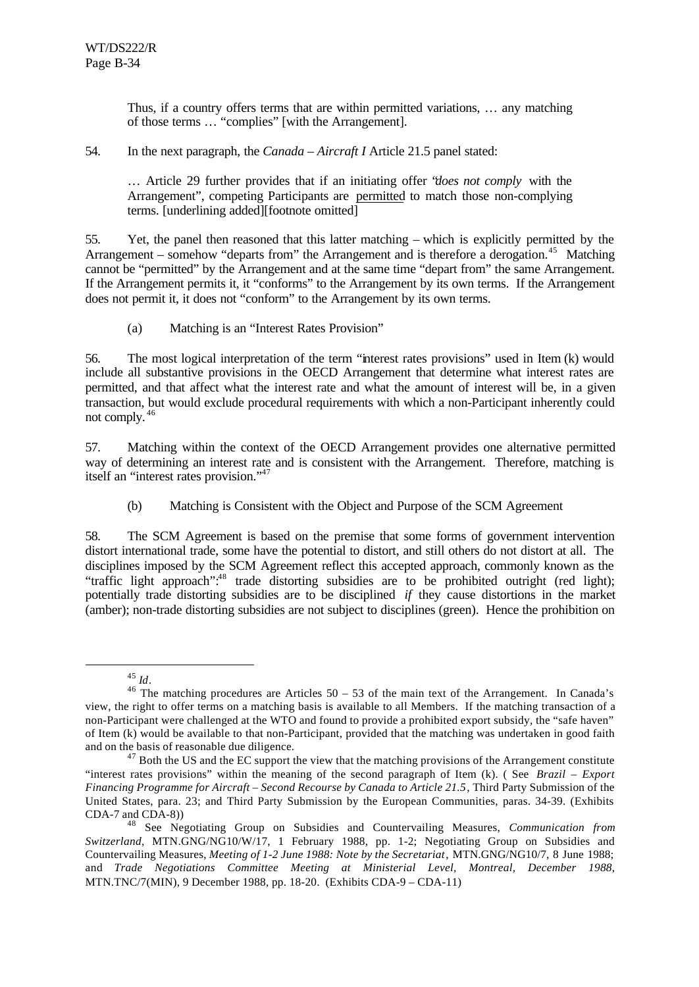Thus, if a country offers terms that are within permitted variations, … any matching of those terms … "complies" [with the Arrangement].

54. In the next paragraph, the *Canada – Aircraft I* Article 21.5 panel stated:

… Article 29 further provides that if an initiating offer "*does not comply* with the Arrangement", competing Participants are permitted to match those non-complying terms. [underlining added][footnote omitted]

55. Yet, the panel then reasoned that this latter matching – which is explicitly permitted by the Arrangement – somehow "departs from" the Arrangement and is therefore a derogation.<sup>45</sup> Matching cannot be "permitted" by the Arrangement and at the same time "depart from" the same Arrangement. If the Arrangement permits it, it "conforms" to the Arrangement by its own terms. If the Arrangement does not permit it, it does not "conform" to the Arrangement by its own terms.

(a) Matching is an "Interest Rates Provision"

56. The most logical interpretation of the term "interest rates provisions" used in Item (k) would include all substantive provisions in the OECD Arrangement that determine what interest rates are permitted, and that affect what the interest rate and what the amount of interest will be, in a given transaction, but would exclude procedural requirements with which a non-Participant inherently could not comply. <sup>46</sup>

57. Matching within the context of the OECD Arrangement provides one alternative permitted way of determining an interest rate and is consistent with the Arrangement. Therefore, matching is itself an "interest rates provision."<sup>47</sup>

(b) Matching is Consistent with the Object and Purpose of the SCM Agreement

58. The SCM Agreement is based on the premise that some forms of government intervention distort international trade, some have the potential to distort, and still others do not distort at all. The disciplines imposed by the SCM Agreement reflect this accepted approach, commonly known as the "traffic light approach":<sup>48</sup> trade distorting subsidies are to be prohibited outright (red light); potentially trade distorting subsidies are to be disciplined *if* they cause distortions in the market (amber); non-trade distorting subsidies are not subject to disciplines (green). Hence the prohibition on

<sup>45</sup> *Id*.

 $46$  The matching procedures are Articles 50 – 53 of the main text of the Arrangement. In Canada's view, the right to offer terms on a matching basis is available to all Members. If the matching transaction of a non-Participant were challenged at the WTO and found to provide a prohibited export subsidy, the "safe haven" of Item (k) would be available to that non-Participant, provided that the matching was undertaken in good faith and on the basis of reasonable due diligence.

 $^{47}$  Both the US and the EC support the view that the matching provisions of the Arrangement constitute "interest rates provisions" within the meaning of the second paragraph of Item (k). ( See *Brazil – Export Financing Programme for Aircraft – Second Recourse by Canada to Article 21.5*, Third Party Submission of the United States, para. 23; and Third Party Submission by the European Communities, paras. 34-39. (Exhibits CDA-7 and CDA-8))

<sup>48</sup> See Negotiating Group on Subsidies and Countervailing Measures, *Communication from Switzerland*, MTN.GNG/NG10/W/17, 1 February 1988, pp. 1-2; Negotiating Group on Subsidies and Countervailing Measures, *Meeting of 1-2 June 1988: Note by the Secretariat*, MTN.GNG/NG10/7, 8 June 1988; and *Trade Negotiations Committee Meeting at Ministerial Level, Montreal, December 1988*, MTN.TNC/7(MIN), 9 December 1988, pp. 18-20. (Exhibits CDA-9 – CDA-11)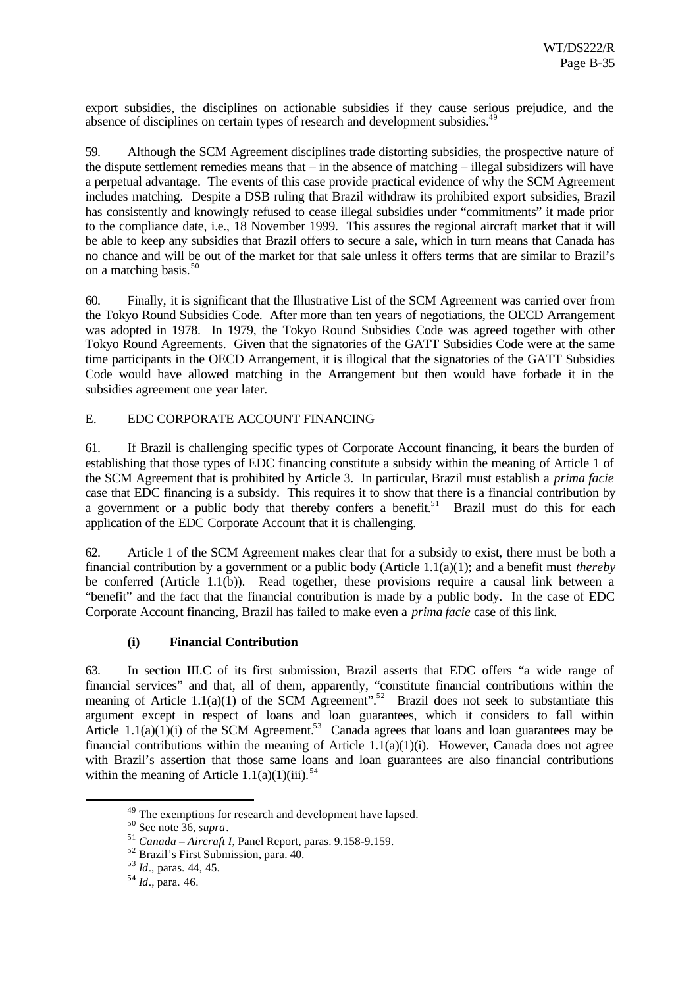export subsidies, the disciplines on actionable subsidies if they cause serious prejudice, and the absence of disciplines on certain types of research and development subsidies.<sup>49</sup>

59. Although the SCM Agreement disciplines trade distorting subsidies, the prospective nature of the dispute settlement remedies means that – in the absence of matching – illegal subsidizers will have a perpetual advantage. The events of this case provide practical evidence of why the SCM Agreement includes matching. Despite a DSB ruling that Brazil withdraw its prohibited export subsidies, Brazil has consistently and knowingly refused to cease illegal subsidies under "commitments" it made prior to the compliance date, i.e., 18 November 1999. This assures the regional aircraft market that it will be able to keep any subsidies that Brazil offers to secure a sale, which in turn means that Canada has no chance and will be out of the market for that sale unless it offers terms that are similar to Brazil's on a matching basis. $50$ 

60. Finally, it is significant that the Illustrative List of the SCM Agreement was carried over from the Tokyo Round Subsidies Code. After more than ten years of negotiations, the OECD Arrangement was adopted in 1978. In 1979, the Tokyo Round Subsidies Code was agreed together with other Tokyo Round Agreements. Given that the signatories of the GATT Subsidies Code were at the same time participants in the OECD Arrangement, it is illogical that the signatories of the GATT Subsidies Code would have allowed matching in the Arrangement but then would have forbade it in the subsidies agreement one year later.

## E. EDC CORPORATE ACCOUNT FINANCING

61. If Brazil is challenging specific types of Corporate Account financing, it bears the burden of establishing that those types of EDC financing constitute a subsidy within the meaning of Article 1 of the SCM Agreement that is prohibited by Article 3. In particular, Brazil must establish a *prima facie* case that EDC financing is a subsidy. This requires it to show that there is a financial contribution by a government or a public body that thereby confers a benefit.<sup>51</sup> Brazil must do this for each application of the EDC Corporate Account that it is challenging.

62. Article 1 of the SCM Agreement makes clear that for a subsidy to exist, there must be both a financial contribution by a government or a public body (Article 1.1(a)(1); and a benefit must *thereby* be conferred (Article 1.1(b)). Read together, these provisions require a causal link between a "benefit" and the fact that the financial contribution is made by a public body. In the case of EDC Corporate Account financing, Brazil has failed to make even a *prima facie* case of this link.

#### **(i) Financial Contribution**

63. In section III.C of its first submission, Brazil asserts that EDC offers "a wide range of financial services" and that, all of them, apparently, "constitute financial contributions within the meaning of Article 1.1(a)(1) of the SCM Agreement".<sup>52</sup> Brazil does not seek to substantiate this argument except in respect of loans and loan guarantees, which it considers to fall within Article  $1.1(a)(1)(i)$  of the SCM Agreement.<sup>53</sup> Canada agrees that loans and loan guarantees may be financial contributions within the meaning of Article  $1.1(a)(1)(i)$ . However, Canada does not agree with Brazil's assertion that those same loans and loan guarantees are also financial contributions within the meaning of Article  $1.1(a)(1)(iii)$ .<sup>54</sup>

<sup>&</sup>lt;sup>49</sup> The exemptions for research and development have lapsed.

<sup>50</sup> See note 36, *supra*.

<sup>51</sup> *Canada – Aircraft I*, Panel Report, paras. 9.158-9.159.

<sup>52</sup> Brazil's First Submission, para. 40.

<sup>53</sup> *Id*., paras. 44, 45.

<sup>54</sup> *Id*., para. 46.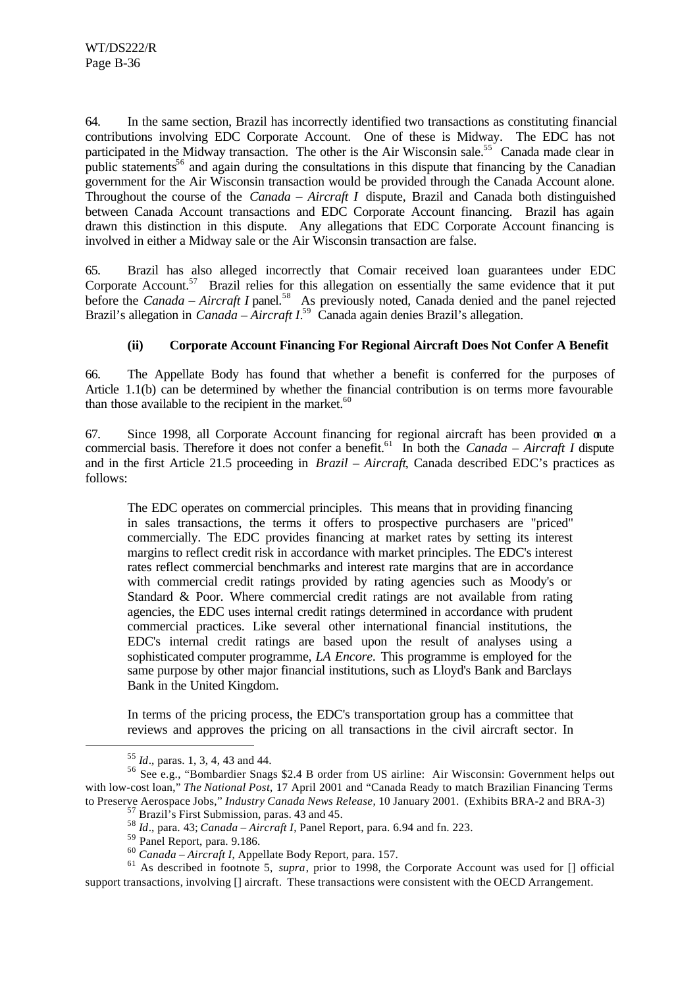64. In the same section, Brazil has incorrectly identified two transactions as constituting financial contributions involving EDC Corporate Account. One of these is Midway. The EDC has not participated in the Midway transaction. The other is the Air Wisconsin sale.<sup>55</sup> Canada made clear in public statements<sup>56</sup> and again during the consultations in this dispute that financing by the Canadian government for the Air Wisconsin transaction would be provided through the Canada Account alone. Throughout the course of the *Canada – Aircraft I* dispute, Brazil and Canada both distinguished between Canada Account transactions and EDC Corporate Account financing. Brazil has again drawn this distinction in this dispute. Any allegations that EDC Corporate Account financing is involved in either a Midway sale or the Air Wisconsin transaction are false.

65. Brazil has also alleged incorrectly that Comair received loan guarantees under EDC Corporate Account.<sup>57</sup> Brazil relies for this allegation on essentially the same evidence that it put before the *Canada – Aircraft I* panel.<sup>58</sup> As previously noted, Canada denied and the panel rejected Brazil's allegation in *Canada – Aircraft I*.<sup>59</sup> Canada again denies Brazil's allegation.

## **(ii) Corporate Account Financing For Regional Aircraft Does Not Confer A Benefit**

66. The Appellate Body has found that whether a benefit is conferred for the purposes of Article 1.1(b) can be determined by whether the financial contribution is on terms more favourable than those available to the recipient in the market. $60$ 

67. Since 1998, all Corporate Account financing for regional aircraft has been provided on a commercial basis. Therefore it does not confer a benefit.<sup>61</sup> In both the *Canada – Aircraft I* dispute and in the first Article 21.5 proceeding in *Brazil – Aircraft*, Canada described EDC's practices as follows:

The EDC operates on commercial principles. This means that in providing financing in sales transactions, the terms it offers to prospective purchasers are "priced" commercially. The EDC provides financing at market rates by setting its interest margins to reflect credit risk in accordance with market principles. The EDC's interest rates reflect commercial benchmarks and interest rate margins that are in accordance with commercial credit ratings provided by rating agencies such as Moody's or Standard & Poor. Where commercial credit ratings are not available from rating agencies, the EDC uses internal credit ratings determined in accordance with prudent commercial practices. Like several other international financial institutions, the EDC's internal credit ratings are based upon the result of analyses using a sophisticated computer programme, *LA Encore.* This programme is employed for the same purpose by other major financial institutions, such as Lloyd's Bank and Barclays Bank in the United Kingdom.

In terms of the pricing process, the EDC's transportation group has a committee that reviews and approves the pricing on all transactions in the civil aircraft sector. In

<sup>55</sup> *Id*., paras. 1, 3, 4, 43 and 44.

<sup>&</sup>lt;sup>56</sup> See e.g., "Bombardier Snags \$2.4 B order from US airline: Air Wisconsin: Government helps out with low-cost loan," *The National Post*, 17 April 2001 and "Canada Ready to match Brazilian Financing Terms to Preserve Aerospace Jobs," *Industry Canada News Release*, 10 January 2001. (Exhibits BRA-2 and BRA-3)

<sup>57</sup> Brazil's First Submission, paras. 43 and 45.

<sup>58</sup> *Id*., para. 43; *Canada – Aircraft I*, Panel Report, para. 6.94 and fn. 223.

<sup>59</sup> Panel Report, para. 9.186.

<sup>60</sup> *Canada – Aircraft I*, Appellate Body Report, para. 157.

<sup>61</sup> As described in footnote 5, *supra*, prior to 1998, the Corporate Account was used for [] official support transactions, involving [] aircraft. These transactions were consistent with the OECD Arrangement.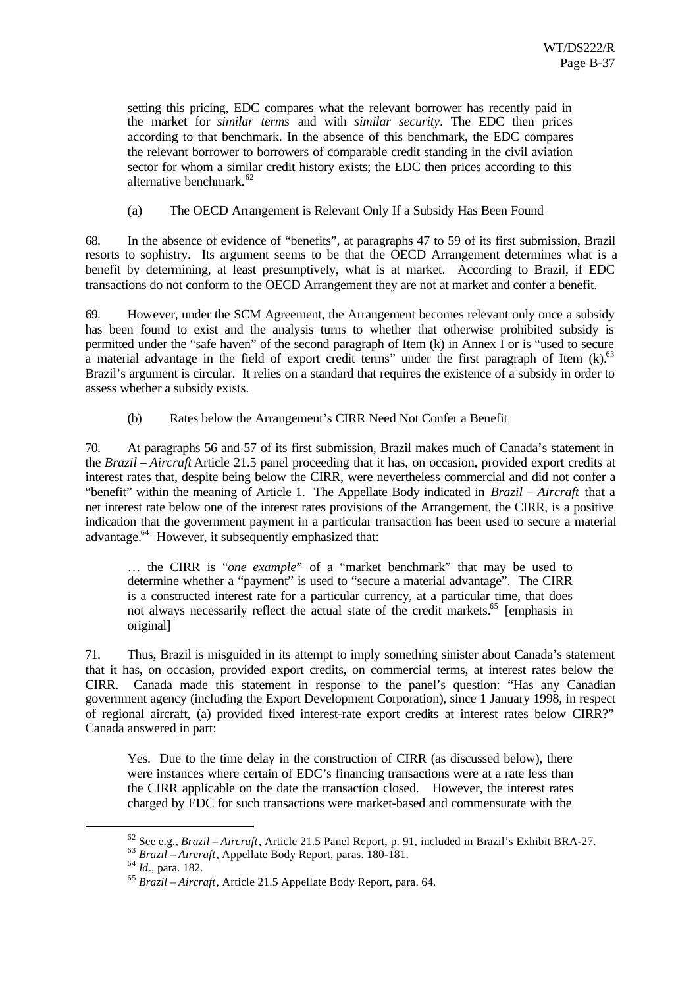setting this pricing, EDC compares what the relevant borrower has recently paid in the market for *similar terms* and with *similar security*. The EDC then prices according to that benchmark. In the absence of this benchmark, the EDC compares the relevant borrower to borrowers of comparable credit standing in the civil aviation sector for whom a similar credit history exists; the EDC then prices according to this alternative benchmark.<sup>62</sup>

(a) The OECD Arrangement is Relevant Only If a Subsidy Has Been Found

68. In the absence of evidence of "benefits", at paragraphs 47 to 59 of its first submission, Brazil resorts to sophistry. Its argument seems to be that the OECD Arrangement determines what is a benefit by determining, at least presumptively, what is at market. According to Brazil, if EDC transactions do not conform to the OECD Arrangement they are not at market and confer a benefit.

69. However, under the SCM Agreement, the Arrangement becomes relevant only once a subsidy has been found to exist and the analysis turns to whether that otherwise prohibited subsidy is permitted under the "safe haven" of the second paragraph of Item (k) in Annex I or is "used to secure a material advantage in the field of export credit terms" under the first paragraph of Item  $(k)$ .<sup>63</sup> Brazil's argument is circular. It relies on a standard that requires the existence of a subsidy in order to assess whether a subsidy exists.

(b) Rates below the Arrangement's CIRR Need Not Confer a Benefit

70. At paragraphs 56 and 57 of its first submission, Brazil makes much of Canada's statement in the *Brazil – Aircraft* Article 21.5 panel proceeding that it has, on occasion, provided export credits at interest rates that, despite being below the CIRR, were nevertheless commercial and did not confer a "benefit" within the meaning of Article 1. The Appellate Body indicated in *Brazil – Aircraft* that a net interest rate below one of the interest rates provisions of the Arrangement, the CIRR, is a positive indication that the government payment in a particular transaction has been used to secure a material advantage.<sup>64</sup> However, it subsequently emphasized that:

… the CIRR is "*one example*" of a "market benchmark" that may be used to determine whether a "payment" is used to "secure a material advantage". The CIRR is a constructed interest rate for a particular currency, at a particular time, that does not always necessarily reflect the actual state of the credit markets.<sup>65</sup> [emphasis in original]

71. Thus, Brazil is misguided in its attempt to imply something sinister about Canada's statement that it has, on occasion, provided export credits, on commercial terms, at interest rates below the CIRR. Canada made this statement in response to the panel's question: "Has any Canadian government agency (including the Export Development Corporation), since 1 January 1998, in respect of regional aircraft, (a) provided fixed interest-rate export credits at interest rates below CIRR?" Canada answered in part:

Yes. Due to the time delay in the construction of CIRR (as discussed below), there were instances where certain of EDC's financing transactions were at a rate less than the CIRR applicable on the date the transaction closed. However, the interest rates charged by EDC for such transactions were market-based and commensurate with the

<sup>62</sup> See e.g., *Brazil – Aircraft*, Article 21.5 Panel Report, p. 91, included in Brazil's Exhibit BRA-27.

<sup>63</sup> *Brazil – Aircraft*, Appellate Body Report, paras. 180-181.

<sup>64</sup> *Id*., para. 182.

<sup>65</sup> *Brazil – Aircraft*, Article 21.5 Appellate Body Report, para. 64.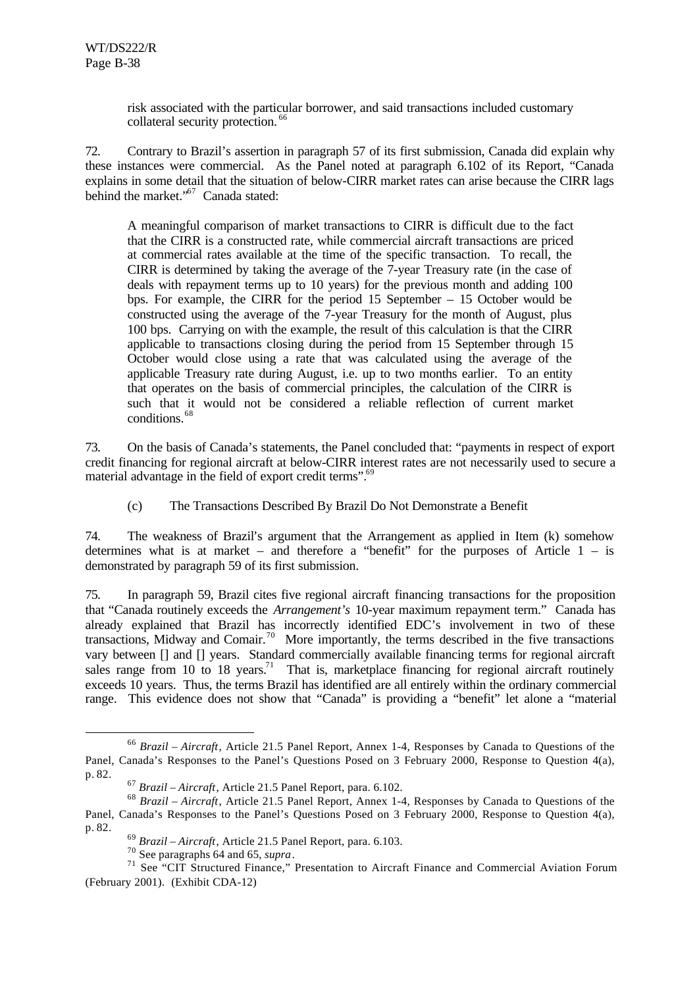risk associated with the particular borrower, and said transactions included customary collateral security protection.<sup>66</sup>

72. Contrary to Brazil's assertion in paragraph 57 of its first submission, Canada did explain why these instances were commercial. As the Panel noted at paragraph 6.102 of its Report, "Canada explains in some detail that the situation of below-CIRR market rates can arise because the CIRR lags behind the market."<sup>67</sup> Canada stated:

A meaningful comparison of market transactions to CIRR is difficult due to the fact that the CIRR is a constructed rate, while commercial aircraft transactions are priced at commercial rates available at the time of the specific transaction. To recall, the CIRR is determined by taking the average of the 7-year Treasury rate (in the case of deals with repayment terms up to 10 years) for the previous month and adding 100 bps. For example, the CIRR for the period 15 September – 15 October would be constructed using the average of the 7-year Treasury for the month of August, plus 100 bps. Carrying on with the example, the result of this calculation is that the CIRR applicable to transactions closing during the period from 15 September through 15 October would close using a rate that was calculated using the average of the applicable Treasury rate during August, i.e. up to two months earlier. To an entity that operates on the basis of commercial principles, the calculation of the CIRR is such that it would not be considered a reliable reflection of current market conditions.<sup>68</sup>

73. On the basis of Canada's statements, the Panel concluded that: "payments in respect of export credit financing for regional aircraft at below-CIRR interest rates are not necessarily used to secure a material advantage in the field of export credit terms".<sup>69</sup>

(c) The Transactions Described By Brazil Do Not Demonstrate a Benefit

74. The weakness of Brazil's argument that the Arrangement as applied in Item (k) somehow determines what is at market – and therefore a "benefit" for the purposes of Article  $1 -$  is demonstrated by paragraph 59 of its first submission.

75. In paragraph 59, Brazil cites five regional aircraft financing transactions for the proposition that "Canada routinely exceeds the *Arrangement's* 10-year maximum repayment term." Canada has already explained that Brazil has incorrectly identified EDC's involvement in two of these transactions, Midway and Comair.<sup>70</sup> More importantly, the terms described in the five transactions vary between [] and [] years. Standard commercially available financing terms for regional aircraft sales range from 10 to 18 years.<sup>71</sup> That is, marketplace financing for regional aircraft routinely exceeds 10 years. Thus, the terms Brazil has identified are all entirely within the ordinary commercial range. This evidence does not show that "Canada" is providing a "benefit" let alone a "material

<sup>66</sup> *Brazil – Aircraft*, Article 21.5 Panel Report, Annex 1-4, Responses by Canada to Questions of the Panel, Canada's Responses to the Panel's Questions Posed on 3 February 2000, Response to Question 4(a), p. 82.

<sup>67</sup> *Brazil – Aircraft*, Article 21.5 Panel Report, para. 6.102.

<sup>68</sup> *Brazil – Aircraft*, Article 21.5 Panel Report, Annex 1-4, Responses by Canada to Questions of the Panel, Canada's Responses to the Panel's Questions Posed on 3 February 2000, Response to Question 4(a), p. 82.

<sup>69</sup> *Brazil – Aircraft*, Article 21.5 Panel Report, para. 6.103.

<sup>70</sup> See paragraphs 64 and 65, *supra*.

<sup>&</sup>lt;sup>71</sup> See "CIT Structured Finance," Presentation to Aircraft Finance and Commercial Aviation Forum (February 2001). (Exhibit CDA-12)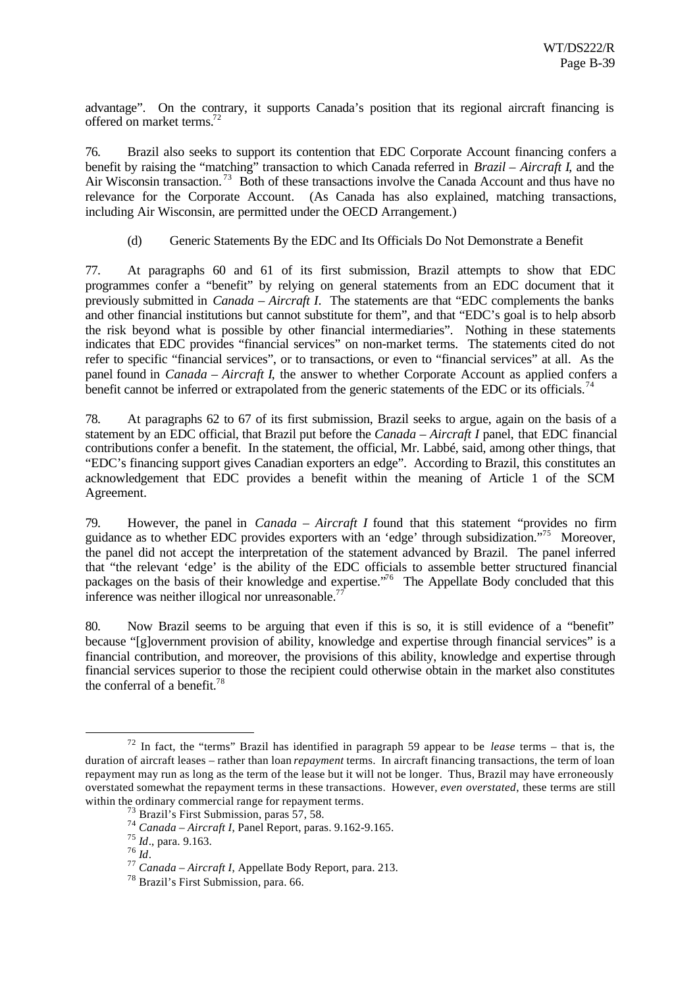advantage". On the contrary, it supports Canada's position that its regional aircraft financing is offered on market terms.<sup>72</sup>

76. Brazil also seeks to support its contention that EDC Corporate Account financing confers a benefit by raising the "matching" transaction to which Canada referred in *Brazil – Aircraft I*, and the Air Wisconsin transaction.<sup>73</sup> Both of these transactions involve the Canada Account and thus have no relevance for the Corporate Account. (As Canada has also explained, matching transactions, including Air Wisconsin, are permitted under the OECD Arrangement.)

(d) Generic Statements By the EDC and Its Officials Do Not Demonstrate a Benefit

77. At paragraphs 60 and 61 of its first submission, Brazil attempts to show that EDC programmes confer a "benefit" by relying on general statements from an EDC document that it previously submitted in *Canada – Aircraft I*. The statements are that "EDC complements the banks and other financial institutions but cannot substitute for them", and that "EDC's goal is to help absorb the risk beyond what is possible by other financial intermediaries". Nothing in these statements indicates that EDC provides "financial services" on non-market terms. The statements cited do not refer to specific "financial services", or to transactions, or even to "financial services" at all. As the panel found in *Canada – Aircraft I*, the answer to whether Corporate Account as applied confers a benefit cannot be inferred or extrapolated from the generic statements of the EDC or its officials.<sup>74</sup>

78. At paragraphs 62 to 67 of its first submission, Brazil seeks to argue, again on the basis of a statement by an EDC official, that Brazil put before the *Canada – Aircraft I* panel, that EDC financial contributions confer a benefit. In the statement, the official, Mr. Labbé, said, among other things, that "EDC's financing support gives Canadian exporters an edge". According to Brazil, this constitutes an acknowledgement that EDC provides a benefit within the meaning of Article 1 of the SCM Agreement.

79. However, the panel in *Canada – Aircraft I* found that this statement "provides no firm guidance as to whether EDC provides exporters with an 'edge' through subsidization."<sup>75</sup> Moreover, the panel did not accept the interpretation of the statement advanced by Brazil. The panel inferred that "the relevant 'edge' is the ability of the EDC officials to assemble better structured financial packages on the basis of their knowledge and expertise."<sup>76</sup> The Appellate Body concluded that this inference was neither illogical nor unreasonable.<sup>77</sup>

80. Now Brazil seems to be arguing that even if this is so, it is still evidence of a "benefit" because "[g]overnment provision of ability, knowledge and expertise through financial services" is a financial contribution, and moreover, the provisions of this ability, knowledge and expertise through financial services superior to those the recipient could otherwise obtain in the market also constitutes the conferral of a benefit.<sup>78</sup>

<sup>72</sup> In fact, the "terms" Brazil has identified in paragraph 59 appear to be *lease* terms – that is, the duration of aircraft leases – rather than loan *repayment* terms. In aircraft financing transactions, the term of loan repayment may run as long as the term of the lease but it will not be longer. Thus, Brazil may have erroneously overstated somewhat the repayment terms in these transactions. However, *even overstated*, these terms are still within the ordinary commercial range for repayment terms.

<sup>&</sup>lt;sup>73</sup> Brazil's First Submission, paras 57, 58.

<sup>74</sup> *Canada – Aircraft I*, Panel Report, paras. 9.162-9.165.

<sup>75</sup> *Id*., para. 9.163.

<sup>76</sup> *Id*.

<sup>77</sup> *Canada – Aircraft I*, Appellate Body Report, para. 213.

<sup>78</sup> Brazil's First Submission, para. 66.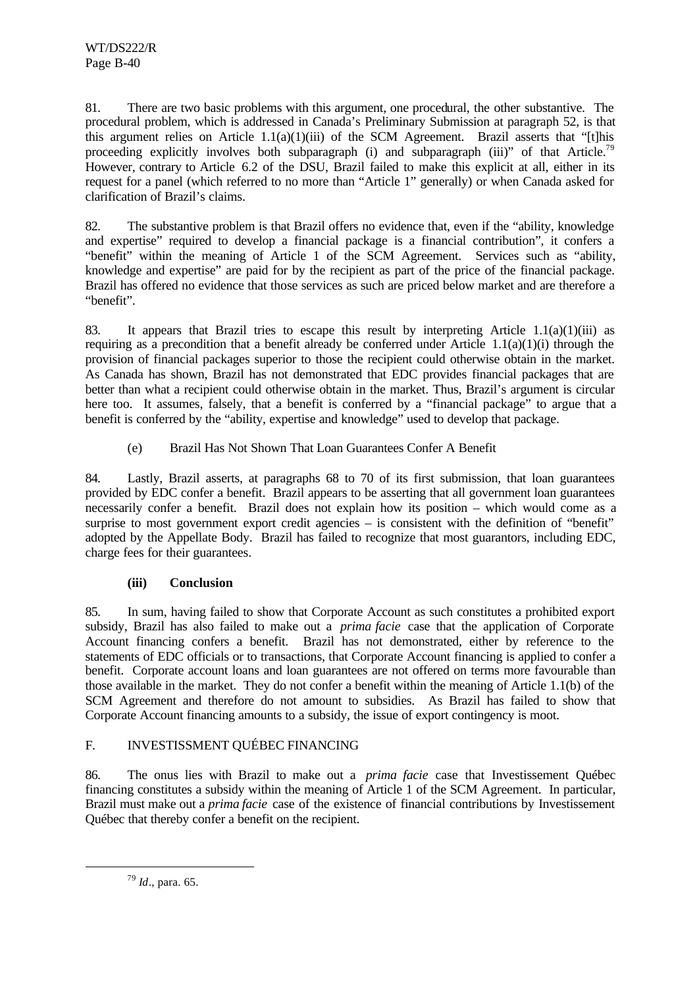81. There are two basic problems with this argument, one procedural, the other substantive. The procedural problem, which is addressed in Canada's Preliminary Submission at paragraph 52, is that this argument relies on Article  $1.1(a)(1)(iii)$  of the SCM Agreement. Brazil asserts that "[t]his proceeding explicitly involves both subparagraph (i) and subparagraph (iii)" of that Article.<sup>79</sup> However, contrary to Article 6.2 of the DSU, Brazil failed to make this explicit at all, either in its request for a panel (which referred to no more than "Article 1" generally) or when Canada asked for clarification of Brazil's claims.

82. The substantive problem is that Brazil offers no evidence that, even if the "ability, knowledge and expertise" required to develop a financial package is a financial contribution", it confers a "benefit" within the meaning of Article 1 of the SCM Agreement. Services such as "ability, knowledge and expertise" are paid for by the recipient as part of the price of the financial package. Brazil has offered no evidence that those services as such are priced below market and are therefore a "benefit".

83. It appears that Brazil tries to escape this result by interpreting Article  $1.1(a)(1)(iii)$  as requiring as a precondition that a benefit already be conferred under Article  $1.1(a)(1)(i)$  through the provision of financial packages superior to those the recipient could otherwise obtain in the market. As Canada has shown, Brazil has not demonstrated that EDC provides financial packages that are better than what a recipient could otherwise obtain in the market. Thus, Brazil's argument is circular here too. It assumes, falsely, that a benefit is conferred by a "financial package" to argue that a benefit is conferred by the "ability, expertise and knowledge" used to develop that package.

(e) Brazil Has Not Shown That Loan Guarantees Confer A Benefit

84. Lastly, Brazil asserts, at paragraphs 68 to 70 of its first submission, that loan guarantees provided by EDC confer a benefit. Brazil appears to be asserting that all government loan guarantees necessarily confer a benefit. Brazil does not explain how its position – which would come as a surprise to most government export credit agencies – is consistent with the definition of "benefit" adopted by the Appellate Body. Brazil has failed to recognize that most guarantors, including EDC, charge fees for their guarantees.

## **(iii) Conclusion**

85. In sum, having failed to show that Corporate Account as such constitutes a prohibited export subsidy, Brazil has also failed to make out a *prima facie* case that the application of Corporate Account financing confers a benefit. Brazil has not demonstrated, either by reference to the statements of EDC officials or to transactions, that Corporate Account financing is applied to confer a benefit. Corporate account loans and loan guarantees are not offered on terms more favourable than those available in the market. They do not confer a benefit within the meaning of Article 1.1(b) of the SCM Agreement and therefore do not amount to subsidies. As Brazil has failed to show that Corporate Account financing amounts to a subsidy, the issue of export contingency is moot.

## F. INVESTISSMENT QUÉBEC FINANCING

86. The onus lies with Brazil to make out a *prima facie* case that Investissement Québec financing constitutes a subsidy within the meaning of Article 1 of the SCM Agreement. In particular, Brazil must make out a *prima facie* case of the existence of financial contributions by Investissement Québec that thereby confer a benefit on the recipient.

<sup>79</sup> *Id*., para. 65.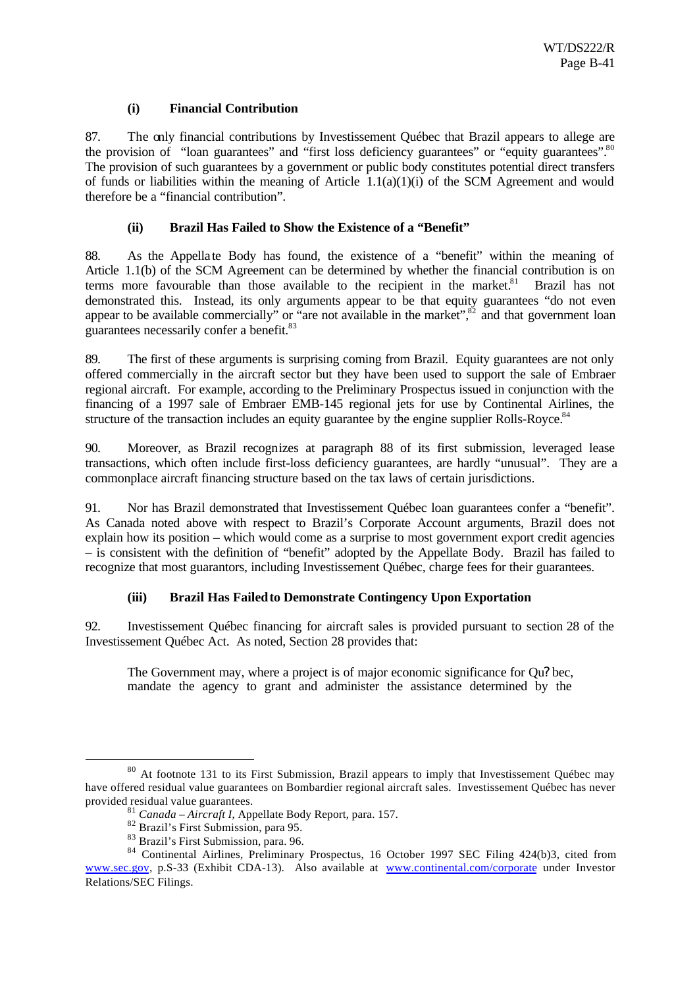## **(i) Financial Contribution**

87. The only financial contributions by Investissement Québec that Brazil appears to allege are the provision of "loan guarantees" and "first loss deficiency guarantees" or "equity guarantees".<sup>80</sup> The provision of such guarantees by a government or public body constitutes potential direct transfers of funds or liabilities within the meaning of Article  $1.1(a)(1)(i)$  of the SCM Agreement and would therefore be a "financial contribution".

## **(ii) Brazil Has Failed to Show the Existence of a "Benefit"**

88. As the Appella te Body has found, the existence of a "benefit" within the meaning of Article 1.1(b) of the SCM Agreement can be determined by whether the financial contribution is on terms more favourable than those available to the recipient in the market. $81$  Brazil has not demonstrated this. Instead, its only arguments appear to be that equity guarantees "do not even appear to be available commercially" or "are not available in the market", $\frac{82}{3}$  and that government loan guarantees necessarily confer a benefit.<sup>83</sup>

89. The first of these arguments is surprising coming from Brazil. Equity guarantees are not only offered commercially in the aircraft sector but they have been used to support the sale of Embraer regional aircraft. For example, according to the Preliminary Prospectus issued in conjunction with the financing of a 1997 sale of Embraer EMB-145 regional jets for use by Continental Airlines, the structure of the transaction includes an equity guarantee by the engine supplier Rolls-Royce. $84$ 

90. Moreover, as Brazil recognizes at paragraph 88 of its first submission, leveraged lease transactions, which often include first-loss deficiency guarantees, are hardly "unusual". They are a commonplace aircraft financing structure based on the tax laws of certain jurisdictions.

91. Nor has Brazil demonstrated that Investissement Québec loan guarantees confer a "benefit". As Canada noted above with respect to Brazil's Corporate Account arguments, Brazil does not explain how its position – which would come as a surprise to most government export credit agencies – is consistent with the definition of "benefit" adopted by the Appellate Body. Brazil has failed to recognize that most guarantors, including Investissement Québec, charge fees for their guarantees.

## **(iii) Brazil Has Failed to Demonstrate Contingency Upon Exportation**

92. Investissement Québec financing for aircraft sales is provided pursuant to section 28 of the Investissement Québec Act. As noted, Section 28 provides that:

The Government may, where a project is of major economic significance for Qu? bec, mandate the agency to grant and administer the assistance determined by the

<sup>&</sup>lt;sup>80</sup> At footnote 131 to its First Submission, Brazil appears to imply that Investissement Québec may have offered residual value guarantees on Bombardier regional aircraft sales. Investissement Québec has never provided residual value guarantees.

<sup>81</sup> *Canada – Aircraft I*, Appellate Body Report, para. 157.

<sup>82</sup> Brazil's First Submission, para 95.

<sup>83</sup> Brazil's First Submission, para. 96.

<sup>&</sup>lt;sup>84</sup> Continental Airlines, Preliminary Prospectus, 16 October 1997 SEC Filing 424(b)3, cited from www.sec.gov, p.S-33 (Exhibit CDA-13). Also available at www.continental.com/corporate under Investor Relations/SEC Filings.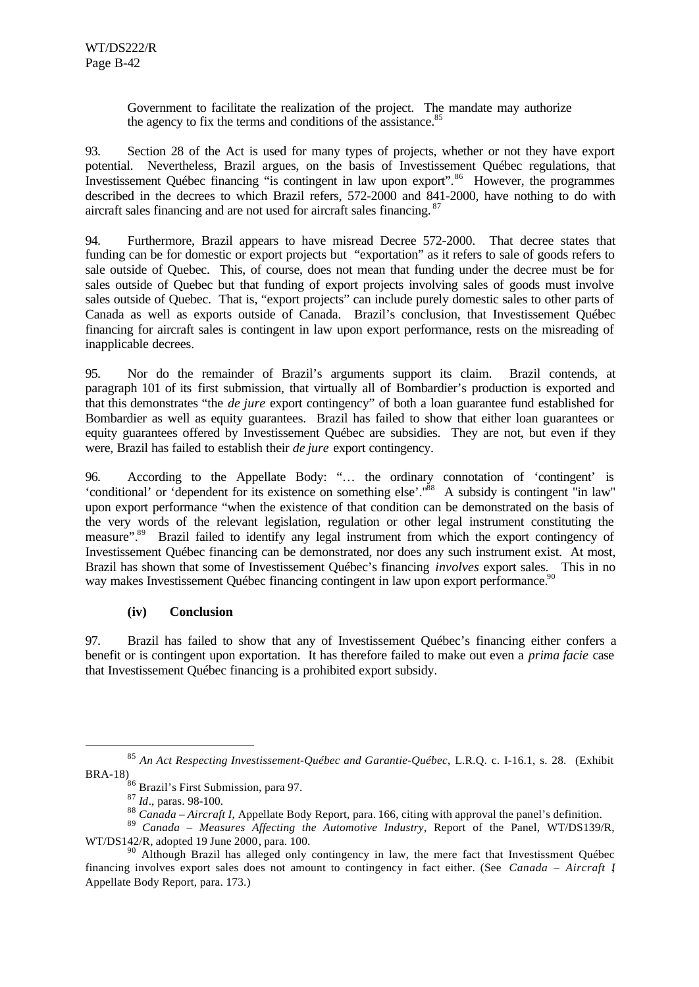Government to facilitate the realization of the project. The mandate may authorize the agency to fix the terms and conditions of the assistance.<sup>85</sup>

93. Section 28 of the Act is used for many types of projects, whether or not they have export potential. Nevertheless, Brazil argues, on the basis of Investissement Québec regulations, that Investissement Québec financing "is contingent in law upon export".<sup>86</sup> However, the programmes described in the decrees to which Brazil refers, 572-2000 and 841-2000, have nothing to do with aircraft sales financing and are not used for aircraft sales financing. <sup>87</sup>

94. Furthermore, Brazil appears to have misread Decree 572-2000. That decree states that funding can be for domestic or export projects but "exportation" as it refers to sale of goods refers to sale outside of Quebec. This, of course, does not mean that funding under the decree must be for sales outside of Quebec but that funding of export projects involving sales of goods must involve sales outside of Quebec. That is, "export projects" can include purely domestic sales to other parts of Canada as well as exports outside of Canada. Brazil's conclusion, that Investissement Québec financing for aircraft sales is contingent in law upon export performance, rests on the misreading of inapplicable decrees.

95. Nor do the remainder of Brazil's arguments support its claim. Brazil contends, at paragraph 101 of its first submission, that virtually all of Bombardier's production is exported and that this demonstrates "the *de jure* export contingency" of both a loan guarantee fund established for Bombardier as well as equity guarantees. Brazil has failed to show that either loan guarantees or equity guarantees offered by Investissement Québec are subsidies. They are not, but even if they were, Brazil has failed to establish their *de jure* export contingency.

96. According to the Appellate Body: "… the ordinary connotation of 'contingent' is 'conditional' or 'dependent for its existence on something else'."<sup>88</sup> A subsidy is contingent "in law" upon export performance "when the existence of that condition can be demonstrated on the basis of the very words of the relevant legislation, regulation or other legal instrument constituting the measure".<sup>89</sup> Brazil failed to identify any legal instrument from which the export contingency of Investissement Québec financing can be demonstrated, nor does any such instrument exist. At most, Brazil has shown that some of Investissement Québec's financing *involves* export sales. This in no way makes Investissement Québec financing contingent in law upon export performance.

## **(iv) Conclusion**

97. Brazil has failed to show that any of Investissement Québec's financing either confers a benefit or is contingent upon exportation. It has therefore failed to make out even a *prima facie* case that Investissement Québec financing is a prohibited export subsidy.

<sup>85</sup> *An Act Respecting Investissement-Québec and Garantie-Québec*, L.R.Q. c. I-16.1, s. 28. (Exhibit BRA-18)

<sup>&</sup>lt;sup>86</sup> Brazil's First Submission, para 97.

<sup>87</sup> *Id*., paras. 98-100.

<sup>88</sup> *Canada – Aircraft I*, Appellate Body Report, para. 166, citing with approval the panel's definition.

<sup>89</sup> *Canada – Measures Affecting the Automotive Industry*, Report of the Panel, WT/DS139/R, WT/DS142/R, adopted 19 June 2000, para. 100.

<sup>&</sup>lt;sup>90</sup> Although Brazil has alleged only contingency in law, the mere fact that Investissment Québec financing involves export sales does not amount to contingency in fact either. (See *Canada – Aircraft I*, Appellate Body Report, para. 173.)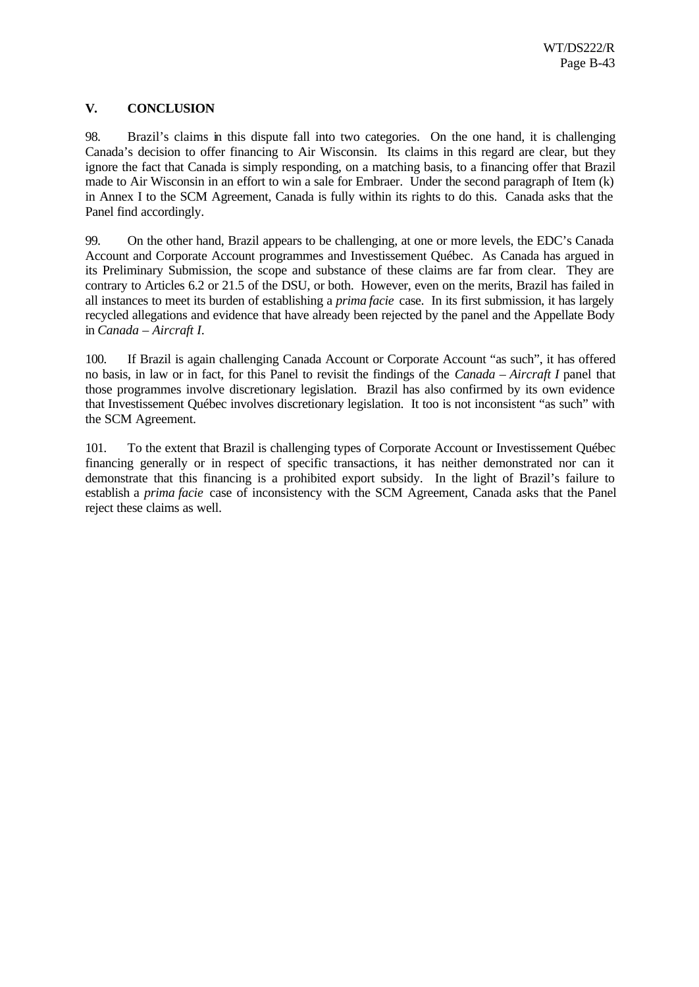## **V. CONCLUSION**

98. Brazil's claims in this dispute fall into two categories. On the one hand, it is challenging Canada's decision to offer financing to Air Wisconsin. Its claims in this regard are clear, but they ignore the fact that Canada is simply responding, on a matching basis, to a financing offer that Brazil made to Air Wisconsin in an effort to win a sale for Embraer. Under the second paragraph of Item (k) in Annex I to the SCM Agreement, Canada is fully within its rights to do this. Canada asks that the Panel find accordingly.

99. On the other hand, Brazil appears to be challenging, at one or more levels, the EDC's Canada Account and Corporate Account programmes and Investissement Québec. As Canada has argued in its Preliminary Submission, the scope and substance of these claims are far from clear. They are contrary to Articles 6.2 or 21.5 of the DSU, or both. However, even on the merits, Brazil has failed in all instances to meet its burden of establishing a *prima facie* case. In its first submission, it has largely recycled allegations and evidence that have already been rejected by the panel and the Appellate Body in *Canada – Aircraft I*.

100. If Brazil is again challenging Canada Account or Corporate Account "as such", it has offered no basis, in law or in fact, for this Panel to revisit the findings of the *Canada – Aircraft I* panel that those programmes involve discretionary legislation. Brazil has also confirmed by its own evidence that Investissement Québec involves discretionary legislation. It too is not inconsistent "as such" with the SCM Agreement.

101. To the extent that Brazil is challenging types of Corporate Account or Investissement Québec financing generally or in respect of specific transactions, it has neither demonstrated nor can it demonstrate that this financing is a prohibited export subsidy. In the light of Brazil's failure to establish a *prima facie* case of inconsistency with the SCM Agreement, Canada asks that the Panel reject these claims as well.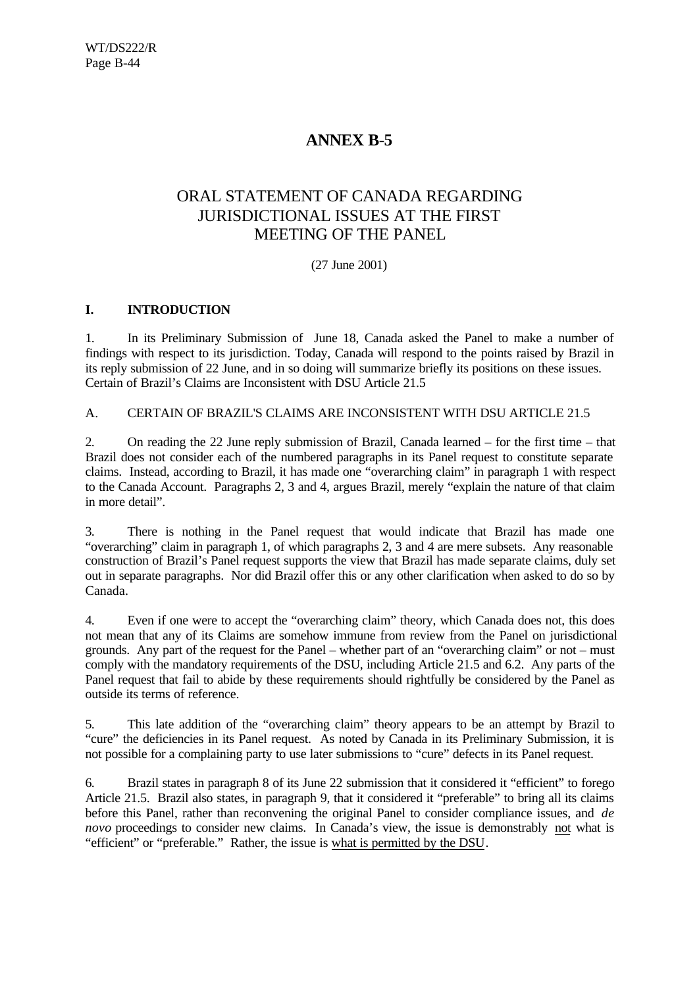# **ANNEX B-5**

## ORAL STATEMENT OF CANADA REGARDING JURISDICTIONAL ISSUES AT THE FIRST MEETING OF THE PANEL

(27 June 2001)

## **I. INTRODUCTION**

1. In its Preliminary Submission of June 18, Canada asked the Panel to make a number of findings with respect to its jurisdiction. Today, Canada will respond to the points raised by Brazil in its reply submission of 22 June, and in so doing will summarize briefly its positions on these issues. Certain of Brazil's Claims are Inconsistent with DSU Article 21.5

## A. CERTAIN OF BRAZIL'S CLAIMS ARE INCONSISTENT WITH DSU ARTICLE 21.5

2. On reading the 22 June reply submission of Brazil, Canada learned – for the first time – that Brazil does not consider each of the numbered paragraphs in its Panel request to constitute separate claims. Instead, according to Brazil, it has made one "overarching claim" in paragraph 1 with respect to the Canada Account. Paragraphs 2, 3 and 4, argues Brazil, merely "explain the nature of that claim in more detail".

3. There is nothing in the Panel request that would indicate that Brazil has made one "overarching" claim in paragraph 1, of which paragraphs 2, 3 and 4 are mere subsets. Any reasonable construction of Brazil's Panel request supports the view that Brazil has made separate claims, duly set out in separate paragraphs. Nor did Brazil offer this or any other clarification when asked to do so by Canada.

4. Even if one were to accept the "overarching claim" theory, which Canada does not, this does not mean that any of its Claims are somehow immune from review from the Panel on jurisdictional grounds. Any part of the request for the Panel – whether part of an "overarching claim" or not – must comply with the mandatory requirements of the DSU, including Article 21.5 and 6.2. Any parts of the Panel request that fail to abide by these requirements should rightfully be considered by the Panel as outside its terms of reference.

5. This late addition of the "overarching claim" theory appears to be an attempt by Brazil to "cure" the deficiencies in its Panel request. As noted by Canada in its Preliminary Submission, it is not possible for a complaining party to use later submissions to "cure" defects in its Panel request.

6. Brazil states in paragraph 8 of its June 22 submission that it considered it "efficient" to forego Article 21.5. Brazil also states, in paragraph 9, that it considered it "preferable" to bring all its claims before this Panel, rather than reconvening the original Panel to consider compliance issues, and *de novo* proceedings to consider new claims. In Canada's view, the issue is demonstrably not what is "efficient" or "preferable." Rather, the issue is what is permitted by the DSU.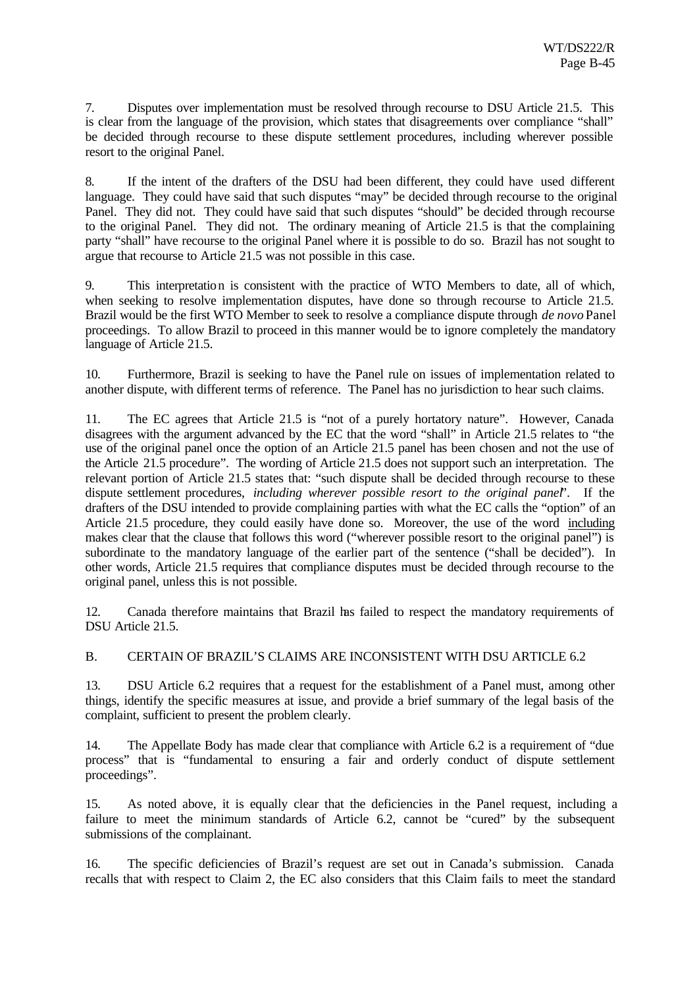7. Disputes over implementation must be resolved through recourse to DSU Article 21.5. This is clear from the language of the provision, which states that disagreements over compliance "shall" be decided through recourse to these dispute settlement procedures, including wherever possible resort to the original Panel.

8. If the intent of the drafters of the DSU had been different, they could have used different language. They could have said that such disputes "may" be decided through recourse to the original Panel. They did not. They could have said that such disputes "should" be decided through recourse to the original Panel. They did not. The ordinary meaning of Article 21.5 is that the complaining party "shall" have recourse to the original Panel where it is possible to do so. Brazil has not sought to argue that recourse to Article 21.5 was not possible in this case.

9. This interpretation is consistent with the practice of WTO Members to date, all of which, when seeking to resolve implementation disputes, have done so through recourse to Article 21.5. Brazil would be the first WTO Member to seek to resolve a compliance dispute through *de novo* Panel proceedings. To allow Brazil to proceed in this manner would be to ignore completely the mandatory language of Article 21.5.

10. Furthermore, Brazil is seeking to have the Panel rule on issues of implementation related to another dispute, with different terms of reference. The Panel has no jurisdiction to hear such claims.

11. The EC agrees that Article 21.5 is "not of a purely hortatory nature". However, Canada disagrees with the argument advanced by the EC that the word "shall" in Article 21.5 relates to "the use of the original panel once the option of an Article 21.5 panel has been chosen and not the use of the Article 21.5 procedure". The wording of Article 21.5 does not support such an interpretation. The relevant portion of Article 21.5 states that: "such dispute shall be decided through recourse to these dispute settlement procedures, *including wherever possible resort to the original panel*". If the drafters of the DSU intended to provide complaining parties with what the EC calls the "option" of an Article 21.5 procedure, they could easily have done so. Moreover, the use of the word including makes clear that the clause that follows this word ("wherever possible resort to the original panel") is subordinate to the mandatory language of the earlier part of the sentence ("shall be decided"). In other words, Article 21.5 requires that compliance disputes must be decided through recourse to the original panel, unless this is not possible.

12. Canada therefore maintains that Brazil has failed to respect the mandatory requirements of DSU Article 21.5.

B. CERTAIN OF BRAZIL'S CLAIMS ARE INCONSISTENT WITH DSU ARTICLE 6.2

13. DSU Article 6.2 requires that a request for the establishment of a Panel must, among other things, identify the specific measures at issue, and provide a brief summary of the legal basis of the complaint, sufficient to present the problem clearly.

14. The Appellate Body has made clear that compliance with Article 6.2 is a requirement of "due process" that is "fundamental to ensuring a fair and orderly conduct of dispute settlement proceedings".

15. As noted above, it is equally clear that the deficiencies in the Panel request, including a failure to meet the minimum standards of Article 6.2, cannot be "cured" by the subsequent submissions of the complainant.

16. The specific deficiencies of Brazil's request are set out in Canada's submission. Canada recalls that with respect to Claim 2, the EC also considers that this Claim fails to meet the standard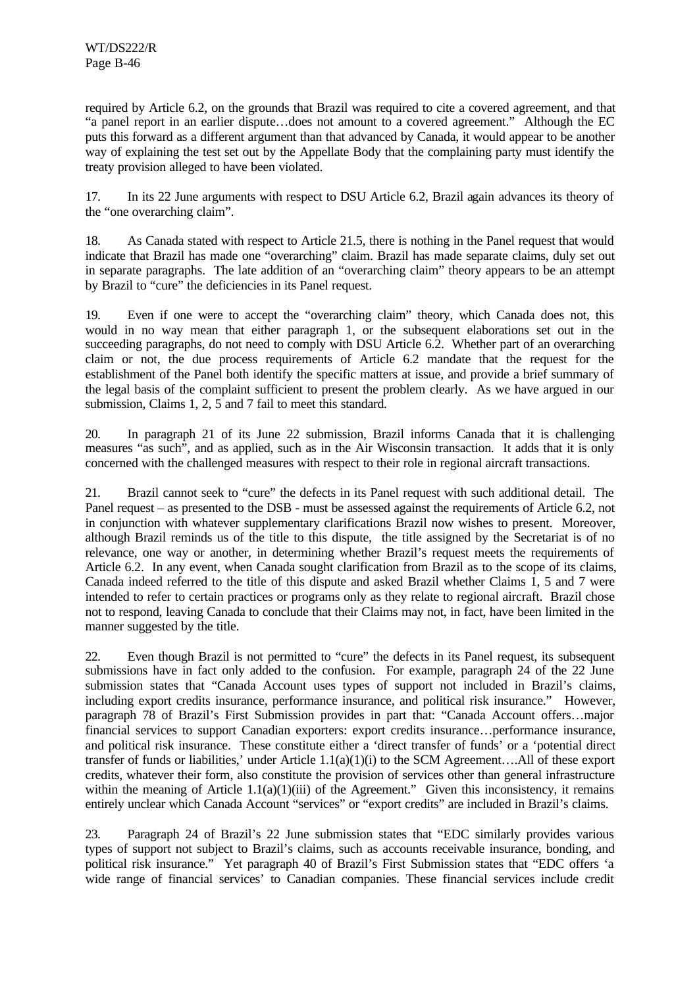required by Article 6.2, on the grounds that Brazil was required to cite a covered agreement, and that "a panel report in an earlier dispute…does not amount to a covered agreement." Although the EC puts this forward as a different argument than that advanced by Canada, it would appear to be another way of explaining the test set out by the Appellate Body that the complaining party must identify the treaty provision alleged to have been violated.

17. In its 22 June arguments with respect to DSU Article 6.2, Brazil again advances its theory of the "one overarching claim".

18. As Canada stated with respect to Article 21.5, there is nothing in the Panel request that would indicate that Brazil has made one "overarching" claim. Brazil has made separate claims, duly set out in separate paragraphs. The late addition of an "overarching claim" theory appears to be an attempt by Brazil to "cure" the deficiencies in its Panel request.

19. Even if one were to accept the "overarching claim" theory, which Canada does not, this would in no way mean that either paragraph 1, or the subsequent elaborations set out in the succeeding paragraphs, do not need to comply with DSU Article 6.2. Whether part of an overarching claim or not, the due process requirements of Article 6.2 mandate that the request for the establishment of the Panel both identify the specific matters at issue, and provide a brief summary of the legal basis of the complaint sufficient to present the problem clearly. As we have argued in our submission, Claims 1, 2, 5 and 7 fail to meet this standard.

20. In paragraph 21 of its June 22 submission, Brazil informs Canada that it is challenging measures "as such", and as applied, such as in the Air Wisconsin transaction. It adds that it is only concerned with the challenged measures with respect to their role in regional aircraft transactions.

21. Brazil cannot seek to "cure" the defects in its Panel request with such additional detail. The Panel request – as presented to the DSB - must be assessed against the requirements of Article 6.2, not in conjunction with whatever supplementary clarifications Brazil now wishes to present. Moreover, although Brazil reminds us of the title to this dispute, the title assigned by the Secretariat is of no relevance, one way or another, in determining whether Brazil's request meets the requirements of Article 6.2. In any event, when Canada sought clarification from Brazil as to the scope of its claims, Canada indeed referred to the title of this dispute and asked Brazil whether Claims 1, 5 and 7 were intended to refer to certain practices or programs only as they relate to regional aircraft. Brazil chose not to respond, leaving Canada to conclude that their Claims may not, in fact, have been limited in the manner suggested by the title.

22. Even though Brazil is not permitted to "cure" the defects in its Panel request, its subsequent submissions have in fact only added to the confusion. For example, paragraph 24 of the 22 June submission states that "Canada Account uses types of support not included in Brazil's claims, including export credits insurance, performance insurance, and political risk insurance." However, paragraph 78 of Brazil's First Submission provides in part that: "Canada Account offers…major financial services to support Canadian exporters: export credits insurance…performance insurance, and political risk insurance. These constitute either a 'direct transfer of funds' or a 'potential direct transfer of funds or liabilities,' under Article  $1.1(a)(1)(i)$  to the SCM Agreement....All of these export credits, whatever their form, also constitute the provision of services other than general infrastructure within the meaning of Article  $1.1(a)(1)(iii)$  of the Agreement." Given this inconsistency, it remains entirely unclear which Canada Account "services" or "export credits" are included in Brazil's claims.

23. Paragraph 24 of Brazil's 22 June submission states that "EDC similarly provides various types of support not subject to Brazil's claims, such as accounts receivable insurance, bonding, and political risk insurance." Yet paragraph 40 of Brazil's First Submission states that "EDC offers 'a wide range of financial services' to Canadian companies. These financial services include credit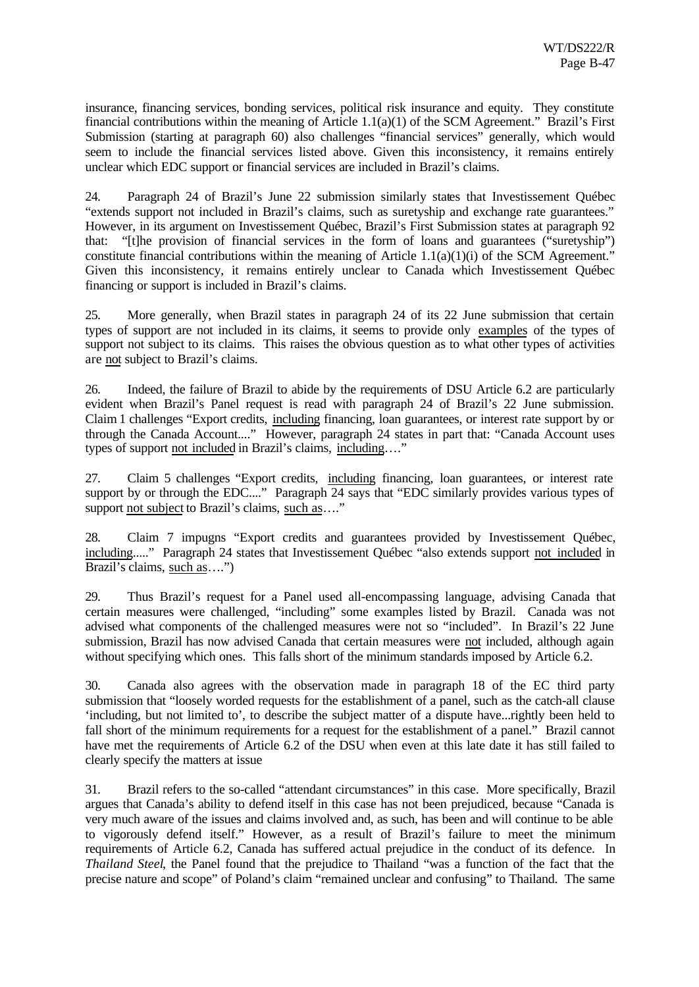insurance, financing services, bonding services, political risk insurance and equity. They constitute financial contributions within the meaning of Article  $1.1(a)(1)$  of the SCM Agreement." Brazil's First Submission (starting at paragraph 60) also challenges "financial services" generally, which would seem to include the financial services listed above. Given this inconsistency, it remains entirely unclear which EDC support or financial services are included in Brazil's claims.

24. Paragraph 24 of Brazil's June 22 submission similarly states that Investissement Québec "extends support not included in Brazil's claims, such as suretyship and exchange rate guarantees." However, in its argument on Investissement Québec, Brazil's First Submission states at paragraph 92 that: "[t]he provision of financial services in the form of loans and guarantees ("suretyship") constitute financial contributions within the meaning of Article 1.1(a)(1)(i) of the SCM Agreement." Given this inconsistency, it remains entirely unclear to Canada which Investissement Québec financing or support is included in Brazil's claims.

25. More generally, when Brazil states in paragraph 24 of its 22 June submission that certain types of support are not included in its claims, it seems to provide only examples of the types of support not subject to its claims. This raises the obvious question as to what other types of activities are not subject to Brazil's claims.

26. Indeed, the failure of Brazil to abide by the requirements of DSU Article 6.2 are particularly evident when Brazil's Panel request is read with paragraph 24 of Brazil's 22 June submission. Claim 1 challenges "Export credits, including financing, loan guarantees, or interest rate support by or through the Canada Account...." However, paragraph 24 states in part that: "Canada Account uses types of support not included in Brazil's claims, including…."

27. Claim 5 challenges "Export credits, including financing, loan guarantees, or interest rate support by or through the EDC...." Paragraph 24 says that "EDC similarly provides various types of support not subject to Brazil's claims, such as...."

28. Claim 7 impugns "Export credits and guarantees provided by Investissement Québec, including....." Paragraph 24 states that Investissement Québec "also extends support not included in Brazil's claims, such as….")

29. Thus Brazil's request for a Panel used all-encompassing language, advising Canada that certain measures were challenged, "including" some examples listed by Brazil. Canada was not advised what components of the challenged measures were not so "included". In Brazil's 22 June submission, Brazil has now advised Canada that certain measures were not included, although again without specifying which ones. This falls short of the minimum standards imposed by Article 6.2.

30. Canada also agrees with the observation made in paragraph 18 of the EC third party submission that "loosely worded requests for the establishment of a panel, such as the catch-all clause 'including, but not limited to', to describe the subject matter of a dispute have...rightly been held to fall short of the minimum requirements for a request for the establishment of a panel." Brazil cannot have met the requirements of Article 6.2 of the DSU when even at this late date it has still failed to clearly specify the matters at issue

31. Brazil refers to the so-called "attendant circumstances" in this case. More specifically, Brazil argues that Canada's ability to defend itself in this case has not been prejudiced, because "Canada is very much aware of the issues and claims involved and, as such, has been and will continue to be able to vigorously defend itself." However, as a result of Brazil's failure to meet the minimum requirements of Article 6.2, Canada has suffered actual prejudice in the conduct of its defence. In *Thailand Steel*, the Panel found that the prejudice to Thailand "was a function of the fact that the precise nature and scope" of Poland's claim "remained unclear and confusing" to Thailand. The same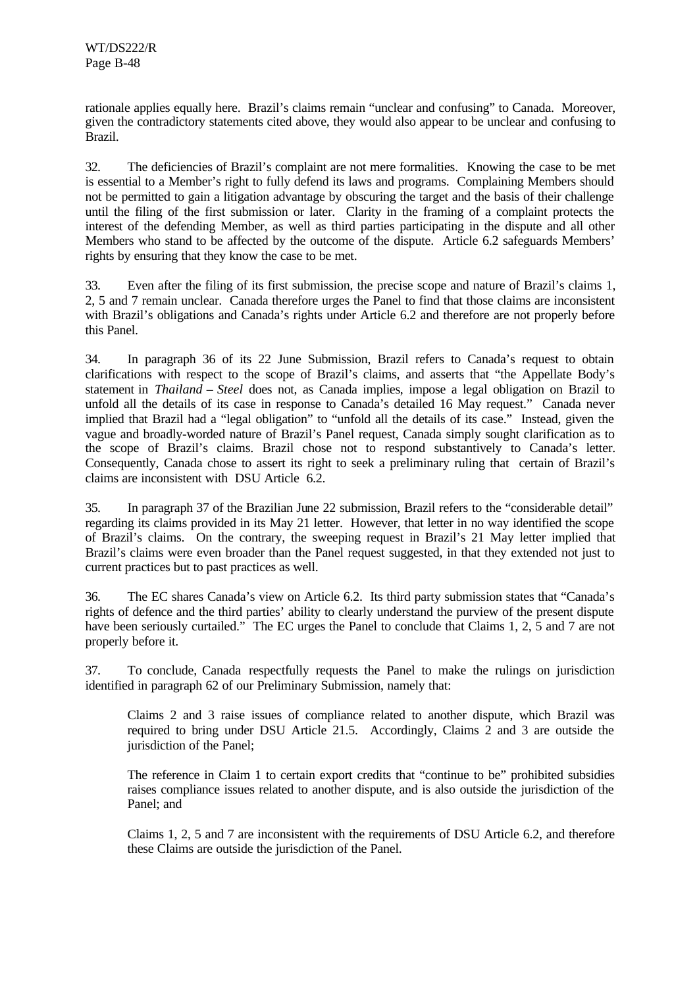rationale applies equally here. Brazil's claims remain "unclear and confusing" to Canada. Moreover, given the contradictory statements cited above, they would also appear to be unclear and confusing to Brazil.

32. The deficiencies of Brazil's complaint are not mere formalities. Knowing the case to be met is essential to a Member's right to fully defend its laws and programs. Complaining Members should not be permitted to gain a litigation advantage by obscuring the target and the basis of their challenge until the filing of the first submission or later. Clarity in the framing of a complaint protects the interest of the defending Member, as well as third parties participating in the dispute and all other Members who stand to be affected by the outcome of the dispute. Article 6.2 safeguards Members' rights by ensuring that they know the case to be met.

33. Even after the filing of its first submission, the precise scope and nature of Brazil's claims 1, 2, 5 and 7 remain unclear. Canada therefore urges the Panel to find that those claims are inconsistent with Brazil's obligations and Canada's rights under Article 6.2 and therefore are not properly before this Panel.

34. In paragraph 36 of its 22 June Submission, Brazil refers to Canada's request to obtain clarifications with respect to the scope of Brazil's claims, and asserts that "the Appellate Body's statement in *Thailand – Steel* does not, as Canada implies, impose a legal obligation on Brazil to unfold all the details of its case in response to Canada's detailed 16 May request." Canada never implied that Brazil had a "legal obligation" to "unfold all the details of its case." Instead, given the vague and broadly-worded nature of Brazil's Panel request, Canada simply sought clarification as to the scope of Brazil's claims. Brazil chose not to respond substantively to Canada's letter. Consequently, Canada chose to assert its right to seek a preliminary ruling that certain of Brazil's claims are inconsistent with DSU Article 6.2.

35. In paragraph 37 of the Brazilian June 22 submission, Brazil refers to the "considerable detail" regarding its claims provided in its May 21 letter. However, that letter in no way identified the scope of Brazil's claims. On the contrary, the sweeping request in Brazil's 21 May letter implied that Brazil's claims were even broader than the Panel request suggested, in that they extended not just to current practices but to past practices as well.

36. The EC shares Canada's view on Article 6.2. Its third party submission states that "Canada's rights of defence and the third parties' ability to clearly understand the purview of the present dispute have been seriously curtailed." The EC urges the Panel to conclude that Claims 1, 2, 5 and 7 are not properly before it.

37. To conclude, Canada respectfully requests the Panel to make the rulings on jurisdiction identified in paragraph 62 of our Preliminary Submission, namely that:

Claims 2 and 3 raise issues of compliance related to another dispute, which Brazil was required to bring under DSU Article 21.5. Accordingly, Claims 2 and 3 are outside the jurisdiction of the Panel;

The reference in Claim 1 to certain export credits that "continue to be" prohibited subsidies raises compliance issues related to another dispute, and is also outside the jurisdiction of the Panel; and

Claims 1, 2, 5 and 7 are inconsistent with the requirements of DSU Article 6.2, and therefore these Claims are outside the jurisdiction of the Panel.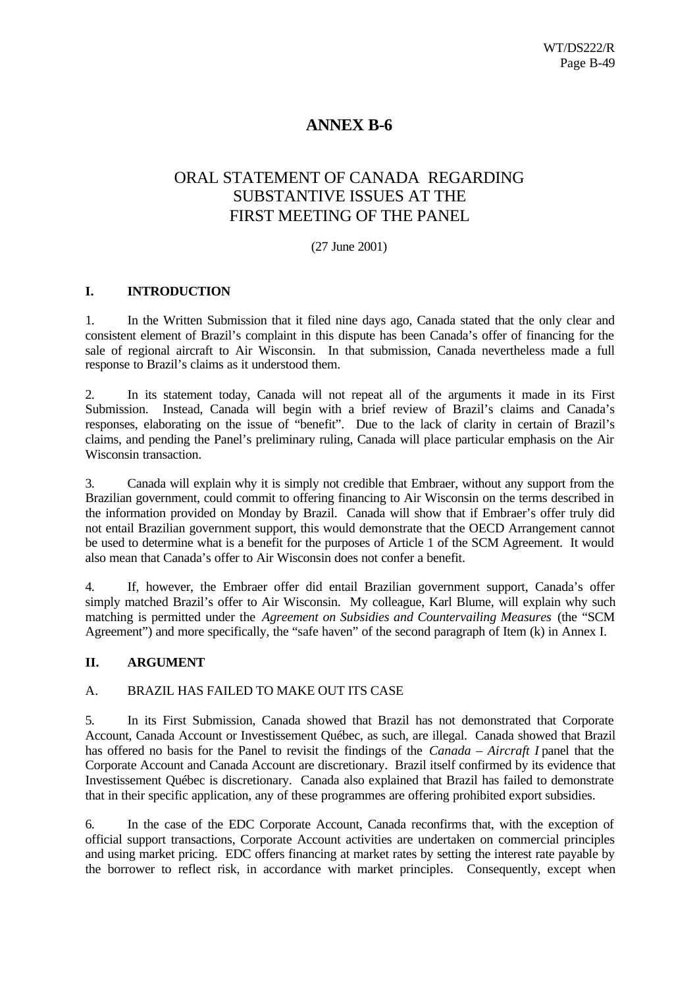## **ANNEX B-6**

# ORAL STATEMENT OF CANADA REGARDING SUBSTANTIVE ISSUES AT THE FIRST MEETING OF THE PANEL

#### (27 June 2001)

## **I. INTRODUCTION**

1. In the Written Submission that it filed nine days ago, Canada stated that the only clear and consistent element of Brazil's complaint in this dispute has been Canada's offer of financing for the sale of regional aircraft to Air Wisconsin. In that submission, Canada nevertheless made a full response to Brazil's claims as it understood them.

2. In its statement today, Canada will not repeat all of the arguments it made in its First Submission. Instead, Canada will begin with a brief review of Brazil's claims and Canada's responses, elaborating on the issue of "benefit". Due to the lack of clarity in certain of Brazil's claims, and pending the Panel's preliminary ruling, Canada will place particular emphasis on the Air Wisconsin transaction.

3. Canada will explain why it is simply not credible that Embraer, without any support from the Brazilian government, could commit to offering financing to Air Wisconsin on the terms described in the information provided on Monday by Brazil. Canada will show that if Embraer's offer truly did not entail Brazilian government support, this would demonstrate that the OECD Arrangement cannot be used to determine what is a benefit for the purposes of Article 1 of the SCM Agreement. It would also mean that Canada's offer to Air Wisconsin does not confer a benefit.

4. If, however, the Embraer offer did entail Brazilian government support, Canada's offer simply matched Brazil's offer to Air Wisconsin. My colleague, Karl Blume, will explain why such matching is permitted under the *Agreement on Subsidies and Countervailing Measures* (the "SCM Agreement") and more specifically, the "safe haven" of the second paragraph of Item (k) in Annex I.

#### **II. ARGUMENT**

#### A. BRAZIL HAS FAILED TO MAKE OUT ITS CASE

5. In its First Submission, Canada showed that Brazil has not demonstrated that Corporate Account, Canada Account or Investissement Québec, as such, are illegal. Canada showed that Brazil has offered no basis for the Panel to revisit the findings of the *Canada – Aircraft I* panel that the Corporate Account and Canada Account are discretionary. Brazil itself confirmed by its evidence that Investissement Québec is discretionary. Canada also explained that Brazil has failed to demonstrate that in their specific application, any of these programmes are offering prohibited export subsidies.

6. In the case of the EDC Corporate Account, Canada reconfirms that, with the exception of official support transactions, Corporate Account activities are undertaken on commercial principles and using market pricing. EDC offers financing at market rates by setting the interest rate payable by the borrower to reflect risk, in accordance with market principles. Consequently, except when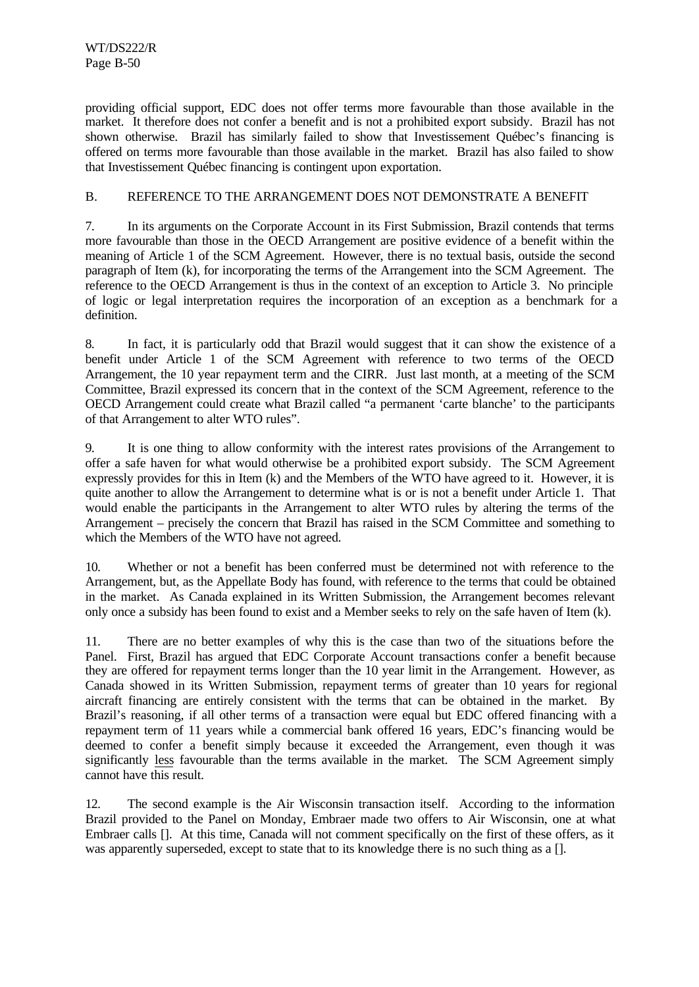providing official support, EDC does not offer terms more favourable than those available in the market. It therefore does not confer a benefit and is not a prohibited export subsidy. Brazil has not shown otherwise. Brazil has similarly failed to show that Investissement Québec's financing is offered on terms more favourable than those available in the market. Brazil has also failed to show that Investissement Québec financing is contingent upon exportation.

## B. REFERENCE TO THE ARRANGEMENT DOES NOT DEMONSTRATE A BENEFIT

7. In its arguments on the Corporate Account in its First Submission, Brazil contends that terms more favourable than those in the OECD Arrangement are positive evidence of a benefit within the meaning of Article 1 of the SCM Agreement. However, there is no textual basis, outside the second paragraph of Item (k), for incorporating the terms of the Arrangement into the SCM Agreement. The reference to the OECD Arrangement is thus in the context of an exception to Article 3. No principle of logic or legal interpretation requires the incorporation of an exception as a benchmark for a definition.

8. In fact, it is particularly odd that Brazil would suggest that it can show the existence of a benefit under Article 1 of the SCM Agreement with reference to two terms of the OECD Arrangement, the 10 year repayment term and the CIRR. Just last month, at a meeting of the SCM Committee, Brazil expressed its concern that in the context of the SCM Agreement, reference to the OECD Arrangement could create what Brazil called "a permanent 'carte blanche' to the participants of that Arrangement to alter WTO rules".

9. It is one thing to allow conformity with the interest rates provisions of the Arrangement to offer a safe haven for what would otherwise be a prohibited export subsidy. The SCM Agreement expressly provides for this in Item (k) and the Members of the WTO have agreed to it. However, it is quite another to allow the Arrangement to determine what is or is not a benefit under Article 1. That would enable the participants in the Arrangement to alter WTO rules by altering the terms of the Arrangement – precisely the concern that Brazil has raised in the SCM Committee and something to which the Members of the WTO have not agreed.

10. Whether or not a benefit has been conferred must be determined not with reference to the Arrangement, but, as the Appellate Body has found, with reference to the terms that could be obtained in the market. As Canada explained in its Written Submission, the Arrangement becomes relevant only once a subsidy has been found to exist and a Member seeks to rely on the safe haven of Item (k).

11. There are no better examples of why this is the case than two of the situations before the Panel. First, Brazil has argued that EDC Corporate Account transactions confer a benefit because they are offered for repayment terms longer than the 10 year limit in the Arrangement. However, as Canada showed in its Written Submission, repayment terms of greater than 10 years for regional aircraft financing are entirely consistent with the terms that can be obtained in the market. By Brazil's reasoning, if all other terms of a transaction were equal but EDC offered financing with a repayment term of 11 years while a commercial bank offered 16 years, EDC's financing would be deemed to confer a benefit simply because it exceeded the Arrangement, even though it was significantly less favourable than the terms available in the market. The SCM Agreement simply cannot have this result.

12. The second example is the Air Wisconsin transaction itself. According to the information Brazil provided to the Panel on Monday, Embraer made two offers to Air Wisconsin, one at what Embraer calls []. At this time, Canada will not comment specifically on the first of these offers, as it was apparently superseded, except to state that to its knowledge there is no such thing as a [].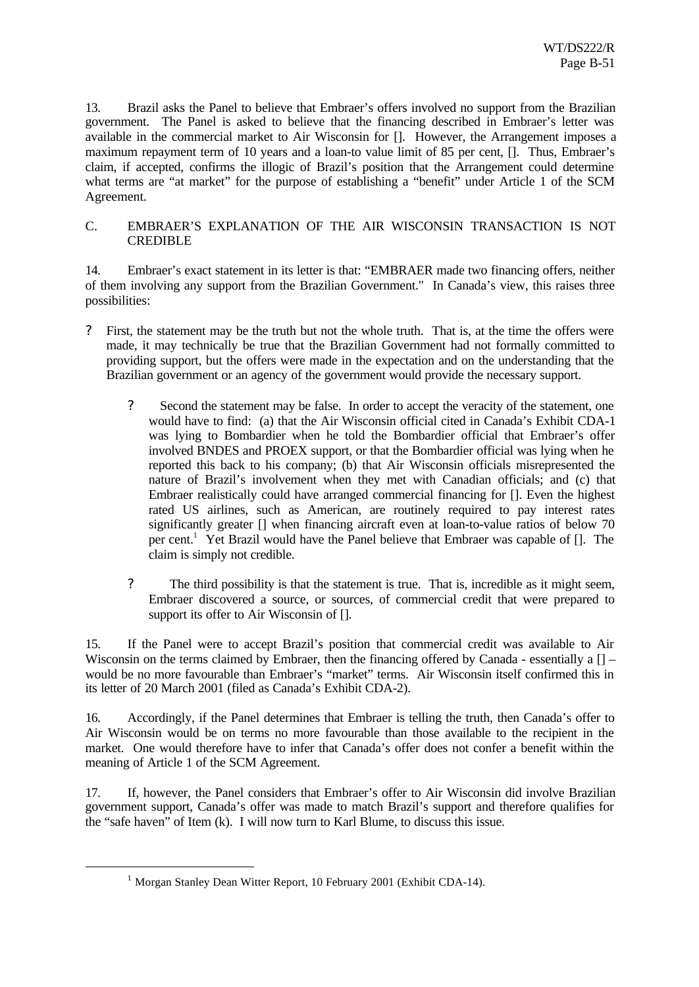13. Brazil asks the Panel to believe that Embraer's offers involved no support from the Brazilian government. The Panel is asked to believe that the financing described in Embraer's letter was available in the commercial market to Air Wisconsin for []. However, the Arrangement imposes a maximum repayment term of 10 years and a loan-to value limit of 85 per cent, []. Thus, Embraer's claim, if accepted, confirms the illogic of Brazil's position that the Arrangement could determine what terms are "at market" for the purpose of establishing a "benefit" under Article 1 of the SCM Agreement.

## C. EMBRAER'S EXPLANATION OF THE AIR WISCONSIN TRANSACTION IS NOT CREDIBLE

14. Embraer's exact statement in its letter is that: "EMBRAER made two financing offers, neither of them involving any support from the Brazilian Government." In Canada's view, this raises three possibilities:

- ? First, the statement may be the truth but not the whole truth. That is, at the time the offers were made, it may technically be true that the Brazilian Government had not formally committed to providing support, but the offers were made in the expectation and on the understanding that the Brazilian government or an agency of the government would provide the necessary support.
	- ? Second the statement may be false. In order to accept the veracity of the statement, one would have to find: (a) that the Air Wisconsin official cited in Canada's Exhibit CDA-1 was lying to Bombardier when he told the Bombardier official that Embraer's offer involved BNDES and PROEX support, or that the Bombardier official was lying when he reported this back to his company; (b) that Air Wisconsin officials misrepresented the nature of Brazil's involvement when they met with Canadian officials; and (c) that Embraer realistically could have arranged commercial financing for []. Even the highest rated US airlines, such as American, are routinely required to pay interest rates significantly greater [] when financing aircraft even at loan-to-value ratios of below 70 per cent.<sup>1</sup> Yet Brazil would have the Panel believe that Embraer was capable of []. The claim is simply not credible.
	- ? The third possibility is that the statement is true. That is, incredible as it might seem, Embraer discovered a source, or sources, of commercial credit that were prepared to support its offer to Air Wisconsin of  $\Box$ .

15. If the Panel were to accept Brazil's position that commercial credit was available to Air Wisconsin on the terms claimed by Embraer, then the financing offered by Canada - essentially a  $[]$ would be no more favourable than Embraer's "market" terms. Air Wisconsin itself confirmed this in its letter of 20 March 2001 (filed as Canada's Exhibit CDA-2).

16. Accordingly, if the Panel determines that Embraer is telling the truth, then Canada's offer to Air Wisconsin would be on terms no more favourable than those available to the recipient in the market. One would therefore have to infer that Canada's offer does not confer a benefit within the meaning of Article 1 of the SCM Agreement.

17. If, however, the Panel considers that Embraer's offer to Air Wisconsin did involve Brazilian government support, Canada's offer was made to match Brazil's support and therefore qualifies for the "safe haven" of Item (k). I will now turn to Karl Blume, to discuss this issue.

<sup>&</sup>lt;sup>1</sup> Morgan Stanley Dean Witter Report, 10 February 2001 (Exhibit CDA-14).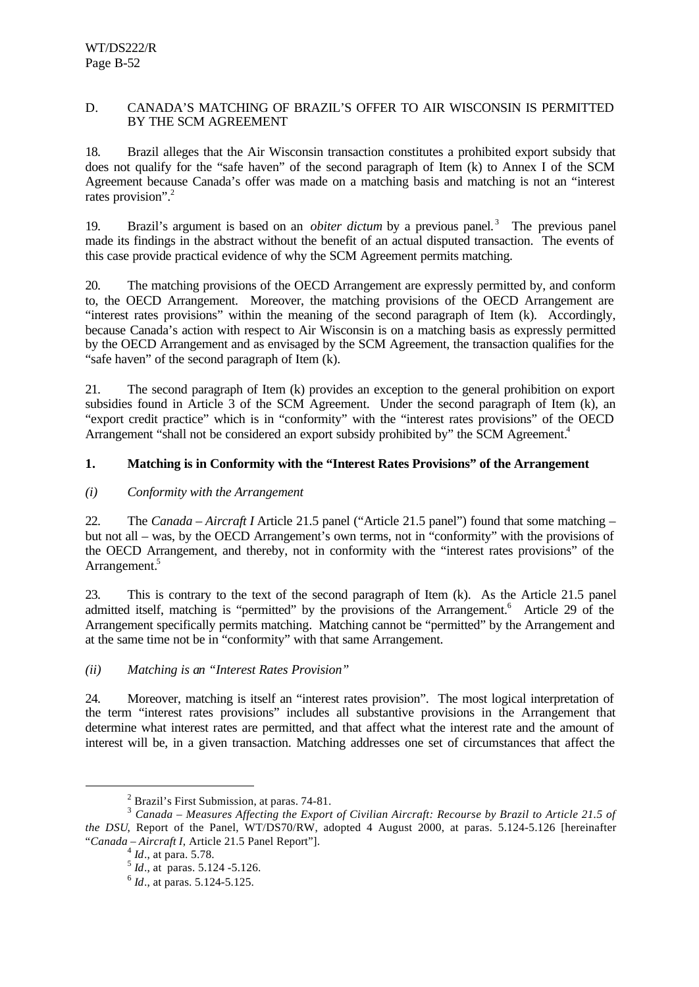#### D. CANADA'S MATCHING OF BRAZIL'S OFFER TO AIR WISCONSIN IS PERMITTED BY THE SCM AGREEMENT

18. Brazil alleges that the Air Wisconsin transaction constitutes a prohibited export subsidy that does not qualify for the "safe haven" of the second paragraph of Item (k) to Annex I of the SCM Agreement because Canada's offer was made on a matching basis and matching is not an "interest rates provision".<sup>2</sup>

19. Brazil's argument is based on an *obiter dictum* by a previous panel.<sup>3</sup> The previous panel made its findings in the abstract without the benefit of an actual disputed transaction. The events of this case provide practical evidence of why the SCM Agreement permits matching.

20. The matching provisions of the OECD Arrangement are expressly permitted by, and conform to, the OECD Arrangement. Moreover, the matching provisions of the OECD Arrangement are "interest rates provisions" within the meaning of the second paragraph of Item (k). Accordingly, because Canada's action with respect to Air Wisconsin is on a matching basis as expressly permitted by the OECD Arrangement and as envisaged by the SCM Agreement, the transaction qualifies for the "safe haven" of the second paragraph of Item (k).

21. The second paragraph of Item (k) provides an exception to the general prohibition on export subsidies found in Article 3 of the SCM Agreement. Under the second paragraph of Item (k), an "export credit practice" which is in "conformity" with the "interest rates provisions" of the OECD Arrangement "shall not be considered an export subsidy prohibited by" the SCM Agreement.<sup>4</sup>

## **1. Matching is in Conformity with the "Interest Rates Provisions" of the Arrangement**

## *(i) Conformity with the Arrangement*

22. The *Canada – Aircraft I* Article 21.5 panel ("Article 21.5 panel") found that some matching – but not all – was, by the OECD Arrangement's own terms, not in "conformity" with the provisions of the OECD Arrangement, and thereby, not in conformity with the "interest rates provisions" of the Arrangement.<sup>5</sup>

23. This is contrary to the text of the second paragraph of Item (k). As the Article 21.5 panel admitted itself, matching is "permitted" by the provisions of the Arrangement.<sup>6</sup> Article 29 of the Arrangement specifically permits matching. Matching cannot be "permitted" by the Arrangement and at the same time not be in "conformity" with that same Arrangement.

## *(ii) Matching is an "Interest Rates Provision"*

24. Moreover, matching is itself an "interest rates provision". The most logical interpretation of the term "interest rates provisions" includes all substantive provisions in the Arrangement that determine what interest rates are permitted, and that affect what the interest rate and the amount of interest will be, in a given transaction. Matching addresses one set of circumstances that affect the

<sup>&</sup>lt;sup>2</sup> Brazil's First Submission, at paras. 74-81.

<sup>3</sup> *Canada – Measures Affecting the Export of Civilian Aircraft: Recourse by Brazil to Article 21.5 of the DSU*, Report of the Panel, WT/DS70/RW, adopted 4 August 2000, at paras. 5.124-5.126 [hereinafter] "*Canada – Aircraft I*, Article 21.5 Panel Report"]. 4 *Id*., at para. 5.78.

<sup>&</sup>lt;sup>5</sup> *Id.*, at paras. 5.124 -5.126.

<sup>&</sup>lt;sup>6</sup> *Id.*, at paras. 5.124-5.125.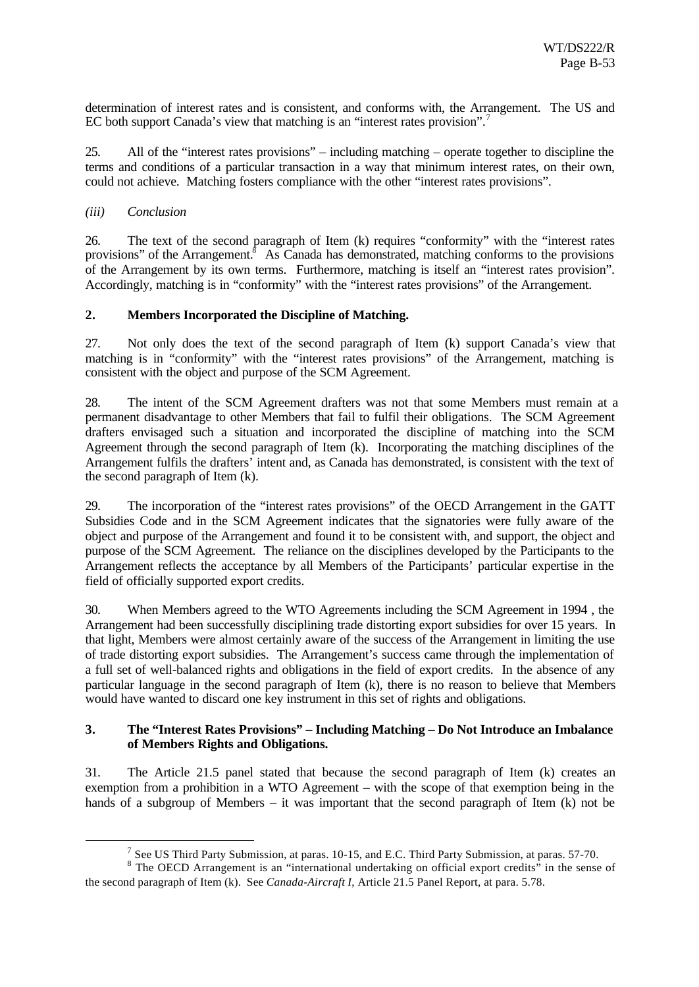determination of interest rates and is consistent, and conforms with, the Arrangement. The US and EC both support Canada's view that matching is an "interest rates provision".<sup>7</sup>

25. All of the "interest rates provisions" – including matching – operate together to discipline the terms and conditions of a particular transaction in a way that minimum interest rates, on their own, could not achieve. Matching fosters compliance with the other "interest rates provisions".

## *(iii) Conclusion*

l

26. The text of the second paragraph of Item (k) requires "conformity" with the "interest rates provisions" of the Arrangement. $\delta$  As Canada has demonstrated, matching conforms to the provisions of the Arrangement by its own terms. Furthermore, matching is itself an "interest rates provision". Accordingly, matching is in "conformity" with the "interest rates provisions" of the Arrangement.

## **2. Members Incorporated the Discipline of Matching.**

27. Not only does the text of the second paragraph of Item (k) support Canada's view that matching is in "conformity" with the "interest rates provisions" of the Arrangement, matching is consistent with the object and purpose of the SCM Agreement.

28. The intent of the SCM Agreement drafters was not that some Members must remain at a permanent disadvantage to other Members that fail to fulfil their obligations. The SCM Agreement drafters envisaged such a situation and incorporated the discipline of matching into the SCM Agreement through the second paragraph of Item (k). Incorporating the matching disciplines of the Arrangement fulfils the drafters' intent and, as Canada has demonstrated, is consistent with the text of the second paragraph of Item (k).

29. The incorporation of the "interest rates provisions" of the OECD Arrangement in the GATT Subsidies Code and in the SCM Agreement indicates that the signatories were fully aware of the object and purpose of the Arrangement and found it to be consistent with, and support, the object and purpose of the SCM Agreement. The reliance on the disciplines developed by the Participants to the Arrangement reflects the acceptance by all Members of the Participants' particular expertise in the field of officially supported export credits.

30. When Members agreed to the WTO Agreements including the SCM Agreement in 1994 , the Arrangement had been successfully disciplining trade distorting export subsidies for over 15 years. In that light, Members were almost certainly aware of the success of the Arrangement in limiting the use of trade distorting export subsidies. The Arrangement's success came through the implementation of a full set of well-balanced rights and obligations in the field of export credits. In the absence of any particular language in the second paragraph of Item (k), there is no reason to believe that Members would have wanted to discard one key instrument in this set of rights and obligations.

## **3. The "Interest Rates Provisions" – Including Matching – Do Not Introduce an Imbalance of Members Rights and Obligations.**

31. The Article 21.5 panel stated that because the second paragraph of Item (k) creates an exemption from a prohibition in a WTO Agreement – with the scope of that exemption being in the hands of a subgroup of Members – it was important that the second paragraph of Item (k) not be

<sup>&</sup>lt;sup>7</sup> See US Third Party Submission, at paras. 10-15, and E.C. Third Party Submission, at paras. 57-70.

<sup>&</sup>lt;sup>8</sup> The OECD Arrangement is an "international undertaking on official export credits" in the sense of the second paragraph of Item (k). See *Canada-Aircraft I*, Article 21.5 Panel Report, at para. 5.78.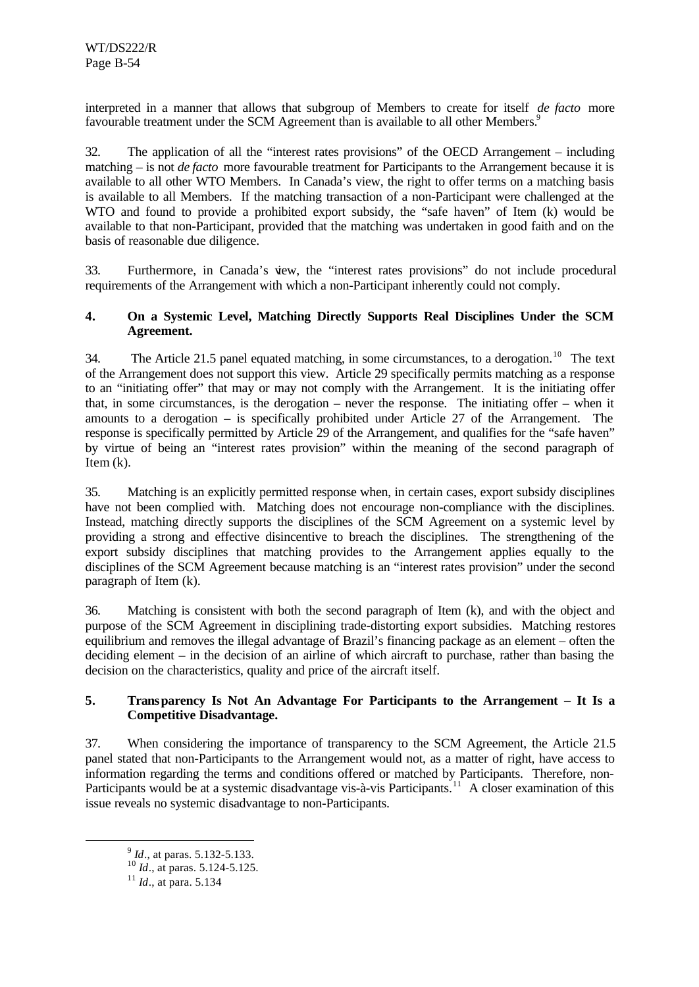interpreted in a manner that allows that subgroup of Members to create for itself *de facto* more favourable treatment under the SCM Agreement than is available to all other Members.<sup>9</sup>

32. The application of all the "interest rates provisions" of the OECD Arrangement – including matching – is not *de facto* more favourable treatment for Participants to the Arrangement because it is available to all other WTO Members. In Canada's view, the right to offer terms on a matching basis is available to all Members. If the matching transaction of a non-Participant were challenged at the WTO and found to provide a prohibited export subsidy, the "safe haven" of Item (k) would be available to that non-Participant, provided that the matching was undertaken in good faith and on the basis of reasonable due diligence.

33. Furthermore, in Canada's view, the "interest rates provisions" do not include procedural requirements of the Arrangement with which a non-Participant inherently could not comply.

## **4. On a Systemic Level, Matching Directly Supports Real Disciplines Under the SCM Agreement.**

34. The Article 21.5 panel equated matching, in some circumstances, to a derogation.<sup>10</sup> The text of the Arrangement does not support this view. Article 29 specifically permits matching as a response to an "initiating offer" that may or may not comply with the Arrangement. It is the initiating offer that, in some circumstances, is the derogation – never the response. The initiating offer – when it amounts to a derogation – is specifically prohibited under Article 27 of the Arrangement. The response is specifically permitted by Article 29 of the Arrangement, and qualifies for the "safe haven" by virtue of being an "interest rates provision" within the meaning of the second paragraph of Item (k).

35. Matching is an explicitly permitted response when, in certain cases, export subsidy disciplines have not been complied with. Matching does not encourage non-compliance with the disciplines. Instead, matching directly supports the disciplines of the SCM Agreement on a systemic level by providing a strong and effective disincentive to breach the disciplines. The strengthening of the export subsidy disciplines that matching provides to the Arrangement applies equally to the disciplines of the SCM Agreement because matching is an "interest rates provision" under the second paragraph of Item (k).

36. Matching is consistent with both the second paragraph of Item (k), and with the object and purpose of the SCM Agreement in disciplining trade-distorting export subsidies. Matching restores equilibrium and removes the illegal advantage of Brazil's financing package as an element – often the deciding element – in the decision of an airline of which aircraft to purchase, rather than basing the decision on the characteristics, quality and price of the aircraft itself.

## **5. Transparency Is Not An Advantage For Participants to the Arrangement – It Is a Competitive Disadvantage.**

37. When considering the importance of transparency to the SCM Agreement, the Article 21.5 panel stated that non-Participants to the Arrangement would not, as a matter of right, have access to information regarding the terms and conditions offered or matched by Participants. Therefore, non-Participants would be at a systemic disadvantage vis-à-vis Participants.<sup>11</sup> A closer examination of this issue reveals no systemic disadvantage to non-Participants.

<sup>&</sup>lt;sup>9</sup> *Id.*, at paras. 5.132-5.133.

*Id.*, at paras. 5.152 5.155.<br><sup>10</sup> *Id.*, at paras. 5.124-5.125.

<sup>11</sup> *Id*., at para. 5.134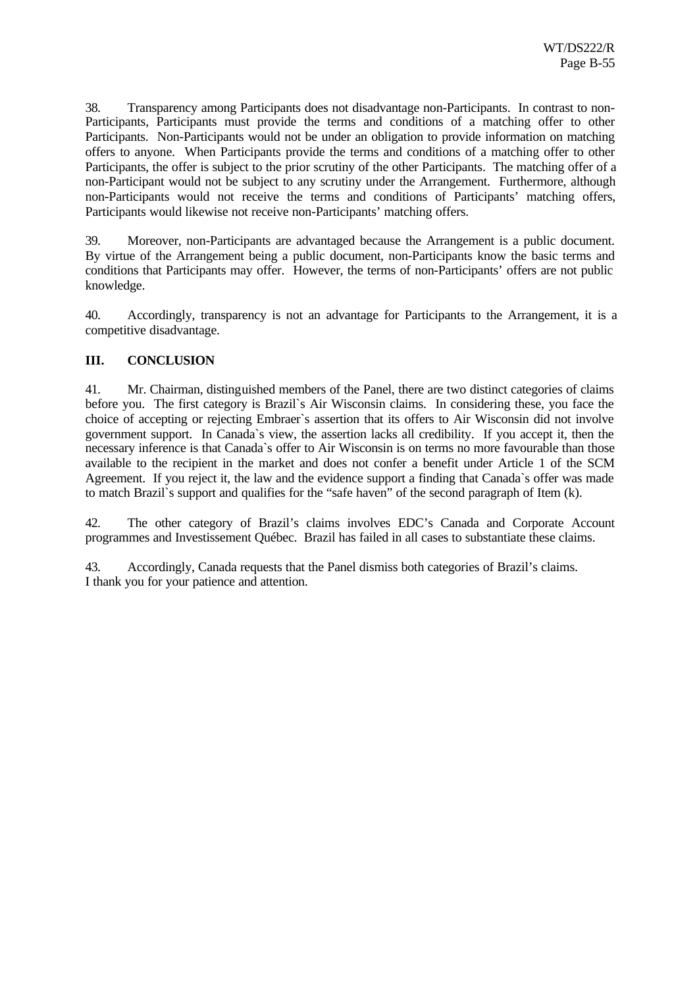38. Transparency among Participants does not disadvantage non-Participants. In contrast to non-Participants, Participants must provide the terms and conditions of a matching offer to other Participants. Non-Participants would not be under an obligation to provide information on matching offers to anyone. When Participants provide the terms and conditions of a matching offer to other Participants, the offer is subject to the prior scrutiny of the other Participants. The matching offer of a non-Participant would not be subject to any scrutiny under the Arrangement. Furthermore, although non-Participants would not receive the terms and conditions of Participants' matching offers, Participants would likewise not receive non-Participants' matching offers.

39. Moreover, non-Participants are advantaged because the Arrangement is a public document. By virtue of the Arrangement being a public document, non-Participants know the basic terms and conditions that Participants may offer. However, the terms of non-Participants' offers are not public knowledge.

40. Accordingly, transparency is not an advantage for Participants to the Arrangement, it is a competitive disadvantage.

## **III. CONCLUSION**

41. Mr. Chairman, distinguished members of the Panel, there are two distinct categories of claims before you. The first category is Brazil`s Air Wisconsin claims. In considering these, you face the choice of accepting or rejecting Embraer`s assertion that its offers to Air Wisconsin did not involve government support. In Canada`s view, the assertion lacks all credibility. If you accept it, then the necessary inference is that Canada`s offer to Air Wisconsin is on terms no more favourable than those available to the recipient in the market and does not confer a benefit under Article 1 of the SCM Agreement. If you reject it, the law and the evidence support a finding that Canada`s offer was made to match Brazil`s support and qualifies for the "safe haven" of the second paragraph of Item (k).

42. The other category of Brazil's claims involves EDC's Canada and Corporate Account programmes and Investissement Québec. Brazil has failed in all cases to substantiate these claims.

43. Accordingly, Canada requests that the Panel dismiss both categories of Brazil's claims. I thank you for your patience and attention.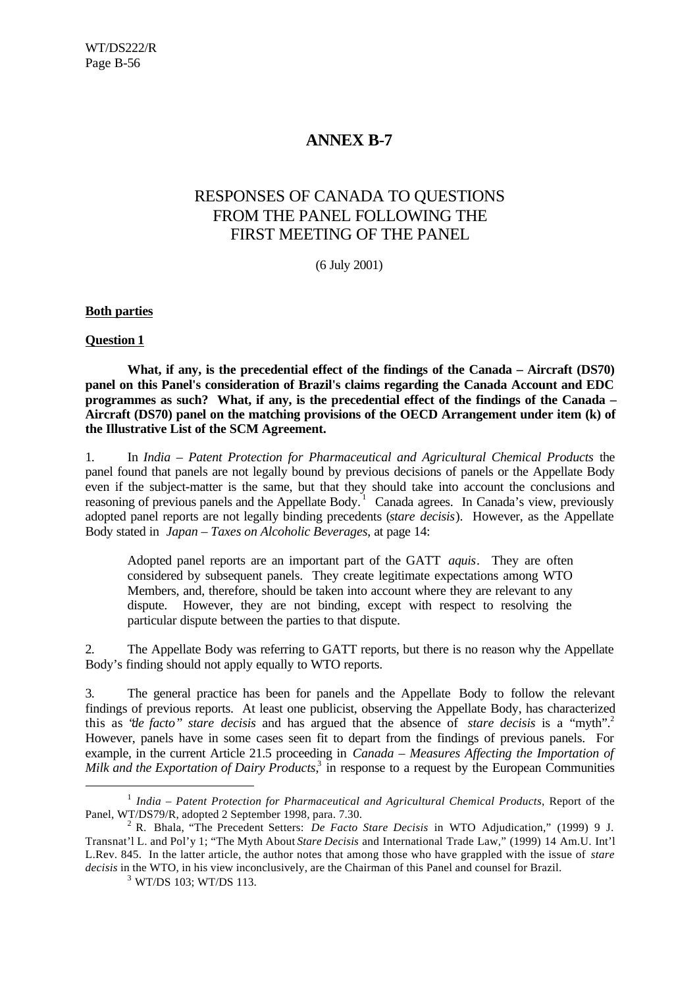## **ANNEX B-7**

## RESPONSES OF CANADA TO QUESTIONS FROM THE PANEL FOLLOWING THE FIRST MEETING OF THE PANEL

(6 July 2001)

#### **Both parties**

## **Question 1**

l

**What, if any, is the precedential effect of the findings of the Canada – Aircraft (DS70) panel on this Panel's consideration of Brazil's claims regarding the Canada Account and EDC programmes as such? What, if any, is the precedential effect of the findings of the Canada – Aircraft (DS70) panel on the matching provisions of the OECD Arrangement under item (k) of the Illustrative List of the SCM Agreement.**

1. In *India – Patent Protection for Pharmaceutical and Agricultural Chemical Products* the panel found that panels are not legally bound by previous decisions of panels or the Appellate Body even if the subject-matter is the same, but that they should take into account the conclusions and reasoning of previous panels and the Appellate Body.<sup>1</sup> Canada agrees. In Canada's view, previously adopted panel reports are not legally binding precedents (*stare decisis*). However, as the Appellate Body stated in *Japan – Taxes on Alcoholic Beverages*, at page 14:

Adopted panel reports are an important part of the GATT *aquis*. They are often considered by subsequent panels. They create legitimate expectations among WTO Members, and, therefore, should be taken into account where they are relevant to any dispute. However, they are not binding, except with respect to resolving the particular dispute between the parties to that dispute.

2. The Appellate Body was referring to GATT reports, but there is no reason why the Appellate Body's finding should not apply equally to WTO reports.

3. The general practice has been for panels and the Appellate Body to follow the relevant findings of previous reports. At least one publicist, observing the Appellate Body, has characterized this as "*de facto*" *stare decisis* and has argued that the absence of *stare decisis* is a "myth".<sup>2</sup> However, panels have in some cases seen fit to depart from the findings of previous panels. For example, in the current Article 21.5 proceeding in *Canada – Measures Affecting the Importation of* Milk and the Exportation of Dairy Products<sup>3</sup>, in response to a request by the European Communities

<sup>&</sup>lt;sup>1</sup> India – Patent Protection for Pharmaceutical and Agricultural Chemical Products, Report of the Panel, WT/DS79/R, adopted 2 September 1998, para. 7.30.

<sup>2</sup> R. Bhala, "The Precedent Setters: *De Facto Stare Decisis* in WTO Adjudication," (1999) 9 J. Transnat'l L. and Pol'y 1; "The Myth About *Stare Decisis* and International Trade Law," (1999) 14 Am.U. Int'l L.Rev. 845. In the latter article, the author notes that among those who have grappled with the issue of *stare decisis* in the WTO, in his view inconclusively, are the Chairman of this Panel and counsel for Brazil.

<sup>&</sup>lt;sup>3</sup> WT/DS 103; WT/DS 113.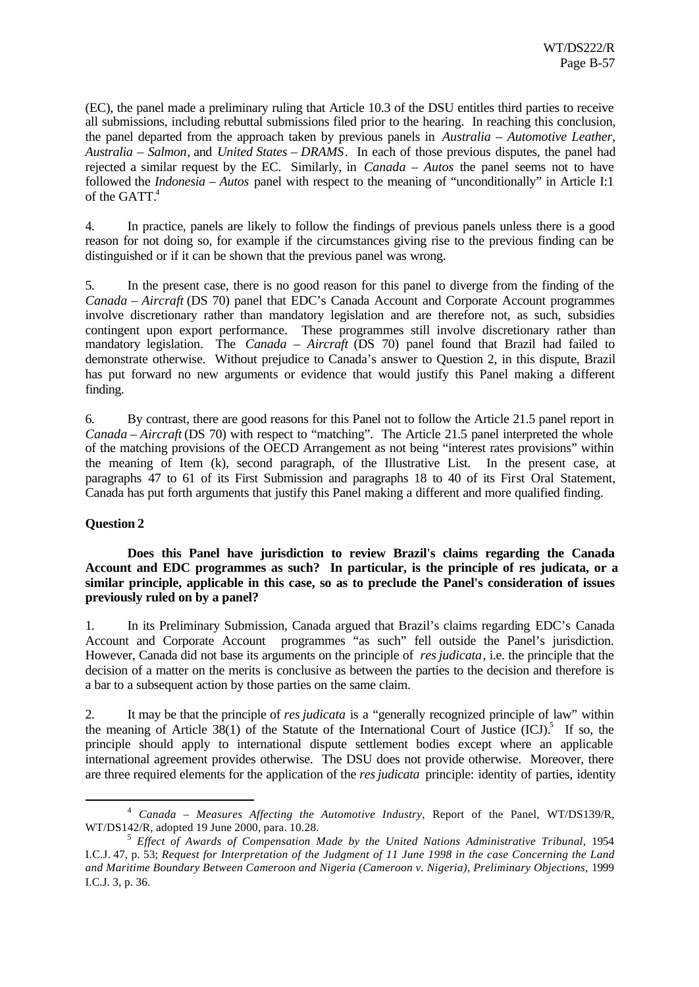(EC), the panel made a preliminary ruling that Article 10.3 of the DSU entitles third parties to receive all submissions, including rebuttal submissions filed prior to the hearing. In reaching this conclusion, the panel departed from the approach taken by previous panels in *Australia – Automotive Leather, Australia – Salmon*, and *United States – DRAMS*. In each of those previous disputes, the panel had rejected a similar request by the EC. Similarly, in *Canada – Autos* the panel seems not to have followed the *Indonesia – Autos* panel with respect to the meaning of "unconditionally" in Article I:1 of the GATT.<sup>4</sup>

4. In practice, panels are likely to follow the findings of previous panels unless there is a good reason for not doing so, for example if the circumstances giving rise to the previous finding can be distinguished or if it can be shown that the previous panel was wrong.

5. In the present case, there is no good reason for this panel to diverge from the finding of the *Canada – Aircraft* (DS 70) panel that EDC's Canada Account and Corporate Account programmes involve discretionary rather than mandatory legislation and are therefore not, as such, subsidies contingent upon export performance. These programmes still involve discretionary rather than mandatory legislation. The *Canada – Aircraft* (DS 70) panel found that Brazil had failed to demonstrate otherwise. Without prejudice to Canada's answer to Question 2, in this dispute, Brazil has put forward no new arguments or evidence that would justify this Panel making a different finding.

6. By contrast, there are good reasons for this Panel not to follow the Article 21.5 panel report in *Canada – Aircraft* (DS 70) with respect to "matching". The Article 21.5 panel interpreted the whole of the matching provisions of the OECD Arrangement as not being "interest rates provisions" within the meaning of Item (k), second paragraph, of the Illustrative List. In the present case, at paragraphs 47 to 61 of its First Submission and paragraphs 18 to 40 of its First Oral Statement, Canada has put forth arguments that justify this Panel making a different and more qualified finding.

## **Question 2**

l

**Does this Panel have jurisdiction to review Brazil's claims regarding the Canada Account and EDC programmes as such? In particular, is the principle of res judicata, or a similar principle, applicable in this case, so as to preclude the Panel's consideration of issues previously ruled on by a panel?**

1. In its Preliminary Submission, Canada argued that Brazil's claims regarding EDC's Canada Account and Corporate Account programmes "as such" fell outside the Panel's jurisdiction. However, Canada did not base its arguments on the principle of *res judicata*, i.e. the principle that the decision of a matter on the merits is conclusive as between the parties to the decision and therefore is a bar to a subsequent action by those parties on the same claim.

2. It may be that the principle of *res judicata* is a "generally recognized principle of law" within the meaning of Article  $38(1)$  of the Statute of the International Court of Justice  $(ICJ)$ .<sup>5</sup> If so, the principle should apply to international dispute settlement bodies except where an applicable international agreement provides otherwise. The DSU does not provide otherwise. Moreover, there are three required elements for the application of the *res judicata* principle: identity of parties, identity

<sup>4</sup> *Canada – Measures Affecting the Automotive Industry*, Report of the Panel, WT/DS139/R, WT/DS142/R, adopted 19 June 2000, para. 10.28.

<sup>5</sup> *Effect of Awards of Compensation Made by the United Nations Administrative Tribunal*, 1954 I.C.J. 47, p. 53; *Request for Interpretation of the Judgment of 11 June 1998 in the case Concerning the Land and Maritime Boundary Between Cameroon and Nigeria (Cameroon v. Nigeria), Preliminary Objections,* 1999 I.C.J. 3, p. 36.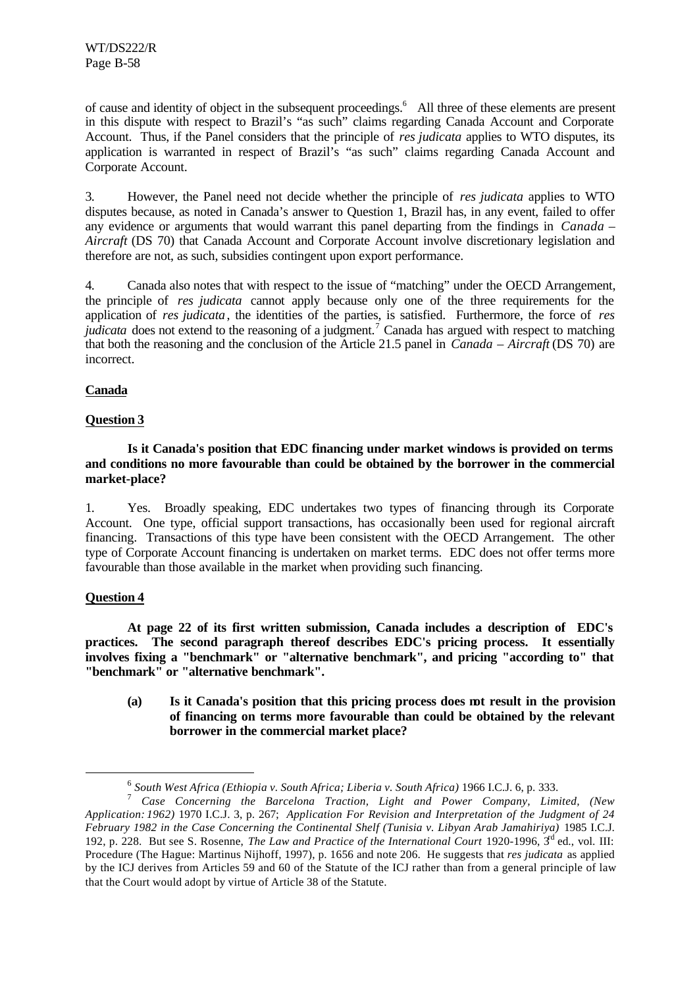of cause and identity of object in the subsequent proceedings.<sup>6</sup> All three of these elements are present in this dispute with respect to Brazil's "as such" claims regarding Canada Account and Corporate Account. Thus, if the Panel considers that the principle of *res judicata* applies to WTO disputes, its application is warranted in respect of Brazil's "as such" claims regarding Canada Account and Corporate Account.

3. However, the Panel need not decide whether the principle of *res judicata* applies to WTO disputes because, as noted in Canada's answer to Question 1, Brazil has, in any event, failed to offer any evidence or arguments that would warrant this panel departing from the findings in *Canada – Aircraft* (DS 70) that Canada Account and Corporate Account involve discretionary legislation and therefore are not, as such, subsidies contingent upon export performance.

4. Canada also notes that with respect to the issue of "matching" under the OECD Arrangement, the principle of *res judicata* cannot apply because only one of the three requirements for the application of *res judicata*, the identities of the parties, is satisfied. Furthermore, the force of *res judicata* does not extend to the reasoning of a judgment.<sup>7</sup> Canada has argued with respect to matching that both the reasoning and the conclusion of the Article 21.5 panel in *Canada – Aircraft* (DS 70) are incorrect.

## **Canada**

## **Question 3**

**Is it Canada's position that EDC financing under market windows is provided on terms and conditions no more favourable than could be obtained by the borrower in the commercial market-place?**

1. Yes. Broadly speaking, EDC undertakes two types of financing through its Corporate Account. One type, official support transactions, has occasionally been used for regional aircraft financing. Transactions of this type have been consistent with the OECD Arrangement. The other type of Corporate Account financing is undertaken on market terms. EDC does not offer terms more favourable than those available in the market when providing such financing.

## **Question 4**

l

**At page 22 of its first written submission, Canada includes a description of EDC's practices. The second paragraph thereof describes EDC's pricing process. It essentially involves fixing a "benchmark" or "alternative benchmark", and pricing "according to" that "benchmark" or "alternative benchmark".**

**(a) Is it Canada's position that this pricing process does not result in the provision of financing on terms more favourable than could be obtained by the relevant borrower in the commercial market place?**

<sup>6</sup> *South West Africa (Ethiopia v. South Africa; Liberia v. South Africa)* 1966 I.C.J. 6, p. 333.

<sup>7</sup> *Case Concerning the Barcelona Traction, Light and Power Company, Limited, (New Application: 1962)* 1970 I.C.J. 3, p. 267; *Application For Revision and Interpretation of the Judgment of 24 February 1982 in the Case Concerning the Continental Shelf (Tunisia v. Libyan Arab Jamahiriya)* 1985 I.C.J. 192, p. 228. But see S. Rosenne, *The Law and Practice of the International Court* 1920-1996, 3rd ed., vol. III: Procedure (The Hague: Martinus Nijhoff, 1997), p. 1656 and note 206. He suggests that *res judicata* as applied by the ICJ derives from Articles 59 and 60 of the Statute of the ICJ rather than from a general principle of law that the Court would adopt by virtue of Article 38 of the Statute.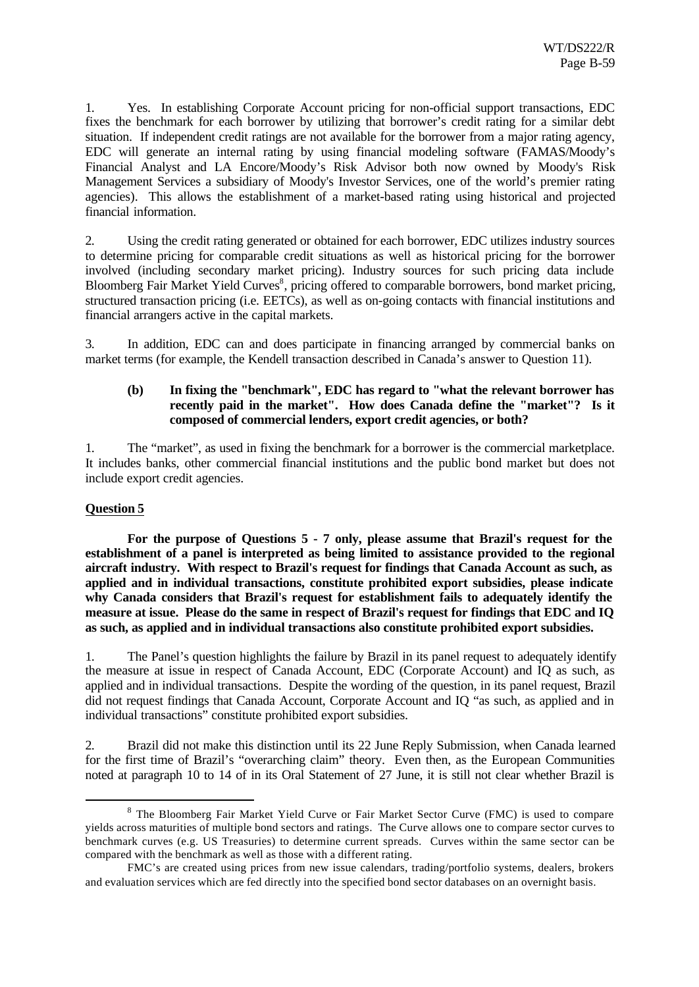1. Yes. In establishing Corporate Account pricing for non-official support transactions, EDC fixes the benchmark for each borrower by utilizing that borrower's credit rating for a similar debt situation. If independent credit ratings are not available for the borrower from a major rating agency, EDC will generate an internal rating by using financial modeling software (FAMAS/Moody's Financial Analyst and LA Encore/Moody's Risk Advisor both now owned by Moody's Risk Management Services a subsidiary of Moody's Investor Services, one of the world's premier rating agencies). This allows the establishment of a market-based rating using historical and projected financial information.

2. Using the credit rating generated or obtained for each borrower, EDC utilizes industry sources to determine pricing for comparable credit situations as well as historical pricing for the borrower involved (including secondary market pricing). Industry sources for such pricing data include Bloomberg Fair Market Yield Curves<sup>8</sup>, pricing offered to comparable borrowers, bond market pricing, structured transaction pricing (i.e. EETCs), as well as on-going contacts with financial institutions and financial arrangers active in the capital markets.

3. In addition, EDC can and does participate in financing arranged by commercial banks on market terms (for example, the Kendell transaction described in Canada's answer to Question 11).

#### **(b) In fixing the "benchmark", EDC has regard to "what the relevant borrower has recently paid in the market". How does Canada define the "market"? Is it composed of commercial lenders, export credit agencies, or both?**

1. The "market", as used in fixing the benchmark for a borrower is the commercial marketplace. It includes banks, other commercial financial institutions and the public bond market but does not include export credit agencies.

## **Question 5**

l

**For the purpose of Questions 5 - 7 only, please assume that Brazil's request for the establishment of a panel is interpreted as being limited to assistance provided to the regional aircraft industry. With respect to Brazil's request for findings that Canada Account as such, as applied and in individual transactions, constitute prohibited export subsidies, please indicate why Canada considers that Brazil's request for establishment fails to adequately identify the measure at issue. Please do the same in respect of Brazil's request for findings that EDC and IQ as such, as applied and in individual transactions also constitute prohibited export subsidies.**

1. The Panel's question highlights the failure by Brazil in its panel request to adequately identify the measure at issue in respect of Canada Account, EDC (Corporate Account) and IQ as such, as applied and in individual transactions. Despite the wording of the question, in its panel request, Brazil did not request findings that Canada Account, Corporate Account and IQ "as such, as applied and in individual transactions" constitute prohibited export subsidies.

2. Brazil did not make this distinction until its 22 June Reply Submission, when Canada learned for the first time of Brazil's "overarching claim" theory. Even then, as the European Communities noted at paragraph 10 to 14 of in its Oral Statement of 27 June, it is still not clear whether Brazil is

<sup>&</sup>lt;sup>8</sup> The Bloomberg Fair Market Yield Curve or Fair Market Sector Curve (FMC) is used to compare yields across maturities of multiple bond sectors and ratings. The Curve allows one to compare sector curves to benchmark curves (e.g. US Treasuries) to determine current spreads. Curves within the same sector can be compared with the benchmark as well as those with a different rating.

FMC's are created using prices from new issue calendars, trading/portfolio systems, dealers, brokers and evaluation services which are fed directly into the specified bond sector databases on an overnight basis.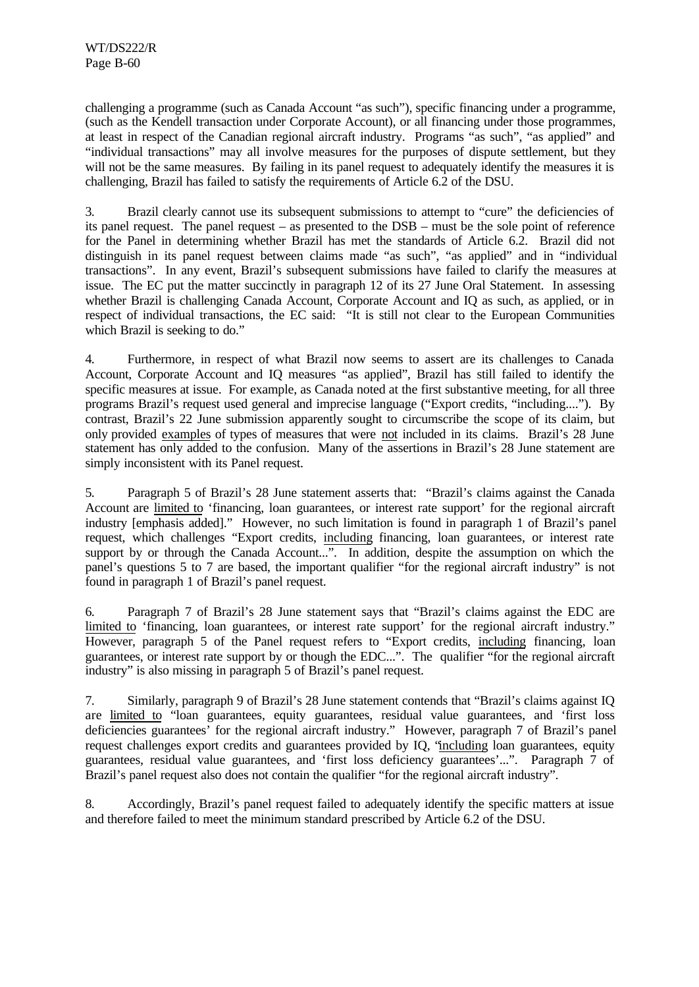challenging a programme (such as Canada Account "as such"), specific financing under a programme, (such as the Kendell transaction under Corporate Account), or all financing under those programmes, at least in respect of the Canadian regional aircraft industry. Programs "as such", "as applied" and "individual transactions" may all involve measures for the purposes of dispute settlement, but they will not be the same measures. By failing in its panel request to adequately identify the measures it is challenging, Brazil has failed to satisfy the requirements of Article 6.2 of the DSU.

3. Brazil clearly cannot use its subsequent submissions to attempt to "cure" the deficiencies of its panel request. The panel request – as presented to the DSB – must be the sole point of reference for the Panel in determining whether Brazil has met the standards of Article 6.2. Brazil did not distinguish in its panel request between claims made "as such", "as applied" and in "individual transactions". In any event, Brazil's subsequent submissions have failed to clarify the measures at issue. The EC put the matter succinctly in paragraph 12 of its 27 June Oral Statement. In assessing whether Brazil is challenging Canada Account, Corporate Account and IQ as such, as applied, or in respect of individual transactions, the EC said: "It is still not clear to the European Communities which Brazil is seeking to do."

4. Furthermore, in respect of what Brazil now seems to assert are its challenges to Canada Account, Corporate Account and IQ measures "as applied", Brazil has still failed to identify the specific measures at issue. For example, as Canada noted at the first substantive meeting, for all three programs Brazil's request used general and imprecise language ("Export credits, "including...."). By contrast, Brazil's 22 June submission apparently sought to circumscribe the scope of its claim, but only provided examples of types of measures that were not included in its claims. Brazil's 28 June statement has only added to the confusion. Many of the assertions in Brazil's 28 June statement are simply inconsistent with its Panel request.

5. Paragraph 5 of Brazil's 28 June statement asserts that: "Brazil's claims against the Canada Account are limited to 'financing, loan guarantees, or interest rate support' for the regional aircraft industry [emphasis added]." However, no such limitation is found in paragraph 1 of Brazil's panel request, which challenges "Export credits, including financing, loan guarantees, or interest rate support by or through the Canada Account...". In addition, despite the assumption on which the panel's questions 5 to 7 are based, the important qualifier "for the regional aircraft industry" is not found in paragraph 1 of Brazil's panel request.

6. Paragraph 7 of Brazil's 28 June statement says that "Brazil's claims against the EDC are limited to 'financing, loan guarantees, or interest rate support' for the regional aircraft industry." However, paragraph 5 of the Panel request refers to "Export credits, including financing, loan guarantees, or interest rate support by or though the EDC...". The qualifier "for the regional aircraft industry" is also missing in paragraph 5 of Brazil's panel request.

7. Similarly, paragraph 9 of Brazil's 28 June statement contends that "Brazil's claims against IQ are limited to "loan guarantees, equity guarantees, residual value guarantees, and 'first loss deficiencies guarantees' for the regional aircraft industry." However, paragraph 7 of Brazil's panel request challenges export credits and guarantees provided by IQ, "including loan guarantees, equity guarantees, residual value guarantees, and 'first loss deficiency guarantees'...". Paragraph 7 of Brazil's panel request also does not contain the qualifier "for the regional aircraft industry".

8. Accordingly, Brazil's panel request failed to adequately identify the specific matters at issue and therefore failed to meet the minimum standard prescribed by Article 6.2 of the DSU.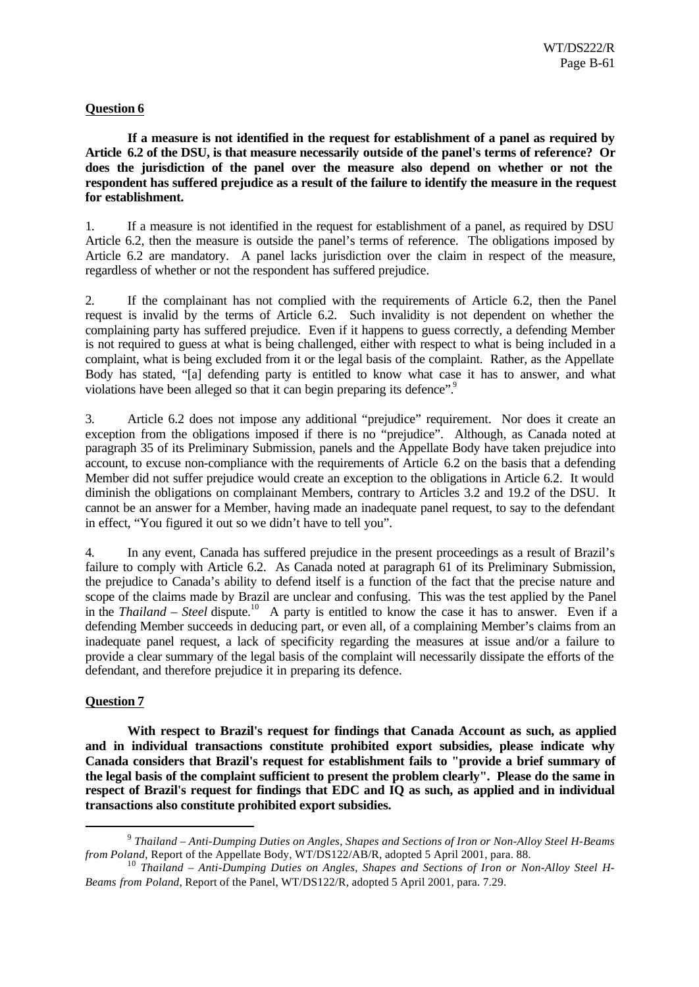## **Question 6**

**If a measure is not identified in the request for establishment of a panel as required by Article 6.2 of the DSU, is that measure necessarily outside of the panel's terms of reference? Or does the jurisdiction of the panel over the measure also depend on whether or not the respondent has suffered prejudice as a result of the failure to identify the measure in the request for establishment.**

1. If a measure is not identified in the request for establishment of a panel, as required by DSU Article 6.2, then the measure is outside the panel's terms of reference. The obligations imposed by Article 6.2 are mandatory. A panel lacks jurisdiction over the claim in respect of the measure, regardless of whether or not the respondent has suffered prejudice.

2. If the complainant has not complied with the requirements of Article 6.2, then the Panel request is invalid by the terms of Article 6.2. Such invalidity is not dependent on whether the complaining party has suffered prejudice. Even if it happens to guess correctly, a defending Member is not required to guess at what is being challenged, either with respect to what is being included in a complaint, what is being excluded from it or the legal basis of the complaint. Rather, as the Appellate Body has stated, "[a] defending party is entitled to know what case it has to answer, and what violations have been alleged so that it can begin preparing its defence".<sup>9</sup>

3. Article 6.2 does not impose any additional "prejudice" requirement. Nor does it create an exception from the obligations imposed if there is no "prejudice". Although, as Canada noted at paragraph 35 of its Preliminary Submission, panels and the Appellate Body have taken prejudice into account, to excuse non-compliance with the requirements of Article 6.2 on the basis that a defending Member did not suffer prejudice would create an exception to the obligations in Article 6.2. It would diminish the obligations on complainant Members, contrary to Articles 3.2 and 19.2 of the DSU. It cannot be an answer for a Member, having made an inadequate panel request, to say to the defendant in effect, "You figured it out so we didn't have to tell you".

4. In any event, Canada has suffered prejudice in the present proceedings as a result of Brazil's failure to comply with Article 6.2. As Canada noted at paragraph 61 of its Preliminary Submission, the prejudice to Canada's ability to defend itself is a function of the fact that the precise nature and scope of the claims made by Brazil are unclear and confusing. This was the test applied by the Panel in the *Thailand – Steel* dispute.<sup>10</sup> A party is entitled to know the case it has to answer. Even if a defending Member succeeds in deducing part, or even all, of a complaining Member's claims from an inadequate panel request, a lack of specificity regarding the measures at issue and/or a failure to provide a clear summary of the legal basis of the complaint will necessarily dissipate the efforts of the defendant, and therefore prejudice it in preparing its defence.

#### **Question 7**

l

**With respect to Brazil's request for findings that Canada Account as such, as applied and in individual transactions constitute prohibited export subsidies, please indicate why Canada considers that Brazil's request for establishment fails to "provide a brief summary of the legal basis of the complaint sufficient to present the problem clearly". Please do the same in respect of Brazil's request for findings that EDC and IQ as such, as applied and in individual transactions also constitute prohibited export subsidies.**

<sup>9</sup> *Thailand – Anti-Dumping Duties on Angles, Shapes and Sections of Iron or Non-Alloy Steel H-Beams from Poland*, Report of the Appellate Body, WT/DS122/AB/R, adopted 5 April 2001, para. 88.

<sup>&</sup>lt;sup>10</sup> Thailand – Anti-Dumping Duties on Angles, Shapes and Sections of Iron or Non-Alloy Steel H-*Beams from Poland*, Report of the Panel, WT/DS122/R, adopted 5 April 2001, para. 7.29.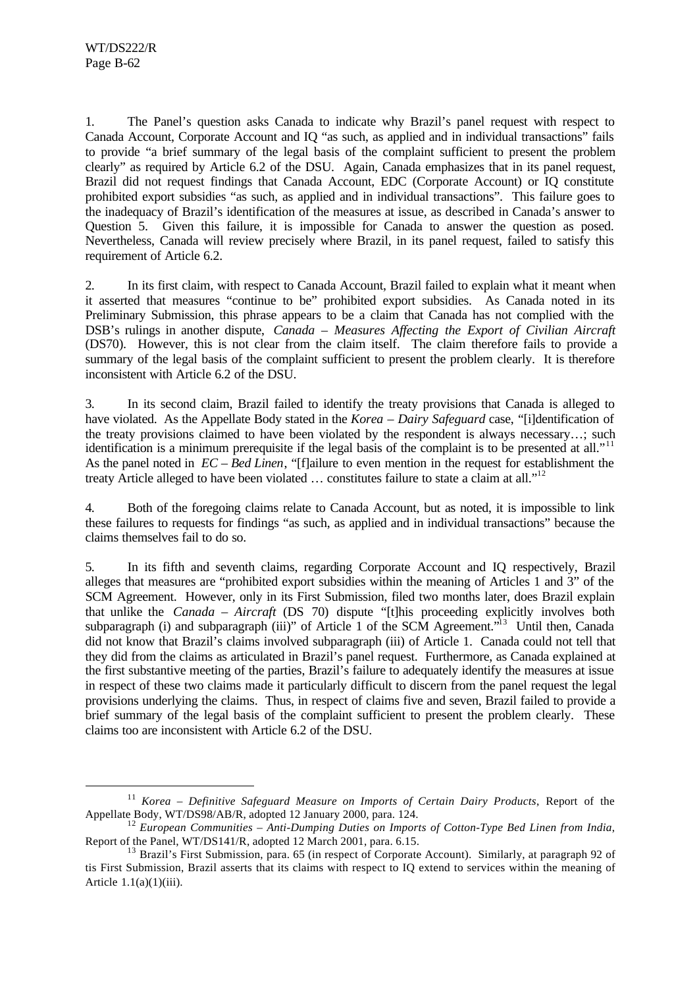l

1. The Panel's question asks Canada to indicate why Brazil's panel request with respect to Canada Account, Corporate Account and IQ "as such, as applied and in individual transactions" fails to provide "a brief summary of the legal basis of the complaint sufficient to present the problem clearly" as required by Article 6.2 of the DSU. Again, Canada emphasizes that in its panel request, Brazil did not request findings that Canada Account, EDC (Corporate Account) or IQ constitute prohibited export subsidies "as such, as applied and in individual transactions". This failure goes to the inadequacy of Brazil's identification of the measures at issue, as described in Canada's answer to Question 5. Given this failure, it is impossible for Canada to answer the question as posed. Nevertheless, Canada will review precisely where Brazil, in its panel request, failed to satisfy this requirement of Article 6.2.

2. In its first claim, with respect to Canada Account, Brazil failed to explain what it meant when it asserted that measures "continue to be" prohibited export subsidies. As Canada noted in its Preliminary Submission, this phrase appears to be a claim that Canada has not complied with the DSB's rulings in another dispute, *Canada – Measures Affecting the Export of Civilian Aircraft* (DS70). However, this is not clear from the claim itself. The claim therefore fails to provide a summary of the legal basis of the complaint sufficient to present the problem clearly. It is therefore inconsistent with Article 6.2 of the DSU.

3. In its second claim, Brazil failed to identify the treaty provisions that Canada is alleged to have violated. As the Appellate Body stated in the *Korea – Dairy Safeguard* case, "[i]dentification of the treaty provisions claimed to have been violated by the respondent is always necessary…; such identification is a minimum prerequisite if the legal basis of the complaint is to be presented at all."<sup>11</sup> As the panel noted in *EC – Bed Linen*, "[f]ailure to even mention in the request for establishment the treaty Article alleged to have been violated  $\ldots$  constitutes failure to state a claim at all."<sup>12</sup>

4. Both of the foregoing claims relate to Canada Account, but as noted, it is impossible to link these failures to requests for findings "as such, as applied and in individual transactions" because the claims themselves fail to do so.

5. In its fifth and seventh claims, regarding Corporate Account and IQ respectively, Brazil alleges that measures are "prohibited export subsidies within the meaning of Articles 1 and 3" of the SCM Agreement. However, only in its First Submission, filed two months later, does Brazil explain that unlike the *Canada – Aircraft* (DS 70) dispute "[t]his proceeding explicitly involves both subparagraph (i) and subparagraph (iii)" of Article 1 of the SCM Agreement.<sup>33</sup> Until then, Canada did not know that Brazil's claims involved subparagraph (iii) of Article 1. Canada could not tell that they did from the claims as articulated in Brazil's panel request. Furthermore, as Canada explained at the first substantive meeting of the parties, Brazil's failure to adequately identify the measures at issue in respect of these two claims made it particularly difficult to discern from the panel request the legal provisions underlying the claims. Thus, in respect of claims five and seven, Brazil failed to provide a brief summary of the legal basis of the complaint sufficient to present the problem clearly. These claims too are inconsistent with Article 6.2 of the DSU.

<sup>11</sup> *Korea – Definitive Safeguard Measure on Imports of Certain Dairy Products*, Report of the Appellate Body, WT/DS98/AB/R, adopted 12 January 2000, para. 124.

<sup>12</sup> *European Communities – Anti-Dumping Duties on Imports of Cotton-Type Bed Linen from India*, Report of the Panel, WT/DS141/R, adopted 12 March 2001, para. 6.15.

<sup>&</sup>lt;sup>13</sup> Brazil's First Submission, para. 65 (in respect of Corporate Account). Similarly, at paragraph 92 of tis First Submission, Brazil asserts that its claims with respect to IQ extend to services within the meaning of Article  $1.1(a)(1)(iii)$ .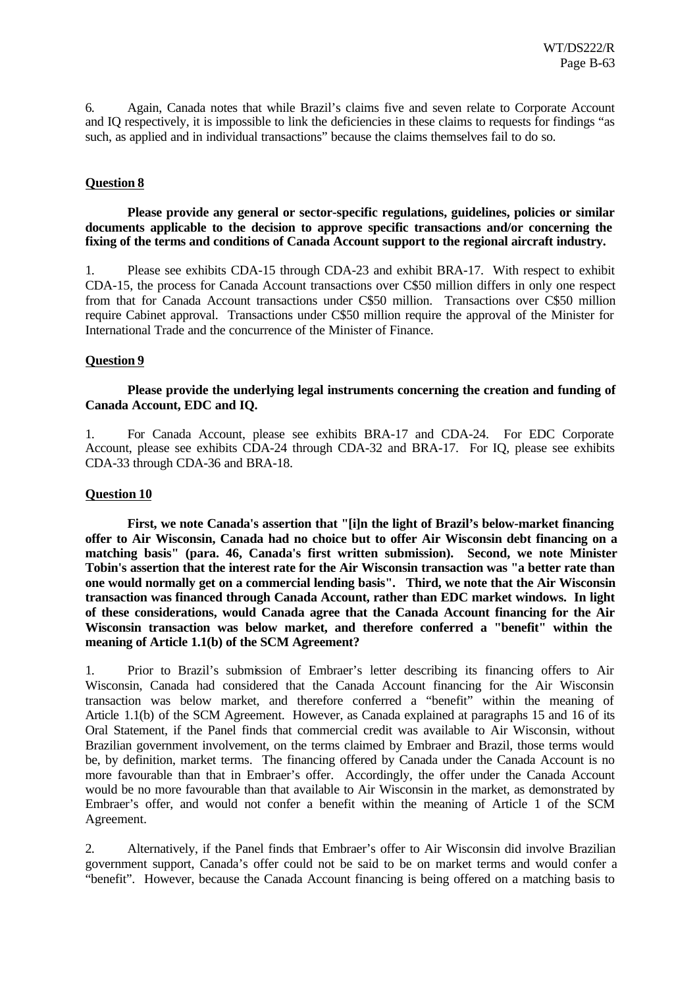6. Again, Canada notes that while Brazil's claims five and seven relate to Corporate Account and IQ respectively, it is impossible to link the deficiencies in these claims to requests for findings "as such, as applied and in individual transactions" because the claims themselves fail to do so.

## **Question 8**

#### **Please provide any general or sector-specific regulations, guidelines, policies or similar documents applicable to the decision to approve specific transactions and/or concerning the fixing of the terms and conditions of Canada Account support to the regional aircraft industry.**

1. Please see exhibits CDA-15 through CDA-23 and exhibit BRA-17. With respect to exhibit CDA-15, the process for Canada Account transactions over C\$50 million differs in only one respect from that for Canada Account transactions under C\$50 million. Transactions over C\$50 million require Cabinet approval. Transactions under C\$50 million require the approval of the Minister for International Trade and the concurrence of the Minister of Finance.

## **Question 9**

#### **Please provide the underlying legal instruments concerning the creation and funding of Canada Account, EDC and IQ.**

1. For Canada Account, please see exhibits BRA-17 and CDA-24. For EDC Corporate Account, please see exhibits CDA-24 through CDA-32 and BRA-17. For IQ, please see exhibits CDA-33 through CDA-36 and BRA-18.

#### **Question 10**

**First, we note Canada's assertion that "[i]n the light of Brazil's below-market financing offer to Air Wisconsin, Canada had no choice but to offer Air Wisconsin debt financing on a matching basis" (para. 46, Canada's first written submission). Second, we note Minister Tobin's assertion that the interest rate for the Air Wisconsin transaction was "a better rate than one would normally get on a commercial lending basis". Third, we note that the Air Wisconsin transaction was financed through Canada Account, rather than EDC market windows. In light of these considerations, would Canada agree that the Canada Account financing for the Air Wisconsin transaction was below market, and therefore conferred a "benefit" within the meaning of Article 1.1(b) of the SCM Agreement?**

1. Prior to Brazil's submission of Embraer's letter describing its financing offers to Air Wisconsin, Canada had considered that the Canada Account financing for the Air Wisconsin transaction was below market, and therefore conferred a "benefit" within the meaning of Article 1.1(b) of the SCM Agreement. However, as Canada explained at paragraphs 15 and 16 of its Oral Statement, if the Panel finds that commercial credit was available to Air Wisconsin, without Brazilian government involvement, on the terms claimed by Embraer and Brazil, those terms would be, by definition, market terms. The financing offered by Canada under the Canada Account is no more favourable than that in Embraer's offer. Accordingly, the offer under the Canada Account would be no more favourable than that available to Air Wisconsin in the market, as demonstrated by Embraer's offer, and would not confer a benefit within the meaning of Article 1 of the SCM Agreement.

2. Alternatively, if the Panel finds that Embraer's offer to Air Wisconsin did involve Brazilian government support, Canada's offer could not be said to be on market terms and would confer a "benefit". However, because the Canada Account financing is being offered on a matching basis to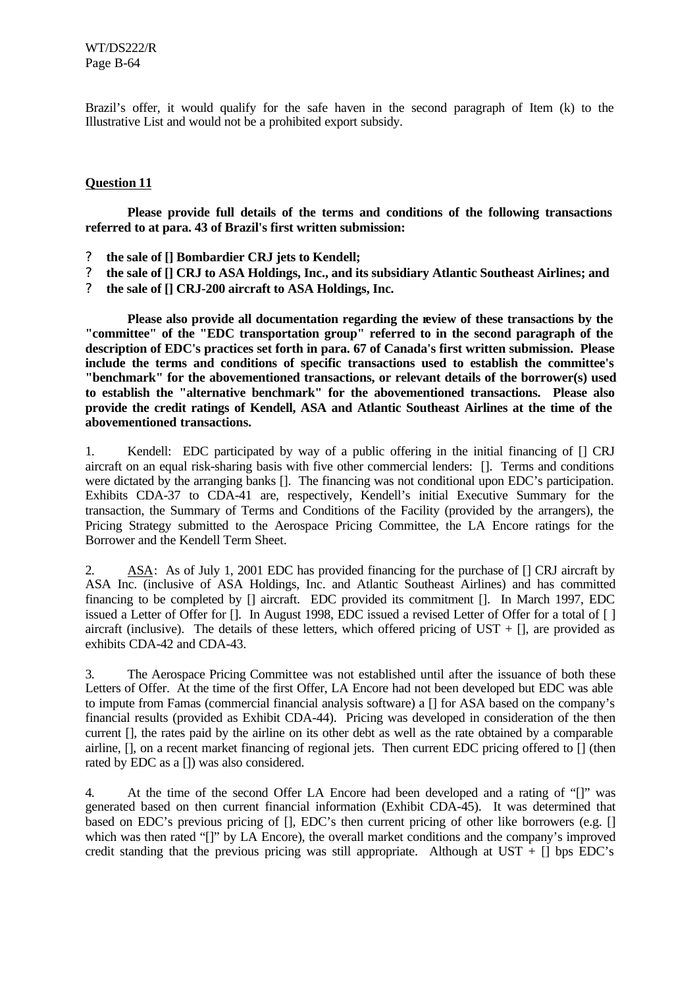Brazil's offer, it would qualify for the safe haven in the second paragraph of Item (k) to the Illustrative List and would not be a prohibited export subsidy.

## **Question 11**

**Please provide full details of the terms and conditions of the following transactions referred to at para. 43 of Brazil's first written submission:**

- ? **the sale of [] Bombardier CRJ jets to Kendell;**
- ? **the sale of [] CRJ to ASA Holdings, Inc., and its subsidiary Atlantic Southeast Airlines; and**
- ? **the sale of [] CRJ-200 aircraft to ASA Holdings, Inc.**

**Please also provide all documentation regarding the review of these transactions by the "committee" of the "EDC transportation group" referred to in the second paragraph of the description of EDC's practices set forth in para. 67 of Canada's first written submission. Please include the terms and conditions of specific transactions used to establish the committee's "benchmark" for the abovementioned transactions, or relevant details of the borrower(s) used to establish the "alternative benchmark" for the abovementioned transactions. Please also provide the credit ratings of Kendell, ASA and Atlantic Southeast Airlines at the time of the abovementioned transactions.**

1. Kendell: EDC participated by way of a public offering in the initial financing of [] CRJ aircraft on an equal risk-sharing basis with five other commercial lenders: []. Terms and conditions were dictated by the arranging banks []. The financing was not conditional upon EDC's participation. Exhibits CDA-37 to CDA-41 are, respectively, Kendell's initial Executive Summary for the transaction, the Summary of Terms and Conditions of the Facility (provided by the arrangers), the Pricing Strategy submitted to the Aerospace Pricing Committee, the LA Encore ratings for the Borrower and the Kendell Term Sheet.

2. ASA: As of July 1, 2001 EDC has provided financing for the purchase of [] CRJ aircraft by ASA Inc. (inclusive of ASA Holdings, Inc. and Atlantic Southeast Airlines) and has committed financing to be completed by [] aircraft. EDC provided its commitment []. In March 1997, EDC issued a Letter of Offer for []. In August 1998, EDC issued a revised Letter of Offer for a total of [ ] aircraft (inclusive). The details of these letters, which offered pricing of  $UST + []$ , are provided as exhibits CDA-42 and CDA-43.

3. The Aerospace Pricing Committee was not established until after the issuance of both these Letters of Offer. At the time of the first Offer, LA Encore had not been developed but EDC was able to impute from Famas (commercial financial analysis software) a [] for ASA based on the company's financial results (provided as Exhibit CDA-44). Pricing was developed in consideration of the then current [], the rates paid by the airline on its other debt as well as the rate obtained by a comparable airline, [], on a recent market financing of regional jets. Then current EDC pricing offered to [] (then rated by EDC as a []) was also considered.

4. At the time of the second Offer LA Encore had been developed and a rating of "[]" was generated based on then current financial information (Exhibit CDA-45). It was determined that based on EDC's previous pricing of [], EDC's then current pricing of other like borrowers (e.g. [] which was then rated "[]" by LA Encore), the overall market conditions and the company's improved credit standing that the previous pricing was still appropriate. Although at UST  $+$  [] bps EDC's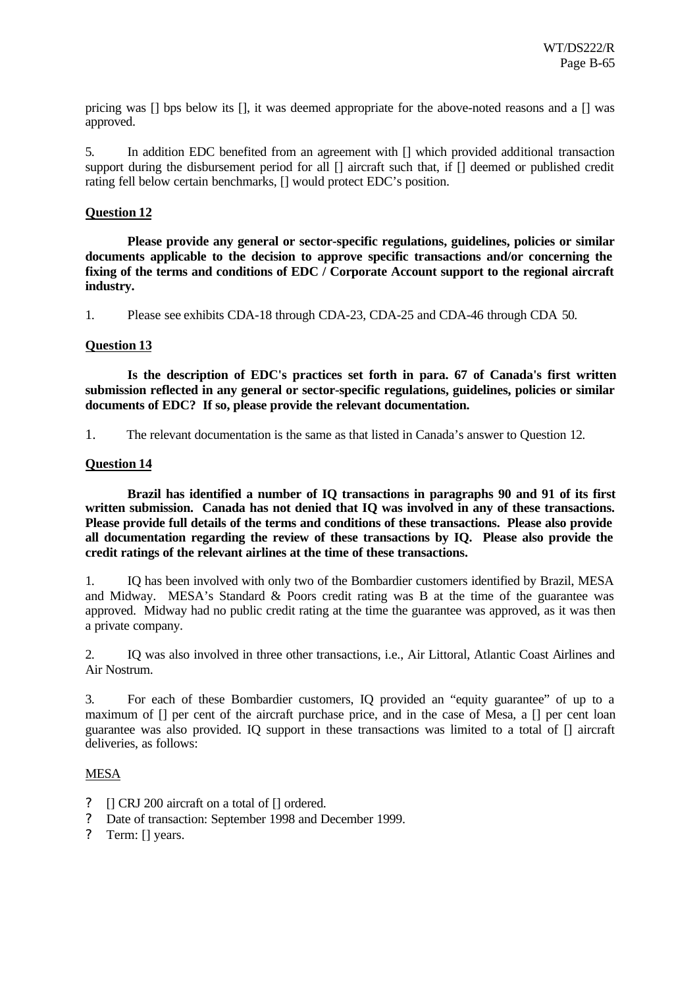pricing was  $\Box$  bps below its  $\Box$ , it was deemed appropriate for the above-noted reasons and a  $\Box$  was approved.

5. In addition EDC benefited from an agreement with [] which provided additional transaction support during the disbursement period for all [] aircraft such that, if [] deemed or published credit rating fell below certain benchmarks, [] would protect EDC's position.

## **Question 12**

**Please provide any general or sector-specific regulations, guidelines, policies or similar documents applicable to the decision to approve specific transactions and/or concerning the fixing of the terms and conditions of EDC / Corporate Account support to the regional aircraft industry.**

1. Please see exhibits CDA-18 through CDA-23, CDA-25 and CDA-46 through CDA 50.

## **Question 13**

**Is the description of EDC's practices set forth in para. 67 of Canada's first written submission reflected in any general or sector-specific regulations, guidelines, policies or similar documents of EDC? If so, please provide the relevant documentation.**

1. The relevant documentation is the same as that listed in Canada's answer to Question 12.

## **Question 14**

**Brazil has identified a number of IQ transactions in paragraphs 90 and 91 of its first written submission. Canada has not denied that IQ was involved in any of these transactions. Please provide full details of the terms and conditions of these transactions. Please also provide all documentation regarding the review of these transactions by IQ. Please also provide the credit ratings of the relevant airlines at the time of these transactions.**

1. IQ has been involved with only two of the Bombardier customers identified by Brazil, MESA and Midway. MESA's Standard & Poors credit rating was B at the time of the guarantee was approved. Midway had no public credit rating at the time the guarantee was approved, as it was then a private company.

2. IQ was also involved in three other transactions, i.e., Air Littoral, Atlantic Coast Airlines and Air Nostrum.

3. For each of these Bombardier customers, IQ provided an "equity guarantee" of up to a maximum of [] per cent of the aircraft purchase price, and in the case of Mesa, a [] per cent loan guarantee was also provided. IQ support in these transactions was limited to a total of [] aircraft deliveries, as follows:

## MESA

- ? [] CRJ 200 aircraft on a total of [] ordered.
- ? Date of transaction: September 1998 and December 1999.
- ? Term: [] years.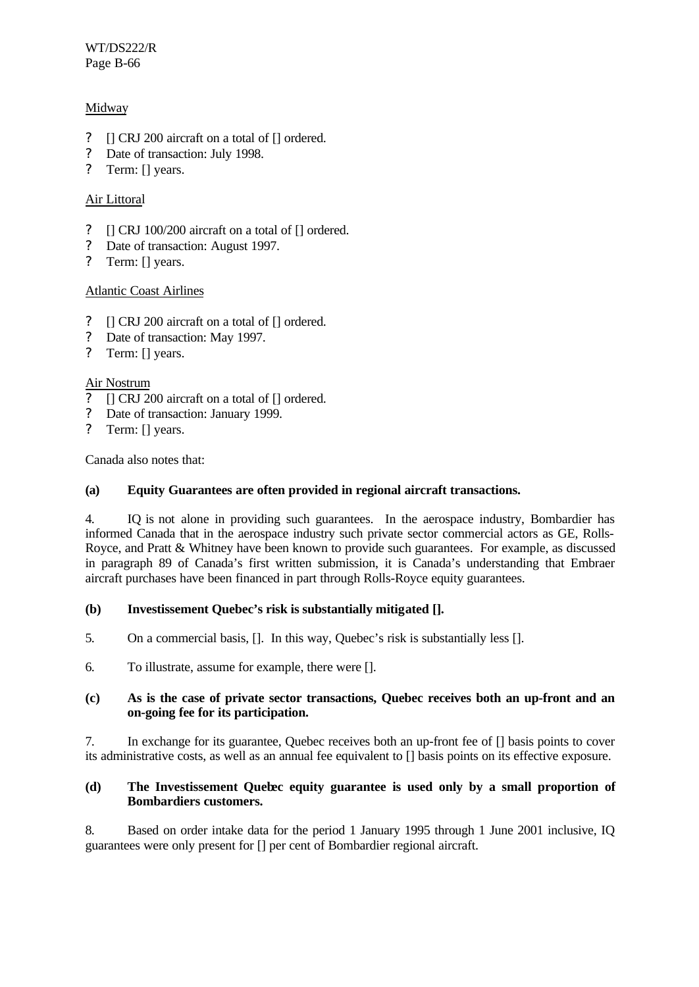WT/DS222/R Page B-66

## Midway

- ? [] CRJ 200 aircraft on a total of [] ordered.
- ? Date of transaction: July 1998.
- ? Term: [] years.

## Air Littoral

- ? [] CRJ 100/200 aircraft on a total of [] ordered.
- ? Date of transaction: August 1997.
- ? Term: [] years.

#### Atlantic Coast Airlines

- ? [] CRJ 200 aircraft on a total of [] ordered.
- ? Date of transaction: May 1997.
- ? Term: [] years.

#### Air Nostrum

- ? [] CRJ 200 aircraft on a total of [] ordered.
- ? Date of transaction: January 1999.
- ? Term: [] years.

Canada also notes that:

#### **(a) Equity Guarantees are often provided in regional aircraft transactions.**

4. IQ is not alone in providing such guarantees. In the aerospace industry, Bombardier has informed Canada that in the aerospace industry such private sector commercial actors as GE, Rolls-Royce, and Pratt & Whitney have been known to provide such guarantees. For example, as discussed in paragraph 89 of Canada's first written submission, it is Canada's understanding that Embraer aircraft purchases have been financed in part through Rolls-Royce equity guarantees.

#### **(b) Investissement Quebec's risk is substantially mitigated [].**

- 5. On a commercial basis, []. In this way, Quebec's risk is substantially less [].
- 6. To illustrate, assume for example, there were [].

#### **(c) As is the case of private sector transactions, Quebec receives both an up-front and an on-going fee for its participation.**

7. In exchange for its guarantee, Quebec receives both an up-front fee of [] basis points to cover its administrative costs, as well as an annual fee equivalent to [] basis points on its effective exposure.

## **(d) The Investissement Quebec equity guarantee is used only by a small proportion of Bombardiers customers.**

8. Based on order intake data for the period 1 January 1995 through 1 June 2001 inclusive, IQ guarantees were only present for [] per cent of Bombardier regional aircraft.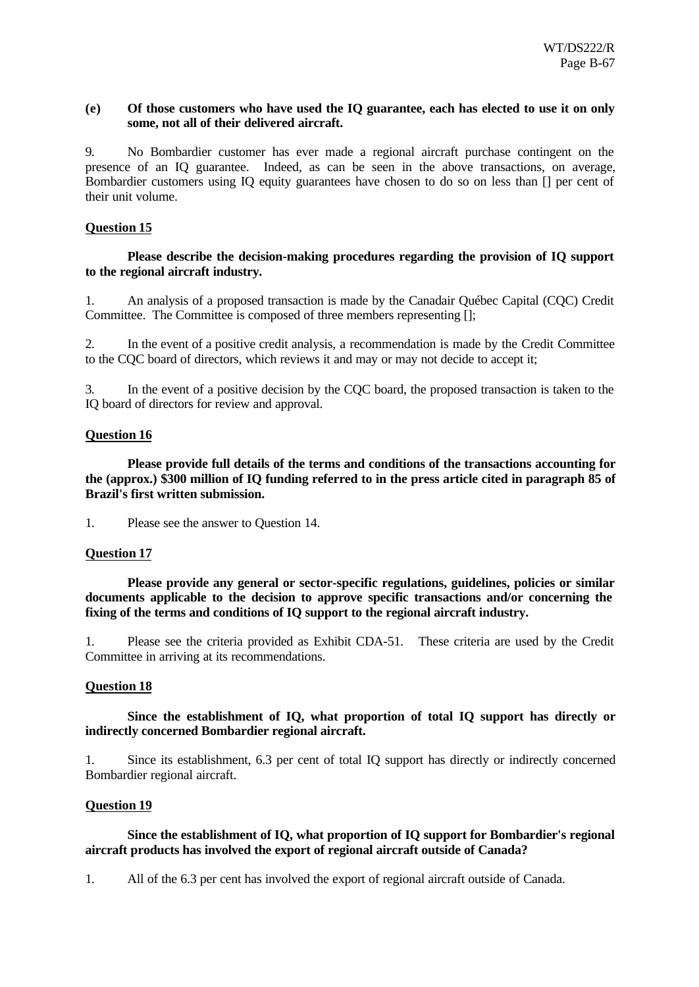#### **(e) Of those customers who have used the IQ guarantee, each has elected to use it on only some, not all of their delivered aircraft.**

9. No Bombardier customer has ever made a regional aircraft purchase contingent on the presence of an IQ guarantee. Indeed, as can be seen in the above transactions, on average, Bombardier customers using IQ equity guarantees have chosen to do so on less than [] per cent of their unit volume.

#### **Question 15**

**Please describe the decision-making procedures regarding the provision of IQ support to the regional aircraft industry.**

1. An analysis of a proposed transaction is made by the Canadair Québec Capital (CQC) Credit Committee. The Committee is composed of three members representing [];

2. In the event of a positive credit analysis, a recommendation is made by the Credit Committee to the CQC board of directors, which reviews it and may or may not decide to accept it;

3. In the event of a positive decision by the CQC board, the proposed transaction is taken to the IQ board of directors for review and approval.

## **Question 16**

**Please provide full details of the terms and conditions of the transactions accounting for the (approx.) \$300 million of IQ funding referred to in the press article cited in paragraph 85 of Brazil's first written submission.**

1. Please see the answer to Question 14.

#### **Question 17**

**Please provide any general or sector-specific regulations, guidelines, policies or similar documents applicable to the decision to approve specific transactions and/or concerning the fixing of the terms and conditions of IQ support to the regional aircraft industry.**

1. Please see the criteria provided as Exhibit CDA-51. These criteria are used by the Credit Committee in arriving at its recommendations.

#### **Question 18**

**Since the establishment of IQ, what proportion of total IQ support has directly or indirectly concerned Bombardier regional aircraft.**

1. Since its establishment, 6.3 per cent of total IQ support has directly or indirectly concerned Bombardier regional aircraft.

#### **Question 19**

## **Since the establishment of IQ, what proportion of IQ support for Bombardier's regional aircraft products has involved the export of regional aircraft outside of Canada?**

1. All of the 6.3 per cent has involved the export of regional aircraft outside of Canada.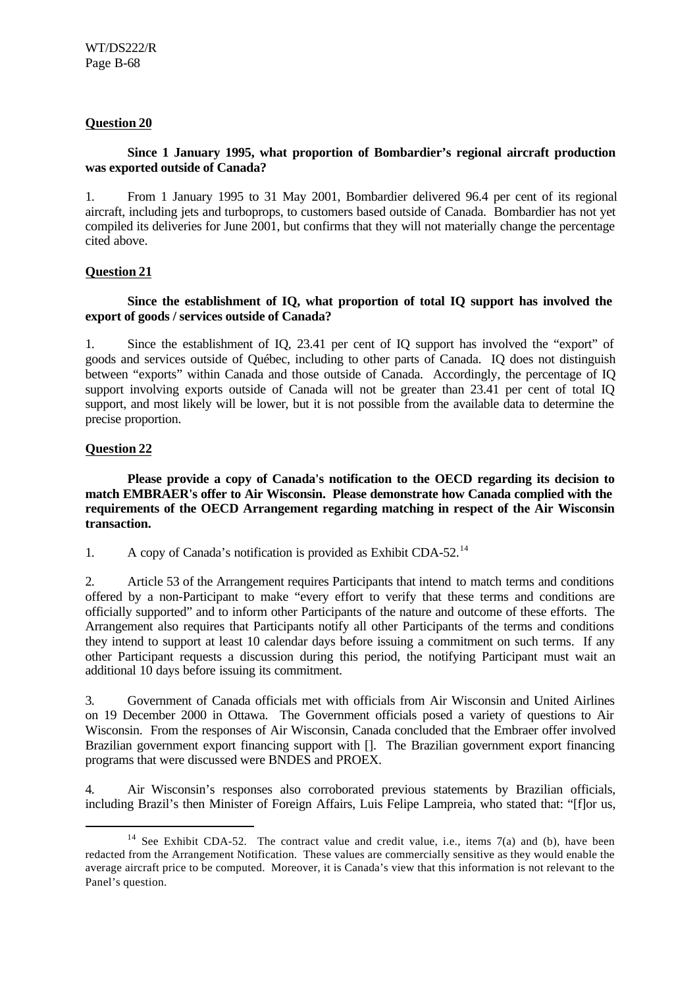## **Question 20**

## **Since 1 January 1995, what proportion of Bombardier's regional aircraft production was exported outside of Canada?**

1. From 1 January 1995 to 31 May 2001, Bombardier delivered 96.4 per cent of its regional aircraft, including jets and turboprops, to customers based outside of Canada. Bombardier has not yet compiled its deliveries for June 2001, but confirms that they will not materially change the percentage cited above.

## **Question 21**

## **Since the establishment of IQ, what proportion of total IQ support has involved the export of goods / services outside of Canada?**

1. Since the establishment of IQ, 23.41 per cent of IQ support has involved the "export" of goods and services outside of Québec, including to other parts of Canada. IQ does not distinguish between "exports" within Canada and those outside of Canada. Accordingly, the percentage of IQ support involving exports outside of Canada will not be greater than 23.41 per cent of total IQ support, and most likely will be lower, but it is not possible from the available data to determine the precise proportion.

## **Question 22**

l

**Please provide a copy of Canada's notification to the OECD regarding its decision to match EMBRAER's offer to Air Wisconsin. Please demonstrate how Canada complied with the requirements of the OECD Arrangement regarding matching in respect of the Air Wisconsin transaction.**

1. A copy of Canada's notification is provided as Exhibit CDA-52.<sup>14</sup>

2. Article 53 of the Arrangement requires Participants that intend to match terms and conditions offered by a non-Participant to make "every effort to verify that these terms and conditions are officially supported" and to inform other Participants of the nature and outcome of these efforts. The Arrangement also requires that Participants notify all other Participants of the terms and conditions they intend to support at least 10 calendar days before issuing a commitment on such terms. If any other Participant requests a discussion during this period, the notifying Participant must wait an additional 10 days before issuing its commitment.

3. Government of Canada officials met with officials from Air Wisconsin and United Airlines on 19 December 2000 in Ottawa. The Government officials posed a variety of questions to Air Wisconsin. From the responses of Air Wisconsin, Canada concluded that the Embraer offer involved Brazilian government export financing support with []. The Brazilian government export financing programs that were discussed were BNDES and PROEX.

4. Air Wisconsin's responses also corroborated previous statements by Brazilian officials, including Brazil's then Minister of Foreign Affairs, Luis Felipe Lampreia, who stated that: "[f]or us,

<sup>&</sup>lt;sup>14</sup> See Exhibit CDA-52. The contract value and credit value, i.e., items  $7(a)$  and (b), have been redacted from the Arrangement Notification. These values are commercially sensitive as they would enable the average aircraft price to be computed. Moreover, it is Canada's view that this information is not relevant to the Panel's question.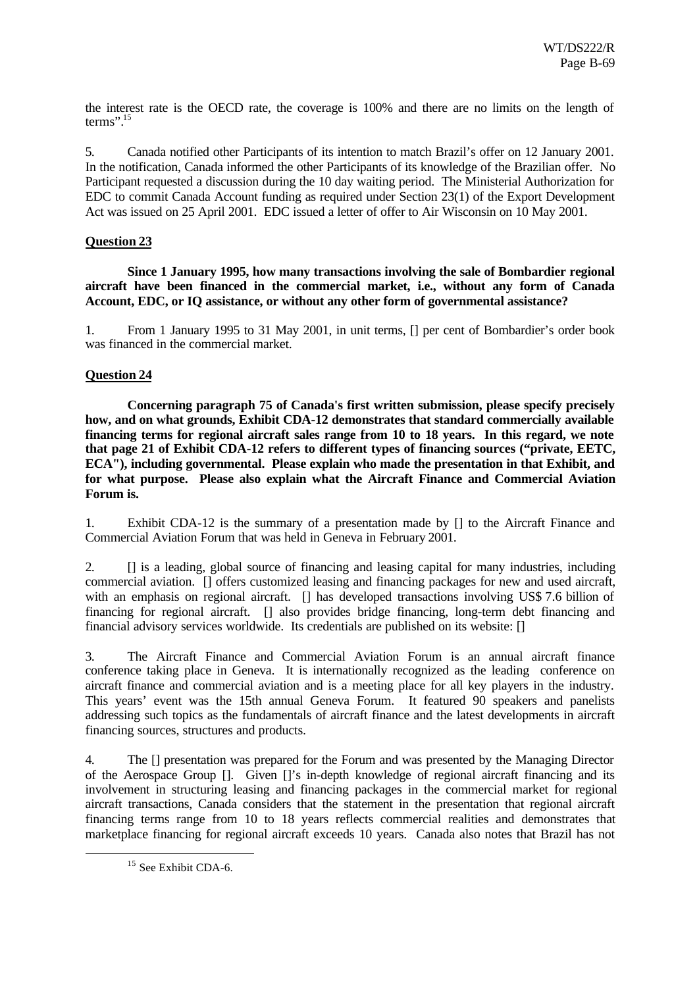the interest rate is the OECD rate, the coverage is 100% and there are no limits on the length of terms". $15$ 

5. Canada notified other Participants of its intention to match Brazil's offer on 12 January 2001. In the notification, Canada informed the other Participants of its knowledge of the Brazilian offer. No Participant requested a discussion during the 10 day waiting period. The Ministerial Authorization for EDC to commit Canada Account funding as required under Section 23(1) of the Export Development Act was issued on 25 April 2001. EDC issued a letter of offer to Air Wisconsin on 10 May 2001.

## **Question 23**

**Since 1 January 1995, how many transactions involving the sale of Bombardier regional aircraft have been financed in the commercial market, i.e., without any form of Canada Account, EDC, or IQ assistance, or without any other form of governmental assistance?**

1. From 1 January 1995 to 31 May 2001, in unit terms, [] per cent of Bombardier's order book was financed in the commercial market.

## **Question 24**

**Concerning paragraph 75 of Canada's first written submission, please specify precisely how, and on what grounds, Exhibit CDA-12 demonstrates that standard commercially available financing terms for regional aircraft sales range from 10 to 18 years. In this regard, we note that page 21 of Exhibit CDA-12 refers to different types of financing sources ("private, EETC, ECA"), including governmental. Please explain who made the presentation in that Exhibit, and for what purpose. Please also explain what the Aircraft Finance and Commercial Aviation Forum is.**

1. Exhibit CDA-12 is the summary of a presentation made by [] to the Aircraft Finance and Commercial Aviation Forum that was held in Geneva in February 2001.

2. [] is a leading, global source of financing and leasing capital for many industries, including commercial aviation. [] offers customized leasing and financing packages for new and used aircraft, with an emphasis on regional aircraft.  $\Box$  has developed transactions involving US\$ 7.6 billion of financing for regional aircraft. [] also provides bridge financing, long-term debt financing and financial advisory services worldwide. Its credentials are published on its website: []

3. The Aircraft Finance and Commercial Aviation Forum is an annual aircraft finance conference taking place in Geneva. It is internationally recognized as the leading conference on aircraft finance and commercial aviation and is a meeting place for all key players in the industry. This years' event was the 15th annual Geneva Forum. It featured 90 speakers and panelists addressing such topics as the fundamentals of aircraft finance and the latest developments in aircraft financing sources, structures and products.

4. The [] presentation was prepared for the Forum and was presented by the Managing Director of the Aerospace Group []. Given []'s in-depth knowledge of regional aircraft financing and its involvement in structuring leasing and financing packages in the commercial market for regional aircraft transactions, Canada considers that the statement in the presentation that regional aircraft financing terms range from 10 to 18 years reflects commercial realities and demonstrates that marketplace financing for regional aircraft exceeds 10 years. Canada also notes that Brazil has not

<sup>&</sup>lt;sup>15</sup> See Exhibit CDA-6.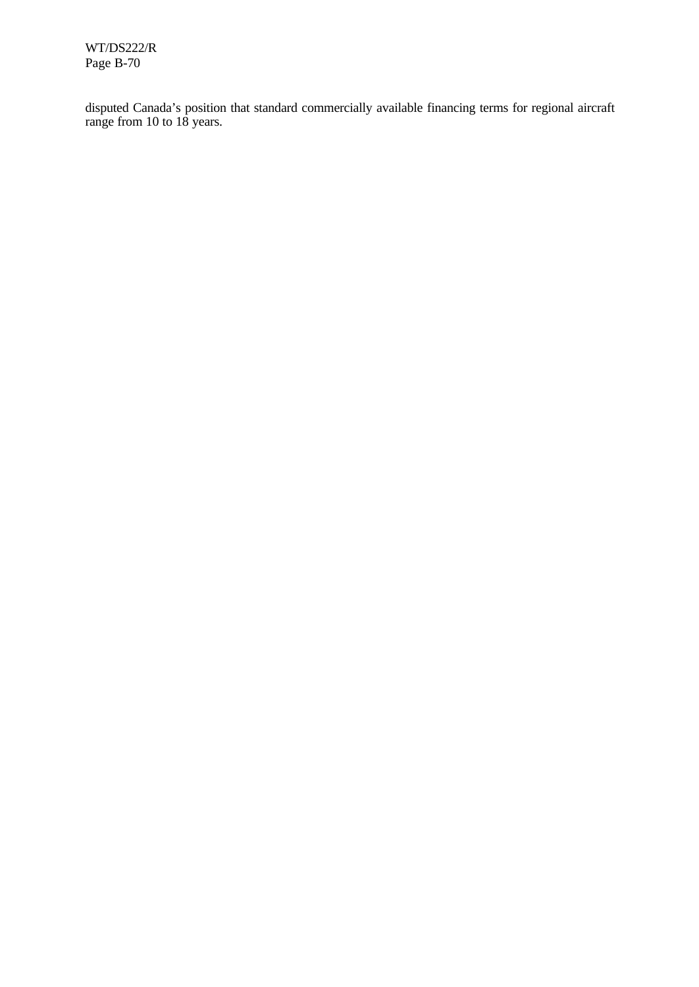WT/DS222/R Page B-70

disputed Canada's position that standard commercially available financing terms for regional aircraft range from 10 to 18 years.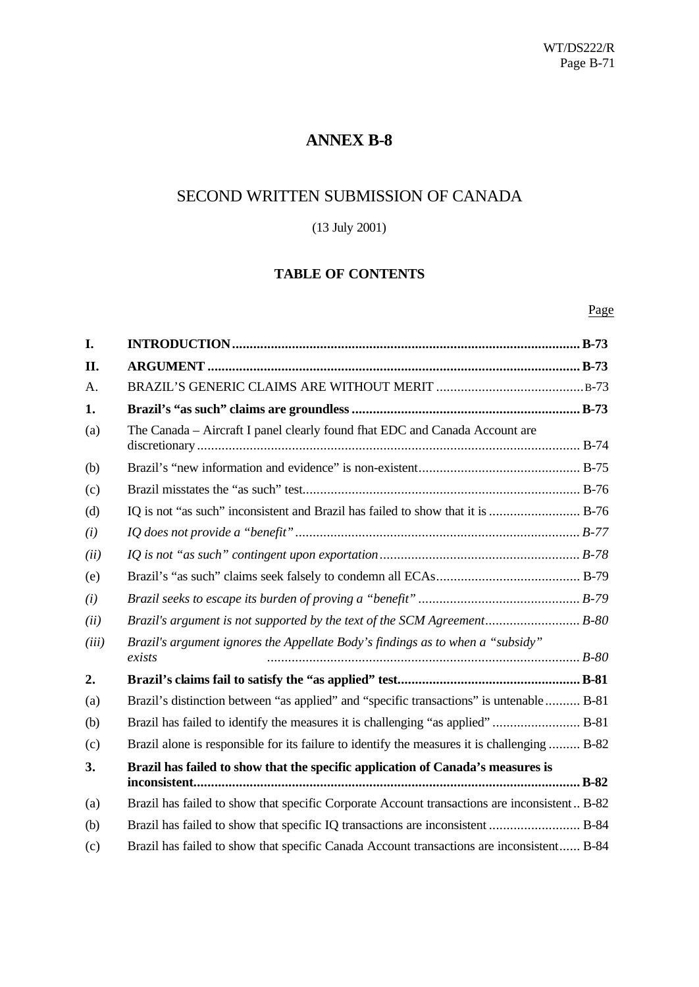# **ANNEX B-8**

# SECOND WRITTEN SUBMISSION OF CANADA

## (13 July 2001)

## **TABLE OF CONTENTS**

## Page

| I.    |                                                                                              |  |
|-------|----------------------------------------------------------------------------------------------|--|
| II.   |                                                                                              |  |
| A.    |                                                                                              |  |
| 1.    |                                                                                              |  |
| (a)   | The Canada – Aircraft I panel clearly found fhat EDC and Canada Account are                  |  |
| (b)   |                                                                                              |  |
| (c)   |                                                                                              |  |
| (d)   |                                                                                              |  |
| (i)   |                                                                                              |  |
| (ii)  |                                                                                              |  |
| (e)   |                                                                                              |  |
| (i)   |                                                                                              |  |
| (ii)  | Brazil's argument is not supported by the text of the SCM Agreement B-80                     |  |
| (iii) | Brazil's argument ignores the Appellate Body's findings as to when a "subsidy"<br>exists     |  |
| 2.    |                                                                                              |  |
| (a)   | Brazil's distinction between "as applied" and "specific transactions" is untenable  B-81     |  |
| (b)   | Brazil has failed to identify the measures it is challenging "as applied"  B-81              |  |
| (c)   | Brazil alone is responsible for its failure to identify the measures it is challenging  B-82 |  |
| 3.    | Brazil has failed to show that the specific application of Canada's measures is              |  |
| (a)   | Brazil has failed to show that specific Corporate Account transactions are inconsistent B-82 |  |
| (b)   | Brazil has failed to show that specific IQ transactions are inconsistent  B-84               |  |
| (c)   | Brazil has failed to show that specific Canada Account transactions are inconsistent B-84    |  |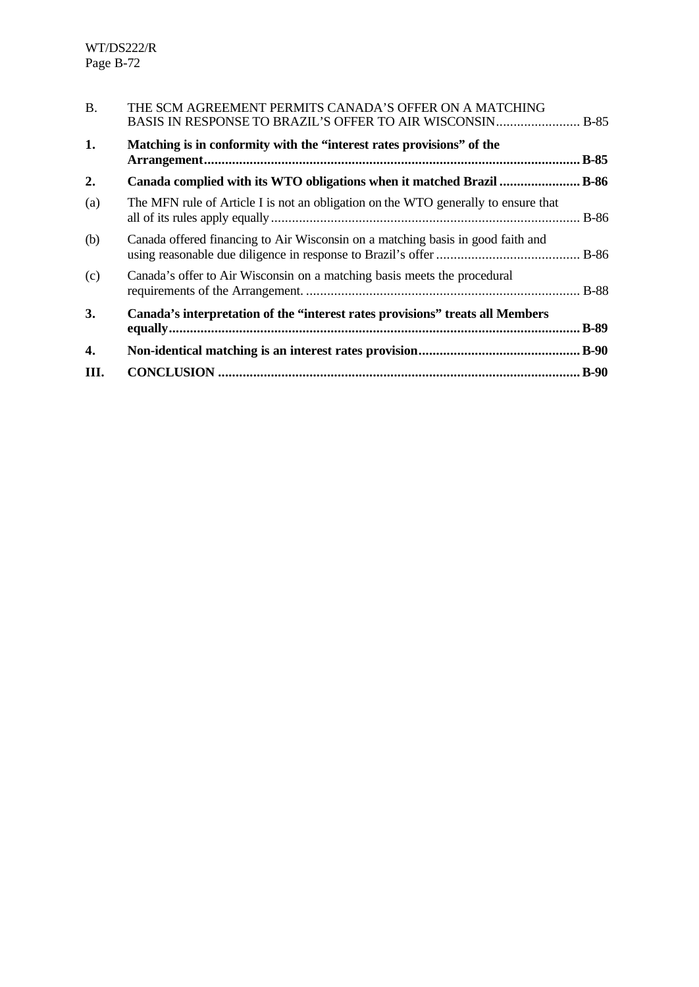| <b>B.</b> | THE SCM AGREEMENT PERMITS CANADA'S OFFER ON A MATCHING<br>BASIS IN RESPONSE TO BRAZIL'S OFFER TO AIR WISCONSIN B-85 |             |
|-----------|---------------------------------------------------------------------------------------------------------------------|-------------|
| 1.        | Matching is in conformity with the "interest rates provisions" of the                                               | $B-85$      |
| 2.        | Canada complied with its WTO obligations when it matched Brazil                                                     | <b>B-86</b> |
| (a)       | The MFN rule of Article I is not an obligation on the WTO generally to ensure that                                  | $B-86$      |
| (b)       | Canada offered financing to Air Wisconsin on a matching basis in good faith and                                     |             |
| (c)       | Canada's offer to Air Wisconsin on a matching basis meets the procedural                                            |             |
| 3.        | Canada's interpretation of the "interest rates provisions" treats all Members                                       | <b>B-89</b> |
| 4.        |                                                                                                                     | .B.90       |
| III.      |                                                                                                                     | $B-90$      |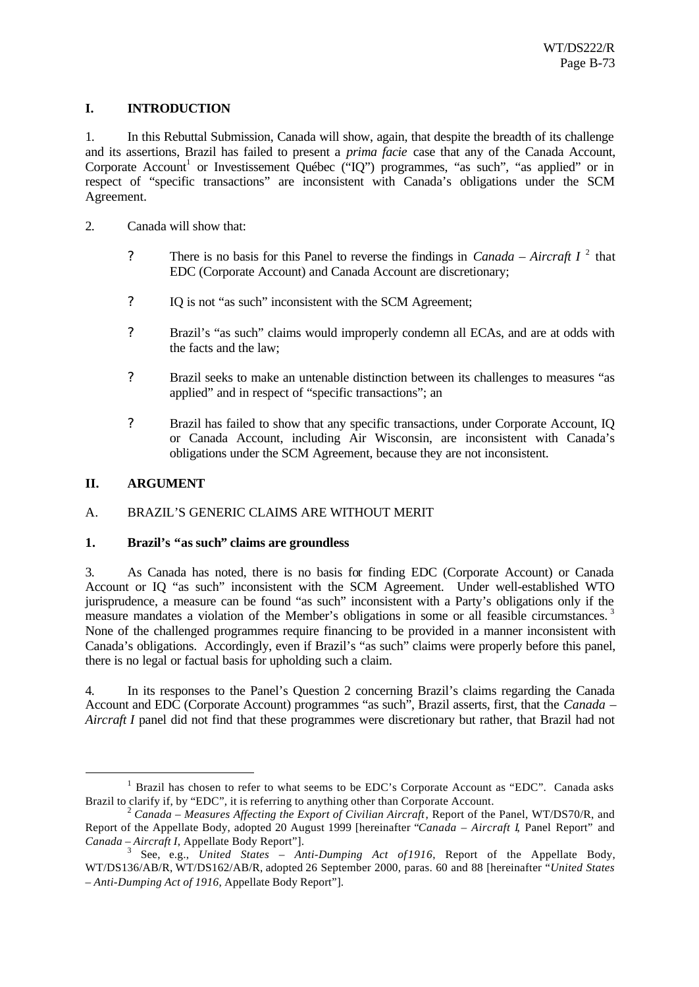### **I. INTRODUCTION**

1. In this Rebuttal Submission, Canada will show, again, that despite the breadth of its challenge and its assertions, Brazil has failed to present a *prima facie* case that any of the Canada Account, Corporate Account<sup>1</sup> or Investissement Québec ("IQ") programmes, "as such", "as applied" or in respect of "specific transactions" are inconsistent with Canada's obligations under the SCM Agreement.

- 2. Canada will show that:
	- ? There is no basis for this Panel to reverse the findings in *Canada Aircraft I*<sup>2</sup> that EDC (Corporate Account) and Canada Account are discretionary;
	- ? IQ is not "as such" inconsistent with the SCM Agreement;
	- ? Brazil's "as such" claims would improperly condemn all ECAs, and are at odds with the facts and the law;
	- ? Brazil seeks to make an untenable distinction between its challenges to measures "as applied" and in respect of "specific transactions"; an
	- ? Brazil has failed to show that any specific transactions, under Corporate Account, IQ or Canada Account, including Air Wisconsin, are inconsistent with Canada's obligations under the SCM Agreement, because they are not inconsistent.

#### **II. ARGUMENT**

l

#### A. BRAZIL'S GENERIC CLAIMS ARE WITHOUT MERIT

#### **1. Brazil's "as such" claims are groundless**

3. As Canada has noted, there is no basis for finding EDC (Corporate Account) or Canada Account or IQ "as such" inconsistent with the SCM Agreement. Under well-established WTO jurisprudence, a measure can be found "as such" inconsistent with a Party's obligations only if the measure mandates a violation of the Member's obligations in some or all feasible circumstances.<sup>3</sup> None of the challenged programmes require financing to be provided in a manner inconsistent with Canada's obligations. Accordingly, even if Brazil's "as such" claims were properly before this panel, there is no legal or factual basis for upholding such a claim.

4. In its responses to the Panel's Question 2 concerning Brazil's claims regarding the Canada Account and EDC (Corporate Account) programmes "as such", Brazil asserts, first, that the *Canada – Aircraft I* panel did not find that these programmes were discretionary but rather, that Brazil had not

<sup>&</sup>lt;sup>1</sup> Brazil has chosen to refer to what seems to be EDC's Corporate Account as "EDC". Canada asks Brazil to clarify if, by "EDC", it is referring to anything other than Corporate Account.

<sup>2</sup> *Canada – Measures Affecting the Export of Civilian Aircraft*, Report of the Panel, WT/DS70/R, and Report of the Appellate Body, adopted 20 August 1999 [hereinafter "*Canada – Aircraft I*, Panel Report" and *Canada – Aircraft I*, Appellate Body Report"].

<sup>&</sup>lt;sup>3</sup> See, e.g., *United States – Anti-Dumping Act of 1916*, Report of the Appellate Body, WT/DS136/AB/R, WT/DS162/AB/R, adopted 26 September 2000, paras. 60 and 88 [hereinafter "*United States – Anti-Dumping Act of 1916*, Appellate Body Report"].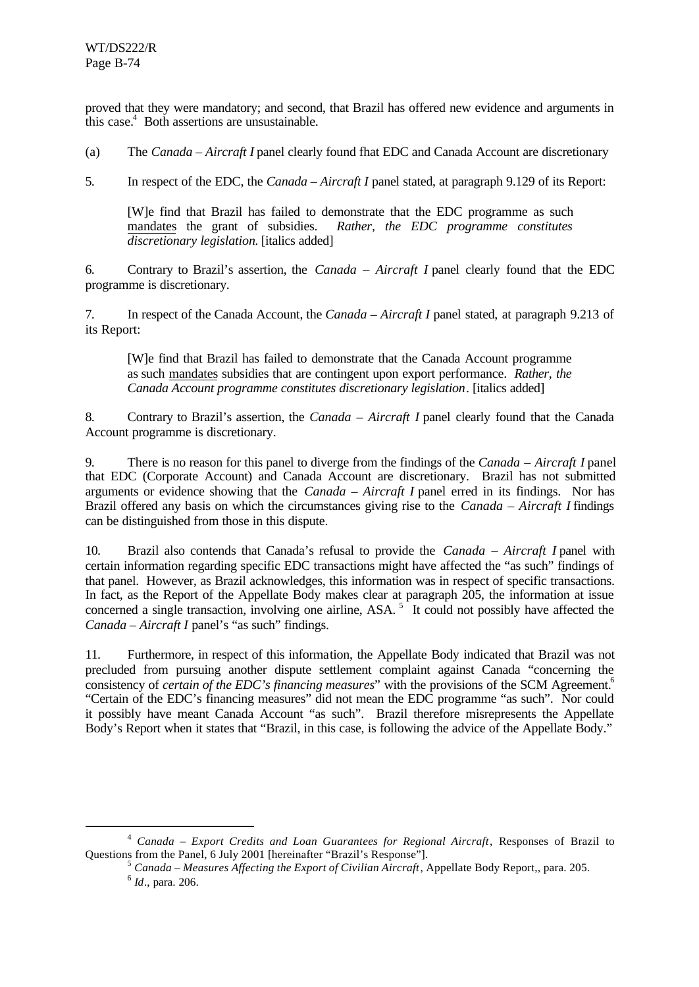l

proved that they were mandatory; and second, that Brazil has offered new evidence and arguments in this case.<sup>4</sup> Both assertions are unsustainable.

(a) The *Canada – Aircraft I* panel clearly found fhat EDC and Canada Account are discretionary

5. In respect of the EDC, the *Canada – Aircraft I* panel stated, at paragraph 9.129 of its Report:

[W]e find that Brazil has failed to demonstrate that the EDC programme as such mandates the grant of subsidies. *Rather, the EDC programme constitutes discretionary legislation.* [italics added]

6. Contrary to Brazil's assertion, the *Canada – Aircraft I* panel clearly found that the EDC programme is discretionary.

7. In respect of the Canada Account, the *Canada – Aircraft I* panel stated, at paragraph 9.213 of its Report:

[W]e find that Brazil has failed to demonstrate that the Canada Account programme as such mandates subsidies that are contingent upon export performance. *Rather, the Canada Account programme constitutes discretionary legislation*. [italics added]

8. Contrary to Brazil's assertion, the *Canada – Aircraft I* panel clearly found that the Canada Account programme is discretionary.

9. There is no reason for this panel to diverge from the findings of the *Canada – Aircraft I* panel that EDC (Corporate Account) and Canada Account are discretionary. Brazil has not submitted arguments or evidence showing that the *Canada – Aircraft I* panel erred in its findings. Nor has Brazil offered any basis on which the circumstances giving rise to the *Canada – Aircraft I* findings can be distinguished from those in this dispute.

10. Brazil also contends that Canada's refusal to provide the *Canada – Aircraft I* panel with certain information regarding specific EDC transactions might have affected the "as such" findings of that panel. However, as Brazil acknowledges, this information was in respect of specific transactions. In fact, as the Report of the Appellate Body makes clear at paragraph 205, the information at issue concerned a single transaction, involving one airline,  $ASA$ . <sup>5</sup> It could not possibly have affected the *Canada – Aircraft I* panel's "as such" findings.

11. Furthermore, in respect of this information, the Appellate Body indicated that Brazil was not precluded from pursuing another dispute settlement complaint against Canada "concerning the consistency of *certain of the EDC's financing measures*" with the provisions of the SCM Agreement.<sup>6</sup> "Certain of the EDC's financing measures" did not mean the EDC programme "as such". Nor could it possibly have meant Canada Account "as such". Brazil therefore misrepresents the Appellate Body's Report when it states that "Brazil, in this case, is following the advice of the Appellate Body."

<sup>4</sup> *Canada – Export Credits and Loan Guarantees for Regional Aircraft*, Responses of Brazil to Questions from the Panel, 6 July 2001 [hereinafter "Brazil's Response"].

<sup>5</sup> *Canada – Measures Affecting the Export of Civilian Aircraft*, Appellate Body Report,, para. 205. 6 *Id*., para. 206.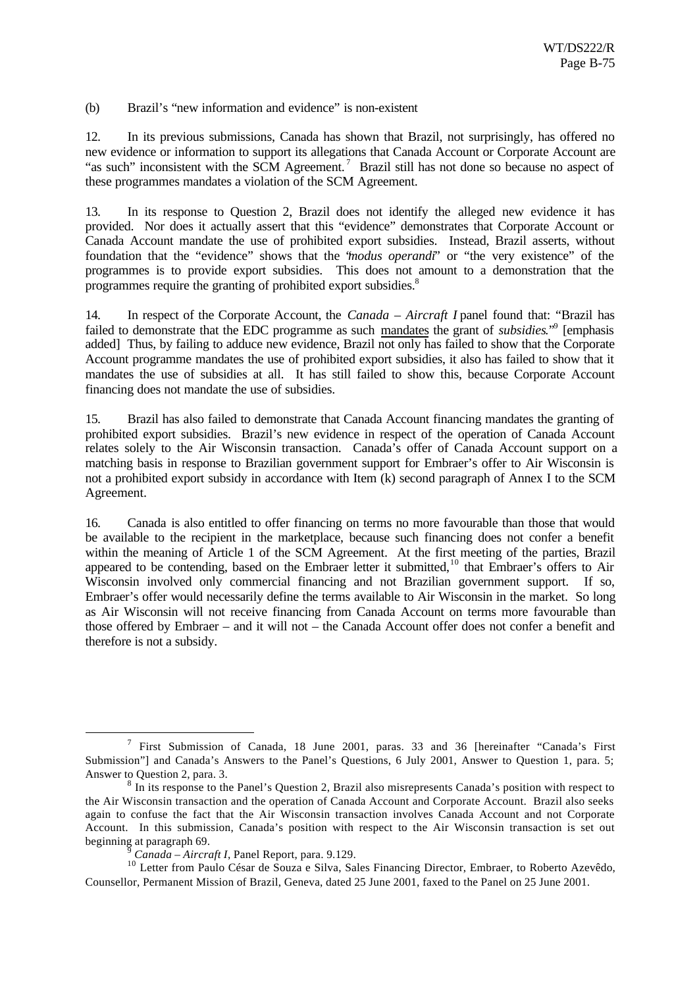(b) Brazil's "new information and evidence" is non-existent

12. In its previous submissions, Canada has shown that Brazil, not surprisingly, has offered no new evidence or information to support its allegations that Canada Account or Corporate Account are "as such" inconsistent with the SCM Agreement.<sup>7</sup> Brazil still has not done so because no aspect of these programmes mandates a violation of the SCM Agreement.

13. In its response to Question 2, Brazil does not identify the alleged new evidence it has provided. Nor does it actually assert that this "evidence" demonstrates that Corporate Account or Canada Account mandate the use of prohibited export subsidies. Instead, Brazil asserts, without foundation that the "evidence" shows that the "*modus operandi*" or "the very existence" of the programmes is to provide export subsidies. This does not amount to a demonstration that the programmes require the granting of prohibited export subsidies.<sup>8</sup>

14. In respect of the Corporate Account, the *Canada – Aircraft I* panel found that: "Brazil has failed to demonstrate that the EDC programme as such mandates the grant of *subsidies*."<sup>9</sup> [emphasis added] Thus, by failing to adduce new evidence, Brazil not only has failed to show that the Corporate Account programme mandates the use of prohibited export subsidies, it also has failed to show that it mandates the use of subsidies at all. It has still failed to show this, because Corporate Account financing does not mandate the use of subsidies.

15. Brazil has also failed to demonstrate that Canada Account financing mandates the granting of prohibited export subsidies. Brazil's new evidence in respect of the operation of Canada Account relates solely to the Air Wisconsin transaction. Canada's offer of Canada Account support on a matching basis in response to Brazilian government support for Embraer's offer to Air Wisconsin is not a prohibited export subsidy in accordance with Item (k) second paragraph of Annex I to the SCM Agreement.

16. Canada is also entitled to offer financing on terms no more favourable than those that would be available to the recipient in the marketplace, because such financing does not confer a benefit within the meaning of Article 1 of the SCM Agreement. At the first meeting of the parties, Brazil appeared to be contending, based on the Embraer letter it submitted,<sup>10</sup> that Embraer's offers to Air Wisconsin involved only commercial financing and not Brazilian government support. If so, Embraer's offer would necessarily define the terms available to Air Wisconsin in the market. So long as Air Wisconsin will not receive financing from Canada Account on terms more favourable than those offered by Embraer – and it will not – the Canada Account offer does not confer a benefit and therefore is not a subsidy.

<sup>&</sup>lt;sup>7</sup> First Submission of Canada, 18 June 2001, paras. 33 and 36 [hereinafter "Canada's First Submission"] and Canada's Answers to the Panel's Questions, 6 July 2001, Answer to Question 1, para. 5; Answer to Question 2, para. 3.

 $8 \text{ In its response to the Panel's Question 2, Brazil also misrepresents Canada's position with respect to the panel.}$ the Air Wisconsin transaction and the operation of Canada Account and Corporate Account. Brazil also seeks again to confuse the fact that the Air Wisconsin transaction involves Canada Account and not Corporate Account. In this submission, Canada's position with respect to the Air Wisconsin transaction is set out beginning at paragraph 69.

<sup>9</sup> *Canada – Aircraft I*, Panel Report, para. 9.129.

<sup>10</sup> Letter from Paulo César de Souza e Silva, Sales Financing Director, Embraer, to Roberto Azevêdo, Counsellor, Permanent Mission of Brazil, Geneva, dated 25 June 2001, faxed to the Panel on 25 June 2001.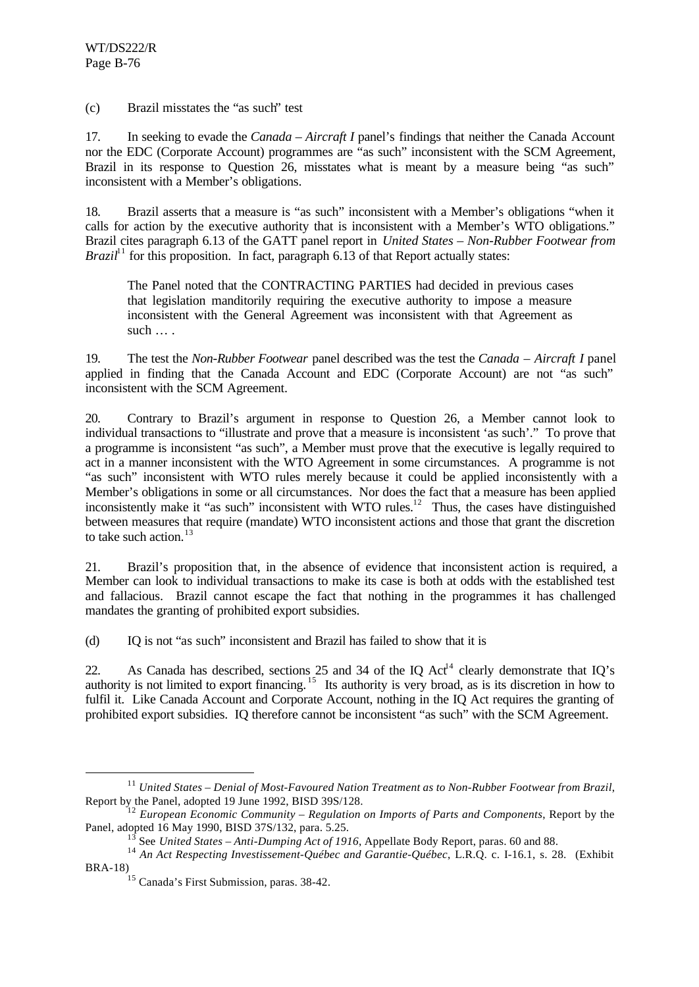(c) Brazil misstates the "as such" test

17. In seeking to evade the *Canada – Aircraft I* panel's findings that neither the Canada Account nor the EDC (Corporate Account) programmes are "as such" inconsistent with the SCM Agreement, Brazil in its response to Question 26, misstates what is meant by a measure being "as such" inconsistent with a Member's obligations.

18. Brazil asserts that a measure is "as such" inconsistent with a Member's obligations "when it calls for action by the executive authority that is inconsistent with a Member's WTO obligations." Brazil cites paragraph 6.13 of the GATT panel report in *United States – Non-Rubber Footwear from Brazil*<sup>11</sup> for this proposition. In fact, paragraph 6.13 of that Report actually states:

The Panel noted that the CONTRACTING PARTIES had decided in previous cases that legislation manditorily requiring the executive authority to impose a measure inconsistent with the General Agreement was inconsistent with that Agreement as such  $\ldots$ .

19. The test the *Non-Rubber Footwear* panel described was the test the *Canada – Aircraft I* panel applied in finding that the Canada Account and EDC (Corporate Account) are not "as such" inconsistent with the SCM Agreement.

20. Contrary to Brazil's argument in response to Question 26, a Member cannot look to individual transactions to "illustrate and prove that a measure is inconsistent 'as such'." To prove that a programme is inconsistent "as such", a Member must prove that the executive is legally required to act in a manner inconsistent with the WTO Agreement in some circumstances. A programme is not "as such" inconsistent with WTO rules merely because it could be applied inconsistently with a Member's obligations in some or all circumstances. Nor does the fact that a measure has been applied inconsistently make it "as such" inconsistent with WTO rules.<sup>12</sup> Thus, the cases have distinguished between measures that require (mandate) WTO inconsistent actions and those that grant the discretion to take such action. $13$ 

21. Brazil's proposition that, in the absence of evidence that inconsistent action is required, a Member can look to individual transactions to make its case is both at odds with the established test and fallacious. Brazil cannot escape the fact that nothing in the programmes it has challenged mandates the granting of prohibited export subsidies.

(d) IQ is not "as such" inconsistent and Brazil has failed to show that it is

22. As Canada has described, sections 25 and 34 of the IO Act<sup>14</sup> clearly demonstrate that IO's authority is not limited to export financing.<sup>15</sup> Its authority is very broad, as is its discretion in how to fulfil it. Like Canada Account and Corporate Account, nothing in the IQ Act requires the granting of prohibited export subsidies. IQ therefore cannot be inconsistent "as such" with the SCM Agreement.

<sup>11</sup> *United States – Denial of Most-Favoured Nation Treatment as to Non-Rubber Footwear from Brazil*, Report by the Panel, adopted 19 June 1992, BISD 39S/128.

<sup>12</sup> *European Economic Community – Regulation on Imports of Parts and Components*, Report by the Panel, adopted 16 May 1990, BISD 37S/132, para. 5.25.

<sup>13</sup> See *United States – Anti-Dumping Act of 1916*, Appellate Body Report, paras. 60 and 88.

<sup>&</sup>lt;sup>14</sup> An Act Respecting Investissement-Québec and Garantie-Québec, L.R.Q. c. I-16.1, s. 28. (Exhibit BRA-18)

<sup>&</sup>lt;sup>15</sup> Canada's First Submission, paras. 38-42.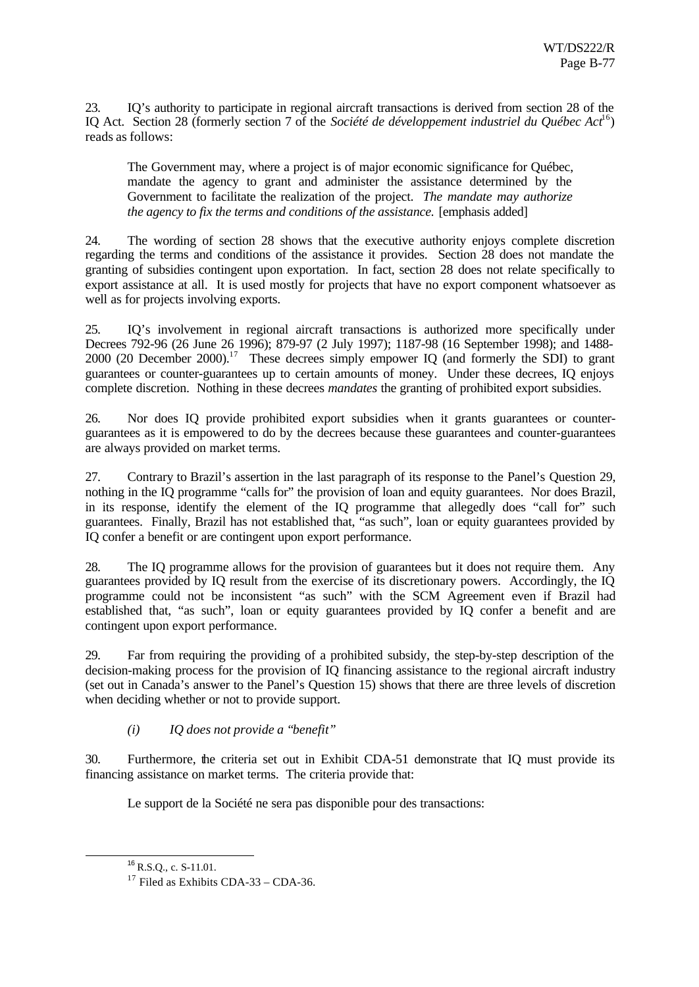23. IQ's authority to participate in regional aircraft transactions is derived from section 28 of the IQ Act. Section 28 (formerly section 7 of the *Société de développement industriel du Québec Act*<sup>16</sup>) reads as follows:

The Government may, where a project is of major economic significance for Québec, mandate the agency to grant and administer the assistance determined by the Government to facilitate the realization of the project. *The mandate may authorize the agency to fix the terms and conditions of the assistance.* [emphasis added]

24. The wording of section 28 shows that the executive authority enjoys complete discretion regarding the terms and conditions of the assistance it provides. Section 28 does not mandate the granting of subsidies contingent upon exportation. In fact, section 28 does not relate specifically to export assistance at all. It is used mostly for projects that have no export component whatsoever as well as for projects involving exports.

25. IQ's involvement in regional aircraft transactions is authorized more specifically under Decrees 792-96 (26 June 26 1996); 879-97 (2 July 1997); 1187-98 (16 September 1998); and 1488- 2000 (20 December 2000).<sup>17</sup> These decrees simply empower IO (and formerly the SDI) to grant guarantees or counter-guarantees up to certain amounts of money. Under these decrees, IQ enjoys complete discretion. Nothing in these decrees *mandates* the granting of prohibited export subsidies.

26. Nor does IQ provide prohibited export subsidies when it grants guarantees or counterguarantees as it is empowered to do by the decrees because these guarantees and counter-guarantees are always provided on market terms.

27. Contrary to Brazil's assertion in the last paragraph of its response to the Panel's Question 29, nothing in the IQ programme "calls for" the provision of loan and equity guarantees. Nor does Brazil, in its response, identify the element of the IQ programme that allegedly does "call for" such guarantees. Finally, Brazil has not established that, "as such", loan or equity guarantees provided by IQ confer a benefit or are contingent upon export performance.

28. The IQ programme allows for the provision of guarantees but it does not require them. Any guarantees provided by IQ result from the exercise of its discretionary powers. Accordingly, the IQ programme could not be inconsistent "as such" with the SCM Agreement even if Brazil had established that, "as such", loan or equity guarantees provided by IQ confer a benefit and are contingent upon export performance.

29. Far from requiring the providing of a prohibited subsidy, the step-by-step description of the decision-making process for the provision of IQ financing assistance to the regional aircraft industry (set out in Canada's answer to the Panel's Question 15) shows that there are three levels of discretion when deciding whether or not to provide support.

# *(i) IQ does not provide a "benefit"*

30. Furthermore, the criteria set out in Exhibit CDA-51 demonstrate that IQ must provide its financing assistance on market terms. The criteria provide that:

Le support de la Société ne sera pas disponible pour des transactions:

 $^{16}$  R.S.Q., c. S-11.01.

 $17$  Filed as Exhibits CDA-33 – CDA-36.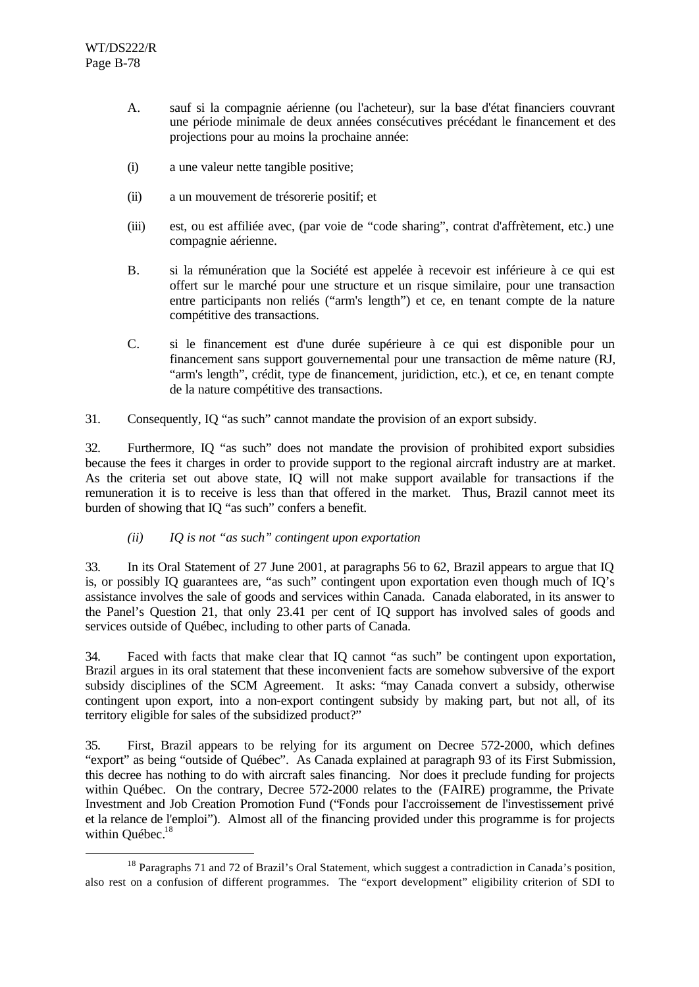l

- A. sauf si la compagnie aérienne (ou l'acheteur), sur la base d'état financiers couvrant une période minimale de deux années consécutives précédant le financement et des projections pour au moins la prochaine année:
- (i) a une valeur nette tangible positive;
- (ii) a un mouvement de trésorerie positif; et
- (iii) est, ou est affiliée avec, (par voie de "code sharing", contrat d'affrètement, etc.) une compagnie aérienne.
- B. si la rémunération que la Société est appelée à recevoir est inférieure à ce qui est offert sur le marché pour une structure et un risque similaire, pour une transaction entre participants non reliés ("arm's length") et ce, en tenant compte de la nature compétitive des transactions.
- C. si le financement est d'une durée supérieure à ce qui est disponible pour un financement sans support gouvernemental pour une transaction de même nature (RJ, "arm's length", crédit, type de financement, juridiction, etc.), et ce, en tenant compte de la nature compétitive des transactions.
- 31. Consequently, IQ "as such" cannot mandate the provision of an export subsidy.

32. Furthermore, IQ "as such" does not mandate the provision of prohibited export subsidies because the fees it charges in order to provide support to the regional aircraft industry are at market. As the criteria set out above state, IQ will not make support available for transactions if the remuneration it is to receive is less than that offered in the market. Thus, Brazil cannot meet its burden of showing that IQ "as such" confers a benefit.

#### *(ii) IQ is not "as such" contingent upon exportation*

33. In its Oral Statement of 27 June 2001, at paragraphs 56 to 62, Brazil appears to argue that IQ is, or possibly IQ guarantees are, "as such" contingent upon exportation even though much of IQ's assistance involves the sale of goods and services within Canada. Canada elaborated, in its answer to the Panel's Question 21, that only 23.41 per cent of IQ support has involved sales of goods and services outside of Québec, including to other parts of Canada.

34. Faced with facts that make clear that IQ cannot "as such" be contingent upon exportation, Brazil argues in its oral statement that these inconvenient facts are somehow subversive of the export subsidy disciplines of the SCM Agreement. It asks: "may Canada convert a subsidy, otherwise contingent upon export, into a non-export contingent subsidy by making part, but not all, of its territory eligible for sales of the subsidized product?"

35. First, Brazil appears to be relying for its argument on Decree 572-2000, which defines "export" as being "outside of Québec". As Canada explained at paragraph 93 of its First Submission, this decree has nothing to do with aircraft sales financing. Nor does it preclude funding for projects within Québec. On the contrary, Decree 572-2000 relates to the (FAIRE) programme, the Private Investment and Job Creation Promotion Fund ("Fonds pour l'accroissement de l'investissement privé et la relance de l'emploi"). Almost all of the financing provided under this programme is for projects within Ouébec.<sup>18</sup>

<sup>&</sup>lt;sup>18</sup> Paragraphs 71 and 72 of Brazil's Oral Statement, which suggest a contradiction in Canada's position, also rest on a confusion of different programmes. The "export development" eligibility criterion of SDI to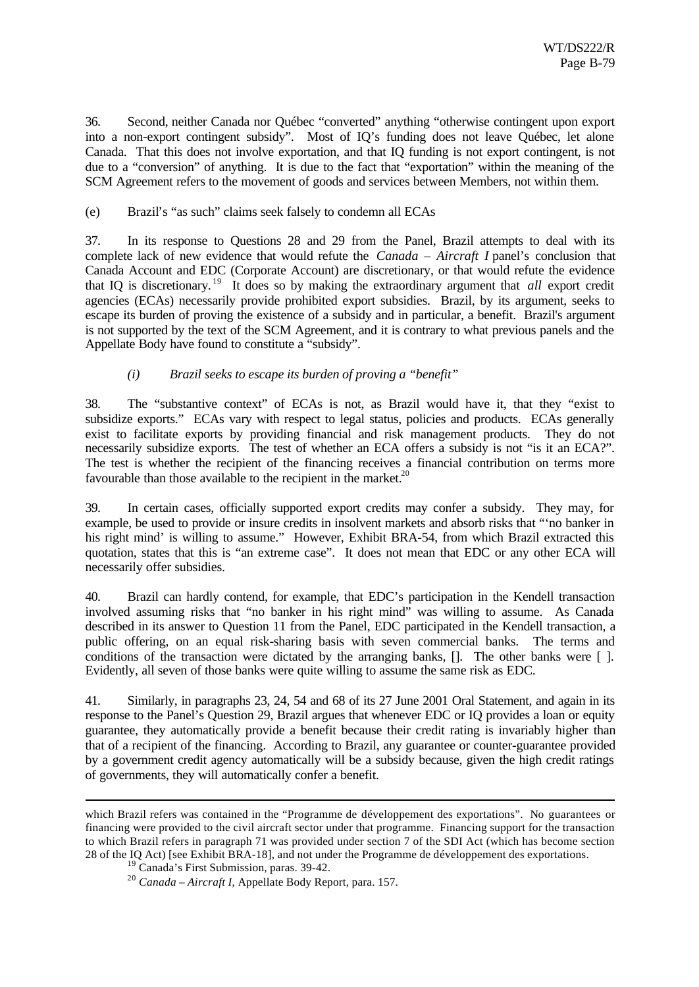36. Second, neither Canada nor Québec "converted" anything "otherwise contingent upon export into a non-export contingent subsidy". Most of IQ's funding does not leave Québec, let alone Canada. That this does not involve exportation, and that IQ funding is not export contingent, is not due to a "conversion" of anything. It is due to the fact that "exportation" within the meaning of the SCM Agreement refers to the movement of goods and services between Members, not within them.

#### (e) Brazil's "as such" claims seek falsely to condemn all ECAs

37. In its response to Questions 28 and 29 from the Panel, Brazil attempts to deal with its complete lack of new evidence that would refute the *Canada – Aircraft I* panel's conclusion that Canada Account and EDC (Corporate Account) are discretionary, or that would refute the evidence that IQ is discretionary. <sup>19</sup> It does so by making the extraordinary argument that *all* export credit agencies (ECAs) necessarily provide prohibited export subsidies. Brazil, by its argument, seeks to escape its burden of proving the existence of a subsidy and in particular, a benefit. Brazil's argument is not supported by the text of the SCM Agreement, and it is contrary to what previous panels and the Appellate Body have found to constitute a "subsidy".

# *(i) Brazil seeks to escape its burden of proving a "benefit"*

38. The "substantive context" of ECAs is not, as Brazil would have it, that they "exist to subsidize exports." ECAs vary with respect to legal status, policies and products. ECAs generally exist to facilitate exports by providing financial and risk management products. They do not necessarily subsidize exports. The test of whether an ECA offers a subsidy is not "is it an ECA?". The test is whether the recipient of the financing receives a financial contribution on terms more favourable than those available to the recipient in the market. $20$ 

39. In certain cases, officially supported export credits may confer a subsidy. They may, for example, be used to provide or insure credits in insolvent markets and absorb risks that "'no banker in his right mind' is willing to assume." However, Exhibit BRA-54, from which Brazil extracted this quotation, states that this is "an extreme case". It does not mean that EDC or any other ECA will necessarily offer subsidies.

40. Brazil can hardly contend, for example, that EDC's participation in the Kendell transaction involved assuming risks that "no banker in his right mind" was willing to assume. As Canada described in its answer to Question 11 from the Panel, EDC participated in the Kendell transaction, a public offering, on an equal risk-sharing basis with seven commercial banks. The terms and conditions of the transaction were dictated by the arranging banks, []. The other banks were [ ]. Evidently, all seven of those banks were quite willing to assume the same risk as EDC.

41. Similarly, in paragraphs 23, 24, 54 and 68 of its 27 June 2001 Oral Statement, and again in its response to the Panel's Question 29, Brazil argues that whenever EDC or IQ provides a loan or equity guarantee, they automatically provide a benefit because their credit rating is invariably higher than that of a recipient of the financing. According to Brazil, any guarantee or counter-guarantee provided by a government credit agency automatically will be a subsidy because, given the high credit ratings of governments, they will automatically confer a benefit.

which Brazil refers was contained in the "Programme de développement des exportations". No guarantees or financing were provided to the civil aircraft sector under that programme. Financing support for the transaction to which Brazil refers in paragraph 71 was provided under section 7 of the SDI Act (which has become section 28 of the IQ Act) [see Exhibit BRA-18], and not under the Programme de développement des exportations.

<sup>&</sup>lt;sup>19</sup> Canada's First Submission, paras. 39-42.

<sup>20</sup> *Canada – Aircraft I*, Appellate Body Report, para. 157.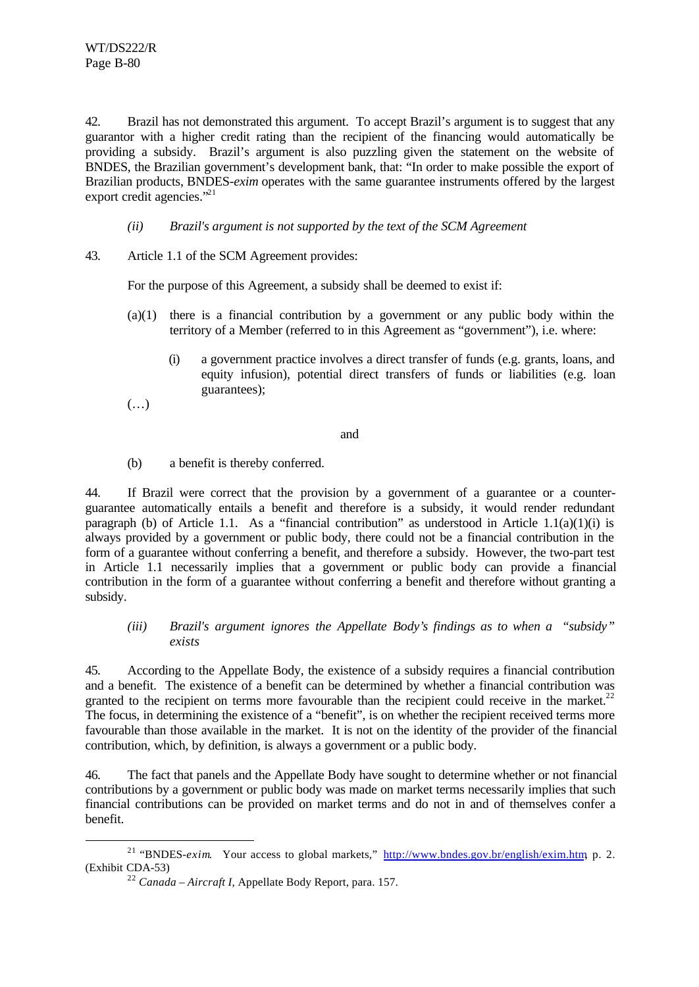42. Brazil has not demonstrated this argument. To accept Brazil's argument is to suggest that any guarantor with a higher credit rating than the recipient of the financing would automatically be providing a subsidy. Brazil's argument is also puzzling given the statement on the website of BNDES, the Brazilian government's development bank, that: "In order to make possible the export of Brazilian products, BNDES-*exim* operates with the same guarantee instruments offered by the largest export credit agencies."<sup>21</sup>

- *(ii) Brazil's argument is not supported by the text of the SCM Agreement*
- 43. Article 1.1 of the SCM Agreement provides:

For the purpose of this Agreement, a subsidy shall be deemed to exist if:

- $(a)(1)$  there is a financial contribution by a government or any public body within the territory of a Member (referred to in this Agreement as "government"), i.e. where:
	- (i) a government practice involves a direct transfer of funds (e.g. grants, loans, and equity infusion), potential direct transfers of funds or liabilities (e.g. loan guarantees);

(…)

l

and

(b) a benefit is thereby conferred.

44. If Brazil were correct that the provision by a government of a guarantee or a counterguarantee automatically entails a benefit and therefore is a subsidy, it would render redundant paragraph (b) of Article 1.1. As a "financial contribution" as understood in Article 1.1(a)(1)(i) is always provided by a government or public body, there could not be a financial contribution in the form of a guarantee without conferring a benefit, and therefore a subsidy. However, the two-part test in Article 1.1 necessarily implies that a government or public body can provide a financial contribution in the form of a guarantee without conferring a benefit and therefore without granting a subsidy.

#### *(iii) Brazil's argument ignores the Appellate Body's findings as to when a "subsidy" exists*

45. According to the Appellate Body, the existence of a subsidy requires a financial contribution and a benefit. The existence of a benefit can be determined by whether a financial contribution was granted to the recipient on terms more favourable than the recipient could receive in the market. $^{22}$ The focus, in determining the existence of a "benefit", is on whether the recipient received terms more favourable than those available in the market. It is not on the identity of the provider of the financial contribution, which, by definition, is always a government or a public body.

46. The fact that panels and the Appellate Body have sought to determine whether or not financial contributions by a government or public body was made on market terms necessarily implies that such financial contributions can be provided on market terms and do not in and of themselves confer a benefit.

<sup>&</sup>lt;sup>21</sup> "BNDES-exim. Your access to global markets," http://www.bndes.gov.br/english/exim.htm p. 2. (Exhibit CDA-53)

<sup>22</sup> *Canada – Aircraft I*, Appellate Body Report, para. 157.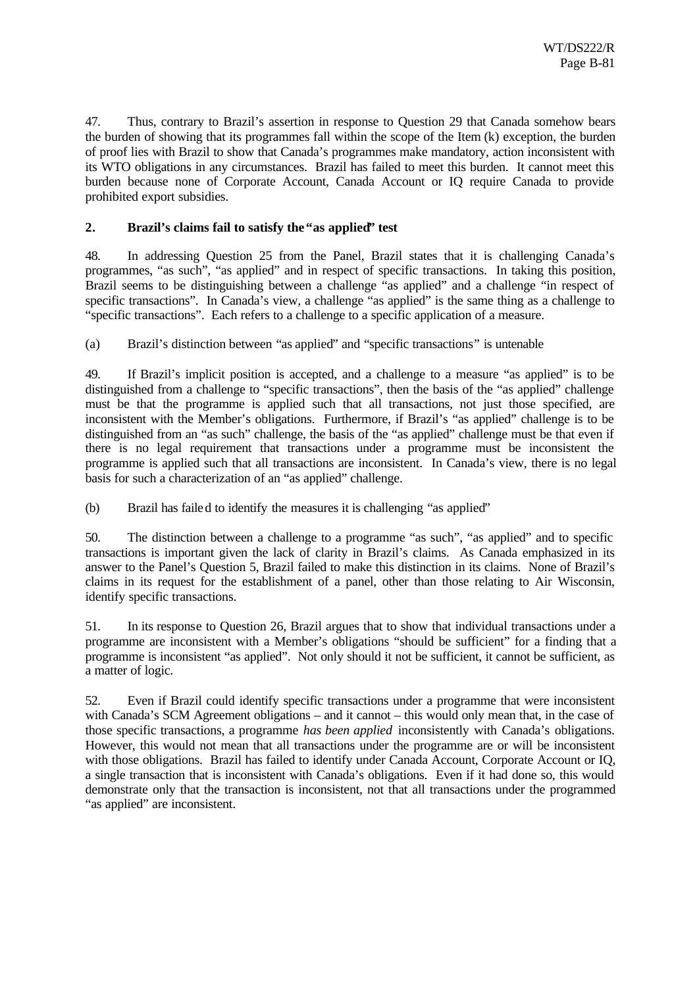47. Thus, contrary to Brazil's assertion in response to Question 29 that Canada somehow bears the burden of showing that its programmes fall within the scope of the Item (k) exception, the burden of proof lies with Brazil to show that Canada's programmes make mandatory, action inconsistent with its WTO obligations in any circumstances. Brazil has failed to meet this burden. It cannot meet this burden because none of Corporate Account, Canada Account or IQ require Canada to provide prohibited export subsidies.

### **2. Brazil's claims fail to satisfy the "as applied" test**

48. In addressing Question 25 from the Panel, Brazil states that it is challenging Canada's programmes, "as such", "as applied" and in respect of specific transactions. In taking this position, Brazil seems to be distinguishing between a challenge "as applied" and a challenge "in respect of specific transactions". In Canada's view, a challenge "as applied" is the same thing as a challenge to "specific transactions". Each refers to a challenge to a specific application of a measure.

(a) Brazil's distinction between "as applied" and "specific transactions" is untenable

49. If Brazil's implicit position is accepted, and a challenge to a measure "as applied" is to be distinguished from a challenge to "specific transactions", then the basis of the "as applied" challenge must be that the programme is applied such that all transactions, not just those specified, are inconsistent with the Member's obligations. Furthermore, if Brazil's "as applied" challenge is to be distinguished from an "as such" challenge, the basis of the "as applied" challenge must be that even if there is no legal requirement that transactions under a programme must be inconsistent the programme is applied such that all transactions are inconsistent. In Canada's view, there is no legal basis for such a characterization of an "as applied" challenge.

(b) Brazil has failed to identify the measures it is challenging "as applied"

50. The distinction between a challenge to a programme "as such", "as applied" and to specific transactions is important given the lack of clarity in Brazil's claims. As Canada emphasized in its answer to the Panel's Question 5, Brazil failed to make this distinction in its claims. None of Brazil's claims in its request for the establishment of a panel, other than those relating to Air Wisconsin, identify specific transactions.

51. In its response to Question 26, Brazil argues that to show that individual transactions under a programme are inconsistent with a Member's obligations "should be sufficient" for a finding that a programme is inconsistent "as applied". Not only should it not be sufficient, it cannot be sufficient, as a matter of logic.

52. Even if Brazil could identify specific transactions under a programme that were inconsistent with Canada's SCM Agreement obligations – and it cannot – this would only mean that, in the case of those specific transactions, a programme *has been applied* inconsistently with Canada's obligations. However, this would not mean that all transactions under the programme are or will be inconsistent with those obligations. Brazil has failed to identify under Canada Account, Corporate Account or IQ, a single transaction that is inconsistent with Canada's obligations. Even if it had done so, this would demonstrate only that the transaction is inconsistent, not that all transactions under the programmed "as applied" are inconsistent.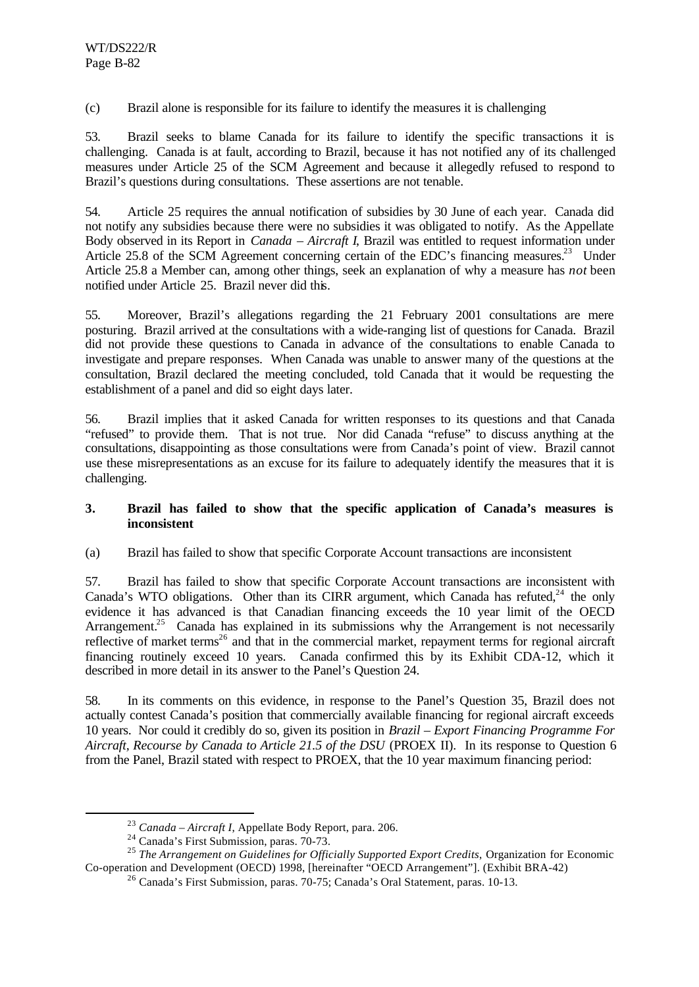(c) Brazil alone is responsible for its failure to identify the measures it is challenging

53. Brazil seeks to blame Canada for its failure to identify the specific transactions it is challenging. Canada is at fault, according to Brazil, because it has not notified any of its challenged measures under Article 25 of the SCM Agreement and because it allegedly refused to respond to Brazil's questions during consultations. These assertions are not tenable.

54. Article 25 requires the annual notification of subsidies by 30 June of each year. Canada did not notify any subsidies because there were no subsidies it was obligated to notify. As the Appellate Body observed in its Report in *Canada – Aircraft I*, Brazil was entitled to request information under Article 25.8 of the SCM Agreement concerning certain of the EDC's financing measures.<sup>23</sup> Under Article 25.8 a Member can, among other things, seek an explanation of why a measure has *not* been notified under Article 25. Brazil never did this.

55. Moreover, Brazil's allegations regarding the 21 February 2001 consultations are mere posturing. Brazil arrived at the consultations with a wide-ranging list of questions for Canada. Brazil did not provide these questions to Canada in advance of the consultations to enable Canada to investigate and prepare responses. When Canada was unable to answer many of the questions at the consultation, Brazil declared the meeting concluded, told Canada that it would be requesting the establishment of a panel and did so eight days later.

56. Brazil implies that it asked Canada for written responses to its questions and that Canada "refused" to provide them. That is not true. Nor did Canada "refuse" to discuss anything at the consultations, disappointing as those consultations were from Canada's point of view. Brazil cannot use these misrepresentations as an excuse for its failure to adequately identify the measures that it is challenging.

#### **3. Brazil has failed to show that the specific application of Canada's measures is inconsistent**

(a) Brazil has failed to show that specific Corporate Account transactions are inconsistent

57. Brazil has failed to show that specific Corporate Account transactions are inconsistent with Canada's WTO obligations. Other than its CIRR argument, which Canada has refuted,  $24$  the only evidence it has advanced is that Canadian financing exceeds the 10 year limit of the OECD Arrangement.<sup>25</sup> Canada has explained in its submissions why the Arrangement is not necessarily reflective of market terms<sup>26</sup> and that in the commercial market, repayment terms for regional aircraft financing routinely exceed 10 years. Canada confirmed this by its Exhibit CDA-12, which it described in more detail in its answer to the Panel's Question 24.

58. In its comments on this evidence, in response to the Panel's Question 35, Brazil does not actually contest Canada's position that commercially available financing for regional aircraft exceeds 10 years. Nor could it credibly do so, given its position in *Brazil – Export Financing Programme For Aircraft, Recourse by Canada to Article 21.5 of the DSU* (PROEX II). In its response to Question 6 from the Panel, Brazil stated with respect to PROEX, that the 10 year maximum financing period:

<sup>23</sup> *Canada – Aircraft I*, Appellate Body Report, para. 206.

 $^{24}$  Canada's First Submission, paras. 70-73.

<sup>25</sup> *The Arrangement on Guidelines for Officially Supported Export Credits*, Organization for Economic Co-operation and Development (OECD) 1998, [hereinafter "OECD Arrangement"]. (Exhibit BRA-42)

<sup>26</sup> Canada's First Submission, paras. 70-75; Canada's Oral Statement, paras. 10-13.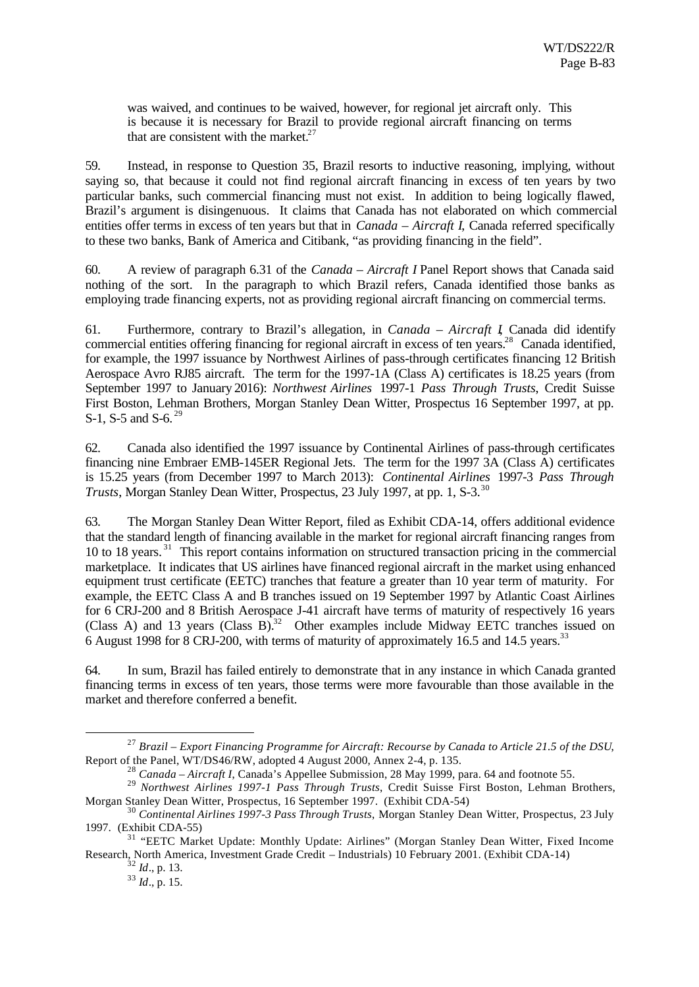was waived, and continues to be waived, however, for regional jet aircraft only. This is because it is necessary for Brazil to provide regional aircraft financing on terms that are consistent with the market. $27$ 

59. Instead, in response to Question 35, Brazil resorts to inductive reasoning, implying, without saying so, that because it could not find regional aircraft financing in excess of ten years by two particular banks, such commercial financing must not exist. In addition to being logically flawed, Brazil's argument is disingenuous. It claims that Canada has not elaborated on which commercial entities offer terms in excess of ten years but that in *Canada – Aircraft I*, Canada referred specifically to these two banks, Bank of America and Citibank, "as providing financing in the field".

60. A review of paragraph 6.31 of the *Canada – Aircraft I* Panel Report shows that Canada said nothing of the sort. In the paragraph to which Brazil refers, Canada identified those banks as employing trade financing experts, not as providing regional aircraft financing on commercial terms.

61. Furthermore, contrary to Brazil's allegation, in *Canada – Aircraft I*, Canada did identify commercial entities offering financing for regional aircraft in excess of ten years.<sup>28</sup> Canada identified, for example, the 1997 issuance by Northwest Airlines of pass-through certificates financing 12 British Aerospace Avro RJ85 aircraft. The term for the 1997-1A (Class A) certificates is 18.25 years (from September 1997 to January 2016): *Northwest Airlines* 1997-1 *Pass Through Trusts*, Credit Suisse First Boston, Lehman Brothers, Morgan Stanley Dean Witter, Prospectus 16 September 1997, at pp. S-1, S-5 and S-6.<sup>29</sup>

62. Canada also identified the 1997 issuance by Continental Airlines of pass-through certificates financing nine Embraer EMB-145ER Regional Jets. The term for the 1997 3A (Class A) certificates is 15.25 years (from December 1997 to March 2013): *Continental Airlines* 1997-3 *Pass Through Trusts*, Morgan Stanley Dean Witter, Prospectus, 23 July 1997, at pp. 1, S-3.<sup>30</sup>

63. The Morgan Stanley Dean Witter Report, filed as Exhibit CDA-14, offers additional evidence that the standard length of financing available in the market for regional aircraft financing ranges from 10 to 18 years. <sup>31</sup> This report contains information on structured transaction pricing in the commercial marketplace. It indicates that US airlines have financed regional aircraft in the market using enhanced equipment trust certificate (EETC) tranches that feature a greater than 10 year term of maturity. For example, the EETC Class A and B tranches issued on 19 September 1997 by Atlantic Coast Airlines for 6 CRJ-200 and 8 British Aerospace J-41 aircraft have terms of maturity of respectively 16 years (Class A) and 13 years (Class B).<sup>32</sup> Other examples include Midway EETC tranches issued on 6 August 1998 for 8 CRJ-200, with terms of maturity of approximately 16.5 and 14.5 years.<sup>33</sup>

64. In sum, Brazil has failed entirely to demonstrate that in any instance in which Canada granted financing terms in excess of ten years, those terms were more favourable than those available in the market and therefore conferred a benefit.

<sup>27</sup> *Brazil – Export Financing Programme for Aircraft: Recourse by Canada to Article 21.5 of the DSU*, Report of the Panel, WT/DS46/RW, adopted 4 August 2000, Annex 2-4, p. 135.

<sup>28</sup> *Canada – Aircraft I*, Canada's Appellee Submission, 28 May 1999, para. 64 and footnote 55.

<sup>29</sup> *Northwest Airlines 1997-1 Pass Through Trusts*, Credit Suisse First Boston, Lehman Brothers, Morgan Stanley Dean Witter, Prospectus, 16 September 1997. (Exhibit CDA-54)

<sup>30</sup> *Continental Airlines 1997-3 Pass Through Trusts*, Morgan Stanley Dean Witter, Prospectus, 23 July 1997. (Exhibit CDA-55)

<sup>&</sup>lt;sup>31</sup> "EETC Market Update: Monthly Update: Airlines" (Morgan Stanley Dean Witter, Fixed Income Research, North America, Investment Grade Credit – Industrials) 10 February 2001. (Exhibit CDA-14)

<sup>32</sup> *Id*., p. 13.

<sup>33</sup> *Id*., p. 15.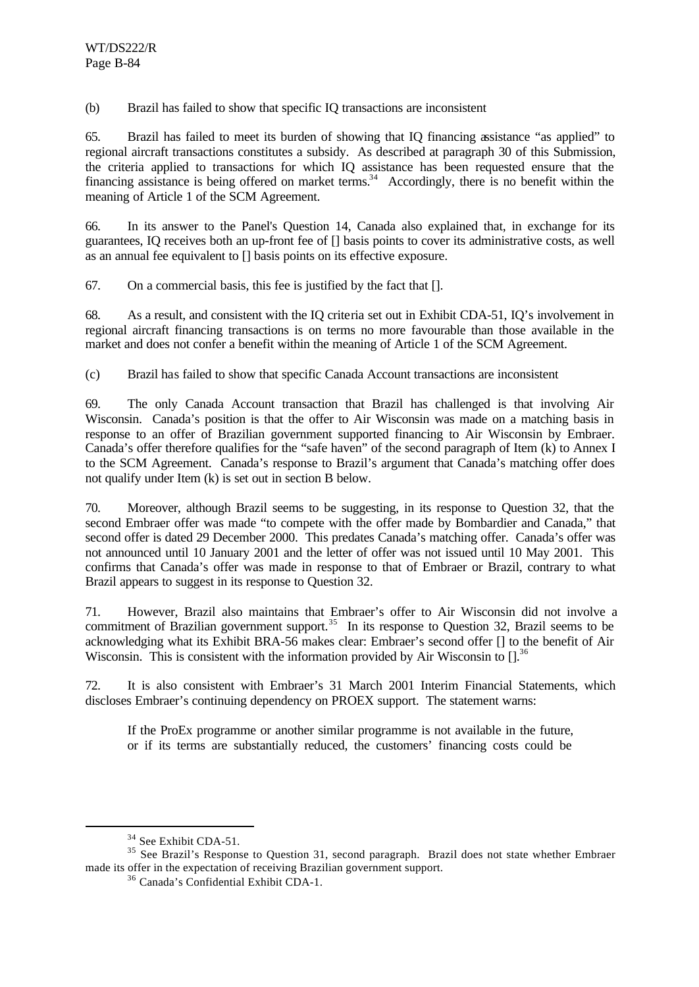(b) Brazil has failed to show that specific IQ transactions are inconsistent

65. Brazil has failed to meet its burden of showing that IQ financing assistance "as applied" to regional aircraft transactions constitutes a subsidy. As described at paragraph 30 of this Submission, the criteria applied to transactions for which IQ assistance has been requested ensure that the financing assistance is being offered on market terms.<sup>34</sup> Accordingly, there is no benefit within the meaning of Article 1 of the SCM Agreement.

66. In its answer to the Panel's Question 14, Canada also explained that, in exchange for its guarantees, IQ receives both an up-front fee of [] basis points to cover its administrative costs, as well as an annual fee equivalent to [] basis points on its effective exposure.

67. On a commercial basis, this fee is justified by the fact that [].

68. As a result, and consistent with the IQ criteria set out in Exhibit CDA-51, IQ's involvement in regional aircraft financing transactions is on terms no more favourable than those available in the market and does not confer a benefit within the meaning of Article 1 of the SCM Agreement.

(c) Brazil has failed to show that specific Canada Account transactions are inconsistent

69. The only Canada Account transaction that Brazil has challenged is that involving Air Wisconsin. Canada's position is that the offer to Air Wisconsin was made on a matching basis in response to an offer of Brazilian government supported financing to Air Wisconsin by Embraer. Canada's offer therefore qualifies for the "safe haven" of the second paragraph of Item (k) to Annex I to the SCM Agreement. Canada's response to Brazil's argument that Canada's matching offer does not qualify under Item (k) is set out in section B below.

70. Moreover, although Brazil seems to be suggesting, in its response to Question 32, that the second Embraer offer was made "to compete with the offer made by Bombardier and Canada," that second offer is dated 29 December 2000. This predates Canada's matching offer. Canada's offer was not announced until 10 January 2001 and the letter of offer was not issued until 10 May 2001. This confirms that Canada's offer was made in response to that of Embraer or Brazil, contrary to what Brazil appears to suggest in its response to Question 32.

71. However, Brazil also maintains that Embraer's offer to Air Wisconsin did not involve a commitment of Brazilian government support.<sup>35</sup> In its response to Question 32, Brazil seems to be acknowledging what its Exhibit BRA-56 makes clear: Embraer's second offer [] to the benefit of Air Wisconsin. This is consistent with the information provided by Air Wisconsin to  $[1]^{36}$ 

72. It is also consistent with Embraer's 31 March 2001 Interim Financial Statements, which discloses Embraer's continuing dependency on PROEX support. The statement warns:

If the ProEx programme or another similar programme is not available in the future, or if its terms are substantially reduced, the customers' financing costs could be

<sup>&</sup>lt;sup>34</sup> See Exhibit CDA-51.

 $35$  See Brazil's Response to Question 31, second paragraph. Brazil does not state whether Embraer made its offer in the expectation of receiving Brazilian government support.

<sup>36</sup> Canada's Confidential Exhibit CDA-1.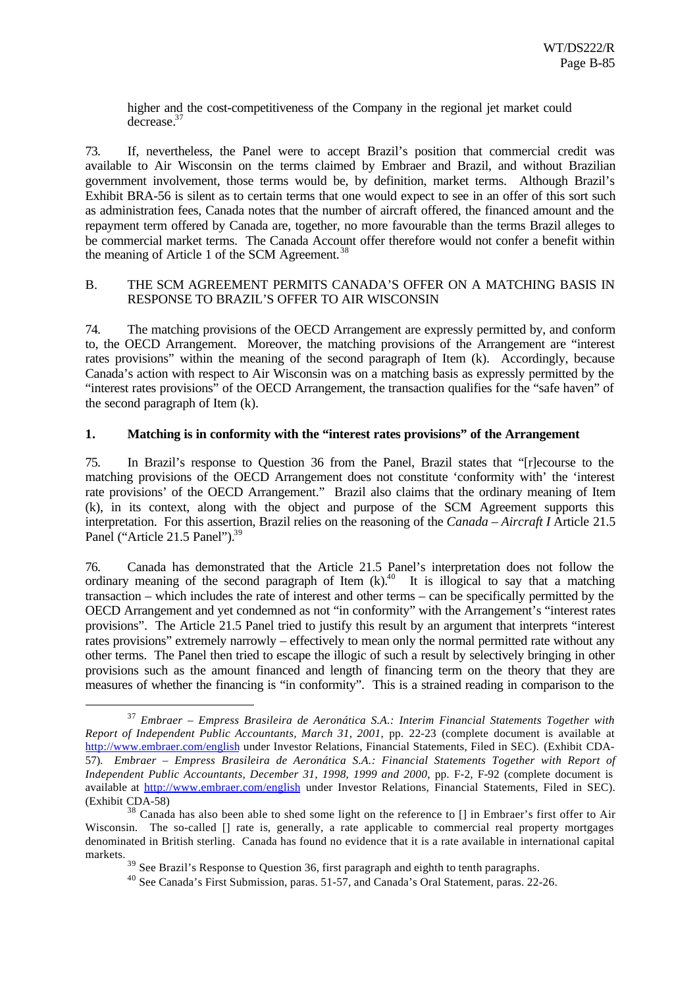higher and the cost-competitiveness of the Company in the regional jet market could decrease.<sup>37</sup>

73. If, nevertheless, the Panel were to accept Brazil's position that commercial credit was available to Air Wisconsin on the terms claimed by Embraer and Brazil, and without Brazilian government involvement, those terms would be, by definition, market terms. Although Brazil's Exhibit BRA-56 is silent as to certain terms that one would expect to see in an offer of this sort such as administration fees, Canada notes that the number of aircraft offered, the financed amount and the repayment term offered by Canada are, together, no more favourable than the terms Brazil alleges to be commercial market terms. The Canada Account offer therefore would not confer a benefit within the meaning of Article 1 of the SCM Agreement.<sup>38</sup>

#### B. THE SCM AGREEMENT PERMITS CANADA'S OFFER ON A MATCHING BASIS IN RESPONSE TO BRAZIL'S OFFER TO AIR WISCONSIN

74. The matching provisions of the OECD Arrangement are expressly permitted by, and conform to, the OECD Arrangement. Moreover, the matching provisions of the Arrangement are "interest rates provisions" within the meaning of the second paragraph of Item (k). Accordingly, because Canada's action with respect to Air Wisconsin was on a matching basis as expressly permitted by the "interest rates provisions" of the OECD Arrangement, the transaction qualifies for the "safe haven" of the second paragraph of Item (k).

# **1. Matching is in conformity with the "interest rates provisions" of the Arrangement**

75. In Brazil's response to Question 36 from the Panel, Brazil states that "[r]ecourse to the matching provisions of the OECD Arrangement does not constitute 'conformity with' the 'interest rate provisions' of the OECD Arrangement." Brazil also claims that the ordinary meaning of Item (k), in its context, along with the object and purpose of the SCM Agreement supports this interpretation. For this assertion, Brazil relies on the reasoning of the *Canada – Aircraft I* Article 21.5 Panel ("Article 21.5 Panel").<sup>39</sup>

76. Canada has demonstrated that the Article 21.5 Panel's interpretation does not follow the ordinary meaning of the second paragraph of Item  $(k)$ .<sup>40</sup> It is illogical to say that a matching transaction – which includes the rate of interest and other terms – can be specifically permitted by the OECD Arrangement and yet condemned as not "in conformity" with the Arrangement's "interest rates provisions". The Article 21.5 Panel tried to justify this result by an argument that interprets "interest rates provisions" extremely narrowly – effectively to mean only the normal permitted rate without any other terms. The Panel then tried to escape the illogic of such a result by selectively bringing in other provisions such as the amount financed and length of financing term on the theory that they are measures of whether the financing is "in conformity". This is a strained reading in comparison to the

<sup>37</sup> *Embraer – Empress Brasileira de Aeronática S.A.: Interim Financial Statements Together with Report of Independent Public Accountants, March 31, 2001*, pp. 22-23 (complete document is available at http://www.embraer.com/english under Investor Relations, Financial Statements, Filed in SEC). (Exhibit CDA-57). *Embraer – Empress Brasileira de Aeronática S.A.: Financial Statements Together with Report of Independent Public Accountants, December 31, 1998, 1999 and 2000*, pp. F-2, F-92 (complete document is available at http://www.embraer.com/english under Investor Relations, Financial Statements, Filed in SEC). (Exhibit CDA-58)

 $38$  Canada has also been able to shed some light on the reference to  $\lceil \rceil$  in Embraer's first offer to Air Wisconsin. The so-called  $\begin{bmatrix} \cdot \\ \cdot \end{bmatrix}$  rate is, generally, a rate applicable to commercial real property mortgages denominated in British sterling. Canada has found no evidence that it is a rate available in international capital markets.

<sup>39</sup> See Brazil's Response to Question 36, first paragraph and eighth to tenth paragraphs.

<sup>40</sup> See Canada's First Submission, paras. 51-57, and Canada's Oral Statement, paras. 22-26.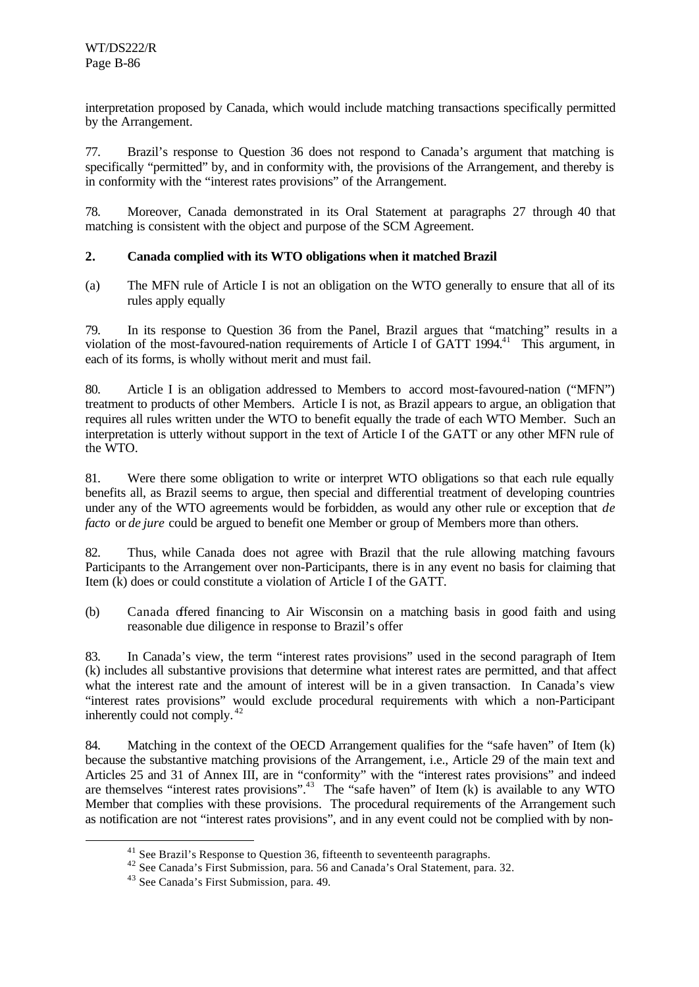interpretation proposed by Canada, which would include matching transactions specifically permitted by the Arrangement.

77. Brazil's response to Question 36 does not respond to Canada's argument that matching is specifically "permitted" by, and in conformity with, the provisions of the Arrangement, and thereby is in conformity with the "interest rates provisions" of the Arrangement.

78. Moreover, Canada demonstrated in its Oral Statement at paragraphs 27 through 40 that matching is consistent with the object and purpose of the SCM Agreement.

# **2. Canada complied with its WTO obligations when it matched Brazil**

(a) The MFN rule of Article I is not an obligation on the WTO generally to ensure that all of its rules apply equally

79. In its response to Question 36 from the Panel, Brazil argues that "matching" results in a violation of the most-favoured-nation requirements of Article I of  $GATT$  1994.<sup>41</sup> This argument, in each of its forms, is wholly without merit and must fail.

80. Article I is an obligation addressed to Members to accord most-favoured-nation ("MFN") treatment to products of other Members. Article I is not, as Brazil appears to argue, an obligation that requires all rules written under the WTO to benefit equally the trade of each WTO Member. Such an interpretation is utterly without support in the text of Article I of the GATT or any other MFN rule of the WTO.

81. Were there some obligation to write or interpret WTO obligations so that each rule equally benefits all, as Brazil seems to argue, then special and differential treatment of developing countries under any of the WTO agreements would be forbidden, as would any other rule or exception that *de facto* or *de jure* could be argued to benefit one Member or group of Members more than others.

82. Thus, while Canada does not agree with Brazil that the rule allowing matching favours Participants to the Arrangement over non-Participants, there is in any event no basis for claiming that Item (k) does or could constitute a violation of Article I of the GATT.

(b) Canada offered financing to Air Wisconsin on a matching basis in good faith and using reasonable due diligence in response to Brazil's offer

83. In Canada's view, the term "interest rates provisions" used in the second paragraph of Item (k) includes all substantive provisions that determine what interest rates are permitted, and that affect what the interest rate and the amount of interest will be in a given transaction. In Canada's view "interest rates provisions" would exclude procedural requirements with which a non-Participant inherently could not comply. <sup>42</sup>

84. Matching in the context of the OECD Arrangement qualifies for the "safe haven" of Item (k) because the substantive matching provisions of the Arrangement, i.e., Article 29 of the main text and Articles 25 and 31 of Annex III, are in "conformity" with the "interest rates provisions" and indeed are themselves "interest rates provisions".<sup>43</sup> The "safe haven" of Item (k) is available to any WTO Member that complies with these provisions. The procedural requirements of the Arrangement such as notification are not "interest rates provisions", and in any event could not be complied with by non-

<sup>&</sup>lt;sup>41</sup> See Brazil's Response to Question 36, fifteenth to seventeenth paragraphs.

<sup>&</sup>lt;sup>42</sup> See Canada's First Submission, para. 56 and Canada's Oral Statement, para. 32.

<sup>43</sup> See Canada's First Submission, para. 49.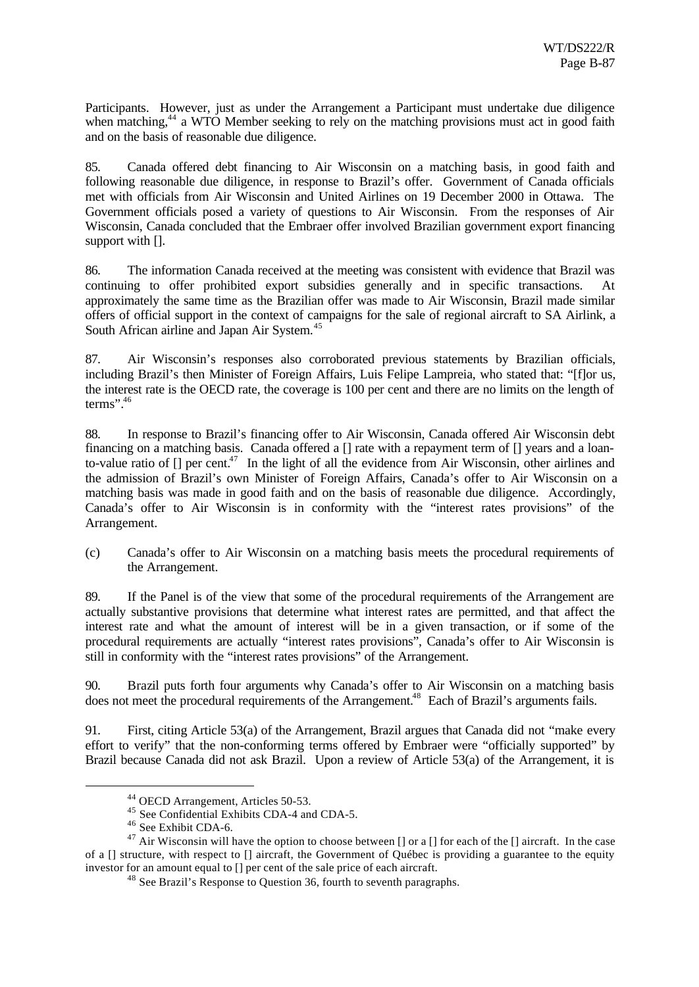Participants. However, just as under the Arrangement a Participant must undertake due diligence when matching,<sup>44</sup> a WTO Member seeking to rely on the matching provisions must act in good faith and on the basis of reasonable due diligence.

85. Canada offered debt financing to Air Wisconsin on a matching basis, in good faith and following reasonable due diligence, in response to Brazil's offer. Government of Canada officials met with officials from Air Wisconsin and United Airlines on 19 December 2000 in Ottawa. The Government officials posed a variety of questions to Air Wisconsin. From the responses of Air Wisconsin, Canada concluded that the Embraer offer involved Brazilian government export financing support with [].

86. The information Canada received at the meeting was consistent with evidence that Brazil was continuing to offer prohibited export subsidies generally and in specific transactions. At approximately the same time as the Brazilian offer was made to Air Wisconsin, Brazil made similar offers of official support in the context of campaigns for the sale of regional aircraft to SA Airlink, a South African airline and Japan Air System.<sup>45</sup>

87. Air Wisconsin's responses also corroborated previous statements by Brazilian officials, including Brazil's then Minister of Foreign Affairs, Luis Felipe Lampreia, who stated that: "[f]or us, the interest rate is the OECD rate, the coverage is 100 per cent and there are no limits on the length of terms". $46$ 

88. In response to Brazil's financing offer to Air Wisconsin, Canada offered Air Wisconsin debt financing on a matching basis. Canada offered a [] rate with a repayment term of [] years and a loanto-value ratio of  $\prod$  per cent.<sup>47</sup> In the light of all the evidence from Air Wisconsin, other airlines and the admission of Brazil's own Minister of Foreign Affairs, Canada's offer to Air Wisconsin on a matching basis was made in good faith and on the basis of reasonable due diligence. Accordingly, Canada's offer to Air Wisconsin is in conformity with the "interest rates provisions" of the Arrangement.

(c) Canada's offer to Air Wisconsin on a matching basis meets the procedural requirements of the Arrangement.

89. If the Panel is of the view that some of the procedural requirements of the Arrangement are actually substantive provisions that determine what interest rates are permitted, and that affect the interest rate and what the amount of interest will be in a given transaction, or if some of the procedural requirements are actually "interest rates provisions", Canada's offer to Air Wisconsin is still in conformity with the "interest rates provisions" of the Arrangement.

90. Brazil puts forth four arguments why Canada's offer to Air Wisconsin on a matching basis does not meet the procedural requirements of the Arrangement.<sup>48</sup> Each of Brazil's arguments fails.

91. First, citing Article 53(a) of the Arrangement, Brazil argues that Canada did not "make every effort to verify" that the non-conforming terms offered by Embraer were "officially supported" by Brazil because Canada did not ask Brazil. Upon a review of Article 53(a) of the Arrangement, it is

<sup>44</sup> OECD Arrangement, Articles 50-53.

<sup>45</sup> See Confidential Exhibits CDA-4 and CDA-5.

<sup>&</sup>lt;sup>46</sup> See Exhibit CDA-6.

<sup>&</sup>lt;sup>47</sup> Air Wisconsin will have the option to choose between  $\Box$  or a  $\Box$  for each of the  $\Box$  aircraft. In the case of a [] structure, with respect to [] aircraft, the Government of Québec is providing a guarantee to the equity investor for an amount equal to [] per cent of the sale price of each aircraft.

<sup>48</sup> See Brazil's Response to Question 36, fourth to seventh paragraphs.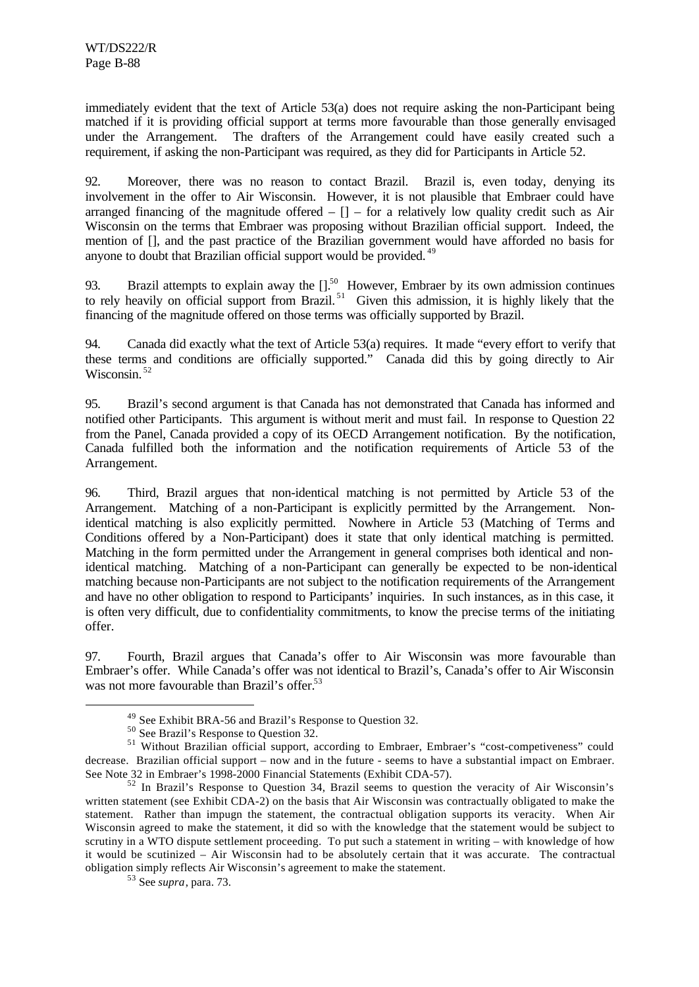immediately evident that the text of Article 53(a) does not require asking the non-Participant being matched if it is providing official support at terms more favourable than those generally envisaged under the Arrangement. The drafters of the Arrangement could have easily created such a requirement, if asking the non-Participant was required, as they did for Participants in Article 52.

92. Moreover, there was no reason to contact Brazil. Brazil is, even today, denying its involvement in the offer to Air Wisconsin. However, it is not plausible that Embraer could have arranged financing of the magnitude offered  $\Box$  – for a relatively low quality credit such as Air Wisconsin on the terms that Embraer was proposing without Brazilian official support. Indeed, the mention of [], and the past practice of the Brazilian government would have afforded no basis for anyone to doubt that Brazilian official support would be provided. <sup>49</sup>

93. Brazil attempts to explain away the  $[$ <sup>50</sup> However, Embraer by its own admission continues to rely heavily on official support from Brazil.<sup>51</sup> Given this admission, it is highly likely that the financing of the magnitude offered on those terms was officially supported by Brazil.

94. Canada did exactly what the text of Article 53(a) requires. It made "every effort to verify that these terms and conditions are officially supported." Canada did this by going directly to Air Wisconsin.<sup>52</sup>

95. Brazil's second argument is that Canada has not demonstrated that Canada has informed and notified other Participants. This argument is without merit and must fail. In response to Question 22 from the Panel, Canada provided a copy of its OECD Arrangement notification. By the notification, Canada fulfilled both the information and the notification requirements of Article 53 of the Arrangement.

96. Third, Brazil argues that non-identical matching is not permitted by Article 53 of the Arrangement. Matching of a non-Participant is explicitly permitted by the Arrangement. Nonidentical matching is also explicitly permitted. Nowhere in Article 53 (Matching of Terms and Conditions offered by a Non-Participant) does it state that only identical matching is permitted. Matching in the form permitted under the Arrangement in general comprises both identical and nonidentical matching. Matching of a non-Participant can generally be expected to be non-identical matching because non-Participants are not subject to the notification requirements of the Arrangement and have no other obligation to respond to Participants' inquiries. In such instances, as in this case, it is often very difficult, due to confidentiality commitments, to know the precise terms of the initiating offer.

97. Fourth, Brazil argues that Canada's offer to Air Wisconsin was more favourable than Embraer's offer. While Canada's offer was not identical to Brazil's, Canada's offer to Air Wisconsin was not more favourable than Brazil's offer.<sup>53</sup>

<sup>49</sup> See Exhibit BRA-56 and Brazil's Response to Question 32.

<sup>50</sup> See Brazil's Response to Question 32.

<sup>&</sup>lt;sup>51</sup> Without Brazilian official support, according to Embraer, Embraer's "cost-competiveness" could decrease. Brazilian official support – now and in the future - seems to have a substantial impact on Embraer. See Note 32 in Embraer's 1998-2000 Financial Statements (Exhibit CDA-57).

 $5<sup>2</sup>$  In Brazil's Response to Question 34, Brazil seems to question the veracity of Air Wisconsin's written statement (see Exhibit CDA-2) on the basis that Air Wisconsin was contractually obligated to make the statement. Rather than impugn the statement, the contractual obligation supports its veracity. When Air Wisconsin agreed to make the statement, it did so with the knowledge that the statement would be subject to scrutiny in a WTO dispute settlement proceeding. To put such a statement in writing – with knowledge of how it would be scutinized – Air Wisconsin had to be absolutely certain that it was accurate. The contractual obligation simply reflects Air Wisconsin's agreement to make the statement.

<sup>53</sup> See *supra*, para. 73.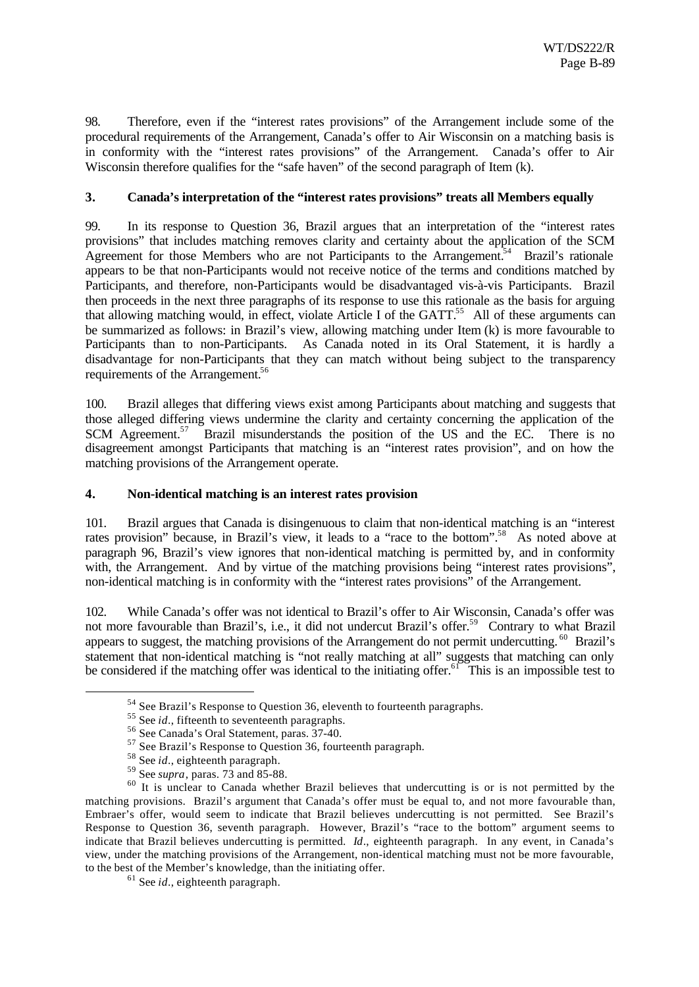98. Therefore, even if the "interest rates provisions" of the Arrangement include some of the procedural requirements of the Arrangement, Canada's offer to Air Wisconsin on a matching basis is in conformity with the "interest rates provisions" of the Arrangement. Canada's offer to Air Wisconsin therefore qualifies for the "safe haven" of the second paragraph of Item (k).

#### **3. Canada's interpretation of the "interest rates provisions" treats all Members equally**

99. In its response to Question 36, Brazil argues that an interpretation of the "interest rates provisions" that includes matching removes clarity and certainty about the application of the SCM Agreement for those Members who are not Participants to the Arrangement.<sup>54</sup> Brazil's rationale appears to be that non-Participants would not receive notice of the terms and conditions matched by Participants, and therefore, non-Participants would be disadvantaged vis-à-vis Participants. Brazil then proceeds in the next three paragraphs of its response to use this rationale as the basis for arguing that allowing matching would, in effect, violate Article I of the GATT.<sup>55</sup> All of these arguments can be summarized as follows: in Brazil's view, allowing matching under Item (k) is more favourable to Participants than to non-Participants. As Canada noted in its Oral Statement, it is hardly a disadvantage for non-Participants that they can match without being subject to the transparency requirements of the Arrangement.<sup>56</sup>

100. Brazil alleges that differing views exist among Participants about matching and suggests that those alleged differing views undermine the clarity and certainty concerning the application of the SCM Agreement.<sup>57</sup> Brazil misunderstands the position of the US and the EC. There is no disagreement amongst Participants that matching is an "interest rates provision", and on how the matching provisions of the Arrangement operate.

#### **4. Non-identical matching is an interest rates provision**

101. Brazil argues that Canada is disingenuous to claim that non-identical matching is an "interest rates provision" because, in Brazil's view, it leads to a "race to the bottom".<sup>58</sup> As noted above at paragraph 96, Brazil's view ignores that non-identical matching is permitted by, and in conformity with, the Arrangement. And by virtue of the matching provisions being "interest rates provisions", non-identical matching is in conformity with the "interest rates provisions" of the Arrangement.

102. While Canada's offer was not identical to Brazil's offer to Air Wisconsin, Canada's offer was not more favourable than Brazil's, i.e., it did not undercut Brazil's offer.<sup>59</sup> Contrary to what Brazil appears to suggest, the matching provisions of the Arrangement do not permit undercutting. <sup>60</sup> Brazil's statement that non-identical matching is "not really matching at all" suggests that matching can only be considered if the matching offer was identical to the initiating offer.<sup>61</sup> This is an impossible test to

l

<sup>61</sup> See *id*., eighteenth paragraph.

<sup>54</sup> See Brazil's Response to Question 36, eleventh to fourteenth paragraphs.

<sup>55</sup> See *id*., fifteenth to seventeenth paragraphs.

<sup>56</sup> See Canada's Oral Statement, paras. 37-40.

<sup>57</sup> See Brazil's Response to Question 36, fourteenth paragraph.

<sup>58</sup> See *id*., eighteenth paragraph.

<sup>59</sup> See *supra*, paras. 73 and 85-88.

<sup>&</sup>lt;sup>60</sup> It is unclear to Canada whether Brazil believes that undercutting is or is not permitted by the matching provisions. Brazil's argument that Canada's offer must be equal to, and not more favourable than, Embraer's offer, would seem to indicate that Brazil believes undercutting is not permitted. See Brazil's Response to Question 36, seventh paragraph. However, Brazil's "race to the bottom" argument seems to indicate that Brazil believes undercutting is permitted. *Id*., eighteenth paragraph. In any event, in Canada's view, under the matching provisions of the Arrangement, non-identical matching must not be more favourable, to the best of the Member's knowledge, than the initiating offer.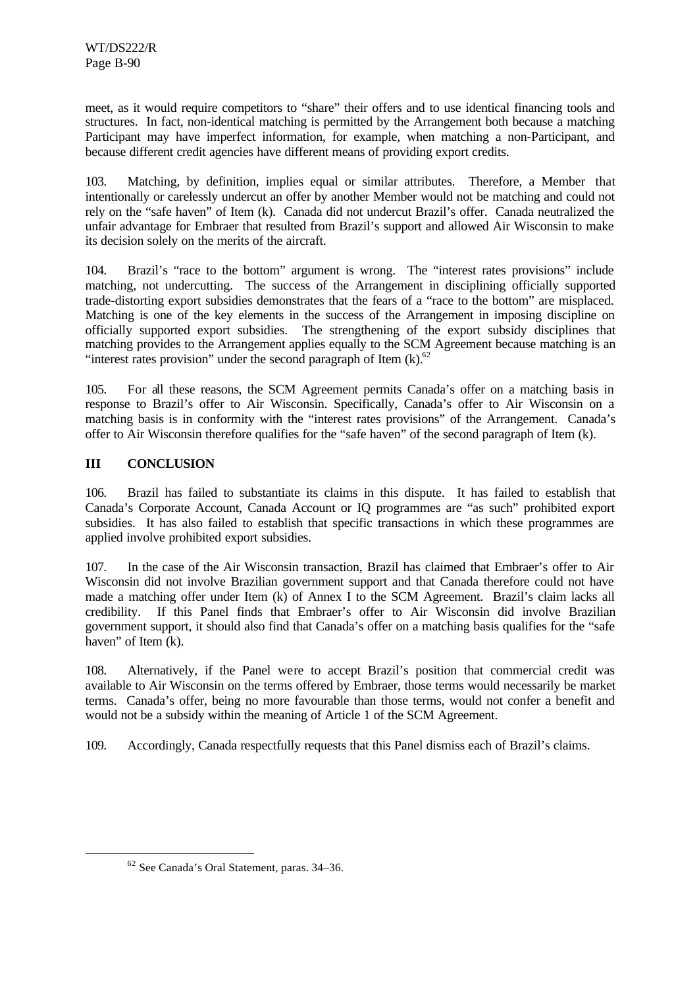meet, as it would require competitors to "share" their offers and to use identical financing tools and structures. In fact, non-identical matching is permitted by the Arrangement both because a matching Participant may have imperfect information, for example, when matching a non-Participant, and because different credit agencies have different means of providing export credits.

103. Matching, by definition, implies equal or similar attributes. Therefore, a Member that intentionally or carelessly undercut an offer by another Member would not be matching and could not rely on the "safe haven" of Item (k). Canada did not undercut Brazil's offer. Canada neutralized the unfair advantage for Embraer that resulted from Brazil's support and allowed Air Wisconsin to make its decision solely on the merits of the aircraft.

104. Brazil's "race to the bottom" argument is wrong. The "interest rates provisions" include matching, not undercutting. The success of the Arrangement in disciplining officially supported trade-distorting export subsidies demonstrates that the fears of a "race to the bottom" are misplaced. Matching is one of the key elements in the success of the Arrangement in imposing discipline on officially supported export subsidies. The strengthening of the export subsidy disciplines that matching provides to the Arrangement applies equally to the SCM Agreement because matching is an "interest rates provision" under the second paragraph of Item  $(k)$ .<sup>62</sup>

105. For all these reasons, the SCM Agreement permits Canada's offer on a matching basis in response to Brazil's offer to Air Wisconsin. Specifically, Canada's offer to Air Wisconsin on a matching basis is in conformity with the "interest rates provisions" of the Arrangement. Canada's offer to Air Wisconsin therefore qualifies for the "safe haven" of the second paragraph of Item (k).

# **III CONCLUSION**

l

106. Brazil has failed to substantiate its claims in this dispute. It has failed to establish that Canada's Corporate Account, Canada Account or IQ programmes are "as such" prohibited export subsidies. It has also failed to establish that specific transactions in which these programmes are applied involve prohibited export subsidies.

107. In the case of the Air Wisconsin transaction, Brazil has claimed that Embraer's offer to Air Wisconsin did not involve Brazilian government support and that Canada therefore could not have made a matching offer under Item (k) of Annex I to the SCM Agreement. Brazil's claim lacks all credibility. If this Panel finds that Embraer's offer to Air Wisconsin did involve Brazilian government support, it should also find that Canada's offer on a matching basis qualifies for the "safe haven" of Item (k).

108. Alternatively, if the Panel were to accept Brazil's position that commercial credit was available to Air Wisconsin on the terms offered by Embraer, those terms would necessarily be market terms. Canada's offer, being no more favourable than those terms, would not confer a benefit and would not be a subsidy within the meaning of Article 1 of the SCM Agreement.

109. Accordingly, Canada respectfully requests that this Panel dismiss each of Brazil's claims.

<sup>62</sup> See Canada's Oral Statement, paras. 34–36.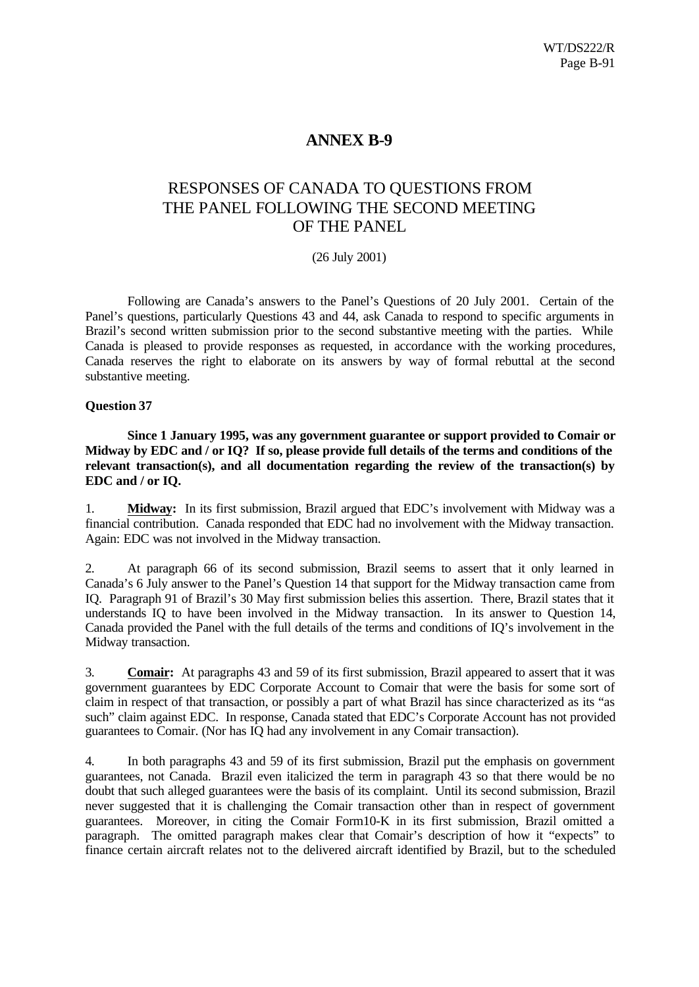# **ANNEX B-9**

# RESPONSES OF CANADA TO QUESTIONS FROM THE PANEL FOLLOWING THE SECOND MEETING OF THE PANEL

#### (26 July 2001)

Following are Canada's answers to the Panel's Questions of 20 July 2001. Certain of the Panel's questions, particularly Questions 43 and 44, ask Canada to respond to specific arguments in Brazil's second written submission prior to the second substantive meeting with the parties. While Canada is pleased to provide responses as requested, in accordance with the working procedures, Canada reserves the right to elaborate on its answers by way of formal rebuttal at the second substantive meeting.

#### **Question 37**

**Since 1 January 1995, was any government guarantee or support provided to Comair or Midway by EDC and / or IQ? If so, please provide full details of the terms and conditions of the relevant transaction(s), and all documentation regarding the review of the transaction(s) by EDC and / or IQ.**

1. **Midway:** In its first submission, Brazil argued that EDC's involvement with Midway was a financial contribution. Canada responded that EDC had no involvement with the Midway transaction. Again: EDC was not involved in the Midway transaction.

2. At paragraph 66 of its second submission, Brazil seems to assert that it only learned in Canada's 6 July answer to the Panel's Question 14 that support for the Midway transaction came from IQ. Paragraph 91 of Brazil's 30 May first submission belies this assertion. There, Brazil states that it understands IQ to have been involved in the Midway transaction. In its answer to Question 14, Canada provided the Panel with the full details of the terms and conditions of IQ's involvement in the Midway transaction.

3. **Comair:** At paragraphs 43 and 59 of its first submission, Brazil appeared to assert that it was government guarantees by EDC Corporate Account to Comair that were the basis for some sort of claim in respect of that transaction, or possibly a part of what Brazil has since characterized as its "as such" claim against EDC. In response, Canada stated that EDC's Corporate Account has not provided guarantees to Comair. (Nor has IQ had any involvement in any Comair transaction).

4. In both paragraphs 43 and 59 of its first submission, Brazil put the emphasis on government guarantees, not Canada. Brazil even italicized the term in paragraph 43 so that there would be no doubt that such alleged guarantees were the basis of its complaint. Until its second submission, Brazil never suggested that it is challenging the Comair transaction other than in respect of government guarantees. Moreover, in citing the Comair Form10-K in its first submission, Brazil omitted a paragraph. The omitted paragraph makes clear that Comair's description of how it "expects" to finance certain aircraft relates not to the delivered aircraft identified by Brazil, but to the scheduled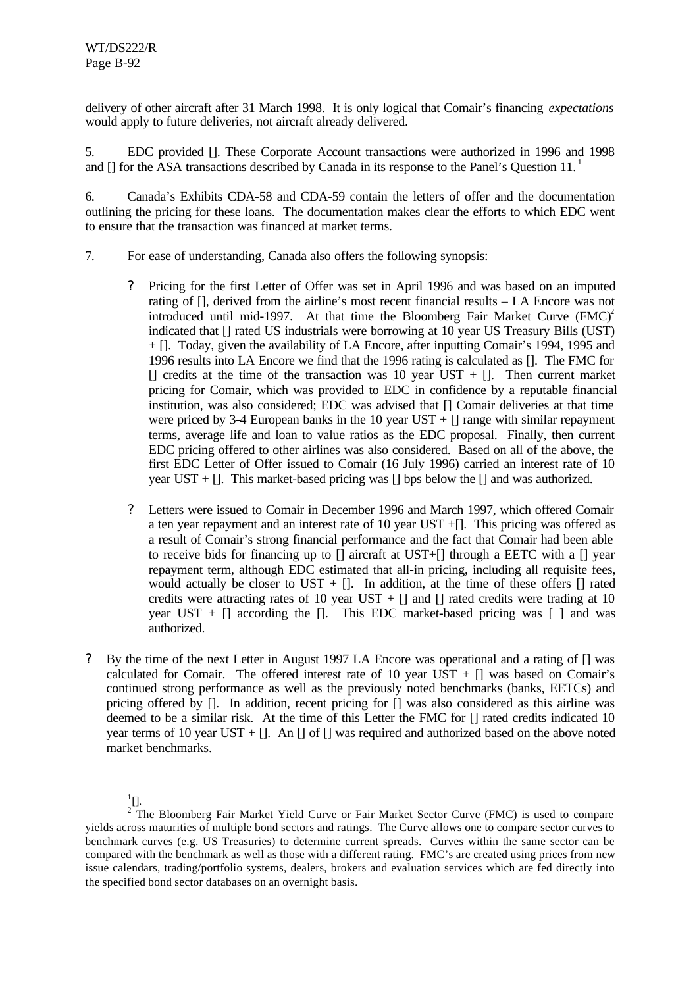delivery of other aircraft after 31 March 1998. It is only logical that Comair's financing *expectations* would apply to future deliveries, not aircraft already delivered.

5. EDC provided []. These Corporate Account transactions were authorized in 1996 and 1998 and [] for the ASA transactions described by Canada in its response to the Panel's Question 11.<sup>1</sup>

6. Canada's Exhibits CDA-58 and CDA-59 contain the letters of offer and the documentation outlining the pricing for these loans. The documentation makes clear the efforts to which EDC went to ensure that the transaction was financed at market terms.

- 7. For ease of understanding, Canada also offers the following synopsis:
	- ? Pricing for the first Letter of Offer was set in April 1996 and was based on an imputed rating of [], derived from the airline's most recent financial results – LA Encore was not introduced until mid-1997. At that time the Bloomberg Fair Market Curve  $(FMC)^2$ indicated that [] rated US industrials were borrowing at 10 year US Treasury Bills (UST) + []. Today, given the availability of LA Encore, after inputting Comair's 1994, 1995 and 1996 results into LA Encore we find that the 1996 rating is calculated as []. The FMC for [] credits at the time of the transaction was 10 year UST + []. Then current market pricing for Comair, which was provided to EDC in confidence by a reputable financial institution, was also considered; EDC was advised that [] Comair deliveries at that time were priced by 3-4 European banks in the 10 year UST  $+ \iint$  range with similar repayment terms, average life and loan to value ratios as the EDC proposal. Finally, then current EDC pricing offered to other airlines was also considered. Based on all of the above, the first EDC Letter of Offer issued to Comair (16 July 1996) carried an interest rate of 10 year UST  $+$  []. This market-based pricing was [] bps below the [] and was authorized.
	- ? Letters were issued to Comair in December 1996 and March 1997, which offered Comair a ten year repayment and an interest rate of 10 year UST +[]. This pricing was offered as a result of Comair's strong financial performance and the fact that Comair had been able to receive bids for financing up to [] aircraft at UST+[] through a EETC with a [] year repayment term, although EDC estimated that all-in pricing, including all requisite fees, would actually be closer to UST +  $\Box$ . In addition, at the time of these offers  $\Box$  rated credits were attracting rates of 10 year UST  $+$  [] and [] rated credits were trading at 10 year UST  $+$  [] according the []. This EDC market-based pricing was [ ] and was authorized.
- ? By the time of the next Letter in August 1997 LA Encore was operational and a rating of [] was calculated for Comair. The offered interest rate of 10 year UST  $+$  [] was based on Comair's continued strong performance as well as the previously noted benchmarks (banks, EETCs) and pricing offered by []. In addition, recent pricing for [] was also considered as this airline was deemed to be a similar risk. At the time of this Letter the FMC for [] rated credits indicated 10 year terms of 10 year UST +  $\lceil \rceil$ . An  $\lceil \rceil$  of  $\lceil \rceil$  was required and authorized based on the above noted market benchmarks.

 $^{1}$ [].<br>2 The Bloomberg Fair Market Yield Curve or Fair Market Sector Curve (FMC) is used to compare yields across maturities of multiple bond sectors and ratings. The Curve allows one to compare sector curves to benchmark curves (e.g. US Treasuries) to determine current spreads. Curves within the same sector can be compared with the benchmark as well as those with a different rating. FMC's are created using prices from new issue calendars, trading/portfolio systems, dealers, brokers and evaluation services which are fed directly into the specified bond sector databases on an overnight basis.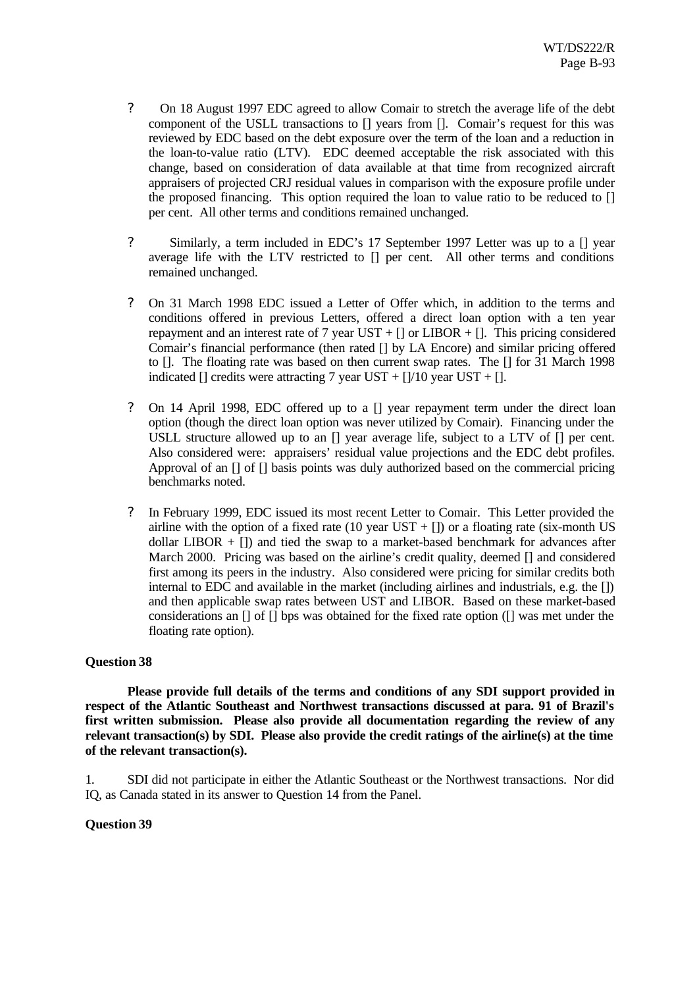- ? On 18 August 1997 EDC agreed to allow Comair to stretch the average life of the debt component of the USLL transactions to [] years from []. Comair's request for this was reviewed by EDC based on the debt exposure over the term of the loan and a reduction in the loan-to-value ratio (LTV). EDC deemed acceptable the risk associated with this change, based on consideration of data available at that time from recognized aircraft appraisers of projected CRJ residual values in comparison with the exposure profile under the proposed financing. This option required the loan to value ratio to be reduced to [] per cent. All other terms and conditions remained unchanged.
- ? Similarly, a term included in EDC's 17 September 1997 Letter was up to a [] year average life with the LTV restricted to [] per cent. All other terms and conditions remained unchanged.
- ? On 31 March 1998 EDC issued a Letter of Offer which, in addition to the terms and conditions offered in previous Letters, offered a direct loan option with a ten year repayment and an interest rate of 7 year  $UST + []$  or  $LIBOR + []$ . This pricing considered Comair's financial performance (then rated [] by LA Encore) and similar pricing offered to []. The floating rate was based on then current swap rates. The [] for 31 March 1998 indicated [] credits were attracting 7 year  $UST + []/10$  year  $UST + []$ .
- ? On 14 April 1998, EDC offered up to a [] year repayment term under the direct loan option (though the direct loan option was never utilized by Comair). Financing under the USLL structure allowed up to an  $\Box$  year average life, subject to a LTV of  $\Box$  per cent. Also considered were: appraisers' residual value projections and the EDC debt profiles. Approval of an [] of [] basis points was duly authorized based on the commercial pricing benchmarks noted.
- ? In February 1999, EDC issued its most recent Letter to Comair. This Letter provided the airline with the option of a fixed rate (10 year  $UST + []$ ) or a floating rate (six-month US dollar LIBOR  $+$  [1]) and tied the swap to a market-based benchmark for advances after March 2000. Pricing was based on the airline's credit quality, deemed  $\iint$  and considered first among its peers in the industry. Also considered were pricing for similar credits both internal to EDC and available in the market (including airlines and industrials, e.g. the []) and then applicable swap rates between UST and LIBOR. Based on these market-based considerations an [] of [] bps was obtained for the fixed rate option ([] was met under the floating rate option).

#### **Question 38**

**Please provide full details of the terms and conditions of any SDI support provided in respect of the Atlantic Southeast and Northwest transactions discussed at para. 91 of Brazil's first written submission. Please also provide all documentation regarding the review of any relevant transaction(s) by SDI. Please also provide the credit ratings of the airline(s) at the time of the relevant transaction(s).**

1. SDI did not participate in either the Atlantic Southeast or the Northwest transactions. Nor did IQ, as Canada stated in its answer to Question 14 from the Panel.

#### **Question 39**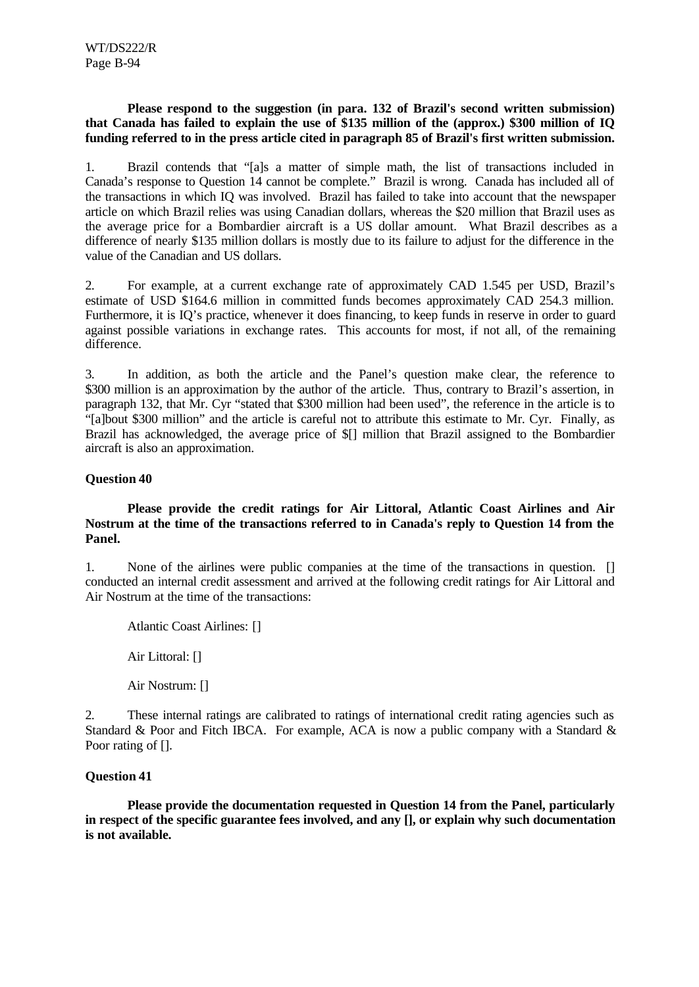#### **Please respond to the suggestion (in para. 132 of Brazil's second written submission) that Canada has failed to explain the use of \$135 million of the (approx.) \$300 million of IQ funding referred to in the press article cited in paragraph 85 of Brazil's first written submission.**

1. Brazil contends that "[a]s a matter of simple math, the list of transactions included in Canada's response to Question 14 cannot be complete." Brazil is wrong. Canada has included all of the transactions in which IQ was involved. Brazil has failed to take into account that the newspaper article on which Brazil relies was using Canadian dollars, whereas the \$20 million that Brazil uses as the average price for a Bombardier aircraft is a US dollar amount. What Brazil describes as a difference of nearly \$135 million dollars is mostly due to its failure to adjust for the difference in the value of the Canadian and US dollars.

2. For example, at a current exchange rate of approximately CAD 1.545 per USD, Brazil's estimate of USD \$164.6 million in committed funds becomes approximately CAD 254.3 million. Furthermore, it is IQ's practice, whenever it does financing, to keep funds in reserve in order to guard against possible variations in exchange rates. This accounts for most, if not all, of the remaining difference.

3. In addition, as both the article and the Panel's question make clear, the reference to \$300 million is an approximation by the author of the article. Thus, contrary to Brazil's assertion, in paragraph 132, that Mr. Cyr "stated that \$300 million had been used", the reference in the article is to "[a]bout \$300 million" and the article is careful not to attribute this estimate to Mr. Cyr. Finally, as Brazil has acknowledged, the average price of \$[] million that Brazil assigned to the Bombardier aircraft is also an approximation.

# **Question 40**

#### **Please provide the credit ratings for Air Littoral, Atlantic Coast Airlines and Air Nostrum at the time of the transactions referred to in Canada's reply to Question 14 from the Panel.**

1. None of the airlines were public companies at the time of the transactions in question. [] conducted an internal credit assessment and arrived at the following credit ratings for Air Littoral and Air Nostrum at the time of the transactions:

Atlantic Coast Airlines: [] Air Littoral: [] Air Nostrum: []

2. These internal ratings are calibrated to ratings of international credit rating agencies such as Standard & Poor and Fitch IBCA. For example, ACA is now a public company with a Standard  $\&$ Poor rating of [].

#### **Question 41**

**Please provide the documentation requested in Question 14 from the Panel, particularly in respect of the specific guarantee fees involved, and any [], or explain why such documentation is not available.**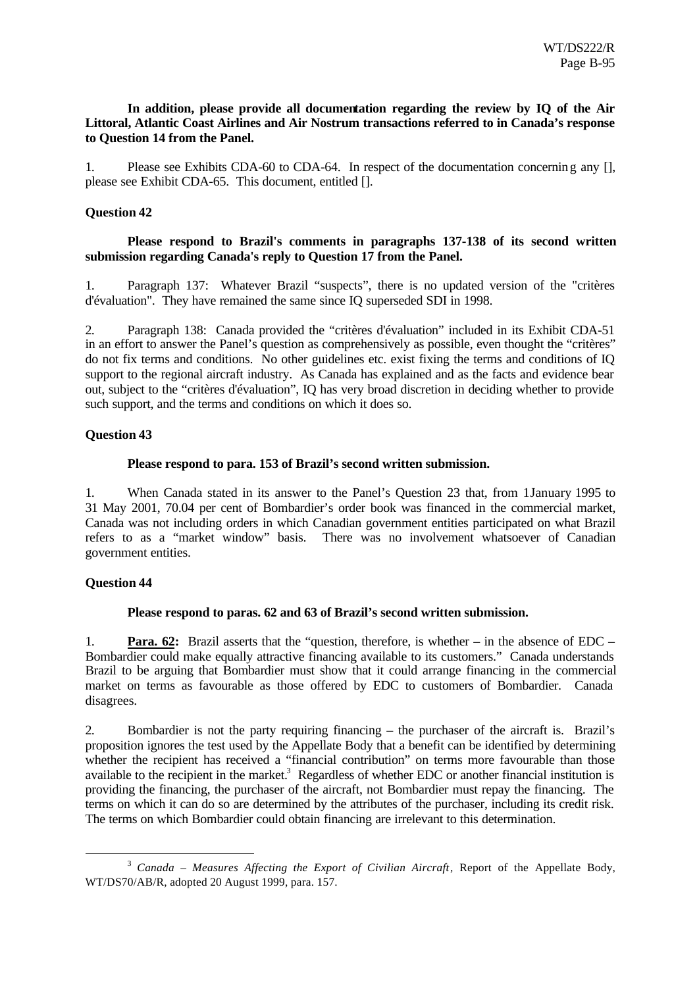#### **In addition, please provide all documentation regarding the review by IQ of the Air Littoral, Atlantic Coast Airlines and Air Nostrum transactions referred to in Canada's response to Question 14 from the Panel.**

1. Please see Exhibits CDA-60 to CDA-64. In respect of the documentation concerning any [], please see Exhibit CDA-65. This document, entitled [].

#### **Question 42**

#### **Please respond to Brazil's comments in paragraphs 137-138 of its second written submission regarding Canada's reply to Question 17 from the Panel.**

1. Paragraph 137: Whatever Brazil "suspects", there is no updated version of the "critères d'évaluation". They have remained the same since IQ superseded SDI in 1998.

2. Paragraph 138: Canada provided the "critères d'évaluation" included in its Exhibit CDA-51 in an effort to answer the Panel's question as comprehensively as possible, even thought the "critères" do not fix terms and conditions. No other guidelines etc. exist fixing the terms and conditions of IQ support to the regional aircraft industry. As Canada has explained and as the facts and evidence bear out, subject to the "critères d'évaluation", IQ has very broad discretion in deciding whether to provide such support, and the terms and conditions on which it does so.

#### **Question 43**

#### **Please respond to para. 153 of Brazil's second written submission.**

1. When Canada stated in its answer to the Panel's Question 23 that, from 1 January 1995 to 31 May 2001, 70.04 per cent of Bombardier's order book was financed in the commercial market, Canada was not including orders in which Canadian government entities participated on what Brazil refers to as a "market window" basis. There was no involvement whatsoever of Canadian government entities.

# **Question 44**

l

#### **Please respond to paras. 62 and 63 of Brazil's second written submission.**

1. **Para. 62:** Brazil asserts that the "question, therefore, is whether – in the absence of EDC – Bombardier could make equally attractive financing available to its customers." Canada understands Brazil to be arguing that Bombardier must show that it could arrange financing in the commercial market on terms as favourable as those offered by EDC to customers of Bombardier. Canada disagrees.

2. Bombardier is not the party requiring financing – the purchaser of the aircraft is. Brazil's proposition ignores the test used by the Appellate Body that a benefit can be identified by determining whether the recipient has received a "financial contribution" on terms more favourable than those available to the recipient in the market.<sup>3</sup> Regardless of whether EDC or another financial institution is providing the financing, the purchaser of the aircraft, not Bombardier must repay the financing. The terms on which it can do so are determined by the attributes of the purchaser, including its credit risk. The terms on which Bombardier could obtain financing are irrelevant to this determination.

<sup>&</sup>lt;sup>3</sup> *Canada – Measures Affecting the Export of Civilian Aircraft*, Report of the Appellate Body, WT/DS70/AB/R, adopted 20 August 1999, para. 157.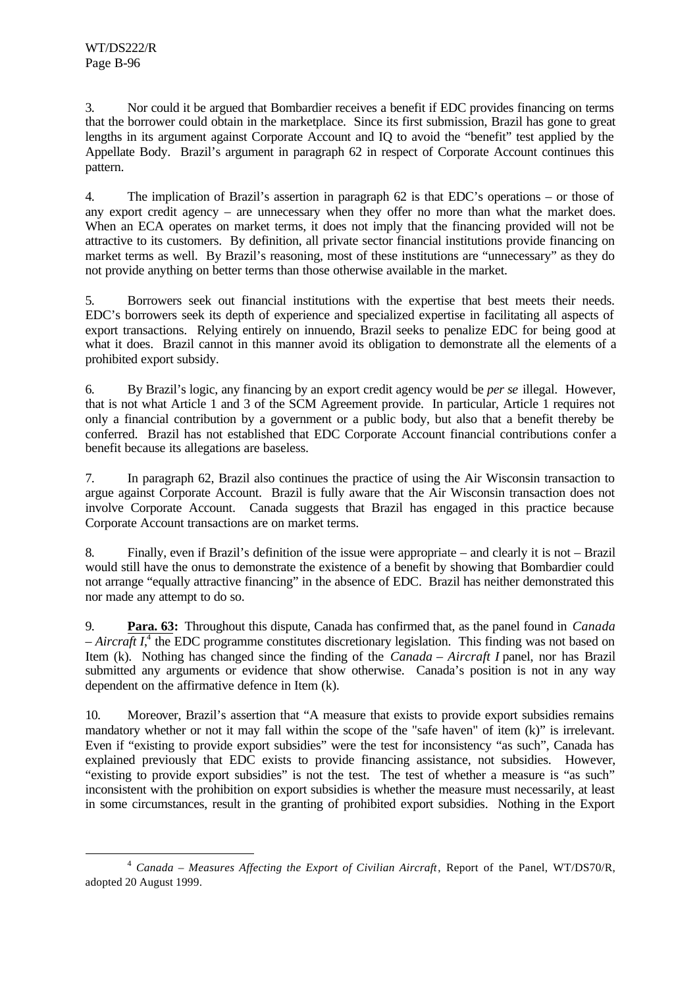l

3. Nor could it be argued that Bombardier receives a benefit if EDC provides financing on terms that the borrower could obtain in the marketplace. Since its first submission, Brazil has gone to great lengths in its argument against Corporate Account and IQ to avoid the "benefit" test applied by the Appellate Body. Brazil's argument in paragraph 62 in respect of Corporate Account continues this pattern.

4. The implication of Brazil's assertion in paragraph 62 is that EDC's operations – or those of any export credit agency – are unnecessary when they offer no more than what the market does. When an ECA operates on market terms, it does not imply that the financing provided will not be attractive to its customers. By definition, all private sector financial institutions provide financing on market terms as well. By Brazil's reasoning, most of these institutions are "unnecessary" as they do not provide anything on better terms than those otherwise available in the market.

5. Borrowers seek out financial institutions with the expertise that best meets their needs. EDC's borrowers seek its depth of experience and specialized expertise in facilitating all aspects of export transactions. Relying entirely on innuendo, Brazil seeks to penalize EDC for being good at what it does. Brazil cannot in this manner avoid its obligation to demonstrate all the elements of a prohibited export subsidy.

6. By Brazil's logic, any financing by an export credit agency would be *per se* illegal. However, that is not what Article 1 and 3 of the SCM Agreement provide. In particular, Article 1 requires not only a financial contribution by a government or a public body, but also that a benefit thereby be conferred. Brazil has not established that EDC Corporate Account financial contributions confer a benefit because its allegations are baseless.

7. In paragraph 62, Brazil also continues the practice of using the Air Wisconsin transaction to argue against Corporate Account. Brazil is fully aware that the Air Wisconsin transaction does not involve Corporate Account. Canada suggests that Brazil has engaged in this practice because Corporate Account transactions are on market terms.

8. Finally, even if Brazil's definition of the issue were appropriate – and clearly it is not – Brazil would still have the onus to demonstrate the existence of a benefit by showing that Bombardier could not arrange "equally attractive financing" in the absence of EDC. Brazil has neither demonstrated this nor made any attempt to do so.

9. **Para. 63:** Throughout this dispute, Canada has confirmed that, as the panel found in *Canada*  $-Aircraft I<sup>4</sup>$ , the EDC programme constitutes discretionary legislation. This finding was not based on Item (k). Nothing has changed since the finding of the *Canada – Aircraft I* panel, nor has Brazil submitted any arguments or evidence that show otherwise. Canada's position is not in any way dependent on the affirmative defence in Item (k).

10. Moreover, Brazil's assertion that "A measure that exists to provide export subsidies remains mandatory whether or not it may fall within the scope of the "safe haven" of item (k)" is irrelevant. Even if "existing to provide export subsidies" were the test for inconsistency "as such", Canada has explained previously that EDC exists to provide financing assistance, not subsidies. However, "existing to provide export subsidies" is not the test. The test of whether a measure is "as such" inconsistent with the prohibition on export subsidies is whether the measure must necessarily, at least in some circumstances, result in the granting of prohibited export subsidies. Nothing in the Export

<sup>&</sup>lt;sup>4</sup> Canada – Measures Affecting the Export of Civilian Aircraft, Report of the Panel, WT/DS70/R, adopted 20 August 1999.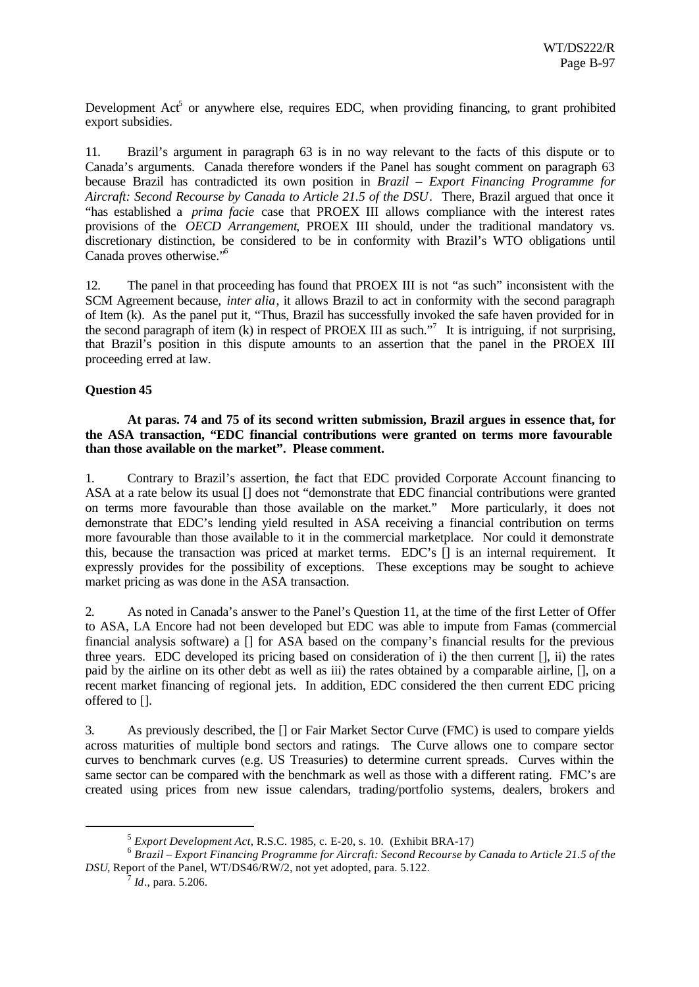Development  $\text{Ac}^5$  or anywhere else, requires EDC, when providing financing, to grant prohibited export subsidies.

11. Brazil's argument in paragraph 63 is in no way relevant to the facts of this dispute or to Canada's arguments. Canada therefore wonders if the Panel has sought comment on paragraph 63 because Brazil has contradicted its own position in *Brazil – Export Financing Programme for Aircraft: Second Recourse by Canada to Article 21.5 of the DSU*. There, Brazil argued that once it "has established a *prima facie* case that PROEX III allows compliance with the interest rates provisions of the *OECD Arrangement*, PROEX III should, under the traditional mandatory vs. discretionary distinction, be considered to be in conformity with Brazil's WTO obligations until Canada proves otherwise."<sup>6</sup>

12. The panel in that proceeding has found that PROEX III is not "as such" inconsistent with the SCM Agreement because, *inter alia*, it allows Brazil to act in conformity with the second paragraph of Item (k). As the panel put it, "Thus, Brazil has successfully invoked the safe haven provided for in the second paragraph of item (k) in respect of PROEX III as such."<sup>7</sup> It is intriguing, if not surprising, that Brazil's position in this dispute amounts to an assertion that the panel in the PROEX III proceeding erred at law.

#### **Question 45**

**At paras. 74 and 75 of its second written submission, Brazil argues in essence that, for the ASA transaction, "EDC financial contributions were granted on terms more favourable than those available on the market". Please comment.**

1. Contrary to Brazil's assertion, the fact that EDC provided Corporate Account financing to ASA at a rate below its usual [] does not "demonstrate that EDC financial contributions were granted on terms more favourable than those available on the market." More particularly, it does not demonstrate that EDC's lending yield resulted in ASA receiving a financial contribution on terms more favourable than those available to it in the commercial marketplace. Nor could it demonstrate this, because the transaction was priced at market terms. EDC's [] is an internal requirement. It expressly provides for the possibility of exceptions. These exceptions may be sought to achieve market pricing as was done in the ASA transaction.

2. As noted in Canada's answer to the Panel's Question 11, at the time of the first Letter of Offer to ASA, LA Encore had not been developed but EDC was able to impute from Famas (commercial financial analysis software) a [] for ASA based on the company's financial results for the previous three years. EDC developed its pricing based on consideration of i) the then current  $[1, ii)$  the rates paid by the airline on its other debt as well as iii) the rates obtained by a comparable airline, [], on a recent market financing of regional jets. In addition, EDC considered the then current EDC pricing offered to [].

3. As previously described, the [] or Fair Market Sector Curve (FMC) is used to compare yields across maturities of multiple bond sectors and ratings. The Curve allows one to compare sector curves to benchmark curves (e.g. US Treasuries) to determine current spreads. Curves within the same sector can be compared with the benchmark as well as those with a different rating. FMC's are created using prices from new issue calendars, trading/portfolio systems, dealers, brokers and

<sup>5</sup> *Export Development Act*, R.S.C. 1985, c. E-20, s. 10. (Exhibit BRA-17)

<sup>6</sup> *Brazil – Export Financing Programme for Aircraft: Second Recourse by Canada to Article 21.5 of the DSU*, Report of the Panel, WT/DS46/RW/2, not yet adopted, para. 5.122.

<sup>7</sup> *Id*., para. 5.206.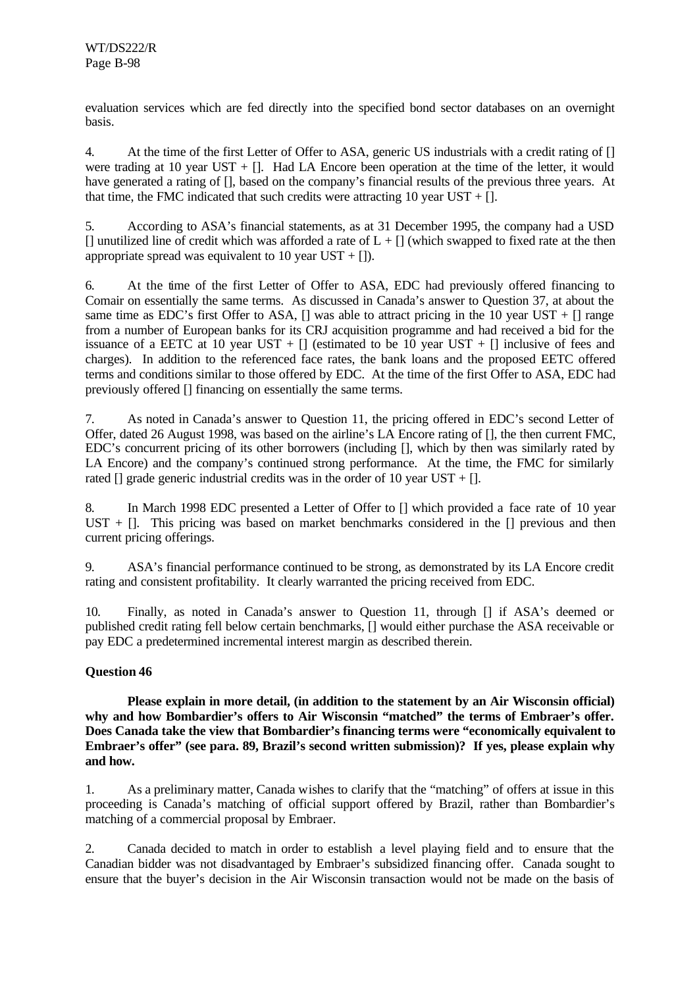evaluation services which are fed directly into the specified bond sector databases on an overnight basis.

4. At the time of the first Letter of Offer to ASA, generic US industrials with a credit rating of [] were trading at 10 year UST + []. Had LA Encore been operation at the time of the letter, it would have generated a rating of [], based on the company's financial results of the previous three years. At that time, the FMC indicated that such credits were attracting 10 year  $UST + []$ .

5. According to ASA's financial statements, as at 31 December 1995, the company had a USD [] unutilized line of credit which was afforded a rate of  $L + []$  (which swapped to fixed rate at the then appropriate spread was equivalent to 10 year UST + []).

6. At the time of the first Letter of Offer to ASA, EDC had previously offered financing to Comair on essentially the same terms. As discussed in Canada's answer to Question 37, at about the same time as EDC's first Offer to ASA,  $\lceil \rceil$  was able to attract pricing in the 10 year UST +  $\lceil \rceil$  range from a number of European banks for its CRJ acquisition programme and had received a bid for the issuance of a EETC at 10 year UST +  $\Box$  (estimated to be 10 year UST +  $\Box$  inclusive of fees and charges). In addition to the referenced face rates, the bank loans and the proposed EETC offered terms and conditions similar to those offered by EDC. At the time of the first Offer to ASA, EDC had previously offered [] financing on essentially the same terms.

7. As noted in Canada's answer to Question 11, the pricing offered in EDC's second Letter of Offer, dated 26 August 1998, was based on the airline's LA Encore rating of [], the then current FMC, EDC's concurrent pricing of its other borrowers (including [], which by then was similarly rated by LA Encore) and the company's continued strong performance. At the time, the FMC for similarly rated  $\Box$  grade generic industrial credits was in the order of 10 year UST +  $\Box$ .

8. In March 1998 EDC presented a Letter of Offer to [] which provided a face rate of 10 year UST  $+$  []. This pricing was based on market benchmarks considered in the [] previous and then current pricing offerings.

9. ASA's financial performance continued to be strong, as demonstrated by its LA Encore credit rating and consistent profitability. It clearly warranted the pricing received from EDC.

10. Finally, as noted in Canada's answer to Question 11, through [] if ASA's deemed or published credit rating fell below certain benchmarks, [] would either purchase the ASA receivable or pay EDC a predetermined incremental interest margin as described therein.

# **Question 46**

**Please explain in more detail, (in addition to the statement by an Air Wisconsin official) why and how Bombardier's offers to Air Wisconsin "matched" the terms of Embraer's offer. Does Canada take the view that Bombardier's financing terms were "economically equivalent to Embraer's offer" (see para. 89, Brazil's second written submission)? If yes, please explain why and how.**

1. As a preliminary matter, Canada wishes to clarify that the "matching" of offers at issue in this proceeding is Canada's matching of official support offered by Brazil, rather than Bombardier's matching of a commercial proposal by Embraer.

2. Canada decided to match in order to establish a level playing field and to ensure that the Canadian bidder was not disadvantaged by Embraer's subsidized financing offer. Canada sought to ensure that the buyer's decision in the Air Wisconsin transaction would not be made on the basis of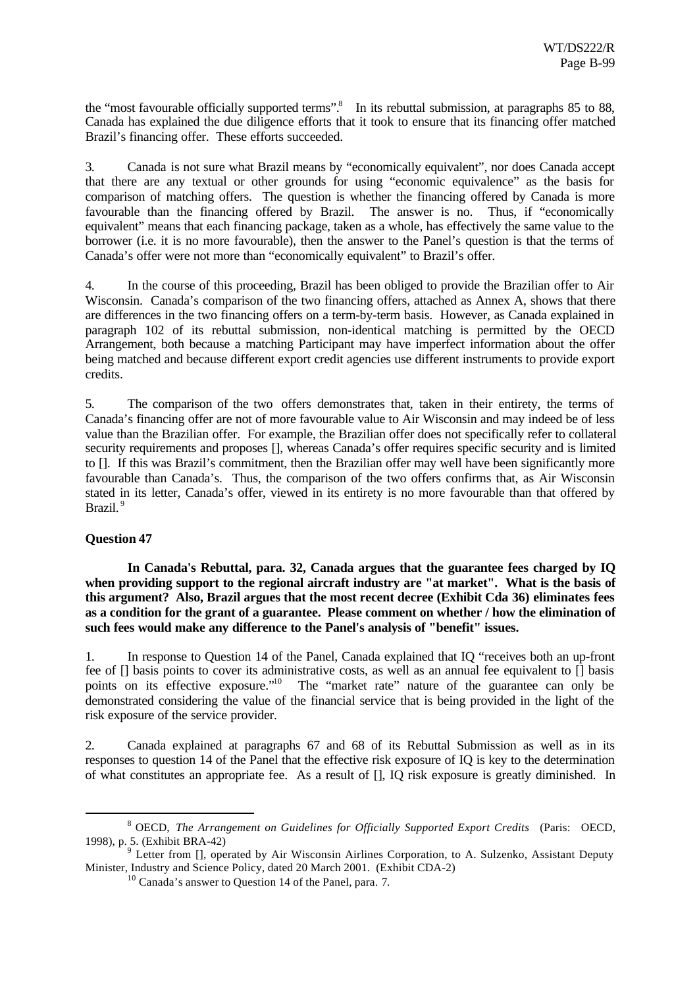the "most favourable officially supported terms".<sup>8</sup> In its rebuttal submission, at paragraphs 85 to 88, Canada has explained the due diligence efforts that it took to ensure that its financing offer matched Brazil's financing offer. These efforts succeeded.

3. Canada is not sure what Brazil means by "economically equivalent", nor does Canada accept that there are any textual or other grounds for using "economic equivalence" as the basis for comparison of matching offers. The question is whether the financing offered by Canada is more favourable than the financing offered by Brazil. The answer is no. Thus, if "economically equivalent" means that each financing package, taken as a whole, has effectively the same value to the borrower (i.e. it is no more favourable), then the answer to the Panel's question is that the terms of Canada's offer were not more than "economically equivalent" to Brazil's offer.

4. In the course of this proceeding, Brazil has been obliged to provide the Brazilian offer to Air Wisconsin. Canada's comparison of the two financing offers, attached as Annex A, shows that there are differences in the two financing offers on a term-by-term basis. However, as Canada explained in paragraph 102 of its rebuttal submission, non-identical matching is permitted by the OECD Arrangement, both because a matching Participant may have imperfect information about the offer being matched and because different export credit agencies use different instruments to provide export credits.

5. The comparison of the two offers demonstrates that, taken in their entirety, the terms of Canada's financing offer are not of more favourable value to Air Wisconsin and may indeed be of less value than the Brazilian offer. For example, the Brazilian offer does not specifically refer to collateral security requirements and proposes [], whereas Canada's offer requires specific security and is limited to []. If this was Brazil's commitment, then the Brazilian offer may well have been significantly more favourable than Canada's. Thus, the comparison of the two offers confirms that, as Air Wisconsin stated in its letter, Canada's offer, viewed in its entirety is no more favourable than that offered by Brazil.<sup>9</sup>

# **Question 47**

l

**In Canada's Rebuttal, para. 32, Canada argues that the guarantee fees charged by IQ when providing support to the regional aircraft industry are "at market". What is the basis of this argument? Also, Brazil argues that the most recent decree (Exhibit Cda 36) eliminates fees as a condition for the grant of a guarantee. Please comment on whether / how the elimination of such fees would make any difference to the Panel's analysis of "benefit" issues.**

1. In response to Question 14 of the Panel, Canada explained that IQ "receives both an up-front fee of  $\Box$  basis points to cover its administrative costs, as well as an annual fee equivalent to  $\Box$  basis points on its effective exposure."<sup>10</sup> The "market rate" nature of the guarantee can only be demonstrated considering the value of the financial service that is being provided in the light of the risk exposure of the service provider.

2. Canada explained at paragraphs 67 and 68 of its Rebuttal Submission as well as in its responses to question 14 of the Panel that the effective risk exposure of IQ is key to the determination of what constitutes an appropriate fee. As a result of [], IQ risk exposure is greatly diminished. In

<sup>8</sup> OECD, *The Arrangement on Guidelines for Officially Supported Export Credits* (Paris: OECD, 1998), p. 5. (Exhibit BRA-42)

 $9$  Letter from [], operated by Air Wisconsin Airlines Corporation, to A. Sulzenko, Assistant Deputy Minister, Industry and Science Policy, dated 20 March 2001. (Exhibit CDA-2)

<sup>&</sup>lt;sup>10</sup> Canada's answer to Question 14 of the Panel, para. 7.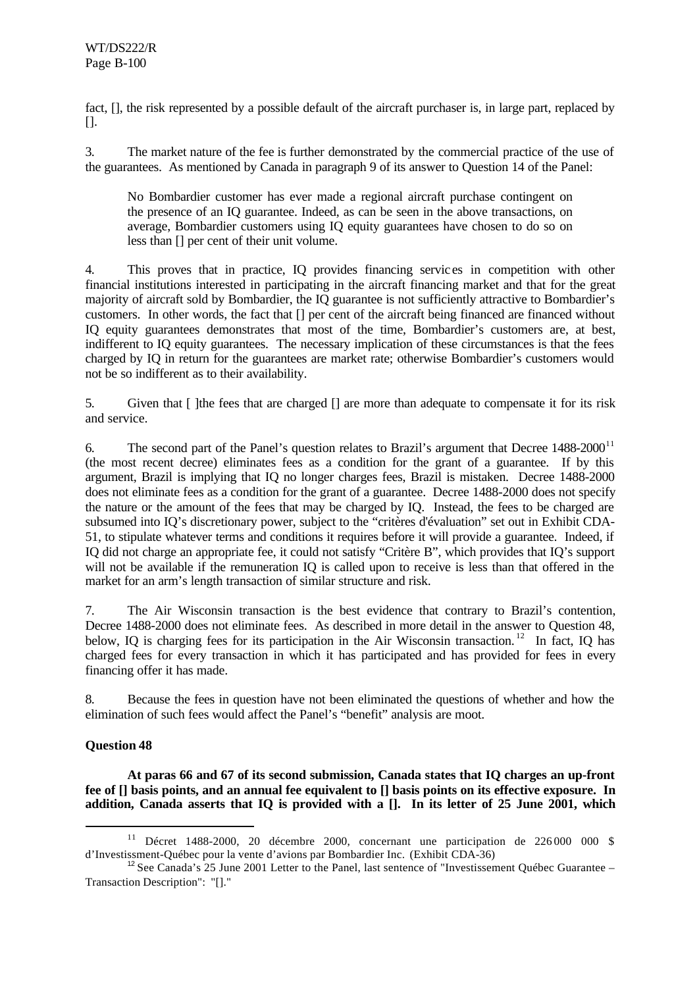fact, [], the risk represented by a possible default of the aircraft purchaser is, in large part, replaced by  $\prod$ .

3. The market nature of the fee is further demonstrated by the commercial practice of the use of the guarantees. As mentioned by Canada in paragraph 9 of its answer to Question 14 of the Panel:

No Bombardier customer has ever made a regional aircraft purchase contingent on the presence of an IQ guarantee. Indeed, as can be seen in the above transactions, on average, Bombardier customers using IQ equity guarantees have chosen to do so on less than [] per cent of their unit volume.

4. This proves that in practice, IQ provides financing servic es in competition with other financial institutions interested in participating in the aircraft financing market and that for the great majority of aircraft sold by Bombardier, the IQ guarantee is not sufficiently attractive to Bombardier's customers. In other words, the fact that [] per cent of the aircraft being financed are financed without IQ equity guarantees demonstrates that most of the time, Bombardier's customers are, at best, indifferent to IQ equity guarantees. The necessary implication of these circumstances is that the fees charged by IQ in return for the guarantees are market rate; otherwise Bombardier's customers would not be so indifferent as to their availability.

5. Given that [ ]the fees that are charged [] are more than adequate to compensate it for its risk and service.

6. The second part of the Panel's question relates to Brazil's argument that Decree  $1488-2000^{11}$ (the most recent decree) eliminates fees as a condition for the grant of a guarantee. If by this argument, Brazil is implying that IQ no longer charges fees, Brazil is mistaken. Decree 1488-2000 does not eliminate fees as a condition for the grant of a guarantee. Decree 1488-2000 does not specify the nature or the amount of the fees that may be charged by IQ. Instead, the fees to be charged are subsumed into IQ's discretionary power, subject to the "critères d'évaluation" set out in Exhibit CDA-51, to stipulate whatever terms and conditions it requires before it will provide a guarantee. Indeed, if IQ did not charge an appropriate fee, it could not satisfy "Critère B", which provides that IQ's support will not be available if the remuneration IQ is called upon to receive is less than that offered in the market for an arm's length transaction of similar structure and risk.

7. The Air Wisconsin transaction is the best evidence that contrary to Brazil's contention, Decree 1488-2000 does not eliminate fees. As described in more detail in the answer to Question 48, below, IQ is charging fees for its participation in the Air Wisconsin transaction.<sup>12</sup> In fact, IQ has charged fees for every transaction in which it has participated and has provided for fees in every financing offer it has made.

8. Because the fees in question have not been eliminated the questions of whether and how the elimination of such fees would affect the Panel's "benefit" analysis are moot.

# **Question 48**

l

**At paras 66 and 67 of its second submission, Canada states that IQ charges an up-front fee of [] basis points, and an annual fee equivalent to [] basis points on its effective exposure. In addition, Canada asserts that IQ is provided with a []. In its letter of 25 June 2001, which**

<sup>&</sup>lt;sup>11</sup> Décret 1488-2000, 20 décembre 2000, concernant une participation de 226 000 000 \$ d'Investissment-Québec pour la vente d'avions par Bombardier Inc. (Exhibit CDA-36)

<sup>&</sup>lt;sup>12</sup> See Canada's 25 June 2001 Letter to the Panel, last sentence of "Investissement Québec Guarantee – Transaction Description": "[]."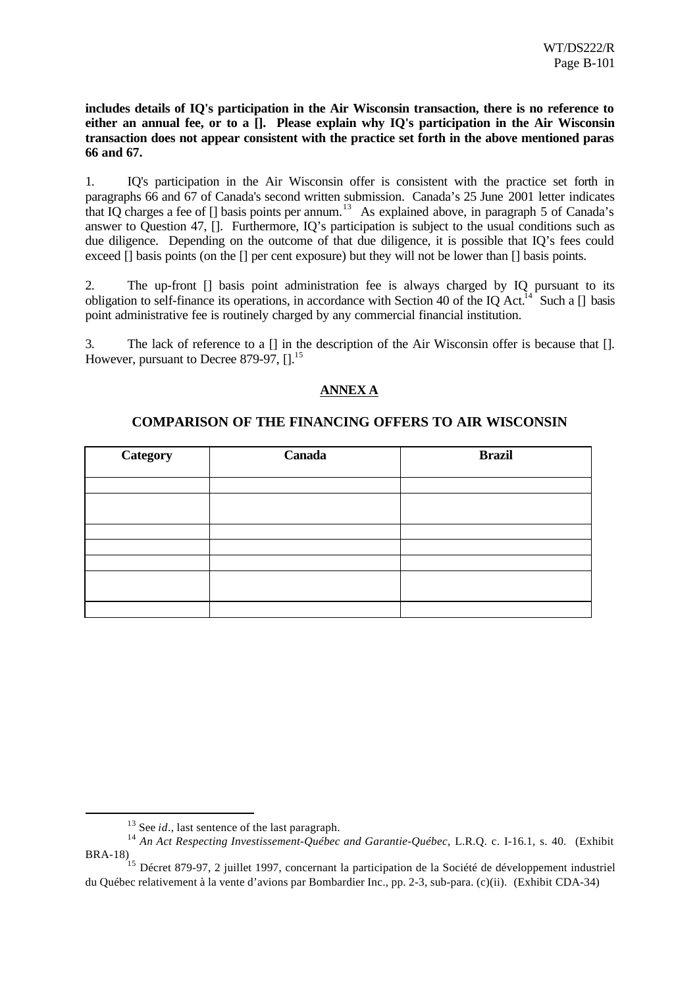**includes details of IQ's participation in the Air Wisconsin transaction, there is no reference to either an annual fee, or to a []. Please explain why IQ's participation in the Air Wisconsin transaction does not appear consistent with the practice set forth in the above mentioned paras 66 and 67.**

1. IQ's participation in the Air Wisconsin offer is consistent with the practice set forth in paragraphs 66 and 67 of Canada's second written submission. Canada's 25 June 2001 letter indicates that IQ charges a fee of [] basis points per annum.<sup>13</sup> As explained above, in paragraph 5 of Canada's answer to Question 47, []. Furthermore, IQ's participation is subject to the usual conditions such as due diligence. Depending on the outcome of that due diligence, it is possible that IQ's fees could exceed [] basis points (on the [] per cent exposure) but they will not be lower than [] basis points.

2. The up-front [] basis point administration fee is always charged by IQ pursuant to its obligation to self-finance its operations, in accordance with Section 40 of the IQ Act.<sup>14</sup> Such a  $\Box$  basis point administrative fee is routinely charged by any commercial financial institution.

3. The lack of reference to a [] in the description of the Air Wisconsin offer is because that []. However, pursuant to Decree 879-97,  $[.]^{15}$ 

# **ANNEX A**

### **COMPARISON OF THE FINANCING OFFERS TO AIR WISCONSIN**

| <b>Category</b> | Canada | <b>Brazil</b> |
|-----------------|--------|---------------|
|                 |        |               |
|                 |        |               |
|                 |        |               |
|                 |        |               |
|                 |        |               |
|                 |        |               |
|                 |        |               |

<sup>13</sup> See *id*., last sentence of the last paragraph.

<sup>14</sup> *An Act Respecting Investissement-Québec and Garantie-Québec*, L.R.Q. c. I-16.1, s. 40. (Exhibit BRA-18)

<sup>&</sup>lt;sup>15</sup> Décret 879-97, 2 juillet 1997, concernant la participation de la Société de développement industriel du Québec relativement à la vente d'avions par Bombardier Inc., pp. 2-3, sub-para. (c)(ii). (Exhibit CDA-34)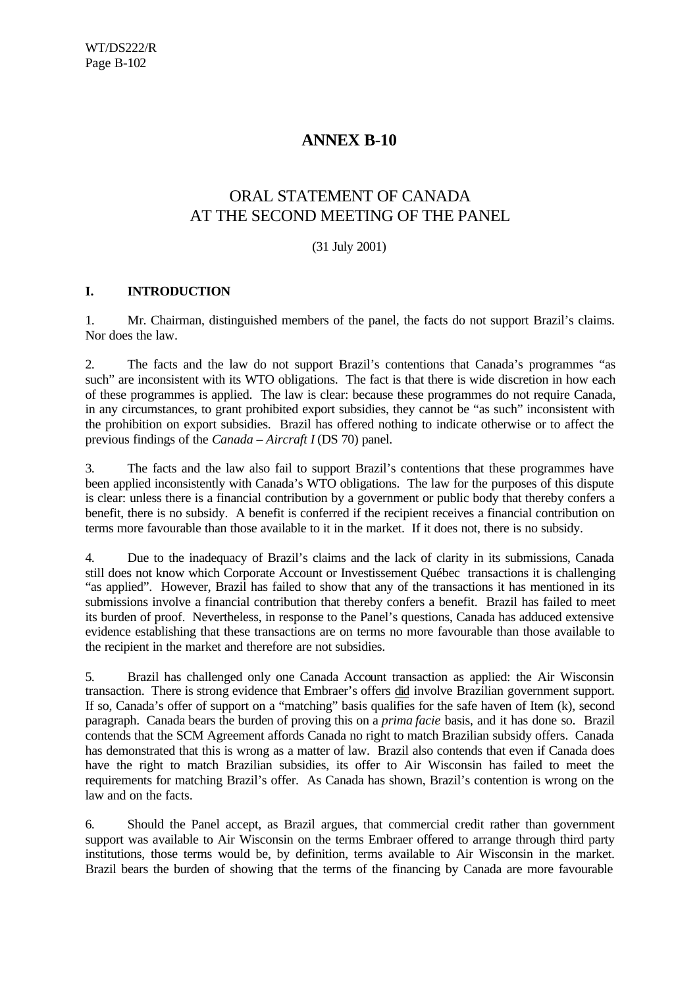# **ANNEX B-10**

# ORAL STATEMENT OF CANADA AT THE SECOND MEETING OF THE PANEL

# (31 July 2001)

# **I. INTRODUCTION**

1. Mr. Chairman, distinguished members of the panel, the facts do not support Brazil's claims. Nor does the law.

2. The facts and the law do not support Brazil's contentions that Canada's programmes "as such" are inconsistent with its WTO obligations. The fact is that there is wide discretion in how each of these programmes is applied. The law is clear: because these programmes do not require Canada, in any circumstances, to grant prohibited export subsidies, they cannot be "as such" inconsistent with the prohibition on export subsidies. Brazil has offered nothing to indicate otherwise or to affect the previous findings of the *Canada – Aircraft I* (DS 70) panel.

3. The facts and the law also fail to support Brazil's contentions that these programmes have been applied inconsistently with Canada's WTO obligations. The law for the purposes of this dispute is clear: unless there is a financial contribution by a government or public body that thereby confers a benefit, there is no subsidy. A benefit is conferred if the recipient receives a financial contribution on terms more favourable than those available to it in the market. If it does not, there is no subsidy.

4. Due to the inadequacy of Brazil's claims and the lack of clarity in its submissions, Canada still does not know which Corporate Account or Investissement Québec transactions it is challenging "as applied". However, Brazil has failed to show that any of the transactions it has mentioned in its submissions involve a financial contribution that thereby confers a benefit. Brazil has failed to meet its burden of proof. Nevertheless, in response to the Panel's questions, Canada has adduced extensive evidence establishing that these transactions are on terms no more favourable than those available to the recipient in the market and therefore are not subsidies.

5. Brazil has challenged only one Canada Account transaction as applied: the Air Wisconsin transaction. There is strong evidence that Embraer's offers did involve Brazilian government support. If so, Canada's offer of support on a "matching" basis qualifies for the safe haven of Item (k), second paragraph. Canada bears the burden of proving this on a *prima facie* basis, and it has done so. Brazil contends that the SCM Agreement affords Canada no right to match Brazilian subsidy offers. Canada has demonstrated that this is wrong as a matter of law. Brazil also contends that even if Canada does have the right to match Brazilian subsidies, its offer to Air Wisconsin has failed to meet the requirements for matching Brazil's offer. As Canada has shown, Brazil's contention is wrong on the law and on the facts.

6. Should the Panel accept, as Brazil argues, that commercial credit rather than government support was available to Air Wisconsin on the terms Embraer offered to arrange through third party institutions, those terms would be, by definition, terms available to Air Wisconsin in the market. Brazil bears the burden of showing that the terms of the financing by Canada are more favourable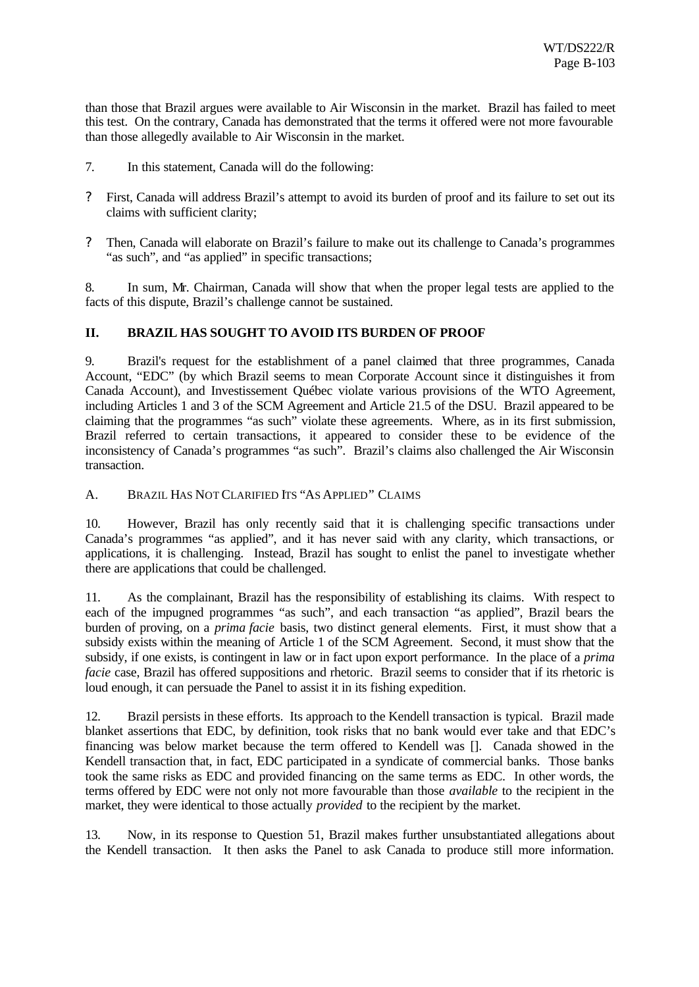than those that Brazil argues were available to Air Wisconsin in the market. Brazil has failed to meet this test. On the contrary, Canada has demonstrated that the terms it offered were not more favourable than those allegedly available to Air Wisconsin in the market.

- 7. In this statement, Canada will do the following:
- ? First, Canada will address Brazil's attempt to avoid its burden of proof and its failure to set out its claims with sufficient clarity;
- ? Then, Canada will elaborate on Brazil's failure to make out its challenge to Canada's programmes "as such", and "as applied" in specific transactions;

8. In sum, Mr. Chairman, Canada will show that when the proper legal tests are applied to the facts of this dispute, Brazil's challenge cannot be sustained.

#### **II. BRAZIL HAS SOUGHT TO AVOID ITS BURDEN OF PROOF**

9. Brazil's request for the establishment of a panel claimed that three programmes, Canada Account, "EDC" (by which Brazil seems to mean Corporate Account since it distinguishes it from Canada Account), and Investissement Québec violate various provisions of the WTO Agreement, including Articles 1 and 3 of the SCM Agreement and Article 21.5 of the DSU. Brazil appeared to be claiming that the programmes "as such" violate these agreements. Where, as in its first submission, Brazil referred to certain transactions, it appeared to consider these to be evidence of the inconsistency of Canada's programmes "as such". Brazil's claims also challenged the Air Wisconsin transaction.

A. BRAZIL HAS NOT CLARIFIED ITS "AS APPLIED" CLAIMS

10. However, Brazil has only recently said that it is challenging specific transactions under Canada's programmes "as applied", and it has never said with any clarity, which transactions, or applications, it is challenging. Instead, Brazil has sought to enlist the panel to investigate whether there are applications that could be challenged.

11. As the complainant, Brazil has the responsibility of establishing its claims. With respect to each of the impugned programmes "as such", and each transaction "as applied", Brazil bears the burden of proving, on a *prima facie* basis, two distinct general elements. First, it must show that a subsidy exists within the meaning of Article 1 of the SCM Agreement. Second, it must show that the subsidy, if one exists, is contingent in law or in fact upon export performance. In the place of a *prima facie* case, Brazil has offered suppositions and rhetoric. Brazil seems to consider that if its rhetoric is loud enough, it can persuade the Panel to assist it in its fishing expedition.

12. Brazil persists in these efforts. Its approach to the Kendell transaction is typical. Brazil made blanket assertions that EDC, by definition, took risks that no bank would ever take and that EDC's financing was below market because the term offered to Kendell was []. Canada showed in the Kendell transaction that, in fact, EDC participated in a syndicate of commercial banks. Those banks took the same risks as EDC and provided financing on the same terms as EDC. In other words, the terms offered by EDC were not only not more favourable than those *available* to the recipient in the market, they were identical to those actually *provided* to the recipient by the market.

13. Now, in its response to Question 51, Brazil makes further unsubstantiated allegations about the Kendell transaction. It then asks the Panel to ask Canada to produce still more information.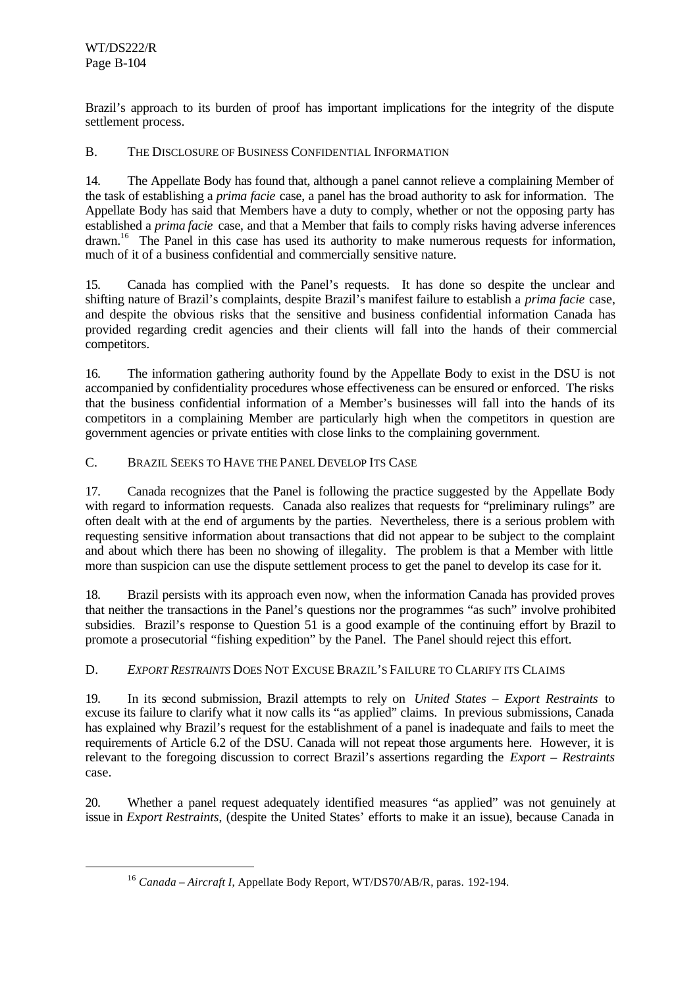l

Brazil's approach to its burden of proof has important implications for the integrity of the dispute settlement process.

# B. THE DISCLOSURE OF BUSINESS CONFIDENTIAL INFORMATION

14. The Appellate Body has found that, although a panel cannot relieve a complaining Member of the task of establishing a *prima facie* case, a panel has the broad authority to ask for information. The Appellate Body has said that Members have a duty to comply, whether or not the opposing party has established a *prima facie* case, and that a Member that fails to comply risks having adverse inferences drawn.<sup>16</sup> The Panel in this case has used its authority to make numerous requests for information, much of it of a business confidential and commercially sensitive nature.

15. Canada has complied with the Panel's requests. It has done so despite the unclear and shifting nature of Brazil's complaints, despite Brazil's manifest failure to establish a *prima facie* case, and despite the obvious risks that the sensitive and business confidential information Canada has provided regarding credit agencies and their clients will fall into the hands of their commercial competitors.

16. The information gathering authority found by the Appellate Body to exist in the DSU is not accompanied by confidentiality procedures whose effectiveness can be ensured or enforced. The risks that the business confidential information of a Member's businesses will fall into the hands of its competitors in a complaining Member are particularly high when the competitors in question are government agencies or private entities with close links to the complaining government.

#### C. BRAZIL SEEKS TO HAVE THE PANEL DEVELOP ITS CASE

17. Canada recognizes that the Panel is following the practice suggested by the Appellate Body with regard to information requests. Canada also realizes that requests for "preliminary rulings" are often dealt with at the end of arguments by the parties. Nevertheless, there is a serious problem with requesting sensitive information about transactions that did not appear to be subject to the complaint and about which there has been no showing of illegality. The problem is that a Member with little more than suspicion can use the dispute settlement process to get the panel to develop its case for it.

18. Brazil persists with its approach even now, when the information Canada has provided proves that neither the transactions in the Panel's questions nor the programmes "as such" involve prohibited subsidies. Brazil's response to Question 51 is a good example of the continuing effort by Brazil to promote a prosecutorial "fishing expedition" by the Panel. The Panel should reject this effort.

# D. *EXPORT RESTRAINTS* DOES NOT EXCUSE BRAZIL'S FAILURE TO CLARIFY ITS CLAIMS

19. In its second submission, Brazil attempts to rely on *United States – Export Restraints* to excuse its failure to clarify what it now calls its "as applied" claims. In previous submissions, Canada has explained why Brazil's request for the establishment of a panel is inadequate and fails to meet the requirements of Article 6.2 of the DSU. Canada will not repeat those arguments here. However, it is relevant to the foregoing discussion to correct Brazil's assertions regarding the *Export – Restraints* case.

20. Whether a panel request adequately identified measures "as applied" was not genuinely at issue in *Export Restraints*, (despite the United States' efforts to make it an issue), because Canada in

<sup>16</sup> *Canada – Aircraft I*, Appellate Body Report, WT/DS70/AB/R, paras. 192-194.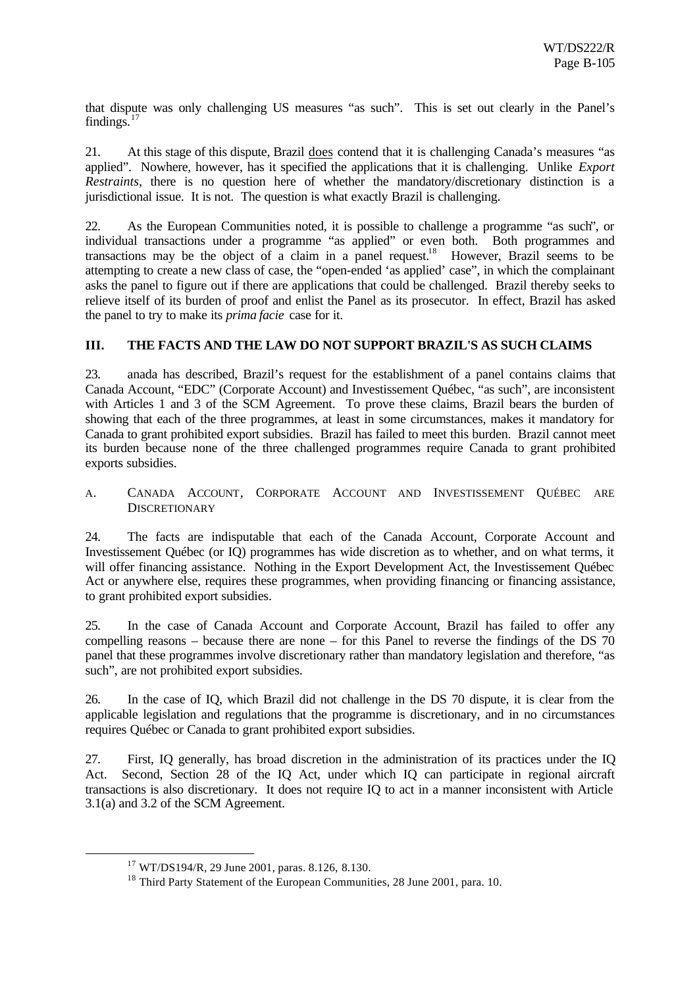that dispute was only challenging US measures "as such". This is set out clearly in the Panel's findings. $17$ 

21. At this stage of this dispute, Brazil does contend that it is challenging Canada's measures "as applied". Nowhere, however, has it specified the applications that it is challenging. Unlike *Export Restraints*, there is no question here of whether the mandatory/discretionary distinction is a jurisdictional issue. It is not. The question is what exactly Brazil is challenging.

22. As the European Communities noted, it is possible to challenge a programme "as such", or individual transactions under a programme "as applied" or even both. Both programmes and transactions may be the object of a claim in a panel request.<sup>18</sup> However, Brazil seems to be attempting to create a new class of case, the "open-ended 'as applied' case", in which the complainant asks the panel to figure out if there are applications that could be challenged. Brazil thereby seeks to relieve itself of its burden of proof and enlist the Panel as its prosecutor. In effect, Brazil has asked the panel to try to make its *prima facie* case for it.

# **III. THE FACTS AND THE LAW DO NOT SUPPORT BRAZIL'S AS SUCH CLAIMS**

23. anada has described, Brazil's request for the establishment of a panel contains claims that Canada Account, "EDC" (Corporate Account) and Investissement Québec, "as such", are inconsistent with Articles 1 and 3 of the SCM Agreement. To prove these claims, Brazil bears the burden of showing that each of the three programmes, at least in some circumstances, makes it mandatory for Canada to grant prohibited export subsidies. Brazil has failed to meet this burden. Brazil cannot meet its burden because none of the three challenged programmes require Canada to grant prohibited exports subsidies.

#### A. CANADA ACCOUNT, CORPORATE ACCOUNT AND INVESTISSEMENT QUÉBEC ARE **DISCRETIONARY**

24. The facts are indisputable that each of the Canada Account, Corporate Account and Investissement Québec (or IQ) programmes has wide discretion as to whether, and on what terms, it will offer financing assistance. Nothing in the Export Development Act, the Investissement Québec Act or anywhere else, requires these programmes, when providing financing or financing assistance, to grant prohibited export subsidies.

25. In the case of Canada Account and Corporate Account, Brazil has failed to offer any compelling reasons – because there are none – for this Panel to reverse the findings of the DS  $70$ panel that these programmes involve discretionary rather than mandatory legislation and therefore, "as such", are not prohibited export subsidies.

26. In the case of IQ, which Brazil did not challenge in the DS 70 dispute, it is clear from the applicable legislation and regulations that the programme is discretionary, and in no circumstances requires Québec or Canada to grant prohibited export subsidies.

27. First, IQ generally, has broad discretion in the administration of its practices under the IQ Act. Second, Section 28 of the IQ Act, under which IQ can participate in regional aircraft transactions is also discretionary. It does not require IQ to act in a manner inconsistent with Article 3.1(a) and 3.2 of the SCM Agreement.

<sup>17</sup> WT/DS194/R, 29 June 2001, paras. 8.126, 8.130.

<sup>&</sup>lt;sup>18</sup> Third Party Statement of the European Communities, 28 June 2001, para. 10.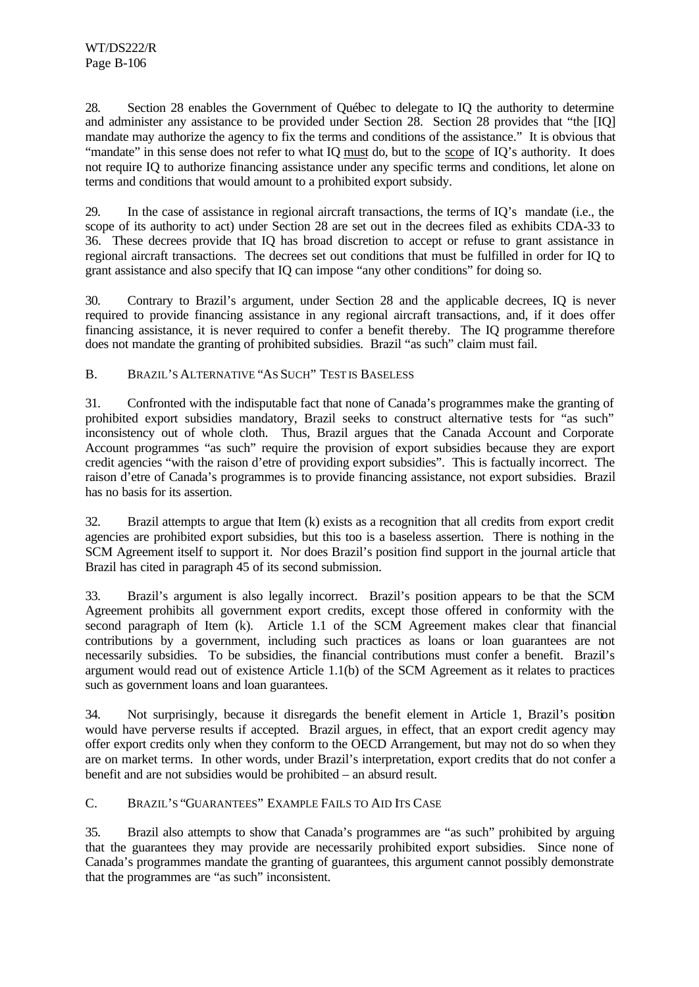28. Section 28 enables the Government of Québec to delegate to IQ the authority to determine and administer any assistance to be provided under Section 28. Section 28 provides that "the [IQ] mandate may authorize the agency to fix the terms and conditions of the assistance." It is obvious that "mandate" in this sense does not refer to what IQ must do, but to the scope of IQ's authority. It does not require IQ to authorize financing assistance under any specific terms and conditions, let alone on terms and conditions that would amount to a prohibited export subsidy.

29. In the case of assistance in regional aircraft transactions, the terms of IQ's mandate (i.e., the scope of its authority to act) under Section 28 are set out in the decrees filed as exhibits CDA-33 to 36. These decrees provide that IQ has broad discretion to accept or refuse to grant assistance in regional aircraft transactions. The decrees set out conditions that must be fulfilled in order for IQ to grant assistance and also specify that IQ can impose "any other conditions" for doing so.

30. Contrary to Brazil's argument, under Section 28 and the applicable decrees, IQ is never required to provide financing assistance in any regional aircraft transactions, and, if it does offer financing assistance, it is never required to confer a benefit thereby. The IQ programme therefore does not mandate the granting of prohibited subsidies. Brazil "as such" claim must fail.

# B. BRAZIL'S ALTERNATIVE "AS SUCH" TEST IS BASELESS

31. Confronted with the indisputable fact that none of Canada's programmes make the granting of prohibited export subsidies mandatory, Brazil seeks to construct alternative tests for "as such" inconsistency out of whole cloth. Thus, Brazil argues that the Canada Account and Corporate Account programmes "as such" require the provision of export subsidies because they are export credit agencies "with the raison d'etre of providing export subsidies". This is factually incorrect. The raison d'etre of Canada's programmes is to provide financing assistance, not export subsidies. Brazil has no basis for its assertion.

32. Brazil attempts to argue that Item (k) exists as a recognition that all credits from export credit agencies are prohibited export subsidies, but this too is a baseless assertion. There is nothing in the SCM Agreement itself to support it. Nor does Brazil's position find support in the journal article that Brazil has cited in paragraph 45 of its second submission.

33. Brazil's argument is also legally incorrect. Brazil's position appears to be that the SCM Agreement prohibits all government export credits, except those offered in conformity with the second paragraph of Item (k). Article 1.1 of the SCM Agreement makes clear that financial contributions by a government, including such practices as loans or loan guarantees are not necessarily subsidies. To be subsidies, the financial contributions must confer a benefit. Brazil's argument would read out of existence Article 1.1(b) of the SCM Agreement as it relates to practices such as government loans and loan guarantees.

34. Not surprisingly, because it disregards the benefit element in Article 1, Brazil's position would have perverse results if accepted. Brazil argues, in effect, that an export credit agency may offer export credits only when they conform to the OECD Arrangement, but may not do so when they are on market terms. In other words, under Brazil's interpretation, export credits that do not confer a benefit and are not subsidies would be prohibited – an absurd result.

# C. BRAZIL'S "GUARANTEES" EXAMPLE FAILS TO AID ITS CASE

35. Brazil also attempts to show that Canada's programmes are "as such" prohibited by arguing that the guarantees they may provide are necessarily prohibited export subsidies. Since none of Canada's programmes mandate the granting of guarantees, this argument cannot possibly demonstrate that the programmes are "as such" inconsistent.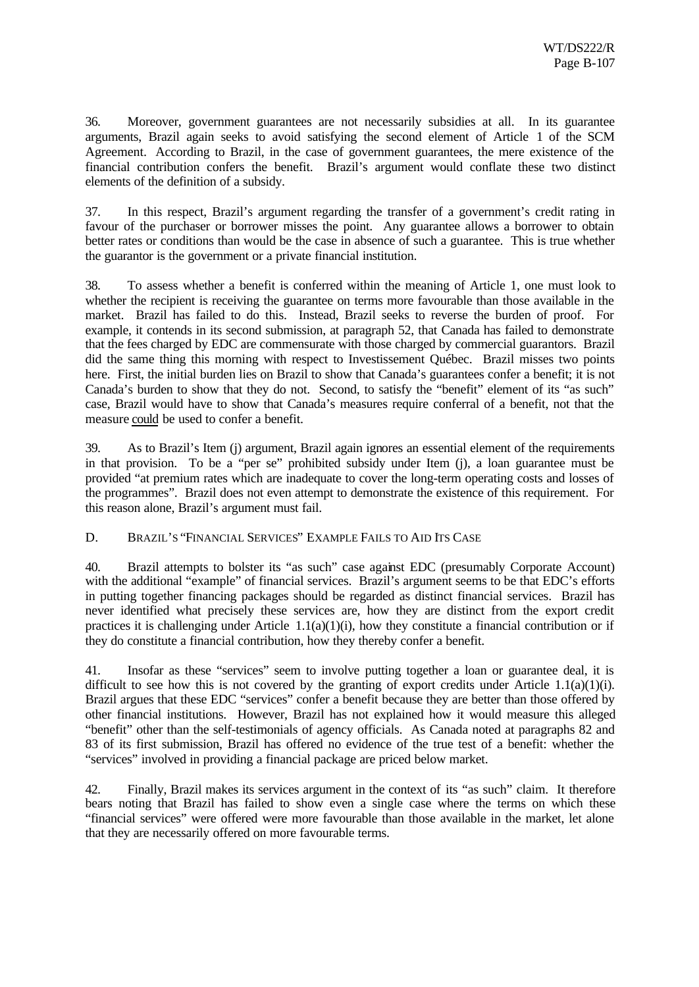36. Moreover, government guarantees are not necessarily subsidies at all. In its guarantee arguments, Brazil again seeks to avoid satisfying the second element of Article 1 of the SCM Agreement. According to Brazil, in the case of government guarantees, the mere existence of the financial contribution confers the benefit. Brazil's argument would conflate these two distinct elements of the definition of a subsidy.

37. In this respect, Brazil's argument regarding the transfer of a government's credit rating in favour of the purchaser or borrower misses the point. Any guarantee allows a borrower to obtain better rates or conditions than would be the case in absence of such a guarantee. This is true whether the guarantor is the government or a private financial institution.

38. To assess whether a benefit is conferred within the meaning of Article 1, one must look to whether the recipient is receiving the guarantee on terms more favourable than those available in the market. Brazil has failed to do this. Instead, Brazil seeks to reverse the burden of proof. For example, it contends in its second submission, at paragraph 52, that Canada has failed to demonstrate that the fees charged by EDC are commensurate with those charged by commercial guarantors. Brazil did the same thing this morning with respect to Investissement Québec. Brazil misses two points here. First, the initial burden lies on Brazil to show that Canada's guarantees confer a benefit; it is not Canada's burden to show that they do not. Second, to satisfy the "benefit" element of its "as such" case, Brazil would have to show that Canada's measures require conferral of a benefit, not that the measure could be used to confer a benefit.

39. As to Brazil's Item (j) argument, Brazil again ignores an essential element of the requirements in that provision. To be a "per se" prohibited subsidy under Item (j), a loan guarantee must be provided "at premium rates which are inadequate to cover the long-term operating costs and losses of the programmes". Brazil does not even attempt to demonstrate the existence of this requirement. For this reason alone, Brazil's argument must fail.

# D. BRAZIL'S "FINANCIAL SERVICES" EXAMPLE FAILS TO AID ITS CASE

40. Brazil attempts to bolster its "as such" case against EDC (presumably Corporate Account) with the additional "example" of financial services. Brazil's argument seems to be that EDC's efforts in putting together financing packages should be regarded as distinct financial services. Brazil has never identified what precisely these services are, how they are distinct from the export credit practices it is challenging under Article  $1.1(a)(1)(i)$ , how they constitute a financial contribution or if they do constitute a financial contribution, how they thereby confer a benefit.

41. Insofar as these "services" seem to involve putting together a loan or guarantee deal, it is difficult to see how this is not covered by the granting of export credits under Article 1.1(a)(1)(i). Brazil argues that these EDC "services" confer a benefit because they are better than those offered by other financial institutions. However, Brazil has not explained how it would measure this alleged "benefit" other than the self-testimonials of agency officials. As Canada noted at paragraphs 82 and 83 of its first submission, Brazil has offered no evidence of the true test of a benefit: whether the "services" involved in providing a financial package are priced below market.

42. Finally, Brazil makes its services argument in the context of its "as such" claim. It therefore bears noting that Brazil has failed to show even a single case where the terms on which these "financial services" were offered were more favourable than those available in the market, let alone that they are necessarily offered on more favourable terms.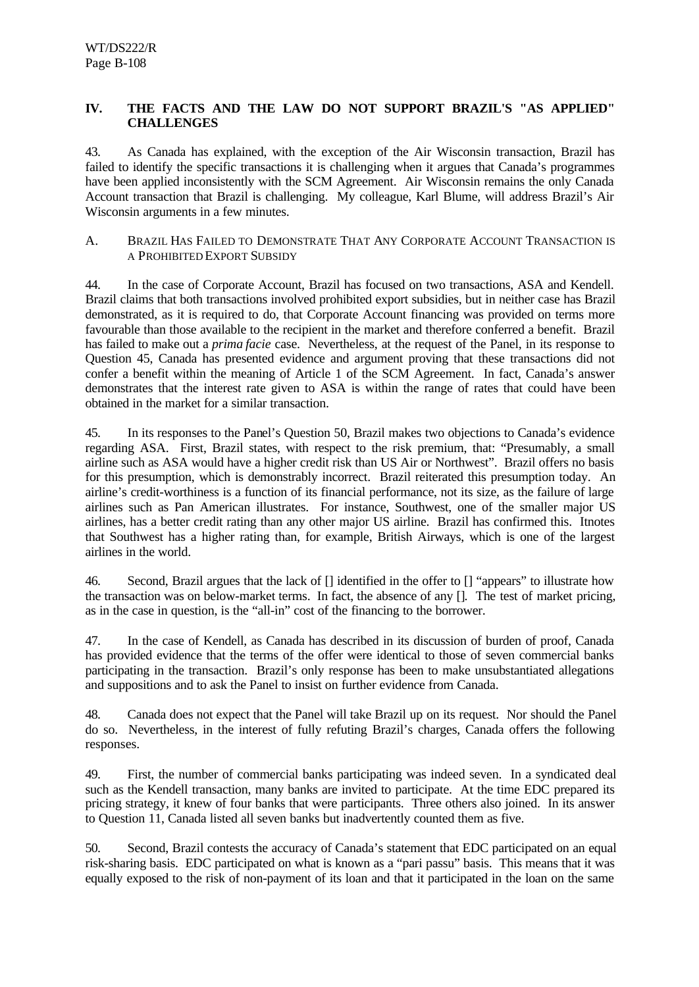#### **IV. THE FACTS AND THE LAW DO NOT SUPPORT BRAZIL'S "AS APPLIED" CHALLENGES**

43. As Canada has explained, with the exception of the Air Wisconsin transaction, Brazil has failed to identify the specific transactions it is challenging when it argues that Canada's programmes have been applied inconsistently with the SCM Agreement. Air Wisconsin remains the only Canada Account transaction that Brazil is challenging. My colleague, Karl Blume, will address Brazil's Air Wisconsin arguments in a few minutes.

#### A. BRAZIL HAS FAILED TO DEMONSTRATE THAT ANY CORPORATE ACCOUNT TRANSACTION IS A PROHIBITED EXPORT SUBSIDY

44. In the case of Corporate Account, Brazil has focused on two transactions, ASA and Kendell. Brazil claims that both transactions involved prohibited export subsidies, but in neither case has Brazil demonstrated, as it is required to do, that Corporate Account financing was provided on terms more favourable than those available to the recipient in the market and therefore conferred a benefit. Brazil has failed to make out a *prima facie* case. Nevertheless, at the request of the Panel, in its response to Question 45, Canada has presented evidence and argument proving that these transactions did not confer a benefit within the meaning of Article 1 of the SCM Agreement. In fact, Canada's answer demonstrates that the interest rate given to ASA is within the range of rates that could have been obtained in the market for a similar transaction.

45. In its responses to the Panel's Question 50, Brazil makes two objections to Canada's evidence regarding ASA. First, Brazil states, with respect to the risk premium, that: "Presumably, a small airline such as ASA would have a higher credit risk than US Air or Northwest". Brazil offers no basis for this presumption, which is demonstrably incorrect. Brazil reiterated this presumption today. An airline's credit-worthiness is a function of its financial performance, not its size, as the failure of large airlines such as Pan American illustrates. For instance, Southwest, one of the smaller major US airlines, has a better credit rating than any other major US airline. Brazil has confirmed this. Itnotes that Southwest has a higher rating than, for example, British Airways, which is one of the largest airlines in the world.

46. Second, Brazil argues that the lack of [] identified in the offer to [] "appears" to illustrate how the transaction was on below-market terms. In fact, the absence of any [].The test of market pricing, as in the case in question, is the "all-in" cost of the financing to the borrower.

47. In the case of Kendell, as Canada has described in its discussion of burden of proof, Canada has provided evidence that the terms of the offer were identical to those of seven commercial banks participating in the transaction. Brazil's only response has been to make unsubstantiated allegations and suppositions and to ask the Panel to insist on further evidence from Canada.

48. Canada does not expect that the Panel will take Brazil up on its request. Nor should the Panel do so. Nevertheless, in the interest of fully refuting Brazil's charges, Canada offers the following responses.

49. First, the number of commercial banks participating was indeed seven. In a syndicated deal such as the Kendell transaction, many banks are invited to participate. At the time EDC prepared its pricing strategy, it knew of four banks that were participants. Three others also joined. In its answer to Question 11, Canada listed all seven banks but inadvertently counted them as five.

50. Second, Brazil contests the accuracy of Canada's statement that EDC participated on an equal risk-sharing basis. EDC participated on what is known as a "pari passu" basis. This means that it was equally exposed to the risk of non-payment of its loan and that it participated in the loan on the same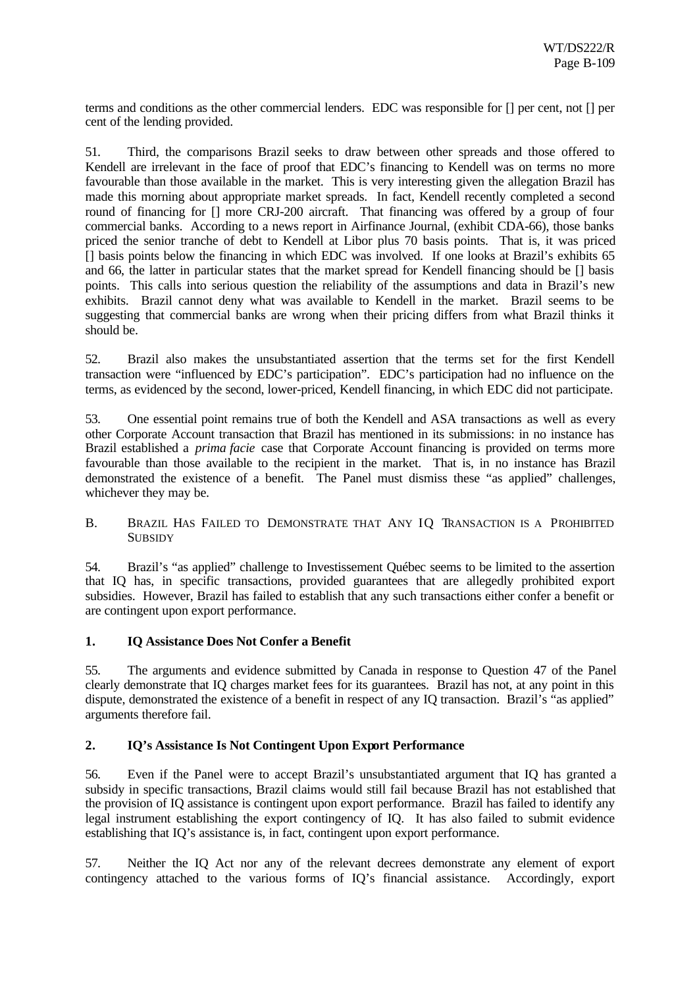terms and conditions as the other commercial lenders. EDC was responsible for [] per cent, not [] per cent of the lending provided.

51. Third, the comparisons Brazil seeks to draw between other spreads and those offered to Kendell are irrelevant in the face of proof that EDC's financing to Kendell was on terms no more favourable than those available in the market. This is very interesting given the allegation Brazil has made this morning about appropriate market spreads. In fact, Kendell recently completed a second round of financing for [] more CRJ-200 aircraft. That financing was offered by a group of four commercial banks. According to a news report in Airfinance Journal, (exhibit CDA-66), those banks priced the senior tranche of debt to Kendell at Libor plus 70 basis points. That is, it was priced [] basis points below the financing in which EDC was involved. If one looks at Brazil's exhibits 65 and 66, the latter in particular states that the market spread for Kendell financing should be [] basis points. This calls into serious question the reliability of the assumptions and data in Brazil's new exhibits. Brazil cannot deny what was available to Kendell in the market. Brazil seems to be suggesting that commercial banks are wrong when their pricing differs from what Brazil thinks it should be.

52. Brazil also makes the unsubstantiated assertion that the terms set for the first Kendell transaction were "influenced by EDC's participation". EDC's participation had no influence on the terms, as evidenced by the second, lower-priced, Kendell financing, in which EDC did not participate.

53. One essential point remains true of both the Kendell and ASA transactions as well as every other Corporate Account transaction that Brazil has mentioned in its submissions: in no instance has Brazil established a *prima facie* case that Corporate Account financing is provided on terms more favourable than those available to the recipient in the market. That is, in no instance has Brazil demonstrated the existence of a benefit. The Panel must dismiss these "as applied" challenges, whichever they may be.

#### B. BRAZIL HAS FAILED TO DEMONSTRATE THAT ANY IQ TRANSACTION IS A PROHIBITED **SUBSIDY**

54. Brazil's "as applied" challenge to Investissement Québec seems to be limited to the assertion that IQ has, in specific transactions, provided guarantees that are allegedly prohibited export subsidies. However, Brazil has failed to establish that any such transactions either confer a benefit or are contingent upon export performance.

## **1. IQ Assistance Does Not Confer a Benefit**

55. The arguments and evidence submitted by Canada in response to Question 47 of the Panel clearly demonstrate that IQ charges market fees for its guarantees. Brazil has not, at any point in this dispute, demonstrated the existence of a benefit in respect of any IQ transaction. Brazil's "as applied" arguments therefore fail.

#### **2. IQ's Assistance Is Not Contingent Upon Export Performance**

56. Even if the Panel were to accept Brazil's unsubstantiated argument that IQ has granted a subsidy in specific transactions, Brazil claims would still fail because Brazil has not established that the provision of IQ assistance is contingent upon export performance. Brazil has failed to identify any legal instrument establishing the export contingency of IQ. It has also failed to submit evidence establishing that IQ's assistance is, in fact, contingent upon export performance.

57. Neither the IQ Act nor any of the relevant decrees demonstrate any element of export contingency attached to the various forms of IQ's financial assistance. Accordingly, export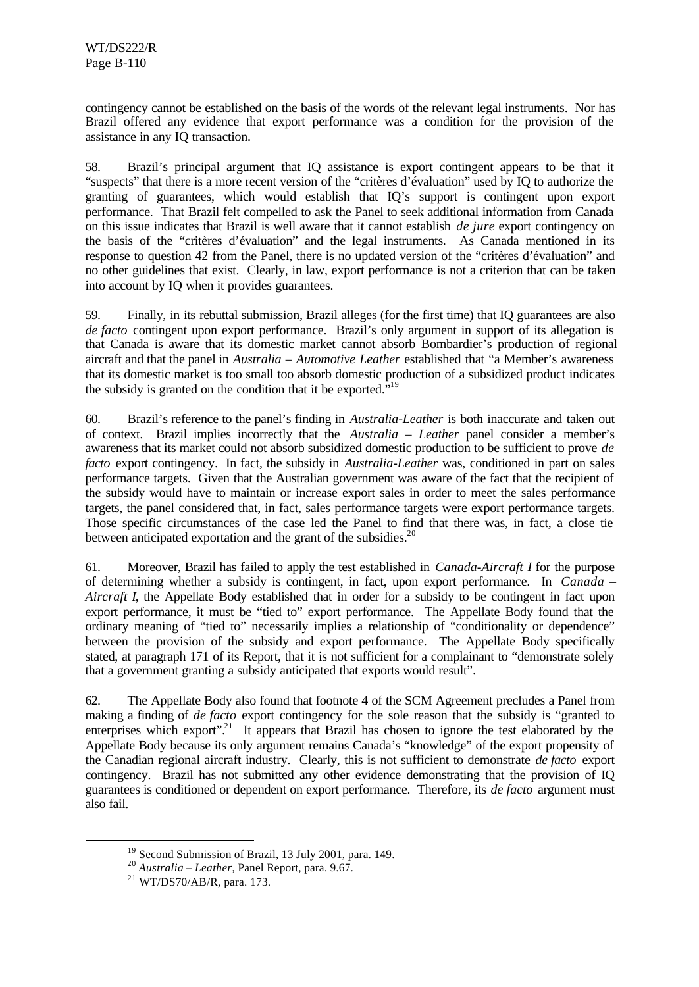contingency cannot be established on the basis of the words of the relevant legal instruments. Nor has Brazil offered any evidence that export performance was a condition for the provision of the assistance in any IQ transaction.

58. Brazil's principal argument that IQ assistance is export contingent appears to be that it "suspects" that there is a more recent version of the "critères d'évaluation" used by IQ to authorize the granting of guarantees, which would establish that IQ's support is contingent upon export performance. That Brazil felt compelled to ask the Panel to seek additional information from Canada on this issue indicates that Brazil is well aware that it cannot establish *de jure* export contingency on the basis of the "critères d'évaluation" and the legal instruments. As Canada mentioned in its response to question 42 from the Panel, there is no updated version of the "critères d'évaluation" and no other guidelines that exist. Clearly, in law, export performance is not a criterion that can be taken into account by IQ when it provides guarantees.

59. Finally, in its rebuttal submission, Brazil alleges (for the first time) that IQ guarantees are also *de facto* contingent upon export performance. Brazil's only argument in support of its allegation is that Canada is aware that its domestic market cannot absorb Bombardier's production of regional aircraft and that the panel in *Australia – Automotive Leather* established that "a Member's awareness that its domestic market is too small too absorb domestic production of a subsidized product indicates the subsidy is granted on the condition that it be exported."<sup>19</sup>

60. Brazil's reference to the panel's finding in *Australia-Leather* is both inaccurate and taken out of context. Brazil implies incorrectly that the *Australia – Leather* panel consider a member's awareness that its market could not absorb subsidized domestic production to be sufficient to prove *de facto* export contingency. In fact, the subsidy in *Australia-Leather* was, conditioned in part on sales performance targets. Given that the Australian government was aware of the fact that the recipient of the subsidy would have to maintain or increase export sales in order to meet the sales performance targets, the panel considered that, in fact, sales performance targets were export performance targets. Those specific circumstances of the case led the Panel to find that there was, in fact, a close tie between anticipated exportation and the grant of the subsidies.<sup>20</sup>

61. Moreover, Brazil has failed to apply the test established in *Canada-Aircraft I* for the purpose of determining whether a subsidy is contingent, in fact, upon export performance. In *Canada – Aircraft I*, the Appellate Body established that in order for a subsidy to be contingent in fact upon export performance, it must be "tied to" export performance. The Appellate Body found that the ordinary meaning of "tied to" necessarily implies a relationship of "conditionality or dependence" between the provision of the subsidy and export performance. The Appellate Body specifically stated, at paragraph 171 of its Report, that it is not sufficient for a complainant to "demonstrate solely that a government granting a subsidy anticipated that exports would result".

62. The Appellate Body also found that footnote 4 of the SCM Agreement precludes a Panel from making a finding of *de facto* export contingency for the sole reason that the subsidy is "granted to enterprises which export".<sup>21</sup> It appears that Brazil has chosen to ignore the test elaborated by the Appellate Body because its only argument remains Canada's "knowledge" of the export propensity of the Canadian regional aircraft industry. Clearly, this is not sufficient to demonstrate *de facto* export contingency. Brazil has not submitted any other evidence demonstrating that the provision of IQ guarantees is conditioned or dependent on export performance. Therefore, its *de facto* argument must also fail.

<sup>19</sup> Second Submission of Brazil, 13 July 2001, para. 149.

<sup>20</sup> *Australia – Leather*, Panel Report, para. 9.67.

<sup>21</sup> WT/DS70/AB/R, para. 173.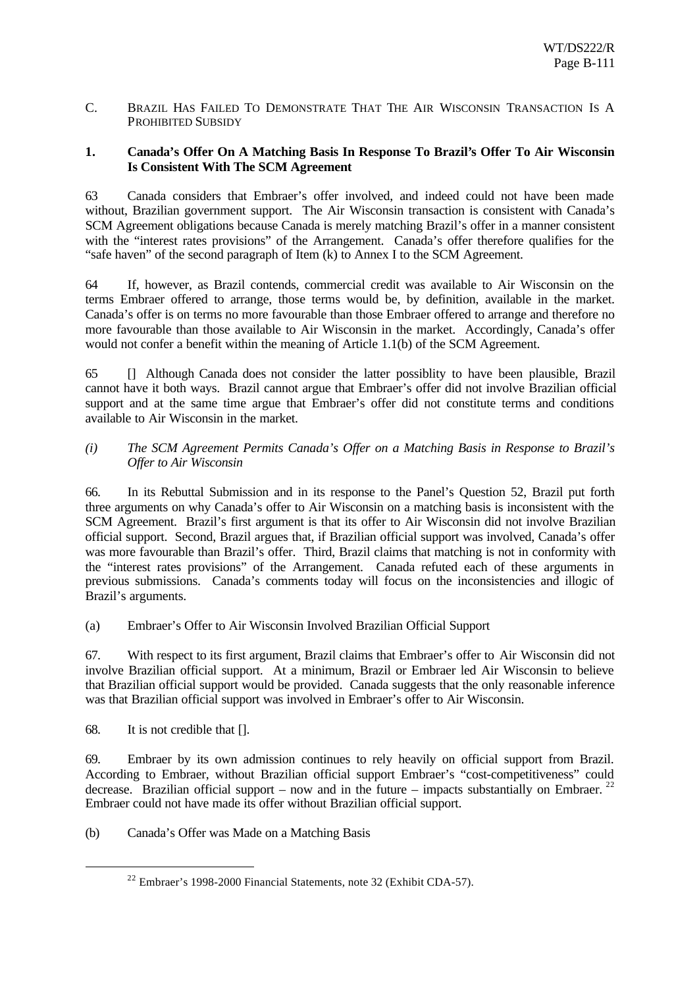C. BRAZIL HAS FAILED TO DEMONSTRATE THAT THE AIR WISCONSIN TRANSACTION IS A PROHIBITED SUBSIDY

#### **1. Canada's Offer On A Matching Basis In Response To Brazil's Offer To Air Wisconsin Is Consistent With The SCM Agreement**

63 Canada considers that Embraer's offer involved, and indeed could not have been made without, Brazilian government support. The Air Wisconsin transaction is consistent with Canada's SCM Agreement obligations because Canada is merely matching Brazil's offer in a manner consistent with the "interest rates provisions" of the Arrangement. Canada's offer therefore qualifies for the "safe haven" of the second paragraph of Item (k) to Annex I to the SCM Agreement.

64 If, however, as Brazil contends, commercial credit was available to Air Wisconsin on the terms Embraer offered to arrange, those terms would be, by definition, available in the market. Canada's offer is on terms no more favourable than those Embraer offered to arrange and therefore no more favourable than those available to Air Wisconsin in the market. Accordingly, Canada's offer would not confer a benefit within the meaning of Article 1.1(b) of the SCM Agreement.

65 [] Although Canada does not consider the latter possiblity to have been plausible, Brazil cannot have it both ways. Brazil cannot argue that Embraer's offer did not involve Brazilian official support and at the same time argue that Embraer's offer did not constitute terms and conditions available to Air Wisconsin in the market.

#### *(i) The SCM Agreement Permits Canada's Offer on a Matching Basis in Response to Brazil's Offer to Air Wisconsin*

66. In its Rebuttal Submission and in its response to the Panel's Question 52, Brazil put forth three arguments on why Canada's offer to Air Wisconsin on a matching basis is inconsistent with the SCM Agreement. Brazil's first argument is that its offer to Air Wisconsin did not involve Brazilian official support. Second, Brazil argues that, if Brazilian official support was involved, Canada's offer was more favourable than Brazil's offer. Third, Brazil claims that matching is not in conformity with the "interest rates provisions" of the Arrangement. Canada refuted each of these arguments in previous submissions. Canada's comments today will focus on the inconsistencies and illogic of Brazil's arguments.

(a) Embraer's Offer to Air Wisconsin Involved Brazilian Official Support

67. With respect to its first argument, Brazil claims that Embraer's offer to Air Wisconsin did not involve Brazilian official support. At a minimum, Brazil or Embraer led Air Wisconsin to believe that Brazilian official support would be provided. Canada suggests that the only reasonable inference was that Brazilian official support was involved in Embraer's offer to Air Wisconsin.

68. It is not credible that [].

l

69. Embraer by its own admission continues to rely heavily on official support from Brazil. According to Embraer, without Brazilian official support Embraer's "cost-competitiveness" could decrease. Brazilian official support – now and in the future – impacts substantially on Embraer.  $^{22}$ Embraer could not have made its offer without Brazilian official support.

(b) Canada's Offer was Made on a Matching Basis

<sup>22</sup> Embraer's 1998-2000 Financial Statements, note 32 (Exhibit CDA-57).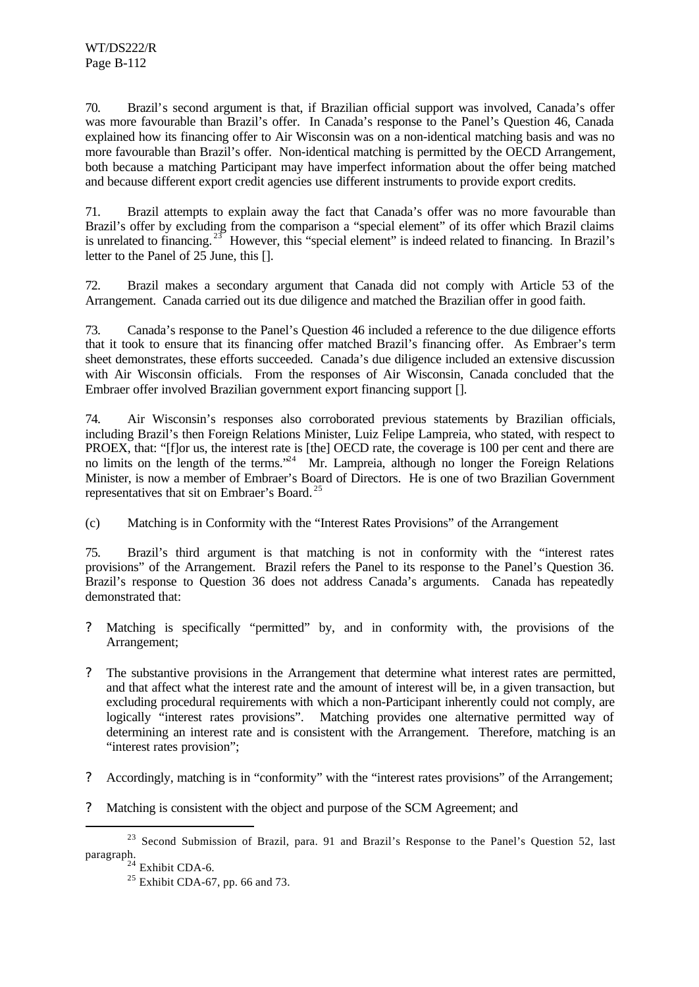70. Brazil's second argument is that, if Brazilian official support was involved, Canada's offer was more favourable than Brazil's offer. In Canada's response to the Panel's Question 46, Canada explained how its financing offer to Air Wisconsin was on a non-identical matching basis and was no more favourable than Brazil's offer. Non-identical matching is permitted by the OECD Arrangement, both because a matching Participant may have imperfect information about the offer being matched and because different export credit agencies use different instruments to provide export credits.

71. Brazil attempts to explain away the fact that Canada's offer was no more favourable than Brazil's offer by excluding from the comparison a "special element" of its offer which Brazil claims is unrelated to financing.<sup>23</sup> However, this "special element" is indeed related to financing. In Brazil's letter to the Panel of 25 June, this [].

72. Brazil makes a secondary argument that Canada did not comply with Article 53 of the Arrangement. Canada carried out its due diligence and matched the Brazilian offer in good faith.

73. Canada's response to the Panel's Question 46 included a reference to the due diligence efforts that it took to ensure that its financing offer matched Brazil's financing offer. As Embraer's term sheet demonstrates, these efforts succeeded. Canada's due diligence included an extensive discussion with Air Wisconsin officials. From the responses of Air Wisconsin, Canada concluded that the Embraer offer involved Brazilian government export financing support [].

74. Air Wisconsin's responses also corroborated previous statements by Brazilian officials, including Brazil's then Foreign Relations Minister, Luiz Felipe Lampreia, who stated, with respect to PROEX, that: "[f]or us, the interest rate is [the] OECD rate, the coverage is 100 per cent and there are no limits on the length of the terms.<sup> $24$ </sup> Mr. Lampreia, although no longer the Foreign Relations Minister, is now a member of Embraer's Board of Directors. He is one of two Brazilian Government representatives that sit on Embraer's Board. <sup>25</sup>

(c) Matching is in Conformity with the "Interest Rates Provisions" of the Arrangement

75. Brazil's third argument is that matching is not in conformity with the "interest rates provisions" of the Arrangement. Brazil refers the Panel to its response to the Panel's Question 36. Brazil's response to Question 36 does not address Canada's arguments. Canada has repeatedly demonstrated that:

- ? Matching is specifically "permitted" by, and in conformity with, the provisions of the Arrangement;
- ? The substantive provisions in the Arrangement that determine what interest rates are permitted, and that affect what the interest rate and the amount of interest will be, in a given transaction, but excluding procedural requirements with which a non-Participant inherently could not comply, are logically "interest rates provisions". Matching provides one alternative permitted way of determining an interest rate and is consistent with the Arrangement. Therefore, matching is an "interest rates provision";
- ? Accordingly, matching is in "conformity" with the "interest rates provisions" of the Arrangement;
- ? Matching is consistent with the object and purpose of the SCM Agreement; and

 $23$  Second Submission of Brazil, para. 91 and Brazil's Response to the Panel's Question 52, last paragraph.

 $24$  Exhibit CDA-6.

 $25$  Exhibit CDA-67, pp. 66 and 73.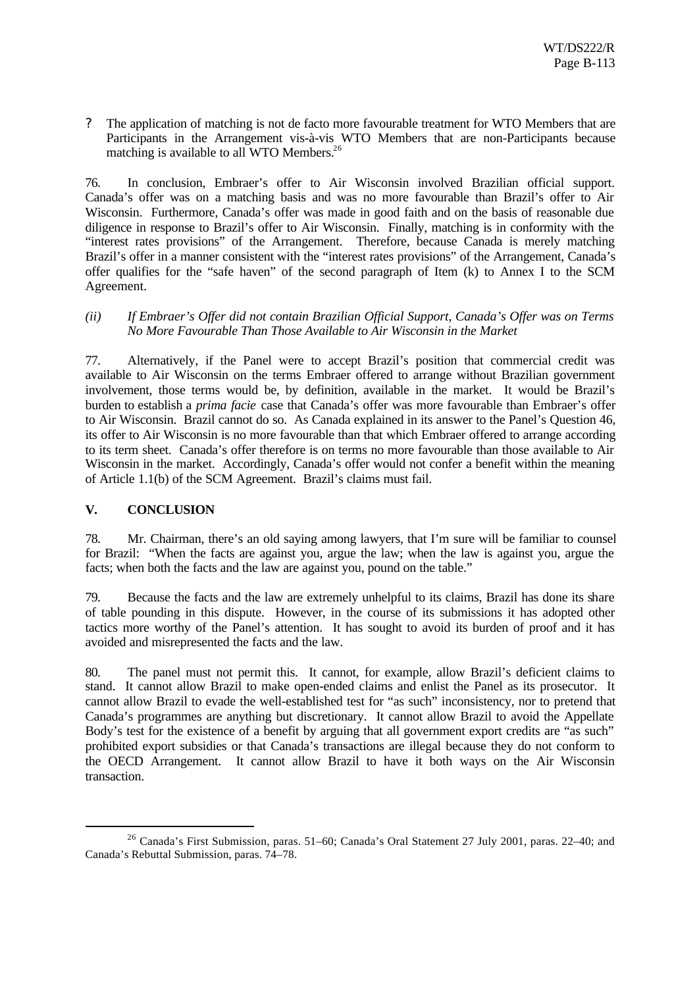? The application of matching is not de facto more favourable treatment for WTO Members that are Participants in the Arrangement vis-à-vis WTO Members that are non-Participants because matching is available to all WTO Members.<sup>26</sup>

76. In conclusion, Embraer's offer to Air Wisconsin involved Brazilian official support. Canada's offer was on a matching basis and was no more favourable than Brazil's offer to Air Wisconsin. Furthermore, Canada's offer was made in good faith and on the basis of reasonable due diligence in response to Brazil's offer to Air Wisconsin. Finally, matching is in conformity with the "interest rates provisions" of the Arrangement. Therefore, because Canada is merely matching Brazil's offer in a manner consistent with the "interest rates provisions" of the Arrangement, Canada's offer qualifies for the "safe haven" of the second paragraph of Item (k) to Annex I to the SCM Agreement.

#### *(ii) If Embraer's Offer did not contain Brazilian Official Support, Canada's Offer was on Terms No More Favourable Than Those Available to Air Wisconsin in the Market*

77. Alternatively, if the Panel were to accept Brazil's position that commercial credit was available to Air Wisconsin on the terms Embraer offered to arrange without Brazilian government involvement, those terms would be, by definition, available in the market. It would be Brazil's burden to establish a *prima facie* case that Canada's offer was more favourable than Embraer's offer to Air Wisconsin. Brazil cannot do so. As Canada explained in its answer to the Panel's Question 46, its offer to Air Wisconsin is no more favourable than that which Embraer offered to arrange according to its term sheet. Canada's offer therefore is on terms no more favourable than those available to Air Wisconsin in the market. Accordingly, Canada's offer would not confer a benefit within the meaning of Article 1.1(b) of the SCM Agreement. Brazil's claims must fail.

## **V. CONCLUSION**

l

78. Mr. Chairman, there's an old saying among lawyers, that I'm sure will be familiar to counsel for Brazil: "When the facts are against you, argue the law; when the law is against you, argue the facts; when both the facts and the law are against you, pound on the table."

79. Because the facts and the law are extremely unhelpful to its claims, Brazil has done its share of table pounding in this dispute. However, in the course of its submissions it has adopted other tactics more worthy of the Panel's attention. It has sought to avoid its burden of proof and it has avoided and misrepresented the facts and the law.

80. The panel must not permit this. It cannot, for example, allow Brazil's deficient claims to stand. It cannot allow Brazil to make open-ended claims and enlist the Panel as its prosecutor. It cannot allow Brazil to evade the well-established test for "as such" inconsistency, nor to pretend that Canada's programmes are anything but discretionary. It cannot allow Brazil to avoid the Appellate Body's test for the existence of a benefit by arguing that all government export credits are "as such" prohibited export subsidies or that Canada's transactions are illegal because they do not conform to the OECD Arrangement. It cannot allow Brazil to have it both ways on the Air Wisconsin transaction.

<sup>26</sup> Canada's First Submission, paras. 51–60; Canada's Oral Statement 27 July 2001, paras. 22–40; and Canada's Rebuttal Submission, paras. 74–78.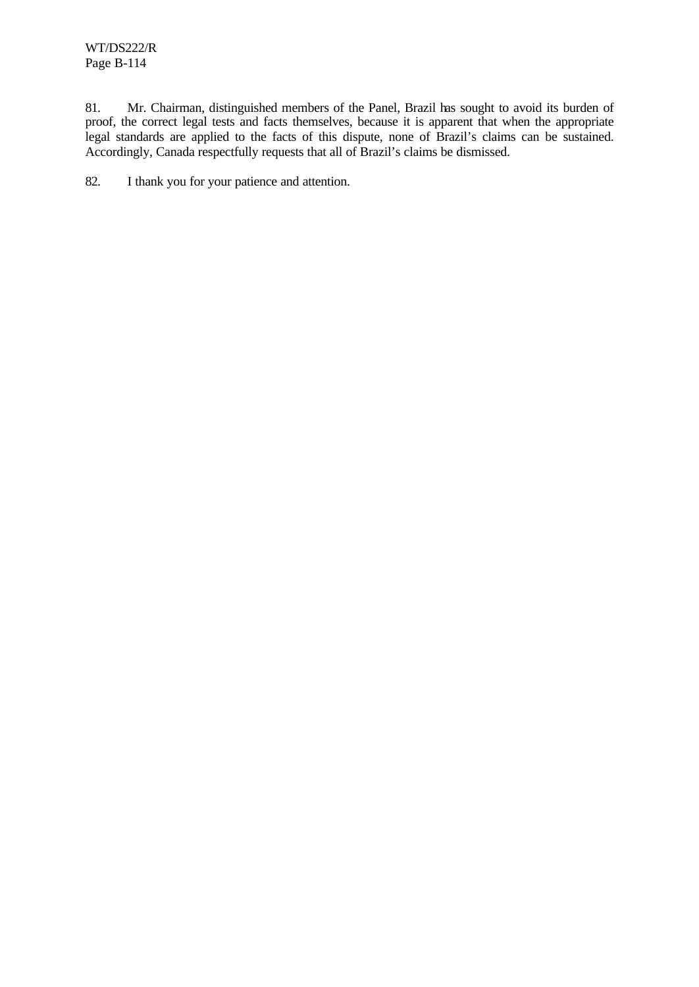81. Mr. Chairman, distinguished members of the Panel, Brazil has sought to avoid its burden of proof, the correct legal tests and facts themselves, because it is apparent that when the appropriate legal standards are applied to the facts of this dispute, none of Brazil's claims can be sustained. Accordingly, Canada respectfully requests that all of Brazil's claims be dismissed.

82. I thank you for your patience and attention.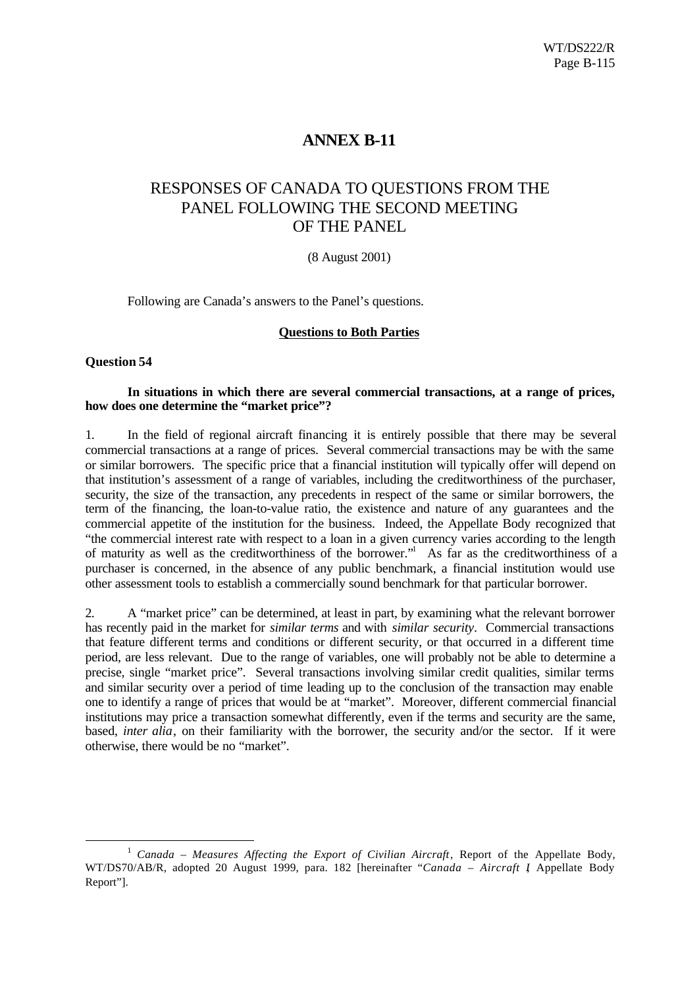## **ANNEX B-11**

## RESPONSES OF CANADA TO QUESTIONS FROM THE PANEL FOLLOWING THE SECOND MEETING OF THE PANEL

#### (8 August 2001)

Following are Canada's answers to the Panel's questions.

#### **Questions to Both Parties**

#### **Question 54**

l

#### **In situations in which there are several commercial transactions, at a range of prices, how does one determine the "market price"?**

1. In the field of regional aircraft financing it is entirely possible that there may be several commercial transactions at a range of prices. Several commercial transactions may be with the same or similar borrowers. The specific price that a financial institution will typically offer will depend on that institution's assessment of a range of variables, including the creditworthiness of the purchaser, security, the size of the transaction, any precedents in respect of the same or similar borrowers, the term of the financing, the loan-to-value ratio, the existence and nature of any guarantees and the commercial appetite of the institution for the business. Indeed, the Appellate Body recognized that "the commercial interest rate with respect to a loan in a given currency varies according to the length of maturity as well as the creditworthiness of the borrower."<sup>1</sup> As far as the creditworthiness of a purchaser is concerned, in the absence of any public benchmark, a financial institution would use other assessment tools to establish a commercially sound benchmark for that particular borrower.

2. A "market price" can be determined, at least in part, by examining what the relevant borrower has recently paid in the market for *similar terms* and with *similar security*. Commercial transactions that feature different terms and conditions or different security, or that occurred in a different time period, are less relevant. Due to the range of variables, one will probably not be able to determine a precise, single "market price". Several transactions involving similar credit qualities, similar terms and similar security over a period of time leading up to the conclusion of the transaction may enable one to identify a range of prices that would be at "market". Moreover, different commercial financial institutions may price a transaction somewhat differently, even if the terms and security are the same, based, *inter alia*, on their familiarity with the borrower, the security and/or the sector. If it were otherwise, there would be no "market".

<sup>&</sup>lt;sup>1</sup> *Canada – Measures Affecting the Export of Civilian Aircraft*, Report of the Appellate Body, WT/DS70/AB/R, adopted 20 August 1999, para. 182 [hereinafter "*Canada – Aircraft I*, Appellate Body Report"].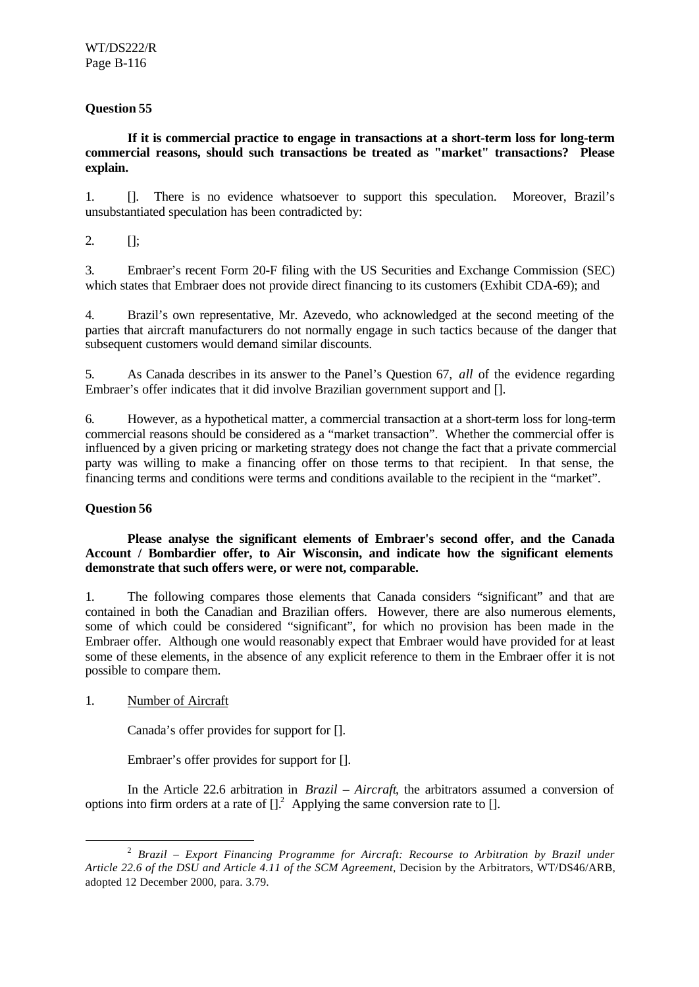## **Question 55**

**If it is commercial practice to engage in transactions at a short-term loss for long-term commercial reasons, should such transactions be treated as "market" transactions? Please explain.**

1. []. There is no evidence whatsoever to support this speculation. Moreover, Brazil's unsubstantiated speculation has been contradicted by:

2. [];

3. Embraer's recent Form 20-F filing with the US Securities and Exchange Commission (SEC) which states that Embraer does not provide direct financing to its customers (Exhibit CDA-69); and

4. Brazil's own representative, Mr. Azevedo, who acknowledged at the second meeting of the parties that aircraft manufacturers do not normally engage in such tactics because of the danger that subsequent customers would demand similar discounts.

5. As Canada describes in its answer to the Panel's Question 67, *all* of the evidence regarding Embraer's offer indicates that it did involve Brazilian government support and [].

6. However, as a hypothetical matter, a commercial transaction at a short-term loss for long-term commercial reasons should be considered as a "market transaction". Whether the commercial offer is influenced by a given pricing or marketing strategy does not change the fact that a private commercial party was willing to make a financing offer on those terms to that recipient. In that sense, the financing terms and conditions were terms and conditions available to the recipient in the "market".

#### **Question 56**

l

#### **Please analyse the significant elements of Embraer's second offer, and the Canada Account / Bombardier offer, to Air Wisconsin, and indicate how the significant elements demonstrate that such offers were, or were not, comparable.**

1. The following compares those elements that Canada considers "significant" and that are contained in both the Canadian and Brazilian offers. However, there are also numerous elements, some of which could be considered "significant", for which no provision has been made in the Embraer offer. Although one would reasonably expect that Embraer would have provided for at least some of these elements, in the absence of any explicit reference to them in the Embraer offer it is not possible to compare them.

#### 1. Number of Aircraft

Canada's offer provides for support for [].

Embraer's offer provides for support for [].

In the Article 22.6 arbitration in *Brazil – Aircraft*, the arbitrators assumed a conversion of options into firm orders at a rate of  $\left[\right]^2$ . Applying the same conversion rate to  $\left[\right]$ .

<sup>2</sup> *Brazil – Export Financing Programme for Aircraft: Recourse to Arbitration by Brazil under Article 22.6 of the DSU and Article 4.11 of the SCM Agreement*, Decision by the Arbitrators, WT/DS46/ARB, adopted 12 December 2000, para. 3.79.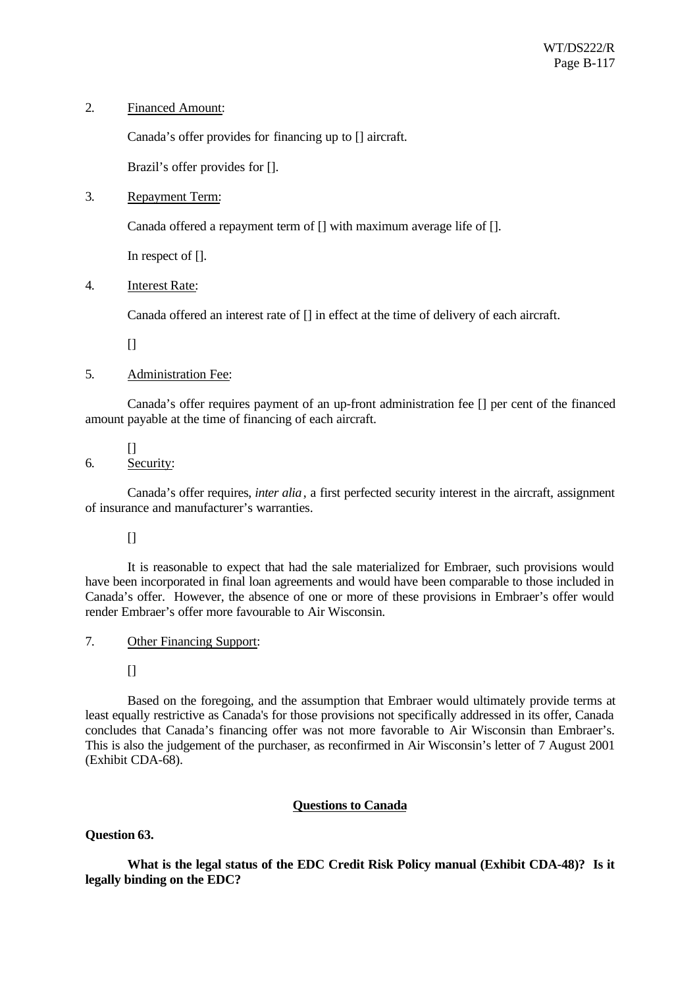## 2. Financed Amount:

Canada's offer provides for financing up to [] aircraft.

Brazil's offer provides for [].

## 3. Repayment Term:

Canada offered a repayment term of [] with maximum average life of [].

In respect of  $\prod$ .

## 4. Interest Rate:

Canada offered an interest rate of [] in effect at the time of delivery of each aircraft.

 $\prod$ 

## 5. Administration Fee:

Canada's offer requires payment of an up-front administration fee [] per cent of the financed amount payable at the time of financing of each aircraft.

#### $\prod$ 6. Security:

Canada's offer requires, *inter alia*, a first perfected security interest in the aircraft, assignment of insurance and manufacturer's warranties.

## $\prod$

It is reasonable to expect that had the sale materialized for Embraer, such provisions would have been incorporated in final loan agreements and would have been comparable to those included in Canada's offer. However, the absence of one or more of these provisions in Embraer's offer would render Embraer's offer more favourable to Air Wisconsin.

#### 7. Other Financing Support:

 $\prod$ 

Based on the foregoing, and the assumption that Embraer would ultimately provide terms at least equally restrictive as Canada's for those provisions not specifically addressed in its offer, Canada concludes that Canada's financing offer was not more favorable to Air Wisconsin than Embraer's. This is also the judgement of the purchaser, as reconfirmed in Air Wisconsin's letter of 7 August 2001 (Exhibit CDA-68).

## **Questions to Canada**

## **Question 63.**

**What is the legal status of the EDC Credit Risk Policy manual (Exhibit CDA-48)? Is it legally binding on the EDC?**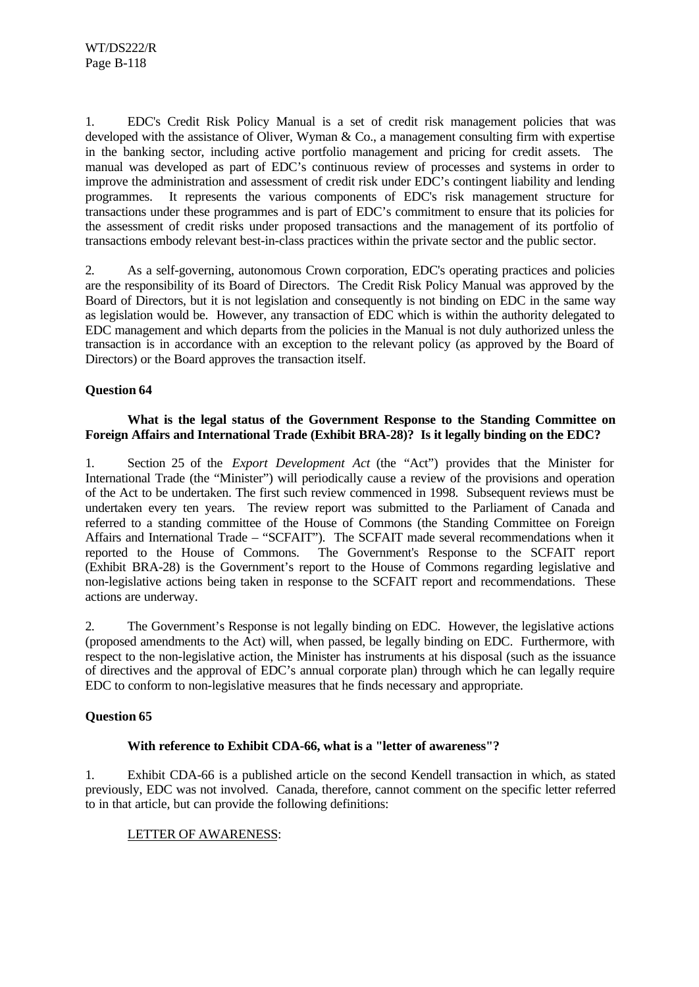1. EDC's Credit Risk Policy Manual is a set of credit risk management policies that was developed with the assistance of Oliver, Wyman & Co., a management consulting firm with expertise in the banking sector, including active portfolio management and pricing for credit assets. The manual was developed as part of EDC's continuous review of processes and systems in order to improve the administration and assessment of credit risk under EDC's contingent liability and lending programmes. It represents the various components of EDC's risk management structure for transactions under these programmes and is part of EDC's commitment to ensure that its policies for the assessment of credit risks under proposed transactions and the management of its portfolio of transactions embody relevant best-in-class practices within the private sector and the public sector.

2. As a self-governing, autonomous Crown corporation, EDC's operating practices and policies are the responsibility of its Board of Directors. The Credit Risk Policy Manual was approved by the Board of Directors, but it is not legislation and consequently is not binding on EDC in the same way as legislation would be. However, any transaction of EDC which is within the authority delegated to EDC management and which departs from the policies in the Manual is not duly authorized unless the transaction is in accordance with an exception to the relevant policy (as approved by the Board of Directors) or the Board approves the transaction itself.

## **Question 64**

#### **What is the legal status of the Government Response to the Standing Committee on Foreign Affairs and International Trade (Exhibit BRA-28)? Is it legally binding on the EDC?**

1. Section 25 of the *Export Development Act* (the "Act") provides that the Minister for International Trade (the "Minister") will periodically cause a review of the provisions and operation of the Act to be undertaken. The first such review commenced in 1998. Subsequent reviews must be undertaken every ten years. The review report was submitted to the Parliament of Canada and referred to a standing committee of the House of Commons (the Standing Committee on Foreign Affairs and International Trade – "SCFAIT"). The SCFAIT made several recommendations when it reported to the House of Commons. The Government's Response to the SCFAIT report (Exhibit BRA-28) is the Government's report to the House of Commons regarding legislative and non-legislative actions being taken in response to the SCFAIT report and recommendations. These actions are underway.

2. The Government's Response is not legally binding on EDC. However, the legislative actions (proposed amendments to the Act) will, when passed, be legally binding on EDC. Furthermore, with respect to the non-legislative action, the Minister has instruments at his disposal (such as the issuance of directives and the approval of EDC's annual corporate plan) through which he can legally require EDC to conform to non-legislative measures that he finds necessary and appropriate.

## **Question 65**

## **With reference to Exhibit CDA-66, what is a "letter of awareness"?**

1. Exhibit CDA-66 is a published article on the second Kendell transaction in which, as stated previously, EDC was not involved. Canada, therefore, cannot comment on the specific letter referred to in that article, but can provide the following definitions:

## LETTER OF AWARENESS: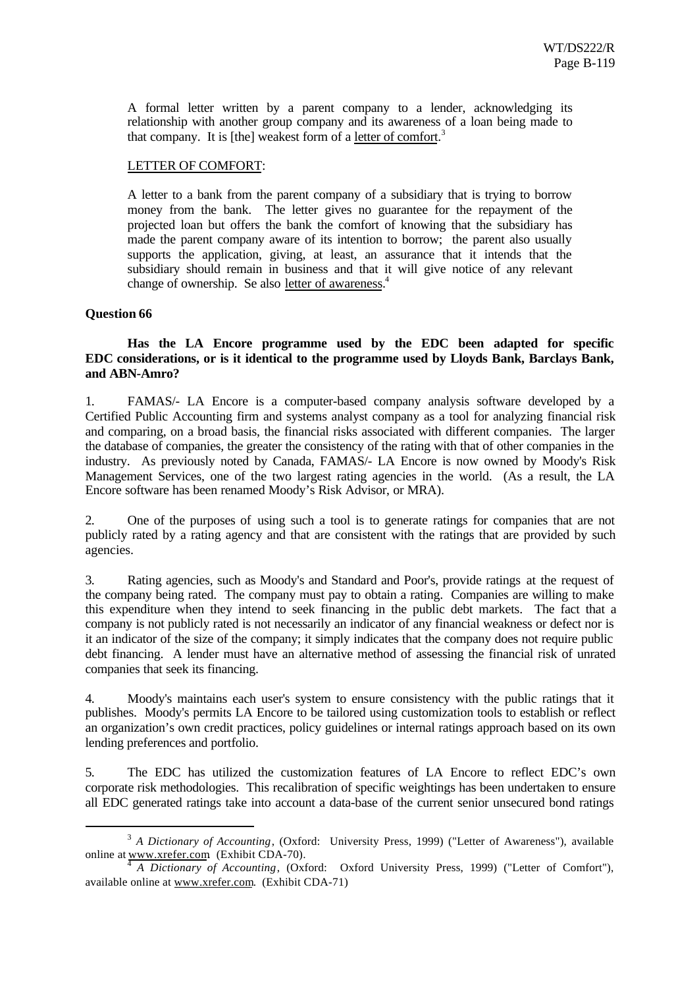A formal letter written by a parent company to a lender, acknowledging its relationship with another group company and its awareness of a loan being made to that company. It is [the] weakest form of a letter of comfort.<sup>3</sup>

#### LETTER OF COMFORT:

A letter to a bank from the parent company of a subsidiary that is trying to borrow money from the bank. The letter gives no guarantee for the repayment of the projected loan but offers the bank the comfort of knowing that the subsidiary has made the parent company aware of its intention to borrow; the parent also usually supports the application, giving, at least, an assurance that it intends that the subsidiary should remain in business and that it will give notice of any relevant change of ownership. Se also letter of awareness.<sup>4</sup>

#### **Question 66**

l

#### **Has the LA Encore programme used by the EDC been adapted for specific EDC considerations, or is it identical to the programme used by Lloyds Bank, Barclays Bank, and ABN-Amro?**

1. FAMAS/- LA Encore is a computer-based company analysis software developed by a Certified Public Accounting firm and systems analyst company as a tool for analyzing financial risk and comparing, on a broad basis, the financial risks associated with different companies. The larger the database of companies, the greater the consistency of the rating with that of other companies in the industry. As previously noted by Canada, FAMAS/- LA Encore is now owned by Moody's Risk Management Services, one of the two largest rating agencies in the world. (As a result, the LA Encore software has been renamed Moody's Risk Advisor, or MRA).

2. One of the purposes of using such a tool is to generate ratings for companies that are not publicly rated by a rating agency and that are consistent with the ratings that are provided by such agencies.

3. Rating agencies, such as Moody's and Standard and Poor's, provide ratings at the request of the company being rated. The company must pay to obtain a rating. Companies are willing to make this expenditure when they intend to seek financing in the public debt markets. The fact that a company is not publicly rated is not necessarily an indicator of any financial weakness or defect nor is it an indicator of the size of the company; it simply indicates that the company does not require public debt financing. A lender must have an alternative method of assessing the financial risk of unrated companies that seek its financing.

4. Moody's maintains each user's system to ensure consistency with the public ratings that it publishes. Moody's permits LA Encore to be tailored using customization tools to establish or reflect an organization's own credit practices, policy guidelines or internal ratings approach based on its own lending preferences and portfolio.

5. The EDC has utilized the customization features of LA Encore to reflect EDC's own corporate risk methodologies. This recalibration of specific weightings has been undertaken to ensure all EDC generated ratings take into account a data-base of the current senior unsecured bond ratings

<sup>&</sup>lt;sup>3</sup> A Dictionary of Accounting, (Oxford: University Press, 1999) ("Letter of Awareness"), available online at www.xrefer.com. (Exhibit CDA-70).

<sup>4</sup> *A Dictionary of Accounting*, (Oxford: Oxford University Press, 1999) ("Letter of Comfort"), available online at www.xrefer.com. (Exhibit CDA-71)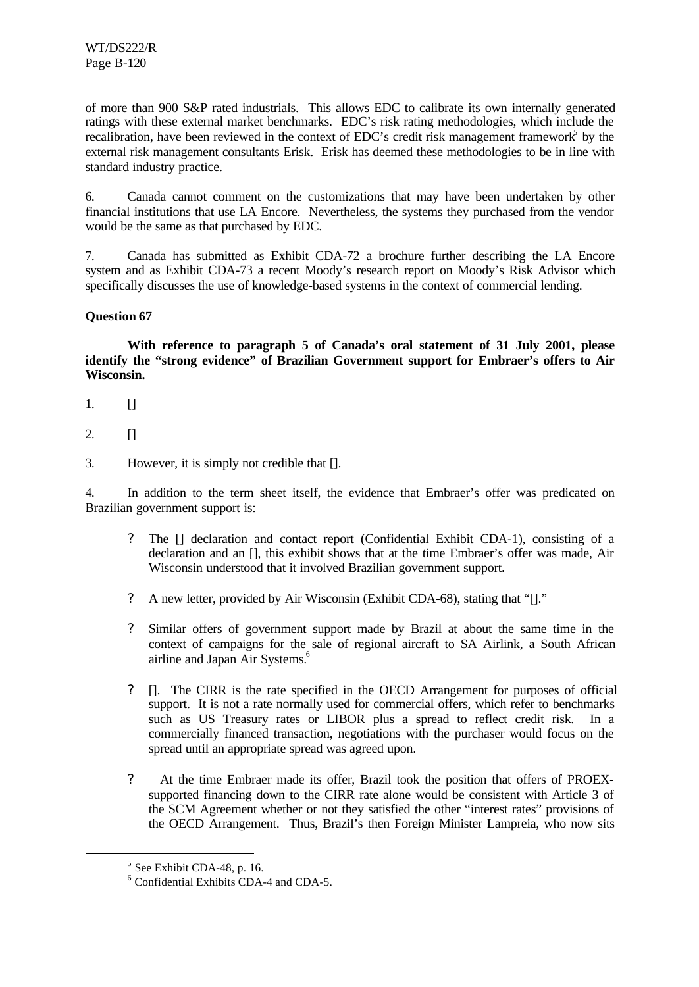of more than 900 S&P rated industrials. This allows EDC to calibrate its own internally generated ratings with these external market benchmarks. EDC's risk rating methodologies, which include the recalibration, have been reviewed in the context of EDC's credit risk management framework<sup>5</sup> by the external risk management consultants Erisk. Erisk has deemed these methodologies to be in line with standard industry practice.

6. Canada cannot comment on the customizations that may have been undertaken by other financial institutions that use LA Encore. Nevertheless, the systems they purchased from the vendor would be the same as that purchased by EDC.

7. Canada has submitted as Exhibit CDA-72 a brochure further describing the LA Encore system and as Exhibit CDA-73 a recent Moody's research report on Moody's Risk Advisor which specifically discusses the use of knowledge-based systems in the context of commercial lending.

## **Question 67**

**With reference to paragraph 5 of Canada's oral statement of 31 July 2001, please identify the "strong evidence" of Brazilian Government support for Embraer's offers to Air Wisconsin.**

- 1. **[]**
- $2.$  []
- 3. However, it is simply not credible that [].

4. In addition to the term sheet itself, the evidence that Embraer's offer was predicated on Brazilian government support is:

- ? The [] declaration and contact report (Confidential Exhibit CDA-1), consisting of a declaration and an [], this exhibit shows that at the time Embraer's offer was made, Air Wisconsin understood that it involved Brazilian government support.
- ? A new letter, provided by Air Wisconsin (Exhibit CDA-68), stating that "[]."
- ? Similar offers of government support made by Brazil at about the same time in the context of campaigns for the sale of regional aircraft to SA Airlink, a South African airline and Japan Air Systems.<sup>6</sup>
- ? []. The CIRR is the rate specified in the OECD Arrangement for purposes of official support. It is not a rate normally used for commercial offers, which refer to benchmarks such as US Treasury rates or LIBOR plus a spread to reflect credit risk. In a commercially financed transaction, negotiations with the purchaser would focus on the spread until an appropriate spread was agreed upon.
- ? At the time Embraer made its offer, Brazil took the position that offers of PROEXsupported financing down to the CIRR rate alone would be consistent with Article 3 of the SCM Agreement whether or not they satisfied the other "interest rates" provisions of the OECD Arrangement. Thus, Brazil's then Foreign Minister Lampreia, who now sits

 $<sup>5</sup>$  See Exhibit CDA-48, p. 16.</sup>

<sup>6</sup> Confidential Exhibits CDA-4 and CDA-5.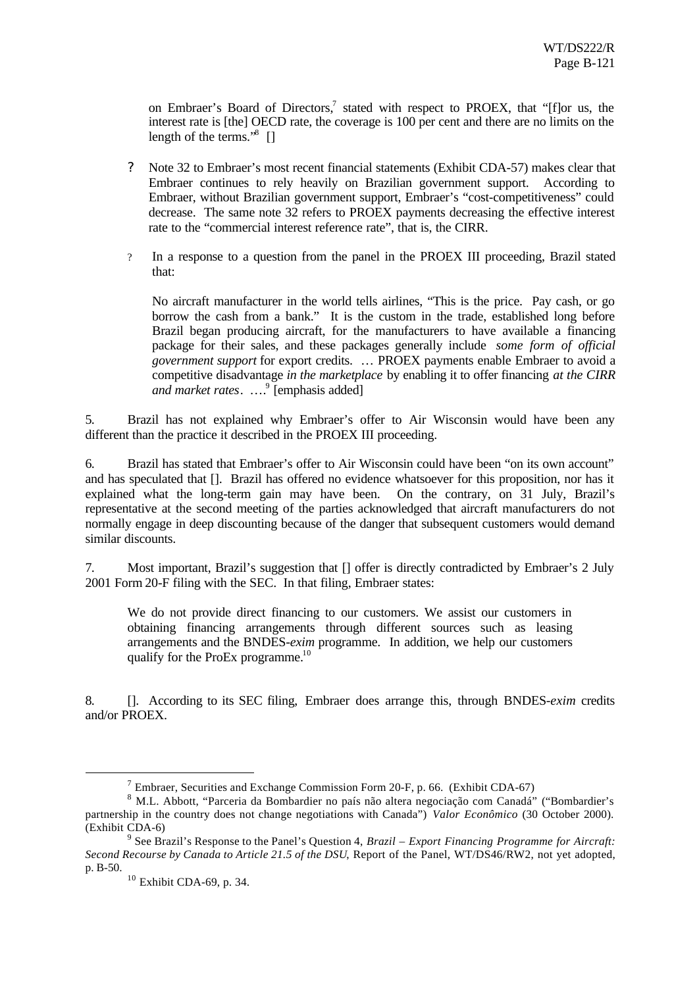on Embraer's Board of Directors, $\frac{7}{1}$  stated with respect to PROEX, that "[f]or us, the interest rate is [the] OECD rate, the coverage is 100 per cent and there are no limits on the length of the terms."<sup>8</sup> []

- ? Note 32 to Embraer's most recent financial statements (Exhibit CDA-57) makes clear that Embraer continues to rely heavily on Brazilian government support. According to Embraer, without Brazilian government support, Embraer's "cost-competitiveness" could decrease. The same note 32 refers to PROEX payments decreasing the effective interest rate to the "commercial interest reference rate", that is, the CIRR.
- ? In a response to a question from the panel in the PROEX III proceeding, Brazil stated that:

No aircraft manufacturer in the world tells airlines, "This is the price. Pay cash, or go borrow the cash from a bank." It is the custom in the trade, established long before Brazil began producing aircraft, for the manufacturers to have available a financing package for their sales, and these packages generally include *some form of official government support* for export credits. … PROEX payments enable Embraer to avoid a competitive disadvantage *in the marketplace* by enabling it to offer financing *at the CIRR and market rates*. …. 9 [emphasis added]

5. Brazil has not explained why Embraer's offer to Air Wisconsin would have been any different than the practice it described in the PROEX III proceeding.

6. Brazil has stated that Embraer's offer to Air Wisconsin could have been "on its own account" and has speculated that []. Brazil has offered no evidence whatsoever for this proposition, nor has it explained what the long-term gain may have been. On the contrary, on 31 July, Brazil's representative at the second meeting of the parties acknowledged that aircraft manufacturers do not normally engage in deep discounting because of the danger that subsequent customers would demand similar discounts.

7. Most important, Brazil's suggestion that [] offer is directly contradicted by Embraer's 2 July 2001 Form 20-F filing with the SEC. In that filing, Embraer states:

We do not provide direct financing to our customers. We assist our customers in obtaining financing arrangements through different sources such as leasing arrangements and the BNDES-*exim* programme. In addition, we help our customers qualify for the ProEx programme.<sup>10</sup>

8. []. According to its SEC filing, Embraer does arrange this, through BNDES-*exim* credits and/or PROEX.

<sup>&</sup>lt;sup>7</sup> Embraer, Securities and Exchange Commission Form 20-F, p. 66. (Exhibit CDA-67)

<sup>8</sup> M.L. Abbott, "Parceria da Bombardier no país não altera negociação com Canadá" ("Bombardier's partnership in the country does not change negotiations with Canada") *Valor Econômico* (30 October 2000). (Exhibit CDA-6)

<sup>9</sup> See Brazil's Response to the Panel's Question 4, *Brazil – Export Financing Programme for Aircraft: Second Recourse by Canada to Article 21.5 of the DSU*, Report of the Panel, WT/DS46/RW2, not yet adopted, p. B-50.

<sup>10</sup> Exhibit CDA-69, p. 34.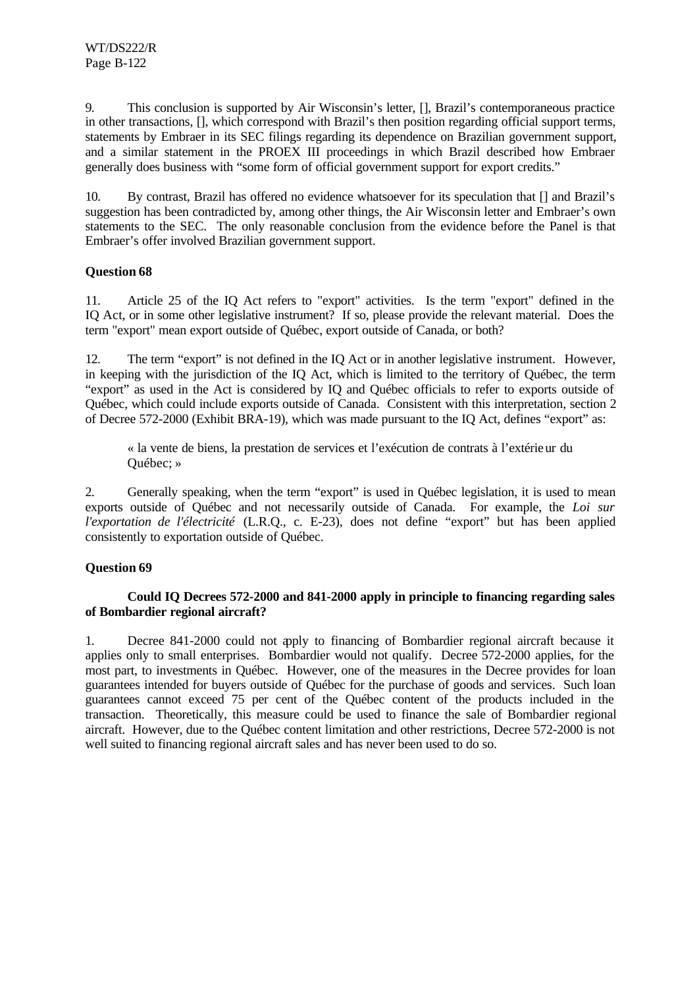9. This conclusion is supported by Air Wisconsin's letter, [], Brazil's contemporaneous practice in other transactions, [], which correspond with Brazil's then position regarding official support terms, statements by Embraer in its SEC filings regarding its dependence on Brazilian government support, and a similar statement in the PROEX III proceedings in which Brazil described how Embraer generally does business with "some form of official government support for export credits."

10. By contrast, Brazil has offered no evidence whatsoever for its speculation that [] and Brazil's suggestion has been contradicted by, among other things, the Air Wisconsin letter and Embraer's own statements to the SEC. The only reasonable conclusion from the evidence before the Panel is that Embraer's offer involved Brazilian government support.

## **Question 68**

11. Article 25 of the IQ Act refers to "export" activities. Is the term "export" defined in the IQ Act, or in some other legislative instrument? If so, please provide the relevant material. Does the term "export" mean export outside of Québec, export outside of Canada, or both?

12. The term "export" is not defined in the IQ Act or in another legislative instrument. However, in keeping with the jurisdiction of the IQ Act, which is limited to the territory of Québec, the term "export" as used in the Act is considered by IQ and Québec officials to refer to exports outside of Québec, which could include exports outside of Canada. Consistent with this interpretation, section 2 of Decree 572-2000 (Exhibit BRA-19), which was made pursuant to the IQ Act, defines "export" as:

« la vente de biens, la prestation de services et l'exécution de contrats à l'extérieur du Québec; »

2. Generally speaking, when the term "export" is used in Québec legislation, it is used to mean exports outside of Québec and not necessarily outside of Canada. For example, the *Loi sur l'exportation de l'électricité* (L.R.Q., c. E-23), does not define "export" but has been applied consistently to exportation outside of Québec.

## **Question 69**

## **Could IQ Decrees 572-2000 and 841-2000 apply in principle to financing regarding sales of Bombardier regional aircraft?**

1. Decree 841-2000 could not apply to financing of Bombardier regional aircraft because it applies only to small enterprises. Bombardier would not qualify. Decree 572-2000 applies, for the most part, to investments in Québec. However, one of the measures in the Decree provides for loan guarantees intended for buyers outside of Québec for the purchase of goods and services. Such loan guarantees cannot exceed 75 per cent of the Québec content of the products included in the transaction. Theoretically, this measure could be used to finance the sale of Bombardier regional aircraft. However, due to the Québec content limitation and other restrictions, Decree 572-2000 is not well suited to financing regional aircraft sales and has never been used to do so.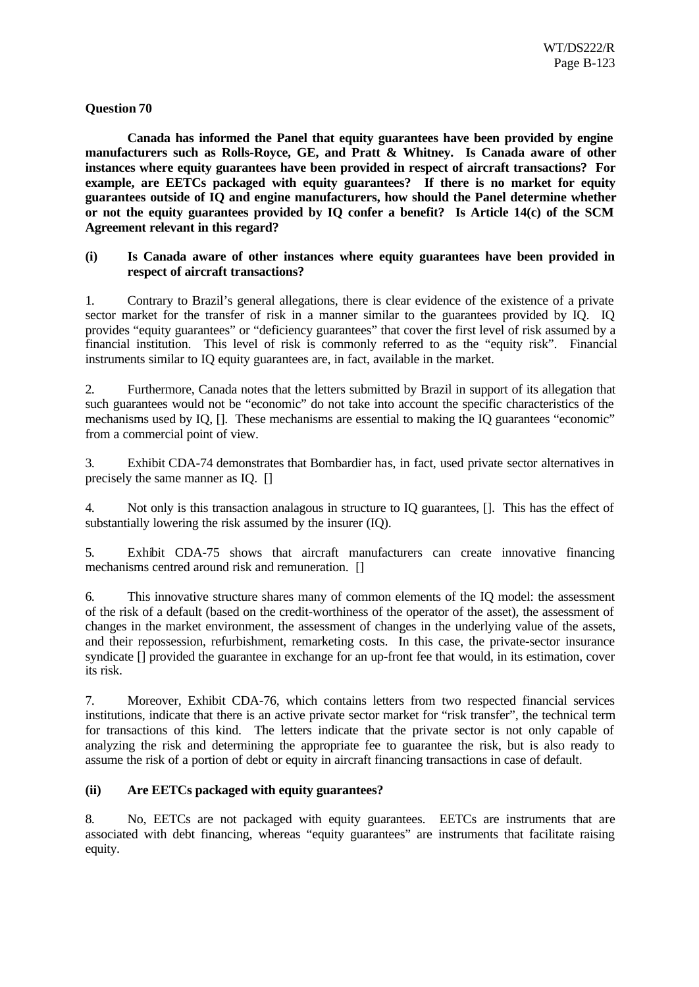## **Question 70**

**Canada has informed the Panel that equity guarantees have been provided by engine manufacturers such as Rolls-Royce, GE, and Pratt & Whitney. Is Canada aware of other instances where equity guarantees have been provided in respect of aircraft transactions? For example, are EETCs packaged with equity guarantees? If there is no market for equity guarantees outside of IQ and engine manufacturers, how should the Panel determine whether or not the equity guarantees provided by IQ confer a benefit? Is Article 14(c) of the SCM Agreement relevant in this regard?**

#### **(i) Is Canada aware of other instances where equity guarantees have been provided in respect of aircraft transactions?**

1. Contrary to Brazil's general allegations, there is clear evidence of the existence of a private sector market for the transfer of risk in a manner similar to the guarantees provided by IQ. IQ provides "equity guarantees" or "deficiency guarantees" that cover the first level of risk assumed by a financial institution. This level of risk is commonly referred to as the "equity risk". Financial instruments similar to IQ equity guarantees are, in fact, available in the market.

2. Furthermore, Canada notes that the letters submitted by Brazil in support of its allegation that such guarantees would not be "economic" do not take into account the specific characteristics of the mechanisms used by IQ, []. These mechanisms are essential to making the IQ guarantees "economic" from a commercial point of view.

3. Exhibit CDA-74 demonstrates that Bombardier has, in fact, used private sector alternatives in precisely the same manner as IQ. []

4. Not only is this transaction analagous in structure to IQ guarantees, []. This has the effect of substantially lowering the risk assumed by the insurer (IQ).

5. Exhibit CDA-75 shows that aircraft manufacturers can create innovative financing mechanisms centred around risk and remuneration. []

6. This innovative structure shares many of common elements of the IQ model: the assessment of the risk of a default (based on the credit-worthiness of the operator of the asset), the assessment of changes in the market environment, the assessment of changes in the underlying value of the assets, and their repossession, refurbishment, remarketing costs. In this case, the private-sector insurance syndicate [] provided the guarantee in exchange for an up-front fee that would, in its estimation, cover its risk.

7. Moreover, Exhibit CDA-76, which contains letters from two respected financial services institutions, indicate that there is an active private sector market for "risk transfer", the technical term for transactions of this kind. The letters indicate that the private sector is not only capable of analyzing the risk and determining the appropriate fee to guarantee the risk, but is also ready to assume the risk of a portion of debt or equity in aircraft financing transactions in case of default.

#### **(ii) Are EETCs packaged with equity guarantees?**

8. No, EETCs are not packaged with equity guarantees. EETCs are instruments that are associated with debt financing, whereas "equity guarantees" are instruments that facilitate raising equity.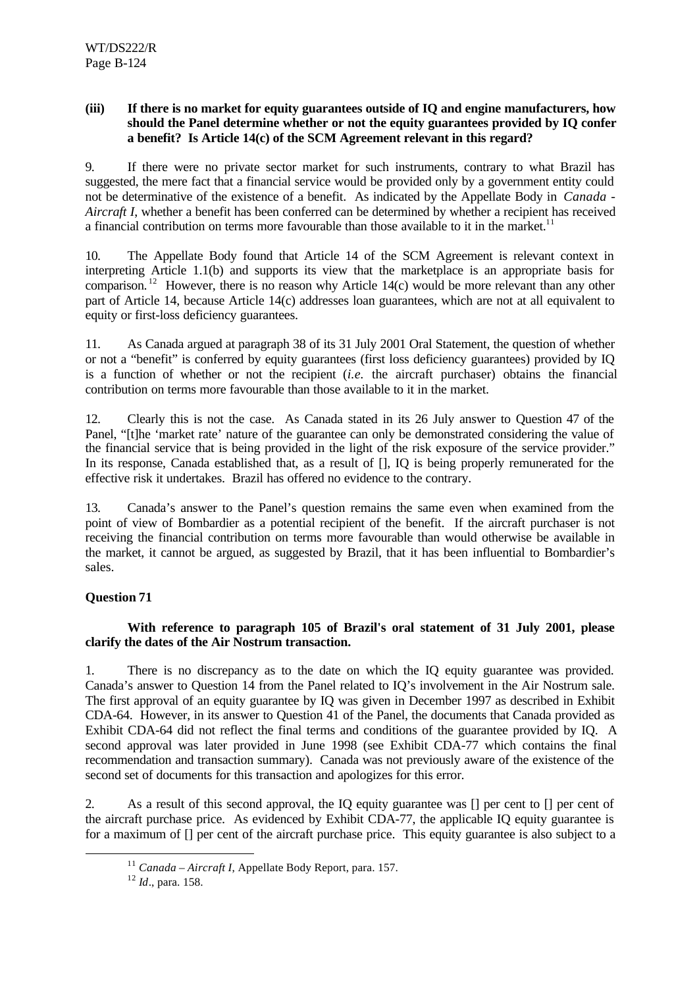#### **(iii) If there is no market for equity guarantees outside of IQ and engine manufacturers, how should the Panel determine whether or not the equity guarantees provided by IQ confer a benefit? Is Article 14(c) of the SCM Agreement relevant in this regard?**

9. If there were no private sector market for such instruments, contrary to what Brazil has suggested, the mere fact that a financial service would be provided only by a government entity could not be determinative of the existence of a benefit. As indicated by the Appellate Body in *Canada - Aircraft I*, whether a benefit has been conferred can be determined by whether a recipient has received a financial contribution on terms more favourable than those available to it in the market.<sup>11</sup>

10. The Appellate Body found that Article 14 of the SCM Agreement is relevant context in interpreting Article 1.1(b) and supports its view that the marketplace is an appropriate basis for comparison.<sup>12</sup> However, there is no reason why Article 14(c) would be more relevant than any other part of Article 14, because Article 14(c) addresses loan guarantees, which are not at all equivalent to equity or first-loss deficiency guarantees.

11. As Canada argued at paragraph 38 of its 31 July 2001 Oral Statement, the question of whether or not a "benefit" is conferred by equity guarantees (first loss deficiency guarantees) provided by IQ is a function of whether or not the recipient (*i.e.* the aircraft purchaser) obtains the financial contribution on terms more favourable than those available to it in the market.

12. Clearly this is not the case. As Canada stated in its 26 July answer to Question 47 of the Panel, "[t]he 'market rate' nature of the guarantee can only be demonstrated considering the value of the financial service that is being provided in the light of the risk exposure of the service provider." In its response, Canada established that, as a result of  $\prod$ , IO is being properly remunerated for the effective risk it undertakes. Brazil has offered no evidence to the contrary.

13. Canada's answer to the Panel's question remains the same even when examined from the point of view of Bombardier as a potential recipient of the benefit. If the aircraft purchaser is not receiving the financial contribution on terms more favourable than would otherwise be available in the market, it cannot be argued, as suggested by Brazil, that it has been influential to Bombardier's sales.

## **Question 71**

l

## **With reference to paragraph 105 of Brazil's oral statement of 31 July 2001, please clarify the dates of the Air Nostrum transaction.**

1. There is no discrepancy as to the date on which the IQ equity guarantee was provided. Canada's answer to Question 14 from the Panel related to IQ's involvement in the Air Nostrum sale. The first approval of an equity guarantee by IQ was given in December 1997 as described in Exhibit CDA-64. However, in its answer to Question 41 of the Panel, the documents that Canada provided as Exhibit CDA-64 did not reflect the final terms and conditions of the guarantee provided by IQ. A second approval was later provided in June 1998 (see Exhibit CDA-77 which contains the final recommendation and transaction summary). Canada was not previously aware of the existence of the second set of documents for this transaction and apologizes for this error.

2. As a result of this second approval, the IQ equity guarantee was [] per cent to [] per cent of the aircraft purchase price. As evidenced by Exhibit CDA-77, the applicable IQ equity guarantee is for a maximum of [] per cent of the aircraft purchase price. This equity guarantee is also subject to a

<sup>11</sup> *Canada – Aircraft I*, Appellate Body Report, para. 157.

<sup>12</sup> *Id*., para. 158.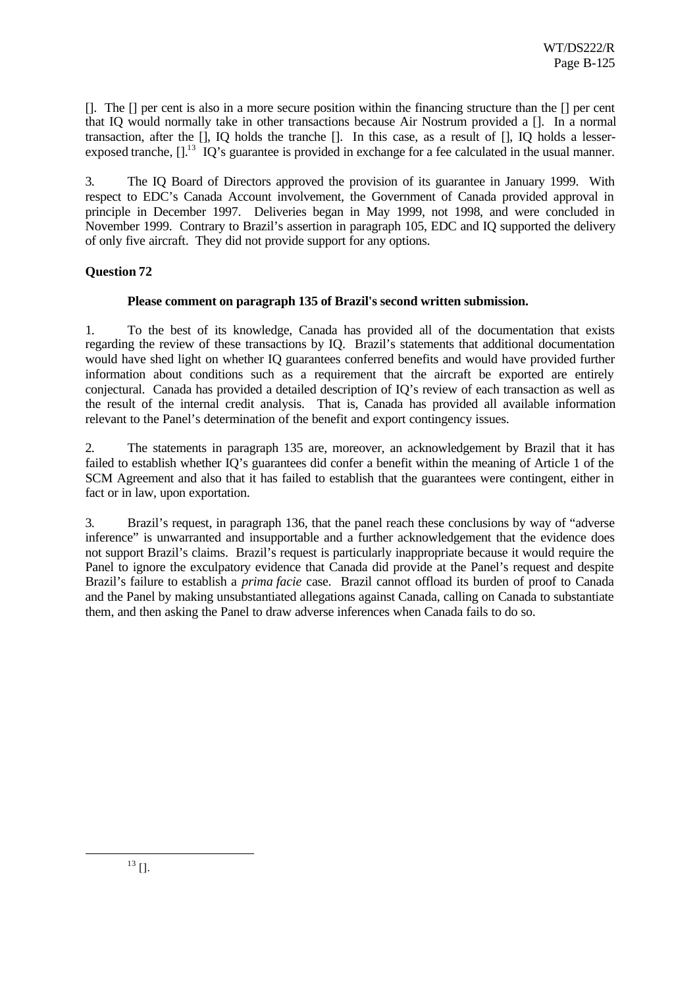[]. The [] per cent is also in a more secure position within the financing structure than the [] per cent that IQ would normally take in other transactions because Air Nostrum provided a []. In a normal transaction, after the [], IQ holds the tranche []. In this case, as a result of [], IQ holds a lesserexposed tranche,  $\prod_{i=1}^{13}$  IQ's guarantee is provided in exchange for a fee calculated in the usual manner.

3. The IQ Board of Directors approved the provision of its guarantee in January 1999. With respect to EDC's Canada Account involvement, the Government of Canada provided approval in principle in December 1997. Deliveries began in May 1999, not 1998, and were concluded in November 1999. Contrary to Brazil's assertion in paragraph 105, EDC and IQ supported the delivery of only five aircraft. They did not provide support for any options.

## **Question 72**

## **Please comment on paragraph 135 of Brazil's second written submission.**

1. To the best of its knowledge, Canada has provided all of the documentation that exists regarding the review of these transactions by IQ. Brazil's statements that additional documentation would have shed light on whether IQ guarantees conferred benefits and would have provided further information about conditions such as a requirement that the aircraft be exported are entirely conjectural. Canada has provided a detailed description of IQ's review of each transaction as well as the result of the internal credit analysis. That is, Canada has provided all available information relevant to the Panel's determination of the benefit and export contingency issues.

2. The statements in paragraph 135 are, moreover, an acknowledgement by Brazil that it has failed to establish whether IQ's guarantees did confer a benefit within the meaning of Article 1 of the SCM Agreement and also that it has failed to establish that the guarantees were contingent, either in fact or in law, upon exportation.

3. Brazil's request, in paragraph 136, that the panel reach these conclusions by way of "adverse inference" is unwarranted and insupportable and a further acknowledgement that the evidence does not support Brazil's claims. Brazil's request is particularly inappropriate because it would require the Panel to ignore the exculpatory evidence that Canada did provide at the Panel's request and despite Brazil's failure to establish a *prima facie* case. Brazil cannot offload its burden of proof to Canada and the Panel by making unsubstantiated allegations against Canada, calling on Canada to substantiate them, and then asking the Panel to draw adverse inferences when Canada fails to do so.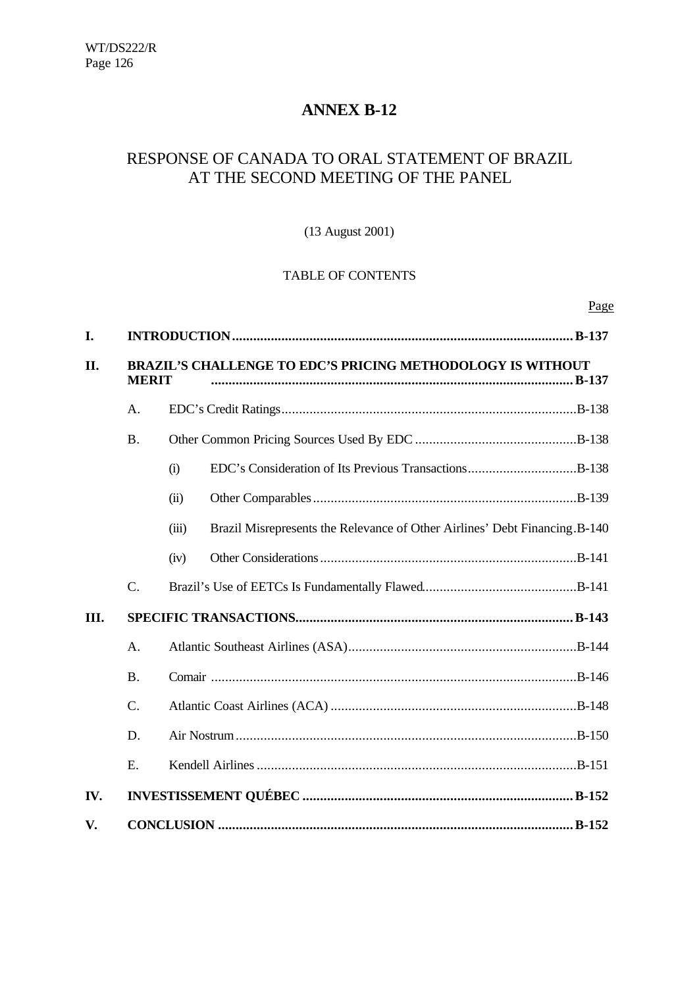## **ANNEX B-12**

# RESPONSE OF CANADA TO ORAL STATEMENT OF BRAZIL AT THE SECOND MEETING OF THE PANEL

## (13 August 2001)

## TABLE OF CONTENTS

Page

| I.   |              |                                                                                      |
|------|--------------|--------------------------------------------------------------------------------------|
| II.  | <b>MERIT</b> | <b>BRAZIL'S CHALLENGE TO EDC'S PRICING METHODOLOGY IS WITHOUT</b>                    |
|      | A.           |                                                                                      |
|      | <b>B.</b>    |                                                                                      |
|      |              | (i)                                                                                  |
|      |              | (ii)                                                                                 |
|      |              | Brazil Misrepresents the Relevance of Other Airlines' Debt Financing. B-140<br>(iii) |
|      |              | (iv)                                                                                 |
|      | $C$ .        |                                                                                      |
| III. |              |                                                                                      |
|      | A.           |                                                                                      |
|      | <b>B.</b>    |                                                                                      |
|      | C.           |                                                                                      |
|      | D.           |                                                                                      |
|      | E.           |                                                                                      |
| IV.  |              |                                                                                      |
| V.   |              |                                                                                      |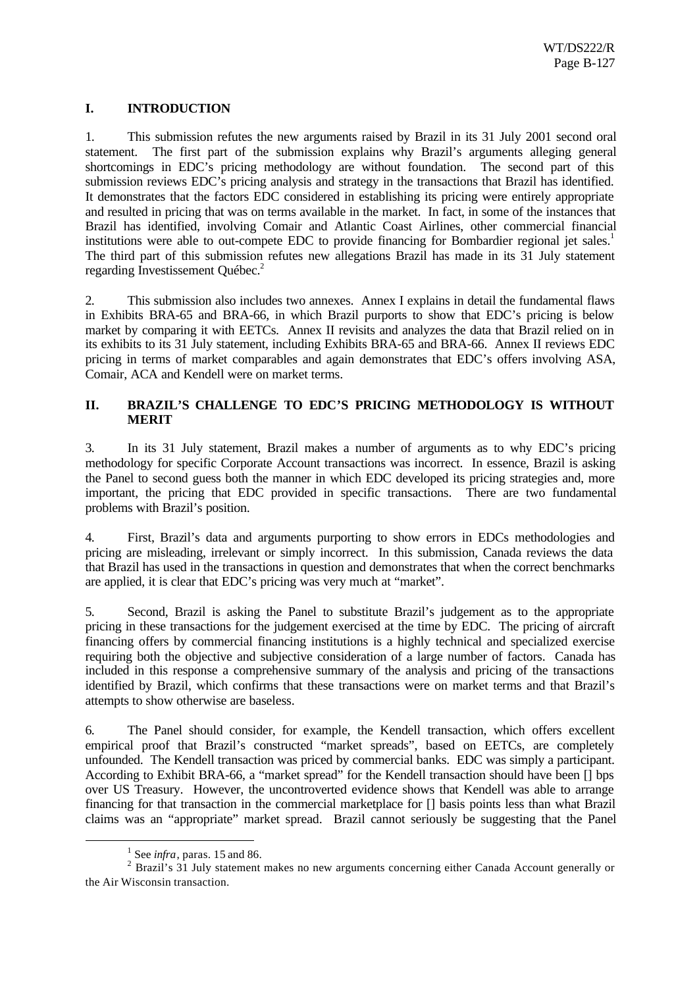## **I. INTRODUCTION**

1. This submission refutes the new arguments raised by Brazil in its 31 July 2001 second oral statement. The first part of the submission explains why Brazil's arguments alleging general shortcomings in EDC's pricing methodology are without foundation. The second part of this submission reviews EDC's pricing analysis and strategy in the transactions that Brazil has identified. It demonstrates that the factors EDC considered in establishing its pricing were entirely appropriate and resulted in pricing that was on terms available in the market. In fact, in some of the instances that Brazil has identified, involving Comair and Atlantic Coast Airlines, other commercial financial institutions were able to out-compete EDC to provide financing for Bombardier regional jet sales.<sup>1</sup> The third part of this submission refutes new allegations Brazil has made in its 31 July statement regarding Investissement Québec.<sup>2</sup>

2. This submission also includes two annexes. Annex I explains in detail the fundamental flaws in Exhibits BRA-65 and BRA-66, in which Brazil purports to show that EDC's pricing is below market by comparing it with EETCs. Annex II revisits and analyzes the data that Brazil relied on in its exhibits to its 31 July statement, including Exhibits BRA-65 and BRA-66. Annex II reviews EDC pricing in terms of market comparables and again demonstrates that EDC's offers involving ASA, Comair, ACA and Kendell were on market terms.

#### **II. BRAZIL'S CHALLENGE TO EDC'S PRICING METHODOLOGY IS WITHOUT MERIT**

3. In its 31 July statement, Brazil makes a number of arguments as to why EDC's pricing methodology for specific Corporate Account transactions was incorrect. In essence, Brazil is asking the Panel to second guess both the manner in which EDC developed its pricing strategies and, more important, the pricing that EDC provided in specific transactions. There are two fundamental problems with Brazil's position.

4. First, Brazil's data and arguments purporting to show errors in EDCs methodologies and pricing are misleading, irrelevant or simply incorrect. In this submission, Canada reviews the data that Brazil has used in the transactions in question and demonstrates that when the correct benchmarks are applied, it is clear that EDC's pricing was very much at "market".

5. Second, Brazil is asking the Panel to substitute Brazil's judgement as to the appropriate pricing in these transactions for the judgement exercised at the time by EDC. The pricing of aircraft financing offers by commercial financing institutions is a highly technical and specialized exercise requiring both the objective and subjective consideration of a large number of factors. Canada has included in this response a comprehensive summary of the analysis and pricing of the transactions identified by Brazil, which confirms that these transactions were on market terms and that Brazil's attempts to show otherwise are baseless.

6. The Panel should consider, for example, the Kendell transaction, which offers excellent empirical proof that Brazil's constructed "market spreads", based on EETCs, are completely unfounded. The Kendell transaction was priced by commercial banks. EDC was simply a participant. According to Exhibit BRA-66, a "market spread" for the Kendell transaction should have been [] bps over US Treasury. However, the uncontroverted evidence shows that Kendell was able to arrange financing for that transaction in the commercial marketplace for [] basis points less than what Brazil claims was an "appropriate" market spread. Brazil cannot seriously be suggesting that the Panel

 $<sup>1</sup>$  See *infra*, paras. 15 and 86.</sup>

 $2$  Brazil's 31 July statement makes no new arguments concerning either Canada Account generally or the Air Wisconsin transaction.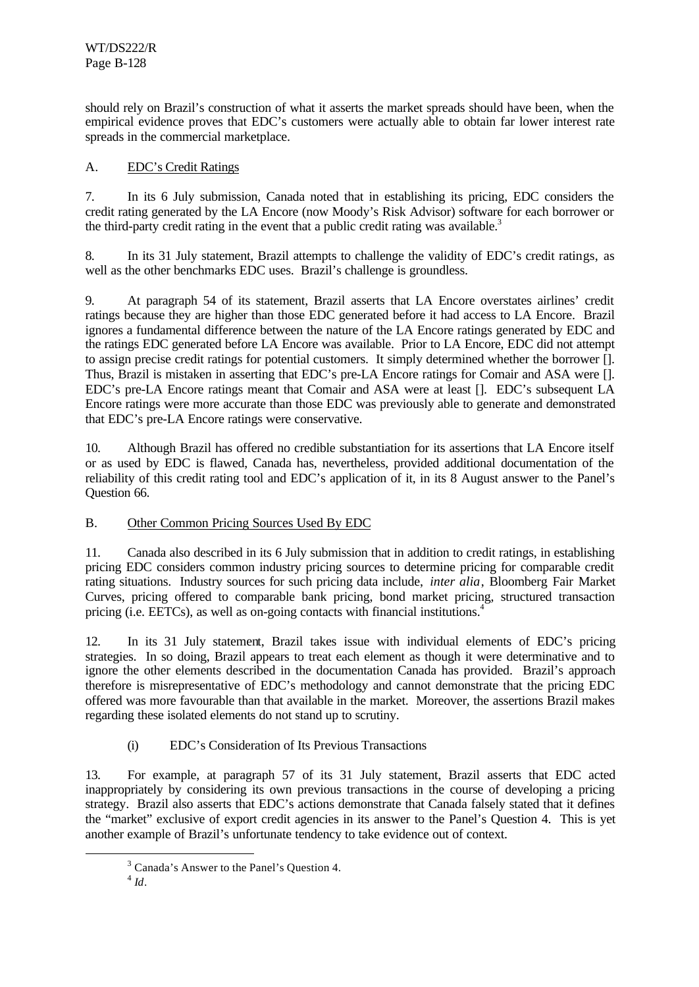should rely on Brazil's construction of what it asserts the market spreads should have been, when the empirical evidence proves that EDC's customers were actually able to obtain far lower interest rate spreads in the commercial marketplace.

## A. EDC's Credit Ratings

7. In its 6 July submission, Canada noted that in establishing its pricing, EDC considers the credit rating generated by the LA Encore (now Moody's Risk Advisor) software for each borrower or the third-party credit rating in the event that a public credit rating was available.<sup>3</sup>

8. In its 31 July statement, Brazil attempts to challenge the validity of EDC's credit ratings, as well as the other benchmarks EDC uses. Brazil's challenge is groundless.

9. At paragraph 54 of its statement, Brazil asserts that LA Encore overstates airlines' credit ratings because they are higher than those EDC generated before it had access to LA Encore. Brazil ignores a fundamental difference between the nature of the LA Encore ratings generated by EDC and the ratings EDC generated before LA Encore was available. Prior to LA Encore, EDC did not attempt to assign precise credit ratings for potential customers. It simply determined whether the borrower []. Thus, Brazil is mistaken in asserting that EDC's pre-LA Encore ratings for Comair and ASA were []. EDC's pre-LA Encore ratings meant that Comair and ASA were at least []. EDC's subsequent LA Encore ratings were more accurate than those EDC was previously able to generate and demonstrated that EDC's pre-LA Encore ratings were conservative.

10. Although Brazil has offered no credible substantiation for its assertions that LA Encore itself or as used by EDC is flawed, Canada has, nevertheless, provided additional documentation of the reliability of this credit rating tool and EDC's application of it, in its 8 August answer to the Panel's Question 66.

## B. Other Common Pricing Sources Used By EDC

11. Canada also described in its 6 July submission that in addition to credit ratings, in establishing pricing EDC considers common industry pricing sources to determine pricing for comparable credit rating situations. Industry sources for such pricing data include, *inter alia*, Bloomberg Fair Market Curves, pricing offered to comparable bank pricing, bond market pricing, structured transaction pricing (i.e. EETCs), as well as on-going contacts with financial institutions.<sup>4</sup>

12. In its 31 July statement, Brazil takes issue with individual elements of EDC's pricing strategies. In so doing, Brazil appears to treat each element as though it were determinative and to ignore the other elements described in the documentation Canada has provided. Brazil's approach therefore is misrepresentative of EDC's methodology and cannot demonstrate that the pricing EDC offered was more favourable than that available in the market. Moreover, the assertions Brazil makes regarding these isolated elements do not stand up to scrutiny.

(i) EDC's Consideration of Its Previous Transactions

13. For example, at paragraph 57 of its 31 July statement, Brazil asserts that EDC acted inappropriately by considering its own previous transactions in the course of developing a pricing strategy. Brazil also asserts that EDC's actions demonstrate that Canada falsely stated that it defines the "market" exclusive of export credit agencies in its answer to the Panel's Question 4. This is yet another example of Brazil's unfortunate tendency to take evidence out of context.

<sup>&</sup>lt;sup>3</sup> Canada's Answer to the Panel's Question 4.

 $^4$  *Id*.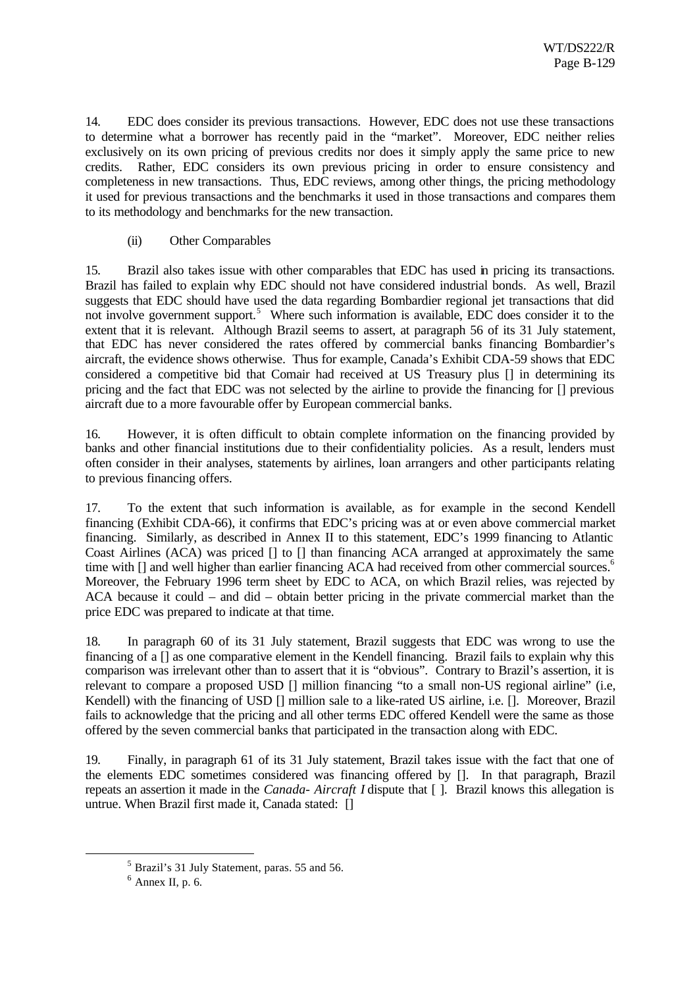14. EDC does consider its previous transactions. However, EDC does not use these transactions to determine what a borrower has recently paid in the "market". Moreover, EDC neither relies exclusively on its own pricing of previous credits nor does it simply apply the same price to new credits. Rather, EDC considers its own previous pricing in order to ensure consistency and completeness in new transactions. Thus, EDC reviews, among other things, the pricing methodology it used for previous transactions and the benchmarks it used in those transactions and compares them to its methodology and benchmarks for the new transaction.

#### (ii) Other Comparables

15. Brazil also takes issue with other comparables that EDC has used in pricing its transactions. Brazil has failed to explain why EDC should not have considered industrial bonds. As well, Brazil suggests that EDC should have used the data regarding Bombardier regional jet transactions that did not involve government support.<sup>5</sup> Where such information is available, EDC does consider it to the extent that it is relevant. Although Brazil seems to assert, at paragraph 56 of its 31 July statement, that EDC has never considered the rates offered by commercial banks financing Bombardier's aircraft, the evidence shows otherwise. Thus for example, Canada's Exhibit CDA-59 shows that EDC considered a competitive bid that Comair had received at US Treasury plus [] in determining its pricing and the fact that EDC was not selected by the airline to provide the financing for [] previous aircraft due to a more favourable offer by European commercial banks.

16. However, it is often difficult to obtain complete information on the financing provided by banks and other financial institutions due to their confidentiality policies. As a result, lenders must often consider in their analyses, statements by airlines, loan arrangers and other participants relating to previous financing offers.

17. To the extent that such information is available, as for example in the second Kendell financing (Exhibit CDA-66), it confirms that EDC's pricing was at or even above commercial market financing. Similarly, as described in Annex II to this statement, EDC's 1999 financing to Atlantic Coast Airlines (ACA) was priced  $\Box$  to  $\Box$  than financing ACA arranged at approximately the same time with [] and well higher than earlier financing ACA had received from other commercial sources.<sup>6</sup> Moreover, the February 1996 term sheet by EDC to ACA, on which Brazil relies, was rejected by ACA because it could – and did – obtain better pricing in the private commercial market than the price EDC was prepared to indicate at that time.

18. In paragraph 60 of its 31 July statement, Brazil suggests that EDC was wrong to use the financing of a  $\Box$  as one comparative element in the Kendell financing. Brazil fails to explain why this comparison was irrelevant other than to assert that it is "obvious". Contrary to Brazil's assertion, it is relevant to compare a proposed USD [] million financing "to a small non-US regional airline" (i.e, Kendell) with the financing of USD [] million sale to a like-rated US airline, i.e. []. Moreover, Brazil fails to acknowledge that the pricing and all other terms EDC offered Kendell were the same as those offered by the seven commercial banks that participated in the transaction along with EDC.

19. Finally, in paragraph 61 of its 31 July statement, Brazil takes issue with the fact that one of the elements EDC sometimes considered was financing offered by []. In that paragraph, Brazil repeats an assertion it made in the *Canada- Aircraft I* dispute that [ ]. Brazil knows this allegation is untrue. When Brazil first made it, Canada stated: []

<sup>&</sup>lt;sup>5</sup> Brazil's 31 July Statement, paras. 55 and 56.

 $<sup>6</sup>$  Annex II, p. 6.</sup>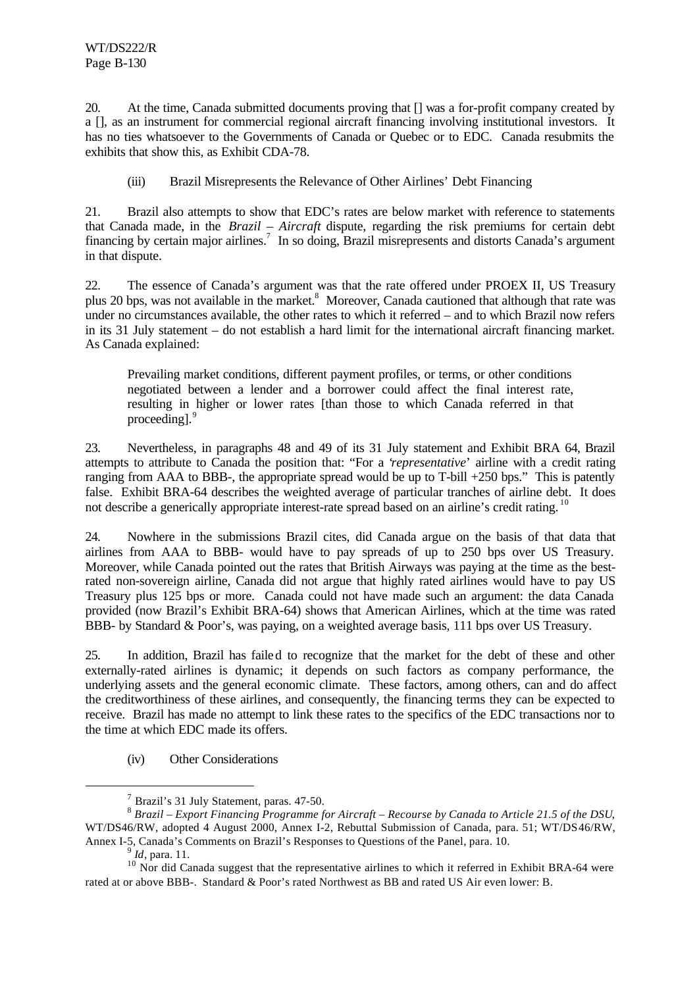20. At the time, Canada submitted documents proving that [] was a for-profit company created by a [], as an instrument for commercial regional aircraft financing involving institutional investors. It has no ties whatsoever to the Governments of Canada or Quebec or to EDC. Canada resubmits the exhibits that show this, as Exhibit CDA-78.

(iii) Brazil Misrepresents the Relevance of Other Airlines' Debt Financing

21. Brazil also attempts to show that EDC's rates are below market with reference to statements that Canada made, in the *Brazil – Aircraft* dispute, regarding the risk premiums for certain debt financing by certain major airlines.<sup>7</sup> In so doing, Brazil misrepresents and distorts Canada's argument in that dispute.

22. The essence of Canada's argument was that the rate offered under PROEX II, US Treasury plus 20 bps, was not available in the market.<sup>8</sup> Moreover, Canada cautioned that although that rate was under no circumstances available, the other rates to which it referred – and to which Brazil now refers in its 31 July statement – do not establish a hard limit for the international aircraft financing market. As Canada explained:

Prevailing market conditions, different payment profiles, or terms, or other conditions negotiated between a lender and a borrower could affect the final interest rate, resulting in higher or lower rates [than those to which Canada referred in that proceeding].<sup>9</sup>

23. Nevertheless, in paragraphs 48 and 49 of its 31 July statement and Exhibit BRA 64, Brazil attempts to attribute to Canada the position that: "For a '*representative*' airline with a credit rating ranging from AAA to BBB-, the appropriate spread would be up to T-bill +250 bps." This is patently false. Exhibit BRA-64 describes the weighted average of particular tranches of airline debt. It does not describe a generically appropriate interest-rate spread based on an airline's credit rating.<sup>10</sup>

24. Nowhere in the submissions Brazil cites, did Canada argue on the basis of that data that airlines from AAA to BBB- would have to pay spreads of up to 250 bps over US Treasury. Moreover, while Canada pointed out the rates that British Airways was paying at the time as the bestrated non-sovereign airline, Canada did not argue that highly rated airlines would have to pay US Treasury plus 125 bps or more. Canada could not have made such an argument: the data Canada provided (now Brazil's Exhibit BRA-64) shows that American Airlines, which at the time was rated BBB- by Standard & Poor's, was paying, on a weighted average basis, 111 bps over US Treasury.

25. In addition, Brazil has failed to recognize that the market for the debt of these and other externally-rated airlines is dynamic; it depends on such factors as company performance, the underlying assets and the general economic climate. These factors, among others, can and do affect the creditworthiness of these airlines, and consequently, the financing terms they can be expected to receive. Brazil has made no attempt to link these rates to the specifics of the EDC transactions nor to the time at which EDC made its offers.

(iv) Other Considerations

<sup>&</sup>lt;sup>7</sup> Brazil's 31 July Statement, paras. 47-50.

<sup>8</sup> *Brazil – Export Financing Programme for Aircraft – Recourse by Canada to Article 21.5 of the DSU*, WT/DS46/RW, adopted 4 August 2000, Annex I-2, Rebuttal Submission of Canada, para. 51; WT/DS46/RW, Annex I-5, Canada's Comments on Brazil's Responses to Questions of the Panel, para. 10. 9 *Id*, para. 11.

 $10^{10}$  Nor did Canada suggest that the representative airlines to which it referred in Exhibit BRA-64 were rated at or above BBB-. Standard & Poor's rated Northwest as BB and rated US Air even lower: B.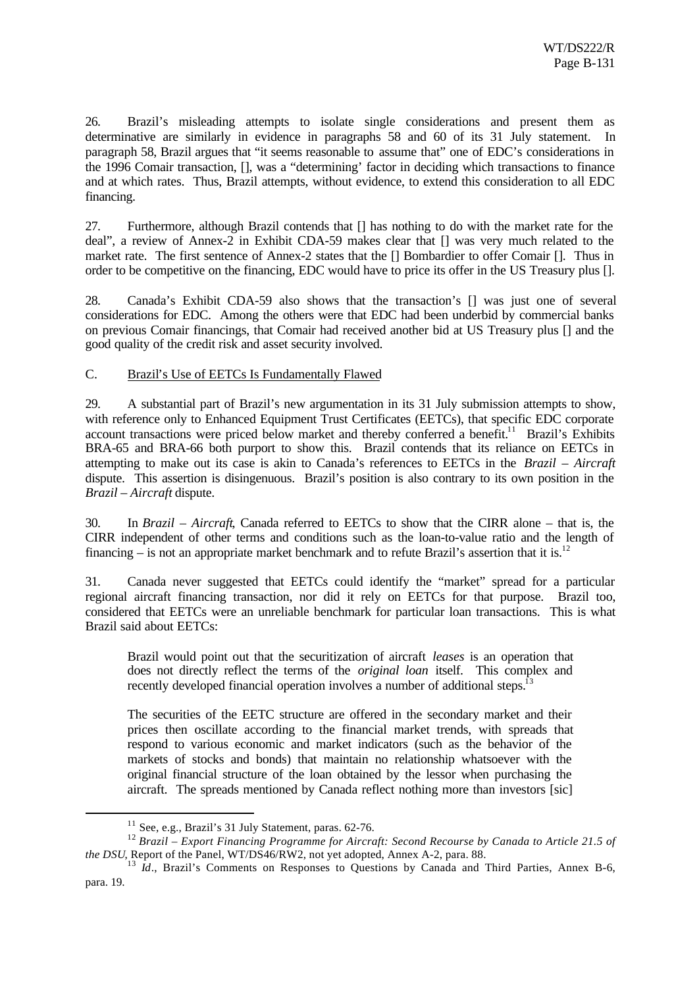26. Brazil's misleading attempts to isolate single considerations and present them as determinative are similarly in evidence in paragraphs 58 and 60 of its 31 July statement. In paragraph 58, Brazil argues that "it seems reasonable to assume that" one of EDC's considerations in the 1996 Comair transaction, [], was a "determining' factor in deciding which transactions to finance and at which rates. Thus, Brazil attempts, without evidence, to extend this consideration to all EDC financing.

27. Furthermore, although Brazil contends that [] has nothing to do with the market rate for the deal", a review of Annex-2 in Exhibit CDA-59 makes clear that [] was very much related to the market rate. The first sentence of Annex-2 states that the [] Bombardier to offer Comair []. Thus in order to be competitive on the financing, EDC would have to price its offer in the US Treasury plus [].

28. Canada's Exhibit CDA-59 also shows that the transaction's [] was just one of several considerations for EDC. Among the others were that EDC had been underbid by commercial banks on previous Comair financings, that Comair had received another bid at US Treasury plus [] and the good quality of the credit risk and asset security involved.

#### C. Brazil's Use of EETCs Is Fundamentally Flawed

29. A substantial part of Brazil's new argumentation in its 31 July submission attempts to show, with reference only to Enhanced Equipment Trust Certificates (EETCs), that specific EDC corporate account transactions were priced below market and thereby conferred a benefit.<sup>11</sup> Brazil's Exhibits BRA-65 and BRA-66 both purport to show this. Brazil contends that its reliance on EETCs in attempting to make out its case is akin to Canada's references to EETCs in the *Brazil – Aircraft* dispute. This assertion is disingenuous. Brazil's position is also contrary to its own position in the *Brazil – Aircraft* dispute.

30. In *Brazil – Aircraft*, Canada referred to EETCs to show that the CIRR alone – that is, the CIRR independent of other terms and conditions such as the loan-to-value ratio and the length of financing – is not an appropriate market benchmark and to refute Brazil's assertion that it is.<sup>12</sup>

31. Canada never suggested that EETCs could identify the "market" spread for a particular regional aircraft financing transaction, nor did it rely on EETCs for that purpose. Brazil too, considered that EETCs were an unreliable benchmark for particular loan transactions. This is what Brazil said about EETCs:

Brazil would point out that the securitization of aircraft *leases* is an operation that does not directly reflect the terms of the *original loan* itself. This complex and recently developed financial operation involves a number of additional steps.<sup>13</sup>

The securities of the EETC structure are offered in the secondary market and their prices then oscillate according to the financial market trends, with spreads that respond to various economic and market indicators (such as the behavior of the markets of stocks and bonds) that maintain no relationship whatsoever with the original financial structure of the loan obtained by the lessor when purchasing the aircraft. The spreads mentioned by Canada reflect nothing more than investors [sic]

 $11$  See, e.g., Brazil's 31 July Statement, paras. 62-76.

<sup>12</sup> *Brazil – Export Financing Programme for Aircraft: Second Recourse by Canada to Article 21.5 of the DSU*, Report of the Panel, WT/DS46/RW2, not yet adopted, Annex A-2, para. 88.

<sup>&</sup>lt;sup>13</sup> *Id.*, Brazil's Comments on Responses to Questions by Canada and Third Parties, Annex B-6, para. 19.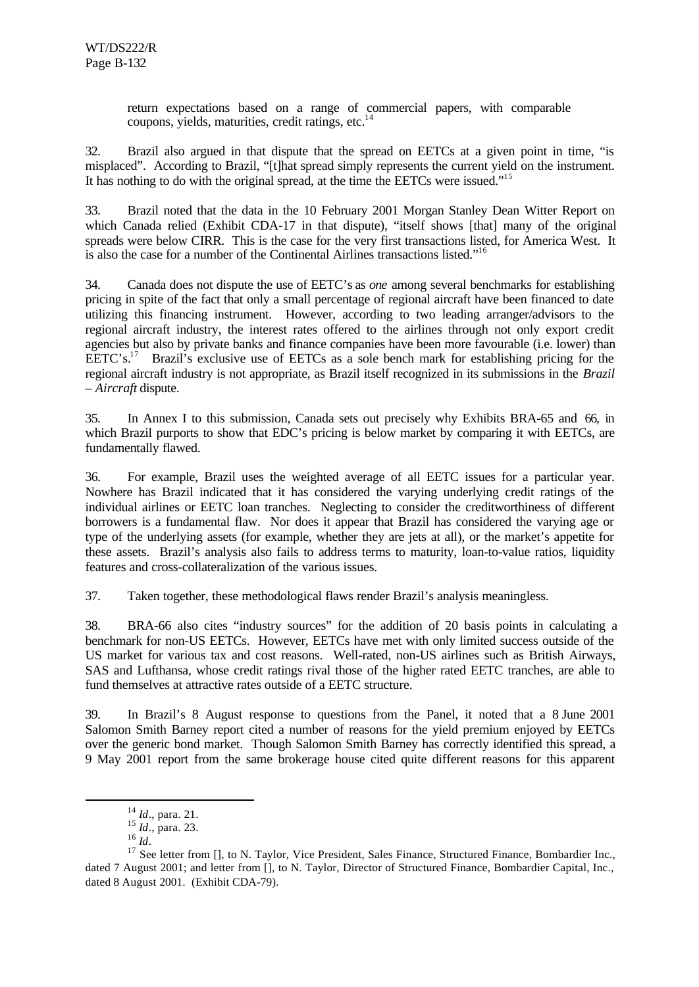return expectations based on a range of commercial papers, with comparable coupons, yields, maturities, credit ratings, etc. $14$ 

32. Brazil also argued in that dispute that the spread on EETCs at a given point in time, "is misplaced". According to Brazil, "[t]hat spread simply represents the current yield on the instrument. It has nothing to do with the original spread, at the time the EETCs were issued."<sup>15</sup>

33. Brazil noted that the data in the 10 February 2001 Morgan Stanley Dean Witter Report on which Canada relied (Exhibit CDA-17 in that dispute), "itself shows [that] many of the original spreads were below CIRR. This is the case for the very first transactions listed, for America West. It is also the case for a number of the Continental Airlines transactions listed."<sup>16</sup>

34. Canada does not dispute the use of EETC's as *one* among several benchmarks for establishing pricing in spite of the fact that only a small percentage of regional aircraft have been financed to date utilizing this financing instrument. However, according to two leading arranger/advisors to the regional aircraft industry, the interest rates offered to the airlines through not only export credit agencies but also by private banks and finance companies have been more favourable (i.e. lower) than  $EETC's$ .<sup>17</sup> Brazil's exclusive use of EETCs as a sole bench mark for establishing pricing for the regional aircraft industry is not appropriate, as Brazil itself recognized in its submissions in the *Brazil – Aircraft* dispute.

35. In Annex I to this submission, Canada sets out precisely why Exhibits BRA-65 and 66, in which Brazil purports to show that EDC's pricing is below market by comparing it with EETCs, are fundamentally flawed.

36. For example, Brazil uses the weighted average of all EETC issues for a particular year. Nowhere has Brazil indicated that it has considered the varying underlying credit ratings of the individual airlines or EETC loan tranches. Neglecting to consider the creditworthiness of different borrowers is a fundamental flaw. Nor does it appear that Brazil has considered the varying age or type of the underlying assets (for example, whether they are jets at all), or the market's appetite for these assets. Brazil's analysis also fails to address terms to maturity, loan-to-value ratios, liquidity features and cross-collateralization of the various issues.

37. Taken together, these methodological flaws render Brazil's analysis meaningless.

38. BRA-66 also cites "industry sources" for the addition of 20 basis points in calculating a benchmark for non-US EETCs. However, EETCs have met with only limited success outside of the US market for various tax and cost reasons. Well-rated, non-US airlines such as British Airways, SAS and Lufthansa, whose credit ratings rival those of the higher rated EETC tranches, are able to fund themselves at attractive rates outside of a EETC structure.

39. In Brazil's 8 August response to questions from the Panel, it noted that a 8 June 2001 Salomon Smith Barney report cited a number of reasons for the yield premium enjoyed by EETCs over the generic bond market. Though Salomon Smith Barney has correctly identified this spread, a 9 May 2001 report from the same brokerage house cited quite different reasons for this apparent

<sup>14</sup> *Id*., para. 21.

<sup>15</sup> *Id*., para. 23.

<sup>16</sup> *Id*.

<sup>&</sup>lt;sup>17</sup> See letter from [], to N. Taylor, Vice President, Sales Finance, Structured Finance, Bombardier Inc., dated 7 August 2001; and letter from [], to N. Taylor, Director of Structured Finance, Bombardier Capital, Inc., dated 8 August 2001. (Exhibit CDA-79).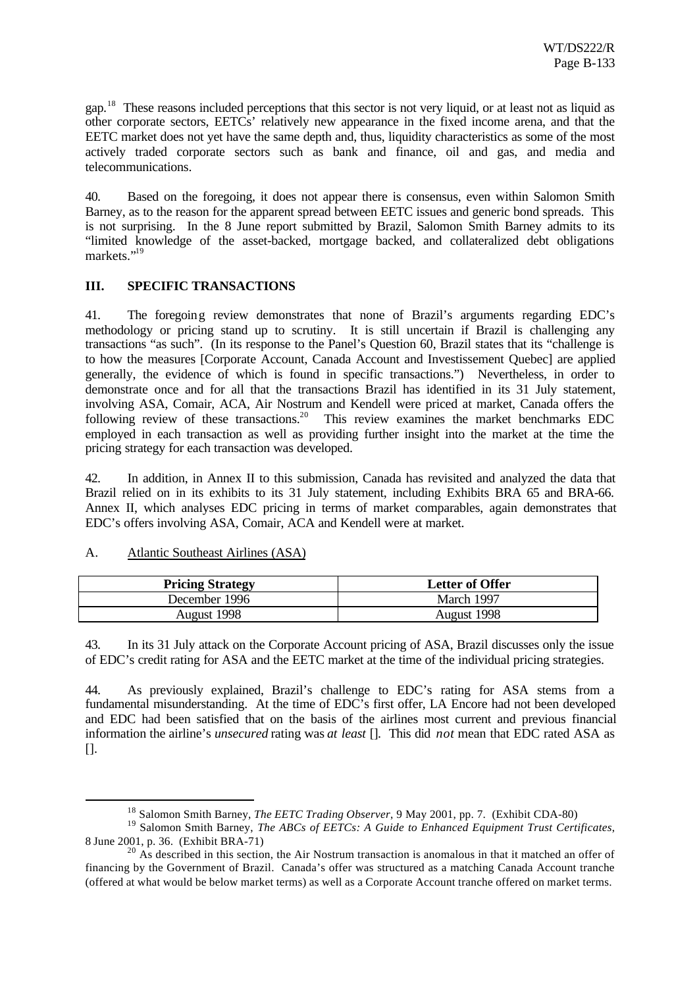gap.<sup>18</sup> These reasons included perceptions that this sector is not very liquid, or at least not as liquid as other corporate sectors, EETCs' relatively new appearance in the fixed income arena, and that the EETC market does not yet have the same depth and, thus, liquidity characteristics as some of the most actively traded corporate sectors such as bank and finance, oil and gas, and media and telecommunications.

40. Based on the foregoing, it does not appear there is consensus, even within Salomon Smith Barney, as to the reason for the apparent spread between EETC issues and generic bond spreads. This is not surprising. In the 8 June report submitted by Brazil, Salomon Smith Barney admits to its "limited knowledge of the asset-backed, mortgage backed, and collateralized debt obligations markets."<sup>19</sup>

#### **III. SPECIFIC TRANSACTIONS**

41. The foregoing review demonstrates that none of Brazil's arguments regarding EDC's methodology or pricing stand up to scrutiny. It is still uncertain if Brazil is challenging any transactions "as such". (In its response to the Panel's Question 60, Brazil states that its "challenge is to how the measures [Corporate Account, Canada Account and Investissement Quebec] are applied generally, the evidence of which is found in specific transactions.") Nevertheless, in order to demonstrate once and for all that the transactions Brazil has identified in its 31 July statement, involving ASA, Comair, ACA, Air Nostrum and Kendell were priced at market, Canada offers the following review of these transactions.<sup>20</sup> This review examines the market benchmarks EDC employed in each transaction as well as providing further insight into the market at the time the pricing strategy for each transaction was developed.

42. In addition, in Annex II to this submission, Canada has revisited and analyzed the data that Brazil relied on in its exhibits to its 31 July statement, including Exhibits BRA 65 and BRA-66. Annex II, which analyses EDC pricing in terms of market comparables, again demonstrates that EDC's offers involving ASA, Comair, ACA and Kendell were at market.

## A. Atlantic Southeast Airlines (ASA)

l

| <b>Pricing Strategy</b> | <b>Letter of Offer</b> |
|-------------------------|------------------------|
| December 1996           | March 1997             |
| August 1998             | August 1998            |

43. In its 31 July attack on the Corporate Account pricing of ASA, Brazil discusses only the issue of EDC's credit rating for ASA and the EETC market at the time of the individual pricing strategies.

44. As previously explained, Brazil's challenge to EDC's rating for ASA stems from a fundamental misunderstanding. At the time of EDC's first offer, LA Encore had not been developed and EDC had been satisfied that on the basis of the airlines most current and previous financial information the airline's *unsecured* rating was *at least* []. This did *not* mean that EDC rated ASA as [].

<sup>18</sup> Salomon Smith Barney, *The EETC Trading Observer*, 9 May 2001, pp. 7. (Exhibit CDA-80)

<sup>19</sup> Salomon Smith Barney, *The ABCs of EETCs: A Guide to Enhanced Equipment Trust Certificates*, 8 June 2001, p. 36. (Exhibit BRA-71)

 $^{20}$  As described in this section, the Air Nostrum transaction is anomalous in that it matched an offer of financing by the Government of Brazil. Canada's offer was structured as a matching Canada Account tranche (offered at what would be below market terms) as well as a Corporate Account tranche offered on market terms.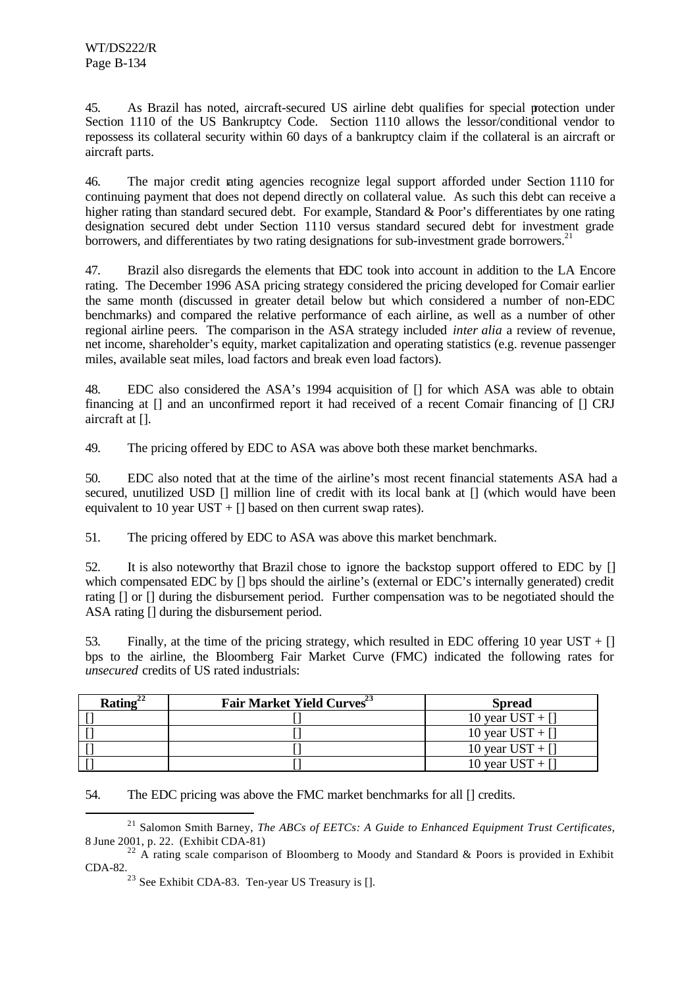45. As Brazil has noted, aircraft-secured US airline debt qualifies for special protection under Section 1110 of the US Bankruptcy Code. Section 1110 allows the lessor/conditional vendor to repossess its collateral security within 60 days of a bankruptcy claim if the collateral is an aircraft or aircraft parts.

46. The major credit rating agencies recognize legal support afforded under Section 1110 for continuing payment that does not depend directly on collateral value. As such this debt can receive a higher rating than standard secured debt. For example, Standard & Poor's differentiates by one rating designation secured debt under Section 1110 versus standard secured debt for investment grade borrowers, and differentiates by two rating designations for sub-investment grade borrowers.<sup>21</sup>

47. Brazil also disregards the elements that EDC took into account in addition to the LA Encore rating. The December 1996 ASA pricing strategy considered the pricing developed for Comair earlier the same month (discussed in greater detail below but which considered a number of non-EDC benchmarks) and compared the relative performance of each airline, as well as a number of other regional airline peers. The comparison in the ASA strategy included *inter alia* a review of revenue, net income, shareholder's equity, market capitalization and operating statistics (e.g. revenue passenger miles, available seat miles, load factors and break even load factors).

48. EDC also considered the ASA's 1994 acquisition of [] for which ASA was able to obtain financing at [] and an unconfirmed report it had received of a recent Comair financing of [] CRJ aircraft at [].

49. The pricing offered by EDC to ASA was above both these market benchmarks.

50. EDC also noted that at the time of the airline's most recent financial statements ASA had a secured, unutilized USD [] million line of credit with its local bank at [] (which would have been equivalent to 10 year UST +  $\lceil \cdot \rceil$  based on then current swap rates).

51. The pricing offered by EDC to ASA was above this market benchmark.

52. It is also noteworthy that Brazil chose to ignore the backstop support offered to EDC by [] which compensated EDC by  $\Box$  bps should the airline's (external or EDC's internally generated) credit rating [] or [] during the disbursement period. Further compensation was to be negotiated should the ASA rating [] during the disbursement period.

53. Finally, at the time of the pricing strategy, which resulted in EDC offering 10 year UST +  $\lceil \cdot \rceil$ bps to the airline, the Bloomberg Fair Market Curve (FMC) indicated the following rates for *unsecured* credits of US rated industrials:

| Ratin $\mathbf{e}^{\mu}$ | Fair Market Yield Curves <sup>23</sup> | <b>Spread</b>          |
|--------------------------|----------------------------------------|------------------------|
|                          |                                        | 10 year UST + $\lceil$ |
|                          |                                        | 10 year UST + $\Gamma$ |
|                          |                                        | 10 year UST + $\vert$  |
|                          |                                        | 10 year $UST +$        |

54. The EDC pricing was above the FMC market benchmarks for all [] credits.

<sup>21</sup> Salomon Smith Barney, *The ABCs of EETCs: A Guide to Enhanced Equipment Trust Certificates*, 8 June 2001, p. 22. (Exhibit CDA-81)

<sup>&</sup>lt;sup>22</sup> A rating scale comparison of Bloomberg to Moody and Standard & Poors is provided in Exhibit CDA-82.

<sup>&</sup>lt;sup>23</sup> See Exhibit CDA-83. Ten-year US Treasury is [].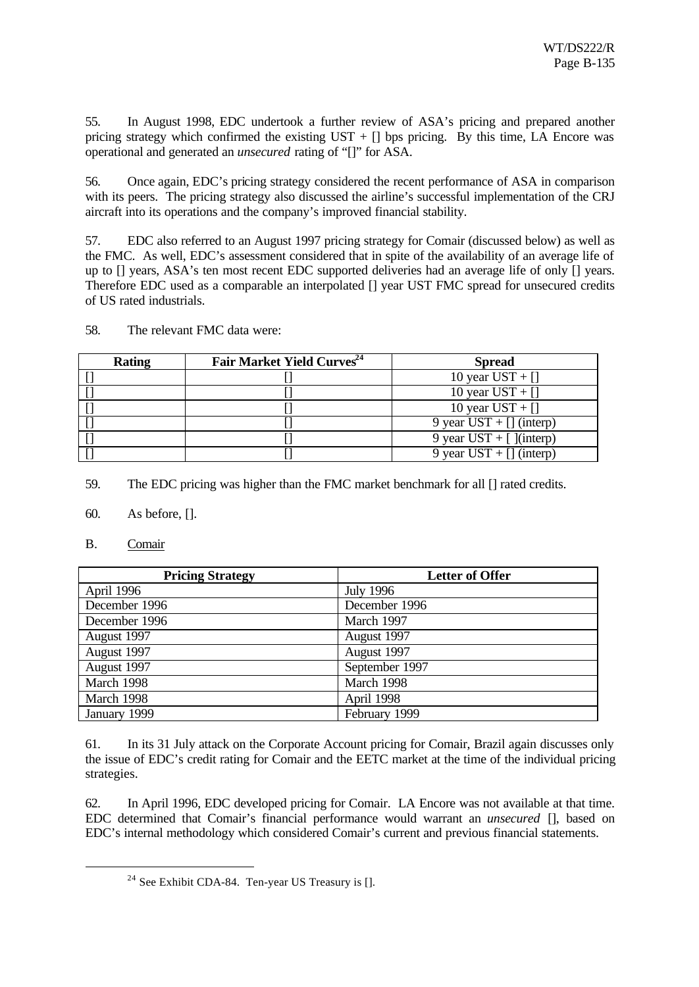55. In August 1998, EDC undertook a further review of ASA's pricing and prepared another pricing strategy which confirmed the existing UST  $+ \iint$  bps pricing. By this time, LA Encore was operational and generated an *unsecured* rating of "[]" for ASA.

56. Once again, EDC's pricing strategy considered the recent performance of ASA in comparison with its peers. The pricing strategy also discussed the airline's successful implementation of the CRJ aircraft into its operations and the company's improved financial stability.

57. EDC also referred to an August 1997 pricing strategy for Comair (discussed below) as well as the FMC. As well, EDC's assessment considered that in spite of the availability of an average life of up to [] years, ASA's ten most recent EDC supported deliveries had an average life of only [] years. Therefore EDC used as a comparable an interpolated [] year UST FMC spread for unsecured credits of US rated industrials.

| <b>Rating</b> | Fair Market Yield Curves <sup>24</sup> | <b>Spread</b>                 |
|---------------|----------------------------------------|-------------------------------|
|               |                                        | 10 year UST + $[$ ]           |
|               |                                        | 10 year UST + $\lceil \rceil$ |
|               |                                        | 10 year UST + $\lceil \rceil$ |
|               |                                        | 9 year $UST + []$ (interp)    |
|               |                                        | 9 year $UST + [ ] (interp)$   |
|               |                                        | 9 year $UST + []$ (interp)    |

58. The relevant FMC data were:

59. The EDC pricing was higher than the FMC market benchmark for all [] rated credits.

- 60. As before, [].
- B. Comair

l

| <b>Pricing Strategy</b> | <b>Letter of Offer</b> |
|-------------------------|------------------------|
| April 1996              | <b>July 1996</b>       |
| December 1996           | December 1996          |
| December 1996           | March 1997             |
| August 1997             | August 1997            |
| August 1997             | August 1997            |
| August 1997             | September 1997         |
| March 1998              | March 1998             |
| March 1998              | April 1998             |
| January 1999            | February 1999          |

61. In its 31 July attack on the Corporate Account pricing for Comair, Brazil again discusses only the issue of EDC's credit rating for Comair and the EETC market at the time of the individual pricing strategies.

62. In April 1996, EDC developed pricing for Comair. LA Encore was not available at that time. EDC determined that Comair's financial performance would warrant an *unsecured* [], based on EDC's internal methodology which considered Comair's current and previous financial statements.

<sup>24</sup> See Exhibit CDA-84. Ten-year US Treasury is [].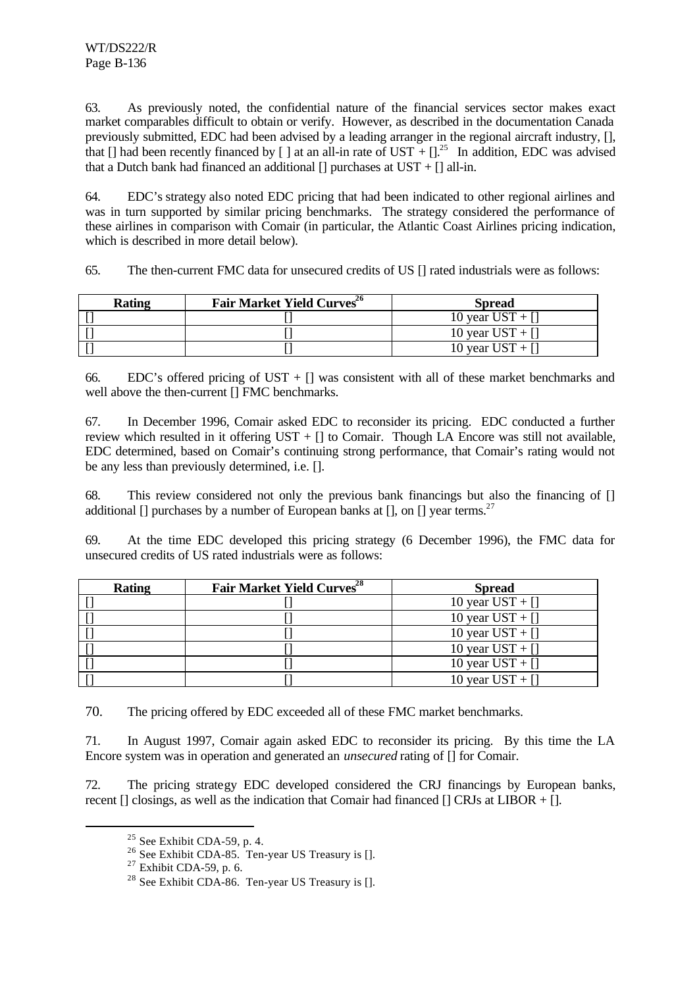63. As previously noted, the confidential nature of the financial services sector makes exact market comparables difficult to obtain or verify. However, as described in the documentation Canada previously submitted, EDC had been advised by a leading arranger in the regional aircraft industry, [], that  $[$ ] had been recently financed by  $[$ ] at an all-in rate of UST +  $[$ <sup>25</sup>. In addition, EDC was advised that a Dutch bank had financed an additional  $\iint$  purchases at UST +  $\iint$  all-in.

64. EDC's strategy also noted EDC pricing that had been indicated to other regional airlines and was in turn supported by similar pricing benchmarks. The strategy considered the performance of these airlines in comparison with Comair (in particular, the Atlantic Coast Airlines pricing indication, which is described in more detail below).

65. The then-current FMC data for unsecured credits of US [] rated industrials were as follows:

| <b>Rating</b> | <b>Fair Market Yield Curves<sup>26</sup></b> | <b>Spread</b>          |
|---------------|----------------------------------------------|------------------------|
|               |                                              | 10 year UST + $\Gamma$ |
|               |                                              | 10 year UST + $\Gamma$ |
|               |                                              | 10 year UST + $\Gamma$ |

66. EDC's offered pricing of UST +  $\Box$  was consistent with all of these market benchmarks and well above the then-current [] FMC benchmarks.

67. In December 1996, Comair asked EDC to reconsider its pricing. EDC conducted a further review which resulted in it offering  $UST + []$  to Comair. Though LA Encore was still not available, EDC determined, based on Comair's continuing strong performance, that Comair's rating would not be any less than previously determined, i.e. [].

68. This review considered not only the previous bank financings but also the financing of [] additional  $\Pi$  purchases by a number of European banks at  $\Pi$ , on  $\Pi$  year terms.<sup>27</sup>

69. At the time EDC developed this pricing strategy (6 December 1996), the FMC data for unsecured credits of US rated industrials were as follows:

| <b>Rating</b> | Fair Market Yield Curves <sup>28</sup> | <b>Spread</b>                 |
|---------------|----------------------------------------|-------------------------------|
|               |                                        | 10 year UST + $[]$            |
|               |                                        | 10 year UST + $\Gamma$        |
|               |                                        | 10 year UST + $\lceil \rceil$ |
|               |                                        | 10 year $UST + \Box$          |
|               |                                        | 10 year UST + $[$ ]           |
|               |                                        | 10 year UST + $\lceil$        |

70. The pricing offered by EDC exceeded all of these FMC market benchmarks.

71. In August 1997, Comair again asked EDC to reconsider its pricing. By this time the LA Encore system was in operation and generated an *unsecured* rating of [] for Comair.

72. The pricing strategy EDC developed considered the CRJ financings by European banks, recent  $\lceil \cdot \rceil$  closings, as well as the indication that Comair had financed  $\lceil \cdot \rceil$  CRJs at LIBOR +  $\lceil \cdot \rceil$ .

 $25$  See Exhibit CDA-59, p. 4.

 $26$  See Exhibit CDA-85. Ten-year US Treasury is [].

 $27$  Exhibit CDA-59, p. 6.

<sup>&</sup>lt;sup>28</sup> See Exhibit CDA-86. Ten-year US Treasury is  $[$ ].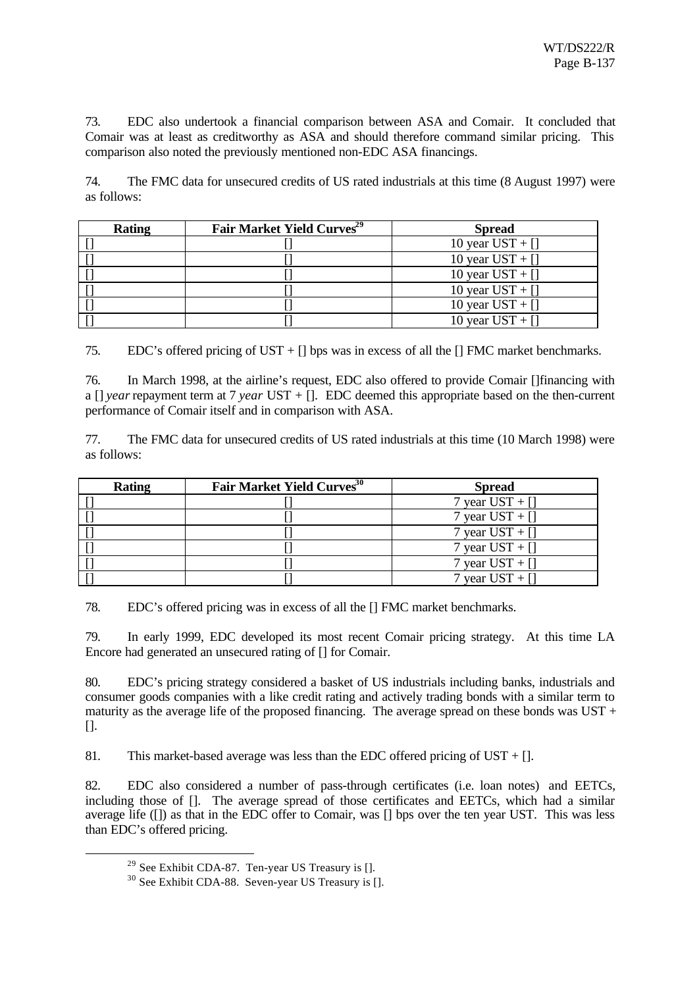73. EDC also undertook a financial comparison between ASA and Comair. It concluded that Comair was at least as creditworthy as ASA and should therefore command similar pricing. This comparison also noted the previously mentioned non-EDC ASA financings.

74. The FMC data for unsecured credits of US rated industrials at this time (8 August 1997) were as follows:

| <b>Rating</b> | Fair Market Yield Curves <sup>29</sup> | <b>Spread</b>                 |
|---------------|----------------------------------------|-------------------------------|
|               |                                        | 10 year UST + $\lceil \rceil$ |
|               |                                        | 10 year UST + $\lceil$        |
|               |                                        | 10 year UST + $[]$            |
|               |                                        | 10 year UST + $\Gamma$        |
|               |                                        | 10 year UST + $\lceil \rceil$ |
|               |                                        | 10 year UST + $\Gamma$        |

75. EDC's offered pricing of UST + [] bps was in excess of all the [] FMC market benchmarks.

76. In March 1998, at the airline's request, EDC also offered to provide Comair []financing with a [] *year* repayment term at 7 *year* UST + []. EDC deemed this appropriate based on the then-current performance of Comair itself and in comparison with ASA.

77. The FMC data for unsecured credits of US rated industrials at this time (10 March 1998) were as follows:

| <b>Rating</b> | <b>Fair Market Yield Curves</b> <sup>30</sup> | <b>Spread</b>                |
|---------------|-----------------------------------------------|------------------------------|
|               |                                               | 7 year UST + $[$ ]           |
|               |                                               | 7 year UST + $\lceil \rceil$ |
|               |                                               | 7 year UST + $[$ ]           |
|               |                                               | 7 year UST + $\lceil \rceil$ |
|               |                                               | 7 year UST + $[$ ]           |
|               |                                               | 7 year UST + $\Gamma$        |

78. EDC's offered pricing was in excess of all the [] FMC market benchmarks.

79. In early 1999, EDC developed its most recent Comair pricing strategy. At this time LA Encore had generated an unsecured rating of [] for Comair.

80. EDC's pricing strategy considered a basket of US industrials including banks, industrials and consumer goods companies with a like credit rating and actively trading bonds with a similar term to maturity as the average life of the proposed financing. The average spread on these bonds was UST +  $\prod$ .

81. This market-based average was less than the EDC offered pricing of  $UST + [1]$ .

82. EDC also considered a number of pass-through certificates (i.e. loan notes) and EETCs, including those of []. The average spread of those certificates and EETCs, which had a similar average life ([]) as that in the EDC offer to Comair, was [] bps over the ten year UST. This was less than EDC's offered pricing.

<sup>&</sup>lt;sup>29</sup> See Exhibit CDA-87. Ten-year US Treasury is  $[$ ].

<sup>30</sup> See Exhibit CDA-88. Seven-year US Treasury is [].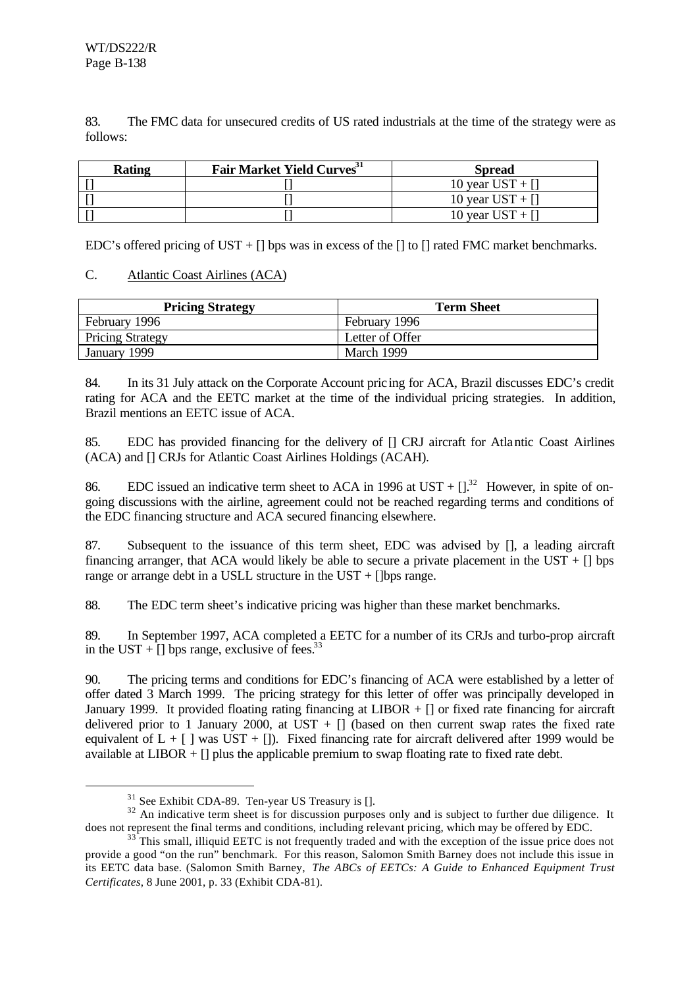83. The FMC data for unsecured credits of US rated industrials at the time of the strategy were as follows:

| Rating | Fair Market Yield Curves <sup>31</sup> | <b>Spread</b>          |
|--------|----------------------------------------|------------------------|
|        |                                        | 10 year UST + $\Gamma$ |
|        |                                        | 10 year UST + $\Gamma$ |
|        |                                        | 10 year UST + $\Gamma$ |

EDC's offered pricing of UST + [] bps was in excess of the [] to [] rated FMC market benchmarks.

#### C. Atlantic Coast Airlines (ACA)

| <b>Pricing Strategy</b> | <b>Term Sheet</b> |
|-------------------------|-------------------|
| February 1996           | February 1996     |
| <b>Pricing Strategy</b> | Letter of Offer   |
| January 1999            | <b>March 1999</b> |

84. In its 31 July attack on the Corporate Account pric ing for ACA, Brazil discusses EDC's credit rating for ACA and the EETC market at the time of the individual pricing strategies. In addition, Brazil mentions an EETC issue of ACA.

85. EDC has provided financing for the delivery of [] CRJ aircraft for Atlantic Coast Airlines (ACA) and [] CRJs for Atlantic Coast Airlines Holdings (ACAH).

86. EDC issued an indicative term sheet to ACA in 1996 at UST +  $[1]^3$ <sup>2</sup> However, in spite of ongoing discussions with the airline, agreement could not be reached regarding terms and conditions of the EDC financing structure and ACA secured financing elsewhere.

87. Subsequent to the issuance of this term sheet, EDC was advised by [], a leading aircraft financing arranger, that ACA would likely be able to secure a private placement in the UST  $+$  [] bps range or arrange debt in a USLL structure in the UST + []bps range.

88. The EDC term sheet's indicative pricing was higher than these market benchmarks.

89. In September 1997, ACA completed a EETC for a number of its CRJs and turbo-prop aircraft in the UST +  $\overline{1}$  bps range, exclusive of fees.<sup>33</sup>

90. The pricing terms and conditions for EDC's financing of ACA were established by a letter of offer dated 3 March 1999. The pricing strategy for this letter of offer was principally developed in January 1999. It provided floating rating financing at LIBOR + [] or fixed rate financing for aircraft delivered prior to 1 January 2000, at UST  $+$  [] (based on then current swap rates the fixed rate equivalent of  $L + \lceil \cdot \rceil$  was UST +  $\lceil \cdot \rceil$ ). Fixed financing rate for aircraft delivered after 1999 would be available at  $LIBOR + \Pi$  plus the applicable premium to swap floating rate to fixed rate debt.

 $31$  See Exhibit CDA-89. Ten-year US Treasury is [].

 $32$  An indicative term sheet is for discussion purposes only and is subject to further due diligence. It does not represent the final terms and conditions, including relevant pricing, which may be offered by EDC.

 $33<sup>33</sup>$ This small, illiquid EETC is not frequently traded and with the exception of the issue price does not provide a good "on the run" benchmark. For this reason, Salomon Smith Barney does not include this issue in its EETC data base. (Salomon Smith Barney, *The ABCs of EETCs: A Guide to Enhanced Equipment Trust Certificates*, 8 June 2001, p. 33 (Exhibit CDA-81).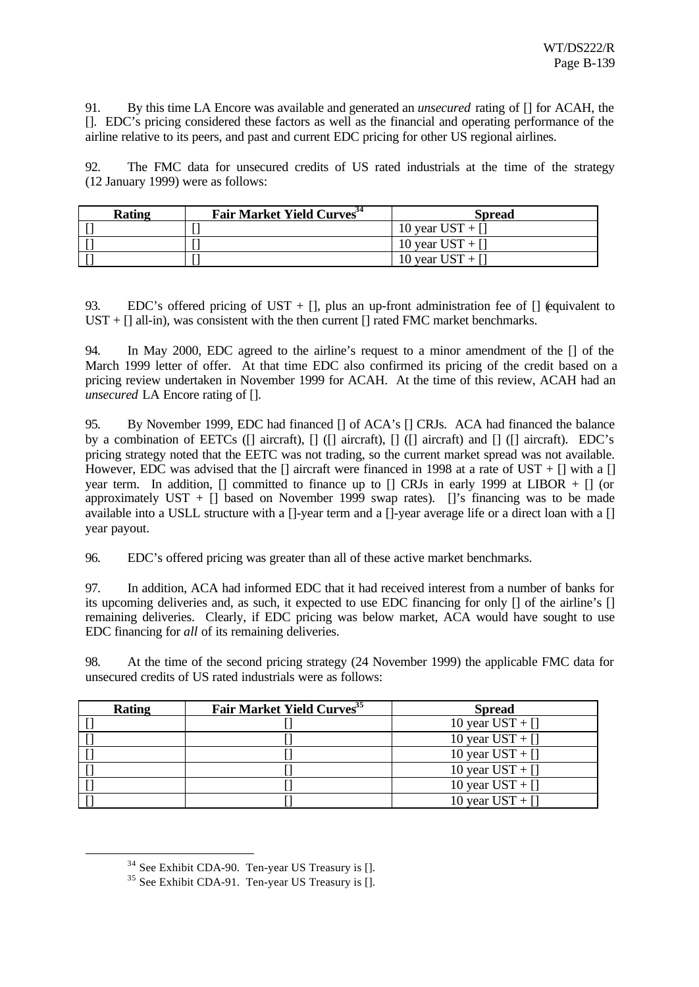91. By this time LA Encore was available and generated an *unsecured* rating of [] for ACAH, the []. EDC's pricing considered these factors as well as the financial and operating performance of the airline relative to its peers, and past and current EDC pricing for other US regional airlines.

92. The FMC data for unsecured credits of US rated industrials at the time of the strategy (12 January 1999) were as follows:

| <b>Rating</b> | <b>Fair Market Yield Curves</b> <sup>34</sup> | <b>Spread</b>                 |
|---------------|-----------------------------------------------|-------------------------------|
|               |                                               | 10 year UST + $\lceil \rceil$ |
|               |                                               | 10 year UST + $\lceil$        |
|               |                                               | 10 year UST + $\lceil$        |

93. EDC's offered pricing of UST  $+$  [], plus an up-front administration fee of [] (equivalent to  $UST + []$  all-in), was consistent with the then current  $[]$  rated FMC market benchmarks.

94. In May 2000, EDC agreed to the airline's request to a minor amendment of the [] of the March 1999 letter of offer. At that time EDC also confirmed its pricing of the credit based on a pricing review undertaken in November 1999 for ACAH. At the time of this review, ACAH had an *unsecured* LA Encore rating of [].

95. By November 1999, EDC had financed [] of ACA's [] CRJs. ACA had financed the balance by a combination of EETCs ([] aircraft), [] ([] aircraft), [] ([] aircraft) and [] ([] aircraft). EDC's pricing strategy noted that the EETC was not trading, so the current market spread was not available. However, EDC was advised that the  $\lceil \rceil$  aircraft were financed in 1998 at a rate of UST +  $\lceil \rceil$  with a  $\lceil \rceil$ year term. In addition,  $\Box$  committed to finance up to  $\Box$  CRJs in early 1999 at LIBOR  $+ \Box$  (or approximately UST +  $\begin{bmatrix} 1 \end{bmatrix}$  based on November 1999 swap rates).  $\begin{bmatrix} 1 \end{bmatrix}$ 's financing was to be made available into a USLL structure with a []-year term and a []-year average life or a direct loan with a [] year payout.

96. EDC's offered pricing was greater than all of these active market benchmarks.

97. In addition, ACA had informed EDC that it had received interest from a number of banks for its upcoming deliveries and, as such, it expected to use EDC financing for only [] of the airline's [] remaining deliveries. Clearly, if EDC pricing was below market, ACA would have sought to use EDC financing for *all* of its remaining deliveries.

98. At the time of the second pricing strategy (24 November 1999) the applicable FMC data for unsecured credits of US rated industrials were as follows:

| <b>Rating</b> | Fair Market Yield Curves <sup>35</sup> | <b>Spread</b>                 |
|---------------|----------------------------------------|-------------------------------|
|               |                                        | 10 year UST + $\lceil \rceil$ |
|               |                                        | 10 year UST + $\Gamma$        |
|               |                                        | 10 year UST + $\lceil \rceil$ |
|               |                                        | 10 year UST + $\Gamma$        |
|               |                                        | 10 year UST + $\lceil \rceil$ |
|               |                                        | 10 year UST + $\Gamma$        |

<sup>34</sup> See Exhibit CDA-90. Ten-year US Treasury is [].

<sup>35</sup> See Exhibit CDA-91. Ten-year US Treasury is [].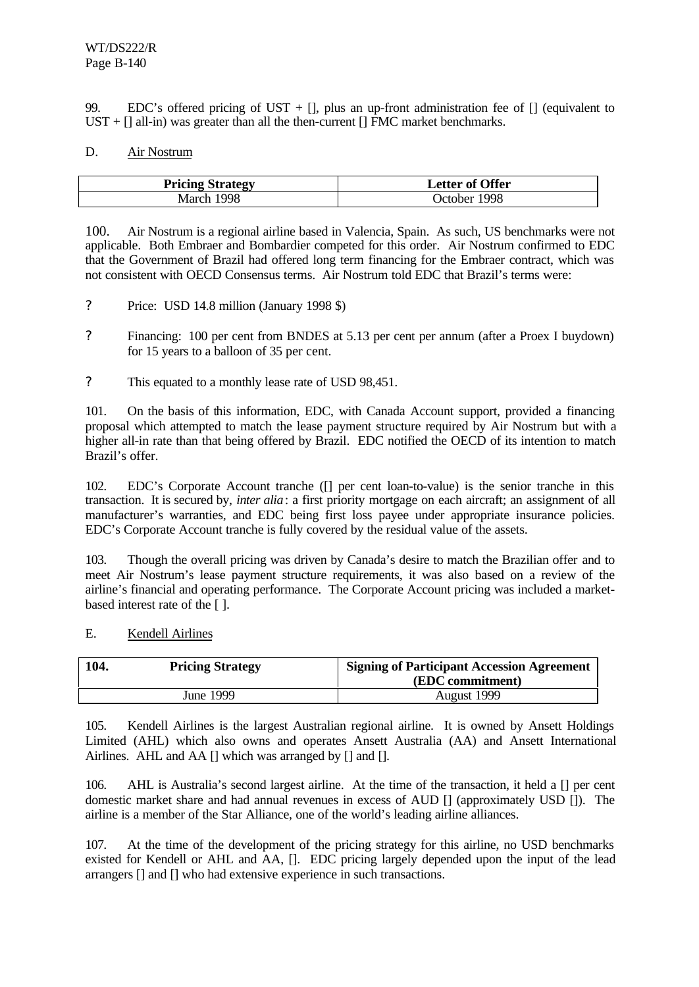99. EDC's offered pricing of UST + [], plus an up-front administration fee of [] (equivalent to  $UST + []$  all-in) was greater than all the then-current  $[]$  FMC market benchmarks.

#### D. Air Nostrum

| <b>Pricing Strategy</b> | <b>Letter of Offer</b> |
|-------------------------|------------------------|
| March 1998              | October 1998           |

100. Air Nostrum is a regional airline based in Valencia, Spain. As such, US benchmarks were not applicable. Both Embraer and Bombardier competed for this order. Air Nostrum confirmed to EDC that the Government of Brazil had offered long term financing for the Embraer contract, which was not consistent with OECD Consensus terms. Air Nostrum told EDC that Brazil's terms were:

- ? Price: USD 14.8 million (January 1998 \$)
- ? Financing: 100 per cent from BNDES at 5.13 per cent per annum (after a Proex I buydown) for 15 years to a balloon of 35 per cent.
- ? This equated to a monthly lease rate of USD 98,451.

101. On the basis of this information, EDC, with Canada Account support, provided a financing proposal which attempted to match the lease payment structure required by Air Nostrum but with a higher all-in rate than that being offered by Brazil. EDC notified the OECD of its intention to match Brazil's offer.

102. EDC's Corporate Account tranche ([] per cent loan-to-value) is the senior tranche in this transaction. It is secured by, *inter alia*: a first priority mortgage on each aircraft; an assignment of all manufacturer's warranties, and EDC being first loss payee under appropriate insurance policies. EDC's Corporate Account tranche is fully covered by the residual value of the assets.

103. Though the overall pricing was driven by Canada's desire to match the Brazilian offer and to meet Air Nostrum's lease payment structure requirements, it was also based on a review of the airline's financial and operating performance. The Corporate Account pricing was included a marketbased interest rate of the [ ].

## E. Kendell Airlines

| 104. | <b>Pricing Strategy</b> | <b>Signing of Participant Accession Agreement</b> |
|------|-------------------------|---------------------------------------------------|
|      |                         | (EDC commitment)                                  |
|      | June 1999               | August 1999                                       |

105. Kendell Airlines is the largest Australian regional airline. It is owned by Ansett Holdings Limited (AHL) which also owns and operates Ansett Australia (AA) and Ansett International Airlines. AHL and AA  $\Box$  which was arranged by  $\Box$  and  $\Box$ .

106. AHL is Australia's second largest airline. At the time of the transaction, it held a [] per cent domestic market share and had annual revenues in excess of AUD [] (approximately USD []). The airline is a member of the Star Alliance, one of the world's leading airline alliances.

107. At the time of the development of the pricing strategy for this airline, no USD benchmarks existed for Kendell or AHL and AA, []. EDC pricing largely depended upon the input of the lead arrangers [] and [] who had extensive experience in such transactions.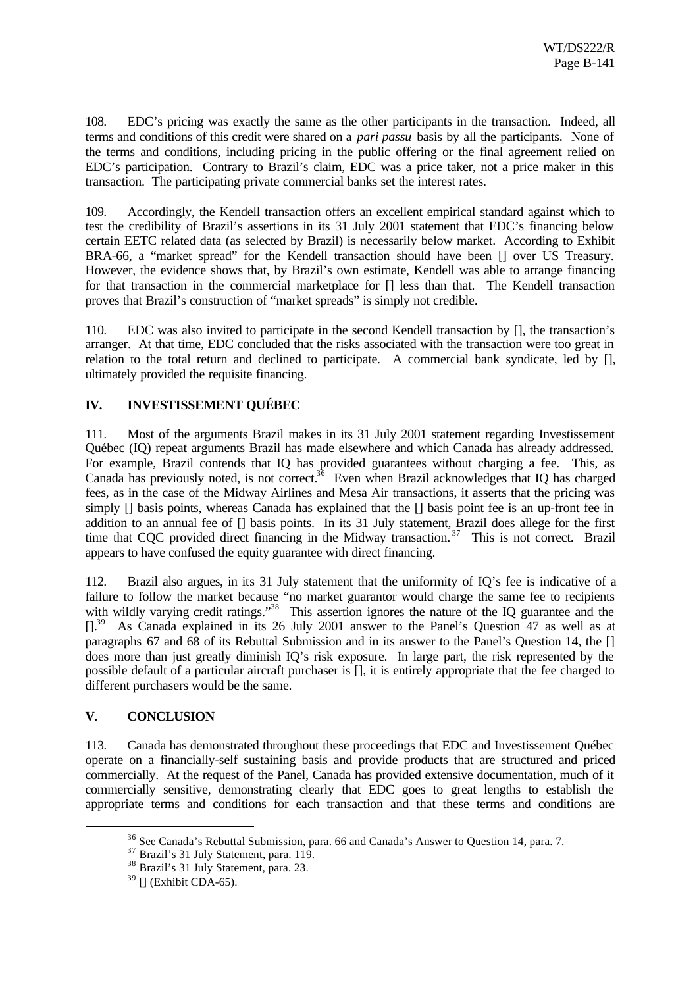108. EDC's pricing was exactly the same as the other participants in the transaction. Indeed, all terms and conditions of this credit were shared on a *pari passu* basis by all the participants. None of the terms and conditions, including pricing in the public offering or the final agreement relied on EDC's participation. Contrary to Brazil's claim, EDC was a price taker, not a price maker in this transaction. The participating private commercial banks set the interest rates.

109. Accordingly, the Kendell transaction offers an excellent empirical standard against which to test the credibility of Brazil's assertions in its 31 July 2001 statement that EDC's financing below certain EETC related data (as selected by Brazil) is necessarily below market. According to Exhibit BRA-66, a "market spread" for the Kendell transaction should have been [] over US Treasury. However, the evidence shows that, by Brazil's own estimate, Kendell was able to arrange financing for that transaction in the commercial marketplace for [] less than that. The Kendell transaction proves that Brazil's construction of "market spreads" is simply not credible.

110. EDC was also invited to participate in the second Kendell transaction by [], the transaction's arranger. At that time, EDC concluded that the risks associated with the transaction were too great in relation to the total return and declined to participate. A commercial bank syndicate, led by [], ultimately provided the requisite financing.

## **IV. INVESTISSEMENT QUÉBEC**

111. Most of the arguments Brazil makes in its 31 July 2001 statement regarding Investissement Québec (IQ) repeat arguments Brazil has made elsewhere and which Canada has already addressed. For example, Brazil contends that IQ has provided guarantees without charging a fee. This, as Canada has previously noted, is not correct.<sup>36</sup> Even when Brazil acknowledges that IQ has charged fees, as in the case of the Midway Airlines and Mesa Air transactions, it asserts that the pricing was simply [] basis points, whereas Canada has explained that the [] basis point fee is an up-front fee in addition to an annual fee of [] basis points. In its 31 July statement, Brazil does allege for the first time that CQC provided direct financing in the Midway transaction.<sup>37</sup> This is not correct. Brazil appears to have confused the equity guarantee with direct financing.

112. Brazil also argues, in its 31 July statement that the uniformity of IQ's fee is indicative of a failure to follow the market because "no market guarantor would charge the same fee to recipients with wildly varying credit ratings."<sup>38</sup> This assertion ignores the nature of the IQ guarantee and the [1<sup>39</sup> As Canada explained in its 26 July 2001 answer to the Panel's Question 47 as well as at paragraphs 67 and 68 of its Rebuttal Submission and in its answer to the Panel's Question 14, the [] does more than just greatly diminish IQ's risk exposure. In large part, the risk represented by the possible default of a particular aircraft purchaser is [], it is entirely appropriate that the fee charged to different purchasers would be the same.

## **V. CONCLUSION**

l

113. Canada has demonstrated throughout these proceedings that EDC and Investissement Québec operate on a financially-self sustaining basis and provide products that are structured and priced commercially. At the request of the Panel, Canada has provided extensive documentation, much of it commercially sensitive, demonstrating clearly that EDC goes to great lengths to establish the appropriate terms and conditions for each transaction and that these terms and conditions are

<sup>36</sup> See Canada's Rebuttal Submission, para. 66 and Canada's Answer to Question 14, para. 7.

<sup>37</sup> Brazil's 31 July Statement, para. 119.

<sup>&</sup>lt;sup>38</sup> Brazil's 31 July Statement, para. 23.

 $39$  [] (Exhibit CDA-65).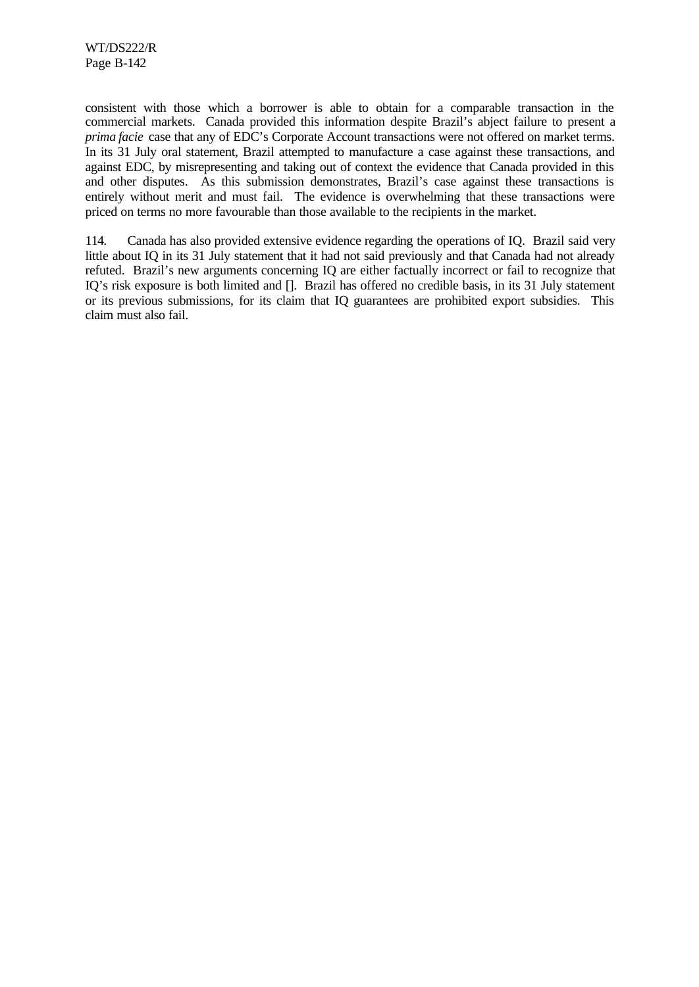consistent with those which a borrower is able to obtain for a comparable transaction in the commercial markets. Canada provided this information despite Brazil's abject failure to present a *prima facie* case that any of EDC's Corporate Account transactions were not offered on market terms. In its 31 July oral statement, Brazil attempted to manufacture a case against these transactions, and against EDC, by misrepresenting and taking out of context the evidence that Canada provided in this and other disputes. As this submission demonstrates, Brazil's case against these transactions is entirely without merit and must fail. The evidence is overwhelming that these transactions were priced on terms no more favourable than those available to the recipients in the market.

114. Canada has also provided extensive evidence regarding the operations of IQ. Brazil said very little about IQ in its 31 July statement that it had not said previously and that Canada had not already refuted. Brazil's new arguments concerning IQ are either factually incorrect or fail to recognize that IQ's risk exposure is both limited and []. Brazil has offered no credible basis, in its 31 July statement or its previous submissions, for its claim that IQ guarantees are prohibited export subsidies. This claim must also fail.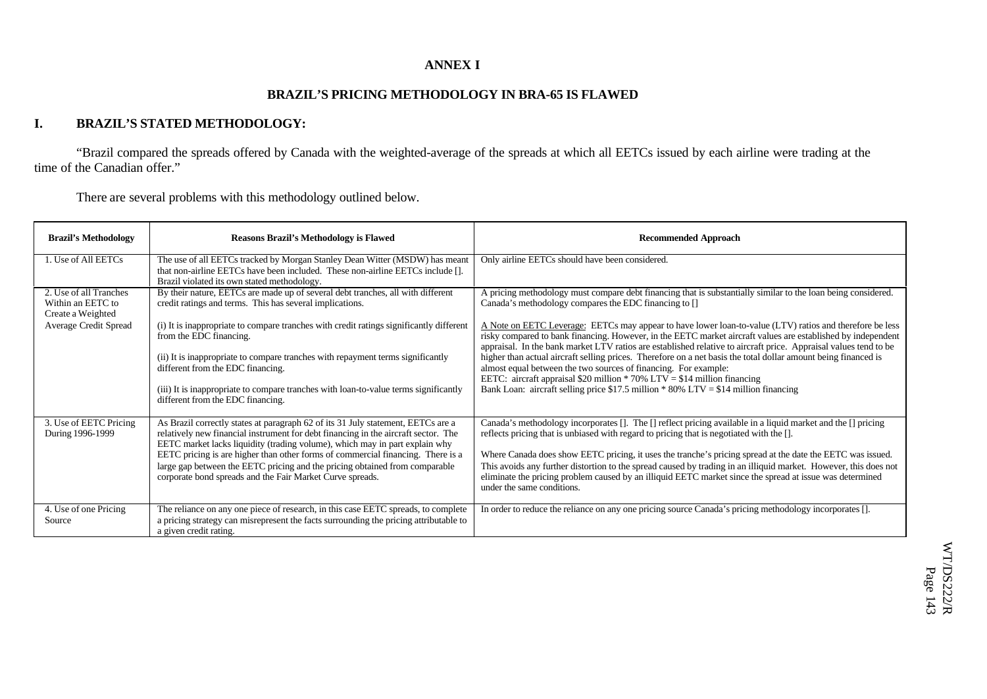## **ANNEX I**

## **BRAZIL'S PRICING METHODOLOGY IN BRA-65 IS FLAWED**

#### **I. BRAZIL'S STATED METHODOLOGY:**

"Brazil compared the spreads offered by Canada with the weighted-average of the spreads at which all EETCs issued by each airline were trading at the time of the Canadian offer."

There are several problems with this methodology outlined below.

| <b>Brazil's Methodology</b>                                      | <b>Reasons Brazil's Methodology is Flawed</b>                                                                                                                                                                                                         | <b>Recommended Approach</b>                                                                                                                                                                                                                                                                                                                                              |
|------------------------------------------------------------------|-------------------------------------------------------------------------------------------------------------------------------------------------------------------------------------------------------------------------------------------------------|--------------------------------------------------------------------------------------------------------------------------------------------------------------------------------------------------------------------------------------------------------------------------------------------------------------------------------------------------------------------------|
| 1. Use of All EETCs                                              | The use of all EETCs tracked by Morgan Stanley Dean Witter (MSDW) has meant<br>that non-airline EETCs have been included. These non-airline EETCs include [].<br>Brazil violated its own stated methodology.                                          | Only airline EETCs should have been considered.                                                                                                                                                                                                                                                                                                                          |
| 2. Use of all Tranches<br>Within an EETC to<br>Create a Weighted | By their nature, EETCs are made up of several debt tranches, all with different<br>credit ratings and terms. This has several implications.                                                                                                           | A pricing methodology must compare debt financing that is substantially similar to the loan being considered.<br>Canada's methodology compares the EDC financing to []                                                                                                                                                                                                   |
| Average Credit Spread                                            | (i) It is inappropriate to compare tranches with credit ratings significantly different<br>from the EDC financing.                                                                                                                                    | A Note on EETC Leverage: EETCs may appear to have lower loan-to-value (LTV) ratios and therefore be less<br>risky compared to bank financing. However, in the EETC market aircraft values are established by independent<br>appraisal. In the bank market LTV ratios are established relative to aircraft price. Appraisal values tend to be                             |
|                                                                  | (ii) It is inappropriate to compare tranches with repayment terms significantly<br>different from the EDC financing.                                                                                                                                  | higher than actual aircraft selling prices. Therefore on a net basis the total dollar amount being financed is<br>almost equal between the two sources of financing. For example:<br>EETC: aircraft appraisal \$20 million $*$ 70% LTV = \$14 million financing                                                                                                          |
|                                                                  | (iii) It is inappropriate to compare tranches with loan-to-value terms significantly<br>different from the EDC financing.                                                                                                                             | Bank Loan: aircraft selling price \$17.5 million $*80\%$ LTV = \$14 million financing                                                                                                                                                                                                                                                                                    |
| 3. Use of EETC Pricing<br>During 1996-1999                       | As Brazil correctly states at paragraph 62 of its 31 July statement, EETCs are a<br>relatively new financial instrument for debt financing in the aircraft sector. The<br>EETC market lacks liquidity (trading volume), which may in part explain why | Canada's methodology incorporates []. The [] reflect pricing available in a liquid market and the [] pricing<br>reflects pricing that is unbiased with regard to pricing that is negotiated with the $\left[ \cdot \right]$ .                                                                                                                                            |
|                                                                  | EETC pricing is are higher than other forms of commercial financing. There is a<br>large gap between the EETC pricing and the pricing obtained from comparable<br>corporate bond spreads and the Fair Market Curve spreads.                           | Where Canada does show EETC pricing, it uses the tranche's pricing spread at the date the EETC was issued.<br>This avoids any further distortion to the spread caused by trading in an illiquid market. However, this does not<br>eliminate the pricing problem caused by an illiquid EETC market since the spread at issue was determined<br>under the same conditions. |
| 4. Use of one Pricing<br>Source                                  | The reliance on any one piece of research, in this case EETC spreads, to complete<br>a pricing strategy can misrepresent the facts surrounding the pricing attributable to<br>a given credit rating.                                                  | In order to reduce the reliance on any one pricing source Canada's pricing methodology incorporates [].                                                                                                                                                                                                                                                                  |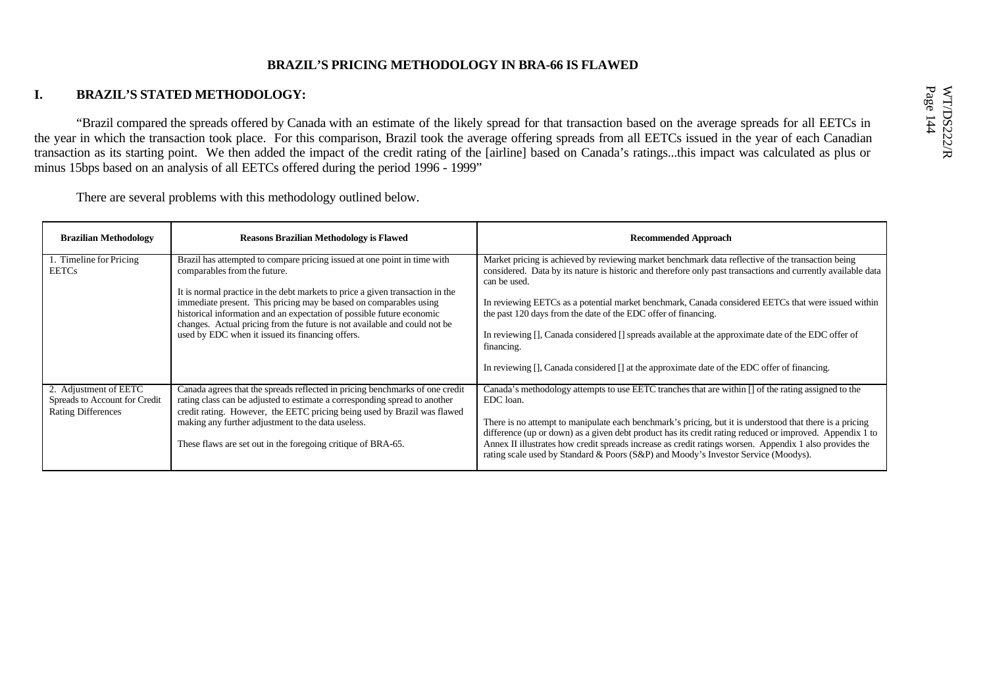## **BRAZIL'S PRICING METHODOLOGY IN BRA-66 IS FLAWED**

#### **I. BRAZIL'S STATED METHODOLOGY:**

"Brazil compared the spreads offered by Canada with an estimate of the likely spread for that transaction based on the average spreads for all EETCs in the year in which the transaction took place. For this comparison, Brazil took the average offering spreads from all EETCs issued in the year of each Canadian transaction as its starting point. We then added the impact of the credit rating of the [airline] based on Canada's ratings...this impact was calculated as plus or minus 15bps based on an analysis of all EETCs offered during the period 1996 - 1999"

| <b>Brazilian Methodology</b>                                                        | <b>Reasons Brazilian Methodology is Flawed</b>                                                                                                                                                                                                                                                                                                                                                                                                                           | <b>Recommended Approach</b>                                                                                                                                                                                                                                                                                                                                                                                                                                                                                                                                                                                                                                     |
|-------------------------------------------------------------------------------------|--------------------------------------------------------------------------------------------------------------------------------------------------------------------------------------------------------------------------------------------------------------------------------------------------------------------------------------------------------------------------------------------------------------------------------------------------------------------------|-----------------------------------------------------------------------------------------------------------------------------------------------------------------------------------------------------------------------------------------------------------------------------------------------------------------------------------------------------------------------------------------------------------------------------------------------------------------------------------------------------------------------------------------------------------------------------------------------------------------------------------------------------------------|
| 1. Timeline for Pricing<br><b>EETCs</b>                                             | Brazil has attempted to compare pricing issued at one point in time with<br>comparables from the future.<br>It is normal practice in the debt markets to price a given transaction in the<br>immediate present. This pricing may be based on comparables using<br>historical information and an expectation of possible future economic<br>changes. Actual pricing from the future is not available and could not be<br>used by EDC when it issued its financing offers. | Market pricing is achieved by reviewing market benchmark data reflective of the transaction being<br>considered. Data by its nature is historic and therefore only past transactions and currently available data<br>can be used.<br>In reviewing EETCs as a potential market benchmark, Canada considered EETCs that were issued within<br>the past 120 days from the date of the EDC offer of financing.<br>In reviewing $[]$ , Canada considered $[]$ spreads available at the approximate date of the EDC offer of<br>financing.<br>In reviewing $\left[\right]$ , Canada considered $\left[\right]$ at the approximate date of the EDC offer of financing. |
| 2. Adjustment of EETC<br>Spreads to Account for Credit<br><b>Rating Differences</b> | Canada agrees that the spreads reflected in pricing benchmarks of one credit<br>rating class can be adjusted to estimate a corresponding spread to another<br>credit rating. However, the EETC pricing being used by Brazil was flawed<br>making any further adjustment to the data useless.<br>These flaws are set out in the foregoing critique of BRA-65.                                                                                                             | Canada's methodology attempts to use EETC tranches that are within $\iint$ of the rating assigned to the<br>EDC loan.<br>There is no attempt to manipulate each benchmark's pricing, but it is understood that there is a pricing<br>difference (up or down) as a given debt product has its credit rating reduced or improved. Appendix 1 to<br>Annex II illustrates how credit spreads increase as credit ratings worsen. Appendix 1 also provides the<br>rating scale used by Standard & Poors (S&P) and Moody's Investor Service (Moodys).                                                                                                                  |

There are several problems with this methodology outlined below.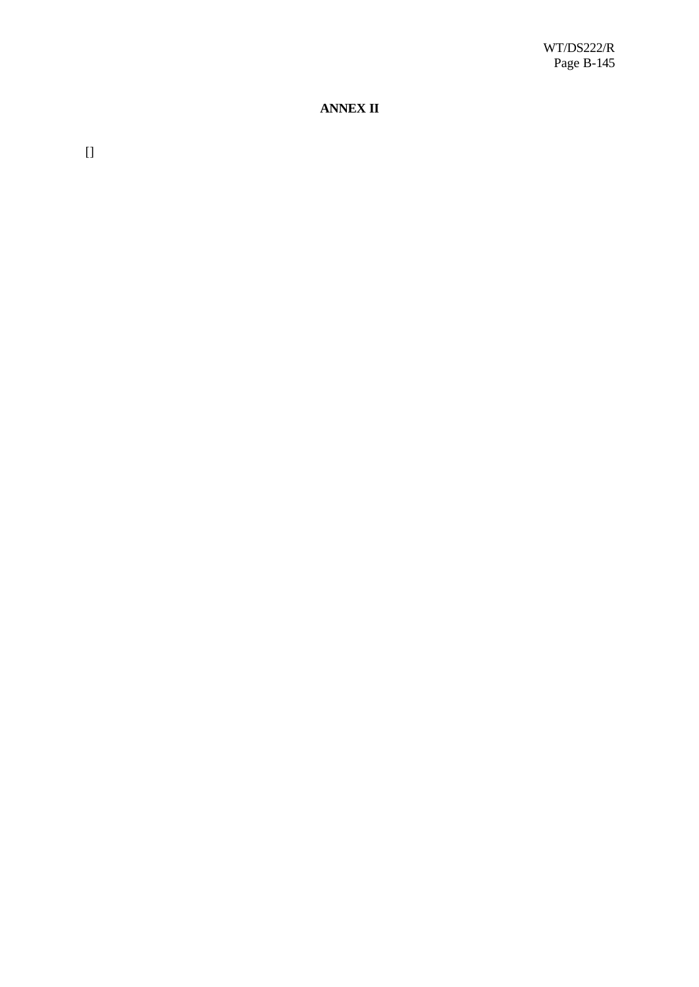# **ANNEX II**

 $[] \centering \subfloat[0]{{\includegraphics[width=0.25\textwidth]{figs-pi-1000}}% \qquad \subfloat[0]{{\includegraphics[width=0.25\textwidth]{figs-pi-1000}}% \qquad \subfloat[0]{{\includegraphics[width=0.25\textwidth]{figs-pi-1000}}% \qquad \subfloat[0]{{\includegraphics[width=0.25\textwidth]{figs-pi-1000}}% \qquad \subfloat[0]{{\includegraphics[width=0.25\textwidth]{figs-pi-1000}}% \qquad \subfloat[0]{{\includegraphics[width=0.25\textwidth]{figs-pi-1000}}% \qquad \subfloat[0]$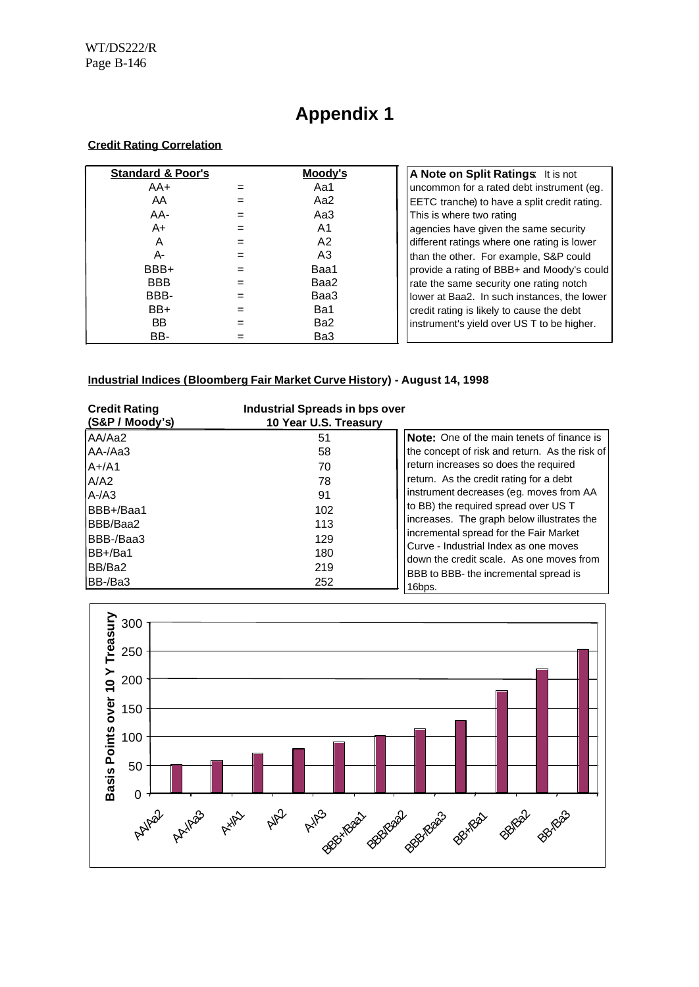# **Appendix 1**

### **Credit Rating Correlation**

| <b>Standard &amp; Poor's</b> | Moody's | A Note on Split Ratings It is not            |
|------------------------------|---------|----------------------------------------------|
| $AA+$                        | Aa1     | uncommon for a rated debt instrument (eg.    |
| AA                           | Aa2     | EETC tranche) to have a split credit rating. |
| AA-                          | Aa3     | This is where two rating                     |
| A+                           | A1      | agencies have given the same security        |
| A                            | A2      | different ratings where one rating is lower  |
| А-                           | A3      | than the other. For example, S&P could       |
| BBB+                         | Baa1    | provide a rating of BBB+ and Moody's could   |
| <b>BBB</b>                   | Baa2    | rate the same security one rating notch      |
| BBB-                         | Baa3    | lower at Baa2. In such instances, the lower  |
| $BB+$                        | Ba1     | credit rating is likely to cause the debt    |
| <b>BB</b>                    | Ba2     | instrument's yield over US T to be higher.   |
| BB-                          | Ba3     |                                              |

# **Industrial Indices (Bloomberg Fair Market Curve History) - August 14, 1998**

| <b>Credit Rating</b><br>(S&P / Moody's) | <b>Industrial Spreads in bps over</b><br>10 Year U.S. Treasury |                                                 |
|-----------------------------------------|----------------------------------------------------------------|-------------------------------------------------|
| AA/Aa2                                  | 51                                                             | Note: One of the main tenets of finance is      |
| AA-/Aa3                                 | 58                                                             | the concept of risk and return. As the risk of  |
| $A+/A1$                                 | 70                                                             | return increases so does the required           |
| A/A2                                    | 78                                                             | return. As the credit rating for a debt         |
| $A-A3$                                  | 91                                                             | instrument decreases (eg. moves from AA         |
| BBB+/Baa1                               | 102                                                            | to BB) the required spread over US T            |
| BBB/Baa2                                | 113                                                            | increases. The graph below illustrates the      |
| BBB-/Baa3                               | 129                                                            | Incremental spread for the Fair Market          |
| BB+/Ba1                                 | 180                                                            | Curve - Industrial Index as one moves           |
| BB/Ba2                                  | 219                                                            | down the credit scale. As one moves from        |
| BB-/Ba3                                 | 252                                                            | BBB to BBB- the incremental spread is<br>16bps. |

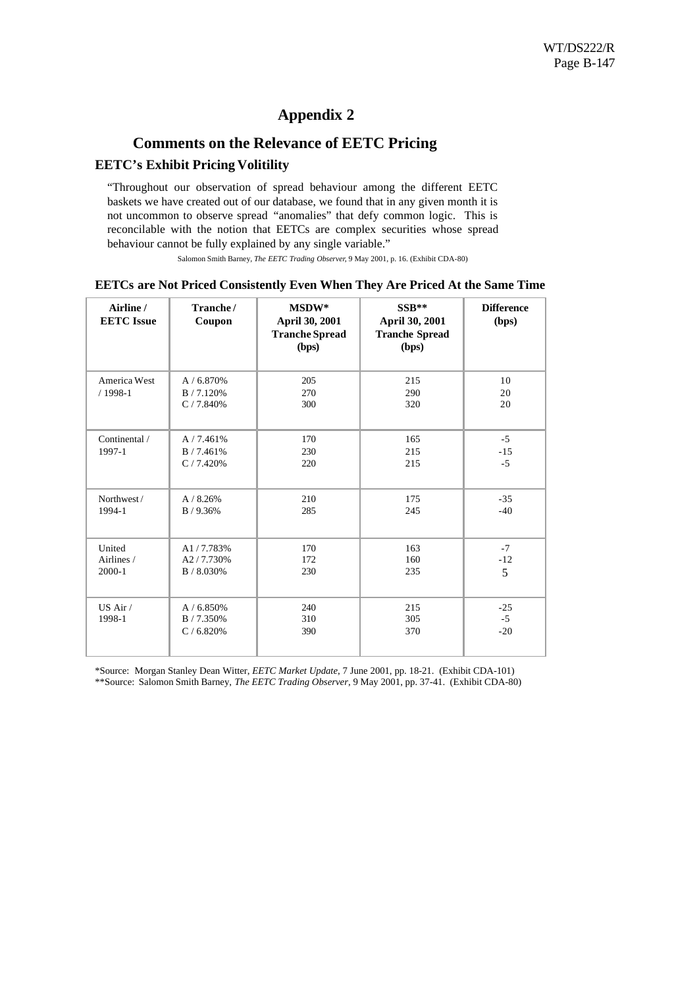# **Appendix 2**

# **Comments on the Relevance of EETC Pricing EETC's Exhibit Pricing Volitility**

"Throughout our observation of spread behaviour among the different EETC baskets we have created out of our database, we found that in any given month it is not uncommon to observe spread "anomalies" that defy common logic. This is reconcilable with the notion that EETCs are complex securities whose spread behaviour cannot be fully explained by any single variable."

Salomon Smith Barney, *The EETC Trading Observer*, 9 May 2001, p. 16. (Exhibit CDA-80)

#### **EETCs are Not Priced Consistently Even When They Are Priced At the Same Time**

| Airline /<br><b>EETC</b> Issue     | Tranche/<br>Coupon                   | $MSDW^*$<br>April 30, 2001<br><b>Tranche Spread</b><br>(bps) | SSB**<br>April 30, 2001<br><b>Tranche Spread</b><br>(bps) | <b>Difference</b><br>(bps) |
|------------------------------------|--------------------------------------|--------------------------------------------------------------|-----------------------------------------------------------|----------------------------|
| America West<br>$/1998-1$          | A/6.870%<br>B / 7.120%<br>C/7.840%   | 205<br>270<br>300                                            | 215<br>290<br>320                                         | 10<br>20<br>20             |
| Continental /<br>1997-1            | A/7.461%<br>B / 7.461%<br>C/7.420%   | 170<br>230<br>220                                            | 165<br>215<br>215                                         | $-5$<br>$-15$<br>$-5$      |
| Northwest/<br>1994-1               | A/8.26%<br>B / 9.36%                 | 210<br>285                                                   | 175<br>245                                                | $-35$<br>$-40$             |
| United<br>Airlines /<br>$2000 - 1$ | A1/7.783%<br>A2/7.730%<br>B / 8.030% | 170<br>172<br>230                                            | 163<br>160<br>235                                         | $-7$<br>$-12$<br>5         |
| US Air $/$<br>1998-1               | A/6.850%<br>B / 7.350%<br>C/6.820%   | 240<br>310<br>390                                            | 215<br>305<br>370                                         | $-25$<br>$-5$<br>$-20$     |

\*Source: Morgan Stanley Dean Witter, *EETC Market Update*, 7 June 2001, pp. 18-21. (Exhibit CDA-101) \*\*Source: Salomon Smith Barney, *The EETC Trading Observer*, 9 May 2001, pp. 37-41. (Exhibit CDA-80)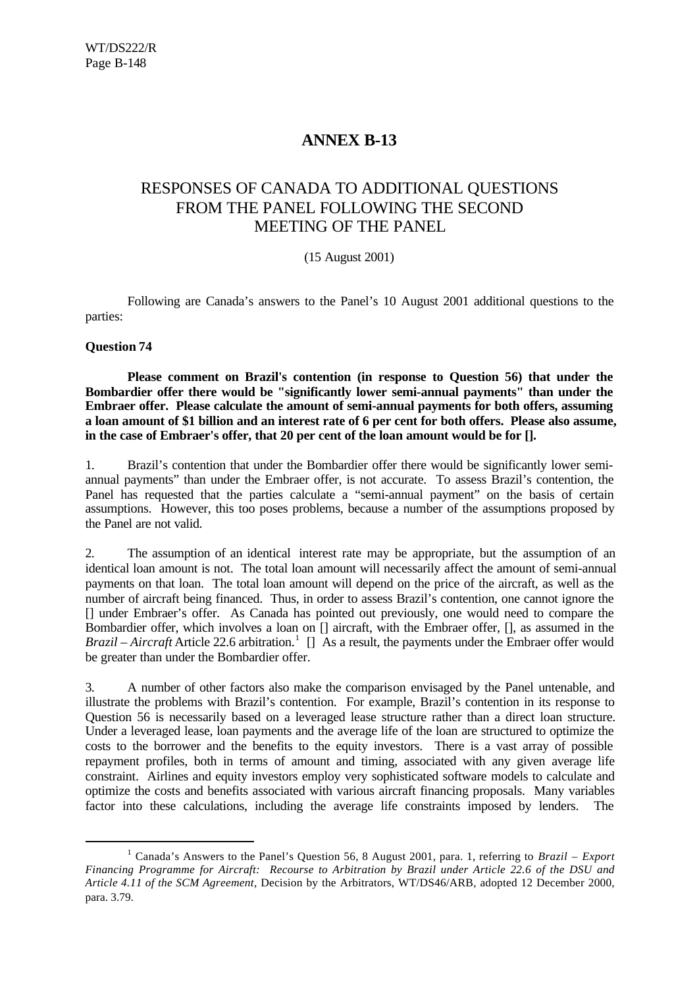# RESPONSES OF CANADA TO ADDITIONAL QUESTIONS FROM THE PANEL FOLLOWING THE SECOND MEETING OF THE PANEL

### (15 August 2001)

Following are Canada's answers to the Panel's 10 August 2001 additional questions to the parties:

**Question 74**

l

**Please comment on Brazil's contention (in response to Question 56) that under the Bombardier offer there would be "significantly lower semi-annual payments" than under the Embraer offer. Please calculate the amount of semi-annual payments for both offers, assuming a loan amount of \$1 billion and an interest rate of 6 per cent for both offers. Please also assume, in the case of Embraer's offer, that 20 per cent of the loan amount would be for [].**

1. Brazil's contention that under the Bombardier offer there would be significantly lower semiannual payments" than under the Embraer offer, is not accurate. To assess Brazil's contention, the Panel has requested that the parties calculate a "semi-annual payment" on the basis of certain assumptions. However, this too poses problems, because a number of the assumptions proposed by the Panel are not valid.

2. The assumption of an identical interest rate may be appropriate, but the assumption of an identical loan amount is not. The total loan amount will necessarily affect the amount of semi-annual payments on that loan. The total loan amount will depend on the price of the aircraft, as well as the number of aircraft being financed. Thus, in order to assess Brazil's contention, one cannot ignore the [] under Embraer's offer. As Canada has pointed out previously, one would need to compare the Bombardier offer, which involves a loan on [] aircraft, with the Embraer offer, [], as assumed in the *Brazil* – Aircraft Article 22.6 arbitration.<sup>1</sup> [] As a result, the payments under the Embraer offer would be greater than under the Bombardier offer.

3. A number of other factors also make the comparison envisaged by the Panel untenable, and illustrate the problems with Brazil's contention. For example, Brazil's contention in its response to Question 56 is necessarily based on a leveraged lease structure rather than a direct loan structure. Under a leveraged lease, loan payments and the average life of the loan are structured to optimize the costs to the borrower and the benefits to the equity investors. There is a vast array of possible repayment profiles, both in terms of amount and timing, associated with any given average life constraint. Airlines and equity investors employ very sophisticated software models to calculate and optimize the costs and benefits associated with various aircraft financing proposals. Many variables factor into these calculations, including the average life constraints imposed by lenders. The

<sup>1</sup> Canada's Answers to the Panel's Question 56, 8 August 2001, para. 1, referring to *Brazil – Export Financing Programme for Aircraft: Recourse to Arbitration by Brazil under Article 22.6 of the DSU and Article 4.11 of the SCM Agreement*, Decision by the Arbitrators, WT/DS46/ARB, adopted 12 December 2000, para. 3.79.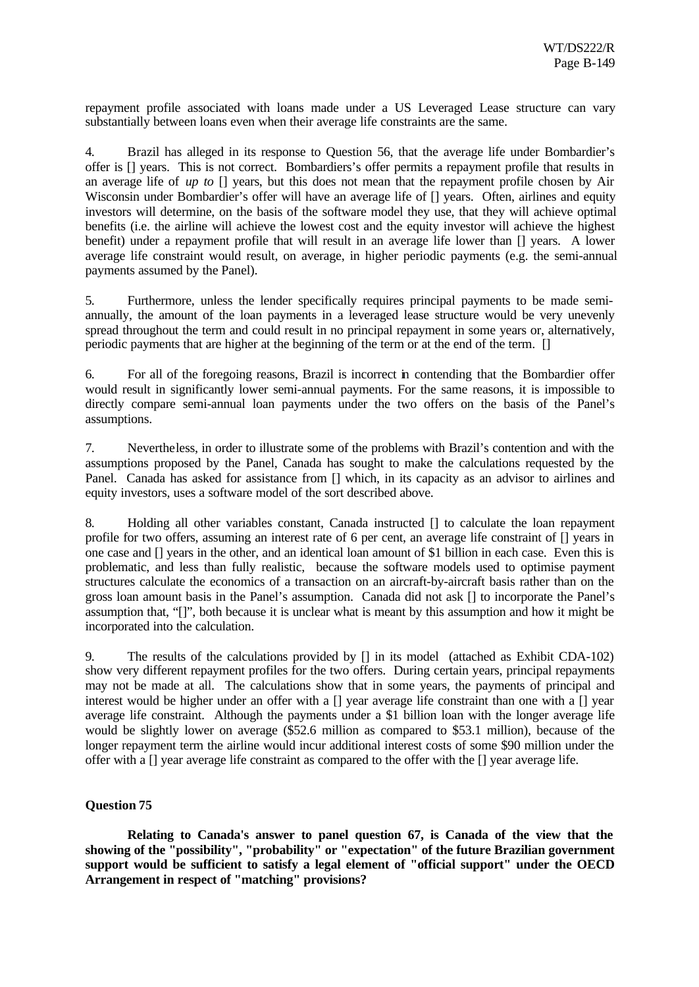repayment profile associated with loans made under a US Leveraged Lease structure can vary substantially between loans even when their average life constraints are the same.

4. Brazil has alleged in its response to Question 56, that the average life under Bombardier's offer is [] years. This is not correct. Bombardiers's offer permits a repayment profile that results in an average life of *up to* [] years, but this does not mean that the repayment profile chosen by Air Wisconsin under Bombardier's offer will have an average life of  $\Box$  years. Often, airlines and equity investors will determine, on the basis of the software model they use, that they will achieve optimal benefits (i.e. the airline will achieve the lowest cost and the equity investor will achieve the highest benefit) under a repayment profile that will result in an average life lower than [] years. A lower average life constraint would result, on average, in higher periodic payments (e.g. the semi-annual payments assumed by the Panel).

5. Furthermore, unless the lender specifically requires principal payments to be made semiannually, the amount of the loan payments in a leveraged lease structure would be very unevenly spread throughout the term and could result in no principal repayment in some years or, alternatively, periodic payments that are higher at the beginning of the term or at the end of the term. []

6. For all of the foregoing reasons, Brazil is incorrect in contending that the Bombardier offer would result in significantly lower semi-annual payments. For the same reasons, it is impossible to directly compare semi-annual loan payments under the two offers on the basis of the Panel's assumptions.

7. Nevertheless, in order to illustrate some of the problems with Brazil's contention and with the assumptions proposed by the Panel, Canada has sought to make the calculations requested by the Panel. Canada has asked for assistance from  $[]$  which, in its capacity as an advisor to airlines and equity investors, uses a software model of the sort described above.

8. Holding all other variables constant, Canada instructed [] to calculate the loan repayment profile for two offers, assuming an interest rate of 6 per cent, an average life constraint of [] years in one case and [] years in the other, and an identical loan amount of \$1 billion in each case. Even this is problematic, and less than fully realistic, because the software models used to optimise payment structures calculate the economics of a transaction on an aircraft-by-aircraft basis rather than on the gross loan amount basis in the Panel's assumption. Canada did not ask [] to incorporate the Panel's assumption that, "[]", both because it is unclear what is meant by this assumption and how it might be incorporated into the calculation.

9. The results of the calculations provided by [] in its model (attached as Exhibit CDA-102) show very different repayment profiles for the two offers. During certain years, principal repayments may not be made at all. The calculations show that in some years, the payments of principal and interest would be higher under an offer with a [] year average life constraint than one with a [] year average life constraint. Although the payments under a \$1 billion loan with the longer average life would be slightly lower on average (\$52.6 million as compared to \$53.1 million), because of the longer repayment term the airline would incur additional interest costs of some \$90 million under the offer with a  $\Box$  year average life constraint as compared to the offer with the  $\Box$  year average life.

### **Question 75**

**Relating to Canada's answer to panel question 67, is Canada of the view that the showing of the "possibility", "probability" or "expectation" of the future Brazilian government support would be sufficient to satisfy a legal element of "official support" under the OECD Arrangement in respect of "matching" provisions?**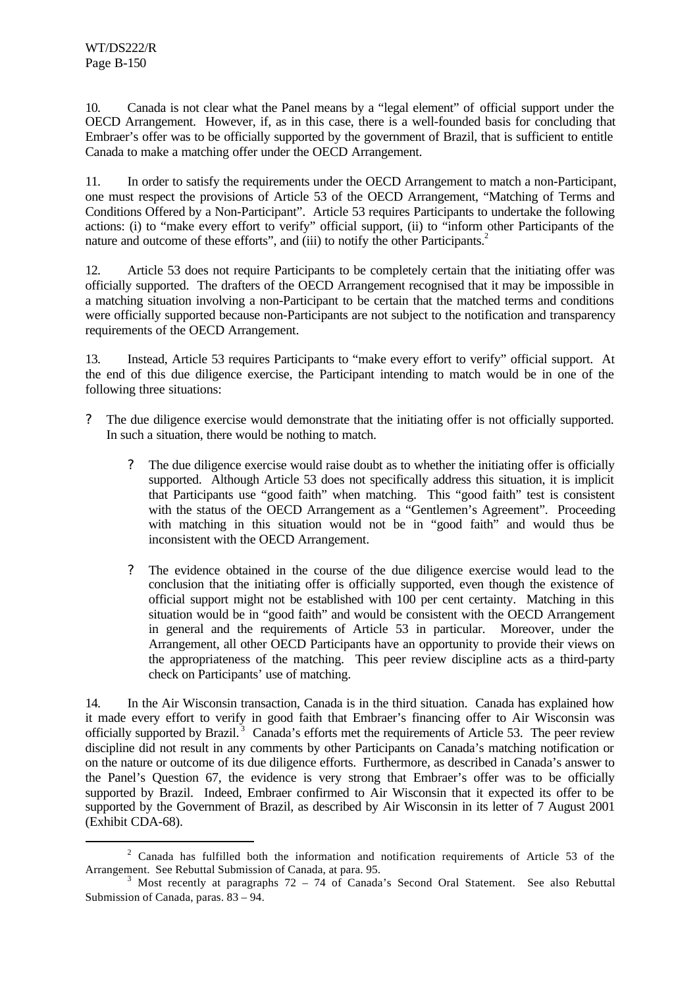l

10. Canada is not clear what the Panel means by a "legal element" of official support under the OECD Arrangement. However, if, as in this case, there is a well-founded basis for concluding that Embraer's offer was to be officially supported by the government of Brazil, that is sufficient to entitle Canada to make a matching offer under the OECD Arrangement.

11. In order to satisfy the requirements under the OECD Arrangement to match a non-Participant, one must respect the provisions of Article 53 of the OECD Arrangement, "Matching of Terms and Conditions Offered by a Non-Participant". Article 53 requires Participants to undertake the following actions: (i) to "make every effort to verify" official support, (ii) to "inform other Participants of the nature and outcome of these efforts", and (iii) to notify the other Participants.<sup>2</sup>

12. Article 53 does not require Participants to be completely certain that the initiating offer was officially supported. The drafters of the OECD Arrangement recognised that it may be impossible in a matching situation involving a non-Participant to be certain that the matched terms and conditions were officially supported because non-Participants are not subject to the notification and transparency requirements of the OECD Arrangement.

13. Instead, Article 53 requires Participants to "make every effort to verify" official support. At the end of this due diligence exercise, the Participant intending to match would be in one of the following three situations:

- ? The due diligence exercise would demonstrate that the initiating offer is not officially supported. In such a situation, there would be nothing to match.
	- ? The due diligence exercise would raise doubt as to whether the initiating offer is officially supported. Although Article 53 does not specifically address this situation, it is implicit that Participants use "good faith" when matching. This "good faith" test is consistent with the status of the OECD Arrangement as a "Gentlemen's Agreement". Proceeding with matching in this situation would not be in "good faith" and would thus be inconsistent with the OECD Arrangement.
	- ? The evidence obtained in the course of the due diligence exercise would lead to the conclusion that the initiating offer is officially supported, even though the existence of official support might not be established with 100 per cent certainty. Matching in this situation would be in "good faith" and would be consistent with the OECD Arrangement in general and the requirements of Article 53 in particular. Moreover, under the Arrangement, all other OECD Participants have an opportunity to provide their views on the appropriateness of the matching. This peer review discipline acts as a third-party check on Participants' use of matching.

14. In the Air Wisconsin transaction, Canada is in the third situation. Canada has explained how it made every effort to verify in good faith that Embraer's financing offer to Air Wisconsin was officially supported by Brazil.<sup>3</sup> Canada's efforts met the requirements of Article 53. The peer review discipline did not result in any comments by other Participants on Canada's matching notification or on the nature or outcome of its due diligence efforts. Furthermore, as described in Canada's answer to the Panel's Question 67, the evidence is very strong that Embraer's offer was to be officially supported by Brazil. Indeed, Embraer confirmed to Air Wisconsin that it expected its offer to be supported by the Government of Brazil, as described by Air Wisconsin in its letter of 7 August 2001 (Exhibit CDA-68).

<sup>&</sup>lt;sup>2</sup> Canada has fulfilled both the information and notification requirements of Article 53 of the Arrangement. See Rebuttal Submission of Canada, at para. 95.

 $3$  Most recently at paragraphs 72 – 74 of Canada's Second Oral Statement. See also Rebuttal Submission of Canada, paras. 83 – 94.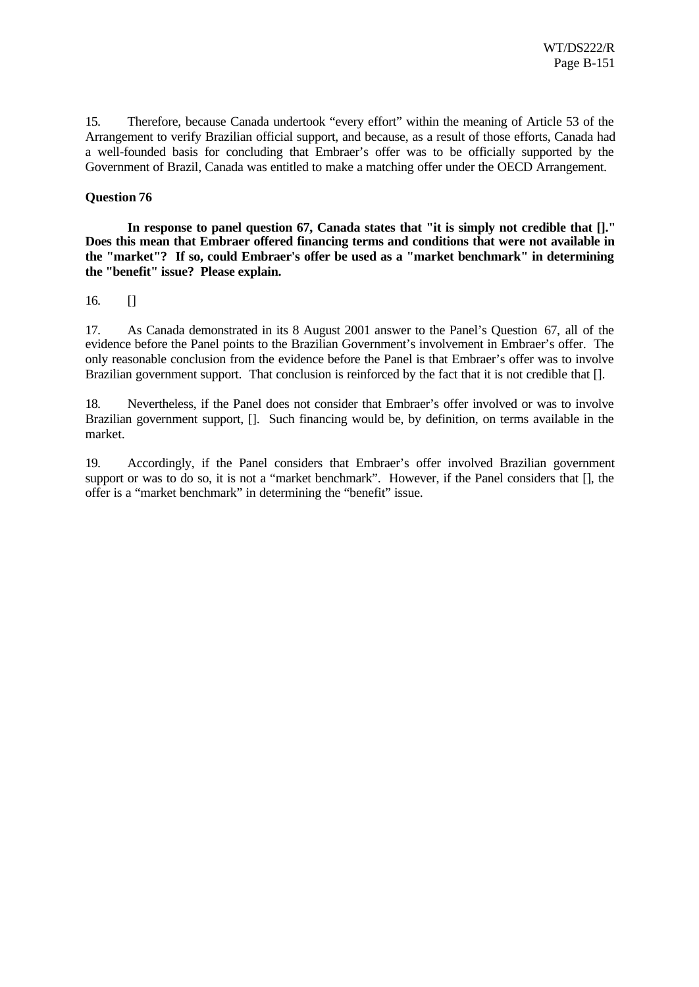15. Therefore, because Canada undertook "every effort" within the meaning of Article 53 of the Arrangement to verify Brazilian official support, and because, as a result of those efforts, Canada had a well-founded basis for concluding that Embraer's offer was to be officially supported by the Government of Brazil, Canada was entitled to make a matching offer under the OECD Arrangement.

### **Question 76**

**In response to panel question 67, Canada states that "it is simply not credible that []." Does this mean that Embraer offered financing terms and conditions that were not available in the "market"? If so, could Embraer's offer be used as a "market benchmark" in determining the "benefit" issue? Please explain.**

16. []

17. As Canada demonstrated in its 8 August 2001 answer to the Panel's Question 67, all of the evidence before the Panel points to the Brazilian Government's involvement in Embraer's offer. The only reasonable conclusion from the evidence before the Panel is that Embraer's offer was to involve Brazilian government support. That conclusion is reinforced by the fact that it is not credible that  $\Pi$ .

18. Nevertheless, if the Panel does not consider that Embraer's offer involved or was to involve Brazilian government support, []. Such financing would be, by definition, on terms available in the market.

19. Accordingly, if the Panel considers that Embraer's offer involved Brazilian government support or was to do so, it is not a "market benchmark". However, if the Panel considers that [], the offer is a "market benchmark" in determining the "benefit" issue.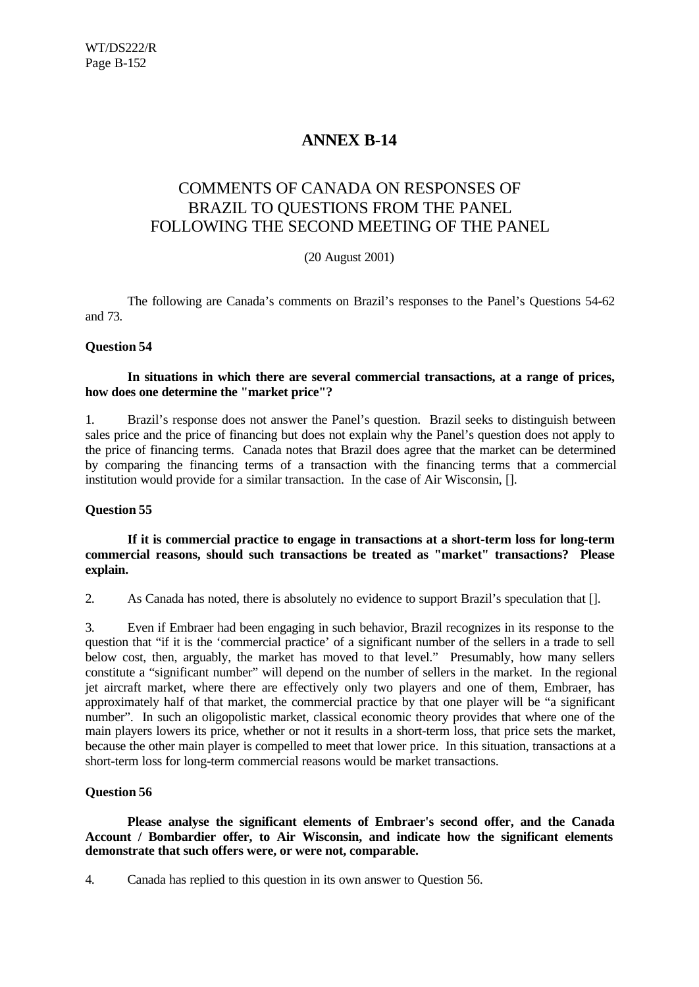# COMMENTS OF CANADA ON RESPONSES OF BRAZIL TO QUESTIONS FROM THE PANEL FOLLOWING THE SECOND MEETING OF THE PANEL

### (20 August 2001)

The following are Canada's comments on Brazil's responses to the Panel's Questions 54-62 and 73.

### **Question 54**

### **In situations in which there are several commercial transactions, at a range of prices, how does one determine the "market price"?**

1. Brazil's response does not answer the Panel's question. Brazil seeks to distinguish between sales price and the price of financing but does not explain why the Panel's question does not apply to the price of financing terms. Canada notes that Brazil does agree that the market can be determined by comparing the financing terms of a transaction with the financing terms that a commercial institution would provide for a similar transaction. In the case of Air Wisconsin, [].

### **Question 55**

**If it is commercial practice to engage in transactions at a short-term loss for long-term commercial reasons, should such transactions be treated as "market" transactions? Please explain.**

2. As Canada has noted, there is absolutely no evidence to support Brazil's speculation that [].

3. Even if Embraer had been engaging in such behavior, Brazil recognizes in its response to the question that "if it is the 'commercial practice' of a significant number of the sellers in a trade to sell below cost, then, arguably, the market has moved to that level." Presumably, how many sellers constitute a "significant number" will depend on the number of sellers in the market. In the regional jet aircraft market, where there are effectively only two players and one of them, Embraer, has approximately half of that market, the commercial practice by that one player will be "a significant number". In such an oligopolistic market, classical economic theory provides that where one of the main players lowers its price, whether or not it results in a short-term loss, that price sets the market, because the other main player is compelled to meet that lower price. In this situation, transactions at a short-term loss for long-term commercial reasons would be market transactions.

### **Question 56**

**Please analyse the significant elements of Embraer's second offer, and the Canada Account / Bombardier offer, to Air Wisconsin, and indicate how the significant elements demonstrate that such offers were, or were not, comparable.**

4. Canada has replied to this question in its own answer to Question 56.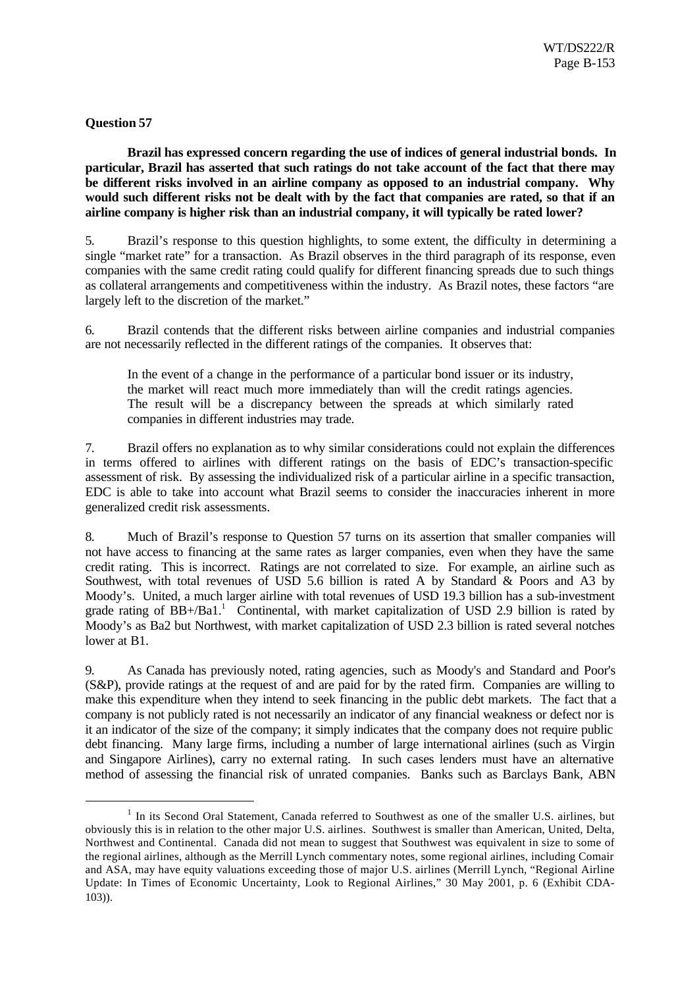### **Question 57**

l

**Brazil has expressed concern regarding the use of indices of general industrial bonds. In particular, Brazil has asserted that such ratings do not take account of the fact that there may be different risks involved in an airline company as opposed to an industrial company. Why would such different risks not be dealt with by the fact that companies are rated, so that if an airline company is higher risk than an industrial company, it will typically be rated lower?**

5. Brazil's response to this question highlights, to some extent, the difficulty in determining a single "market rate" for a transaction. As Brazil observes in the third paragraph of its response, even companies with the same credit rating could qualify for different financing spreads due to such things as collateral arrangements and competitiveness within the industry. As Brazil notes, these factors "are largely left to the discretion of the market."

6. Brazil contends that the different risks between airline companies and industrial companies are not necessarily reflected in the different ratings of the companies. It observes that:

In the event of a change in the performance of a particular bond issuer or its industry, the market will react much more immediately than will the credit ratings agencies. The result will be a discrepancy between the spreads at which similarly rated companies in different industries may trade.

7. Brazil offers no explanation as to why similar considerations could not explain the differences in terms offered to airlines with different ratings on the basis of EDC's transaction-specific assessment of risk. By assessing the individualized risk of a particular airline in a specific transaction, EDC is able to take into account what Brazil seems to consider the inaccuracies inherent in more generalized credit risk assessments.

8. Much of Brazil's response to Question 57 turns on its assertion that smaller companies will not have access to financing at the same rates as larger companies, even when they have the same credit rating. This is incorrect. Ratings are not correlated to size. For example, an airline such as Southwest, with total revenues of USD 5.6 billion is rated A by Standard  $\&$  Poors and A3 by Moody's. United, a much larger airline with total revenues of USD 19.3 billion has a sub-investment grade rating of  $BB+/Ba1$ . Continental, with market capitalization of USD 2.9 billion is rated by Moody's as Ba2 but Northwest, with market capitalization of USD 2.3 billion is rated several notches lower at B1.

9. As Canada has previously noted, rating agencies, such as Moody's and Standard and Poor's (S&P), provide ratings at the request of and are paid for by the rated firm. Companies are willing to make this expenditure when they intend to seek financing in the public debt markets. The fact that a company is not publicly rated is not necessarily an indicator of any financial weakness or defect nor is it an indicator of the size of the company; it simply indicates that the company does not require public debt financing. Many large firms, including a number of large international airlines (such as Virgin and Singapore Airlines), carry no external rating. In such cases lenders must have an alternative method of assessing the financial risk of unrated companies. Banks such as Barclays Bank, ABN

<sup>&</sup>lt;sup>1</sup> In its Second Oral Statement, Canada referred to Southwest as one of the smaller U.S. airlines, but obviously this is in relation to the other major U.S. airlines. Southwest is smaller than American, United, Delta, Northwest and Continental. Canada did not mean to suggest that Southwest was equivalent in size to some of the regional airlines, although as the Merrill Lynch commentary notes, some regional airlines, including Comair and ASA, may have equity valuations exceeding those of major U.S. airlines (Merrill Lynch, "Regional Airline Update: In Times of Economic Uncertainty, Look to Regional Airlines," 30 May 2001, p. 6 (Exhibit CDA-103)).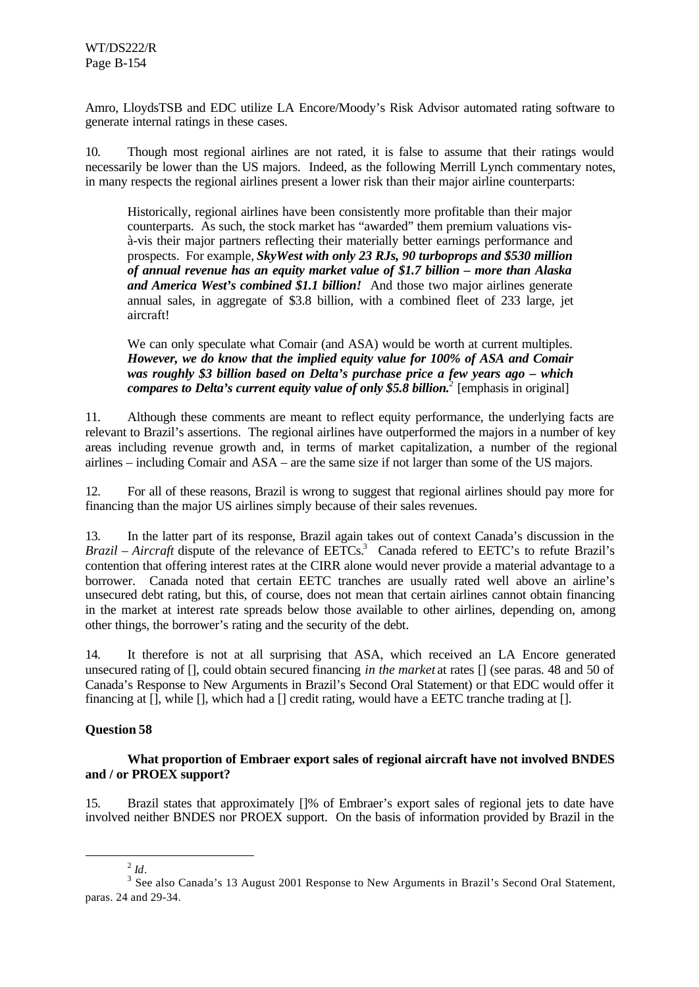Amro, LloydsTSB and EDC utilize LA Encore/Moody's Risk Advisor automated rating software to generate internal ratings in these cases.

10. Though most regional airlines are not rated, it is false to assume that their ratings would necessarily be lower than the US majors. Indeed, as the following Merrill Lynch commentary notes, in many respects the regional airlines present a lower risk than their major airline counterparts:

Historically, regional airlines have been consistently more profitable than their major counterparts. As such, the stock market has "awarded" them premium valuations visà-vis their major partners reflecting their materially better earnings performance and prospects. For example, *SkyWest with only 23 RJs, 90 turboprops and \$530 million of annual revenue has an equity market value of \$1.7 billion – more than Alaska and America West's combined \$1.1 billion!* And those two major airlines generate annual sales, in aggregate of \$3.8 billion, with a combined fleet of 233 large, jet aircraft!

We can only speculate what Comair (and ASA) would be worth at current multiples. *However, we do know that the implied equity value for 100% of ASA and Comair was roughly \$3 billion based on Delta's purchase price a few years ago – which compares to Delta's current equity value of only \$5.8 billion.<sup>2</sup>* [emphasis in original]

11. Although these comments are meant to reflect equity performance, the underlying facts are relevant to Brazil's assertions. The regional airlines have outperformed the majors in a number of key areas including revenue growth and, in terms of market capitalization, a number of the regional airlines – including Comair and ASA – are the same size if not larger than some of the US majors.

12. For all of these reasons, Brazil is wrong to suggest that regional airlines should pay more for financing than the major US airlines simply because of their sales revenues.

13. In the latter part of its response, Brazil again takes out of context Canada's discussion in the *Brazil – Aircraft* dispute of the relevance of  $EETCs$ <sup>3</sup> Canada refered to  $EETC$ 's to refute Brazil's contention that offering interest rates at the CIRR alone would never provide a material advantage to a borrower. Canada noted that certain EETC tranches are usually rated well above an airline's unsecured debt rating, but this, of course, does not mean that certain airlines cannot obtain financing in the market at interest rate spreads below those available to other airlines, depending on, among other things, the borrower's rating and the security of the debt.

14. It therefore is not at all surprising that ASA, which received an LA Encore generated unsecured rating of [], could obtain secured financing *in the market* at rates [] (see paras. 48 and 50 of Canada's Response to New Arguments in Brazil's Second Oral Statement) or that EDC would offer it financing at  $[i]$ , while  $[i]$ , which had a  $[i]$  credit rating, would have a EETC tranche trading at  $[i]$ .

# **Question 58**

### **What proportion of Embraer export sales of regional aircraft have not involved BNDES and / or PROEX support?**

15. Brazil states that approximately []% of Embraer's export sales of regional jets to date have involved neither BNDES nor PROEX support. On the basis of information provided by Brazil in the

l

 $^2$  *Id*.

<sup>&</sup>lt;sup>3</sup> See also Canada's 13 August 2001 Response to New Arguments in Brazil's Second Oral Statement, paras. 24 and 29-34.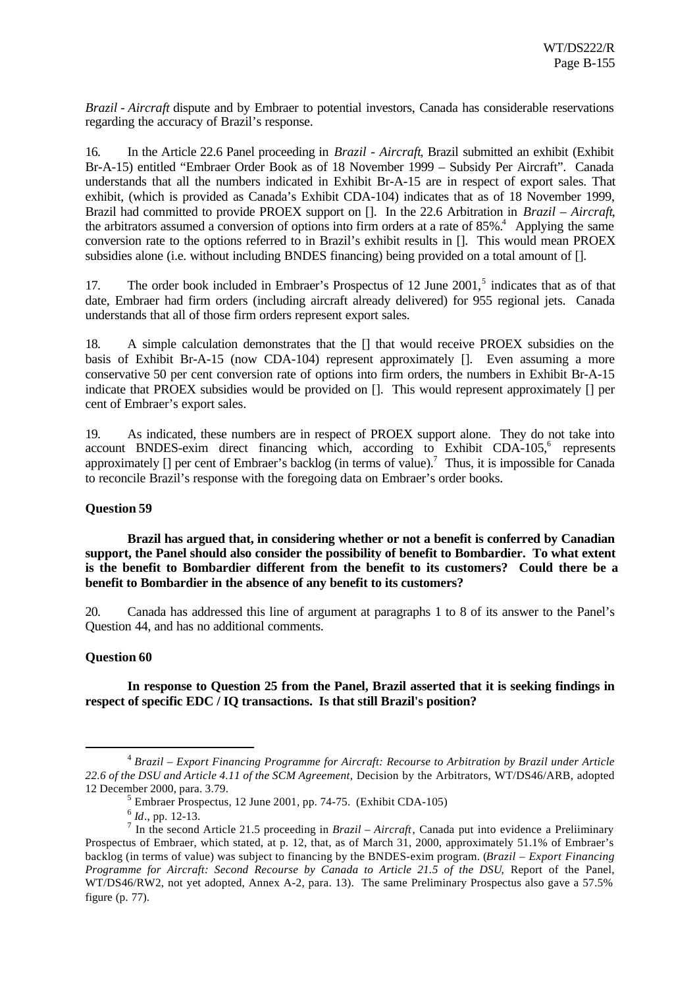*Brazil - Aircraft* dispute and by Embraer to potential investors, Canada has considerable reservations regarding the accuracy of Brazil's response.

16. In the Article 22.6 Panel proceeding in *Brazil - Aircraft*, Brazil submitted an exhibit (Exhibit Br-A-15) entitled "Embraer Order Book as of 18 November 1999 – Subsidy Per Aircraft". Canada understands that all the numbers indicated in Exhibit Br-A-15 are in respect of export sales. That exhibit, (which is provided as Canada's Exhibit CDA-104) indicates that as of 18 November 1999, Brazil had committed to provide PROEX support on []. In the 22.6 Arbitration in *Brazil – Aircraft*, the arbitrators assumed a conversion of options into firm orders at a rate of 85%.<sup>4</sup> Applying the same conversion rate to the options referred to in Brazil's exhibit results in []. This would mean PROEX subsidies alone (i.e. without including BNDES financing) being provided on a total amount of [].

17. The order book included in Embraer's Prospectus of 12 June 2001,<sup>5</sup> indicates that as of that date, Embraer had firm orders (including aircraft already delivered) for 955 regional jets. Canada understands that all of those firm orders represent export sales.

18. A simple calculation demonstrates that the [] that would receive PROEX subsidies on the basis of Exhibit Br-A-15 (now CDA-104) represent approximately []. Even assuming a more conservative 50 per cent conversion rate of options into firm orders, the numbers in Exhibit Br-A-15 indicate that PROEX subsidies would be provided on []. This would represent approximately [] per cent of Embraer's export sales.

19. As indicated, these numbers are in respect of PROEX support alone. They do not take into account BNDES-exim direct financing which, according to Exhibit  $CDA-105$ , represents approximately  $[]$  per cent of Embraer's backlog (in terms of value).<sup>7</sup> Thus, it is impossible for Canada to reconcile Brazil's response with the foregoing data on Embraer's order books.

### **Question 59**

**Brazil has argued that, in considering whether or not a benefit is conferred by Canadian support, the Panel should also consider the possibility of benefit to Bombardier. To what extent is the benefit to Bombardier different from the benefit to its customers? Could there be a benefit to Bombardier in the absence of any benefit to its customers?**

20. Canada has addressed this line of argument at paragraphs 1 to 8 of its answer to the Panel's Question 44, and has no additional comments.

### **Question 60**

l

**In response to Question 25 from the Panel, Brazil asserted that it is seeking findings in respect of specific EDC / IQ transactions. Is that still Brazil's position?**

<sup>4</sup> *Brazil – Export Financing Programme for Aircraft: Recourse to Arbitration by Brazil under Article 22.6 of the DSU and Article 4.11 of the SCM Agreement*, Decision by the Arbitrators, WT/DS46/ARB, adopted 12 December 2000, para. 3.79.

<sup>5</sup> Embraer Prospectus, 12 June 2001, pp. 74-75. (Exhibit CDA-105)

<sup>6</sup> *Id*., pp. 12-13.

<sup>&</sup>lt;sup>7</sup> In the second Article 21.5 proceeding in *Brazil – Aircraft*, Canada put into evidence a Preliiminary Prospectus of Embraer, which stated, at p. 12, that, as of March 31, 2000, approximately 51.1% of Embraer's backlog (in terms of value) was subject to financing by the BNDES-exim program. (*Brazil – Export Financing Programme for Aircraft: Second Recourse by Canada to Article 21.5 of the DSU*, Report of the Panel, WT/DS46/RW2, not yet adopted, Annex A-2, para. 13). The same Preliminary Prospectus also gave a 57.5% figure (p. 77).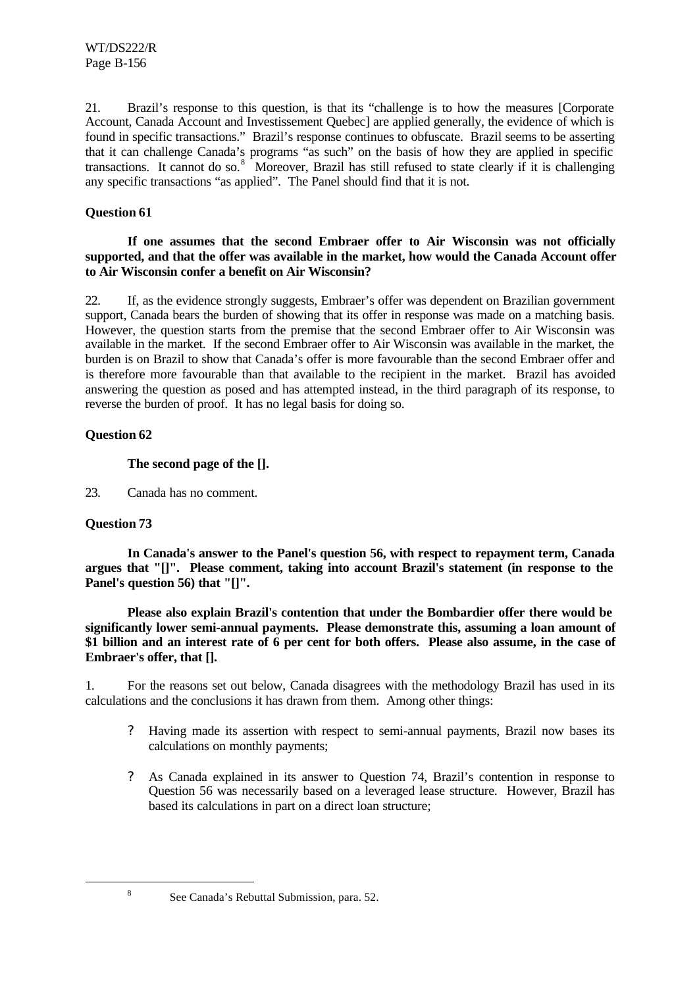21. Brazil's response to this question, is that its "challenge is to how the measures [Corporate Account, Canada Account and Investissement Quebec] are applied generally, the evidence of which is found in specific transactions." Brazil's response continues to obfuscate. Brazil seems to be asserting that it can challenge Canada's programs "as such" on the basis of how they are applied in specific transactions. It cannot do so.<sup>8</sup> Moreover, Brazil has still refused to state clearly if it is challenging any specific transactions "as applied". The Panel should find that it is not.

### **Question 61**

### **If one assumes that the second Embraer offer to Air Wisconsin was not officially supported, and that the offer was available in the market, how would the Canada Account offer to Air Wisconsin confer a benefit on Air Wisconsin?**

22. If, as the evidence strongly suggests, Embraer's offer was dependent on Brazilian government support, Canada bears the burden of showing that its offer in response was made on a matching basis. However, the question starts from the premise that the second Embraer offer to Air Wisconsin was available in the market. If the second Embraer offer to Air Wisconsin was available in the market, the burden is on Brazil to show that Canada's offer is more favourable than the second Embraer offer and is therefore more favourable than that available to the recipient in the market. Brazil has avoided answering the question as posed and has attempted instead, in the third paragraph of its response, to reverse the burden of proof. It has no legal basis for doing so.

# **Question 62**

### **The second page of the [].**

23. Canada has no comment.

# **Question 73**

**In Canada's answer to the Panel's question 56, with respect to repayment term, Canada argues that "[]". Please comment, taking into account Brazil's statement (in response to the Panel's question 56) that "[]".**

**Please also explain Brazil's contention that under the Bombardier offer there would be significantly lower semi-annual payments. Please demonstrate this, assuming a loan amount of \$1 billion and an interest rate of 6 per cent for both offers. Please also assume, in the case of Embraer's offer, that [].**

1. For the reasons set out below, Canada disagrees with the methodology Brazil has used in its calculations and the conclusions it has drawn from them. Among other things:

- ? Having made its assertion with respect to semi-annual payments, Brazil now bases its calculations on monthly payments;
- ? As Canada explained in its answer to Question 74, Brazil's contention in response to Question 56 was necessarily based on a leveraged lease structure. However, Brazil has based its calculations in part on a direct loan structure;

8

l

See Canada's Rebuttal Submission, para. 52.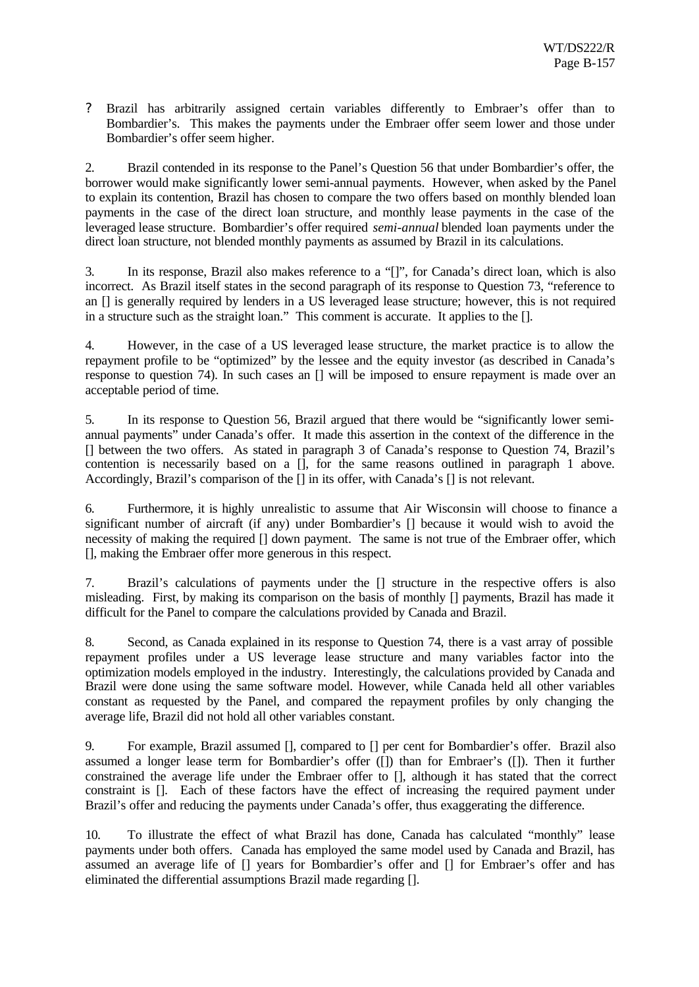? Brazil has arbitrarily assigned certain variables differently to Embraer's offer than to Bombardier's. This makes the payments under the Embraer offer seem lower and those under Bombardier's offer seem higher.

2. Brazil contended in its response to the Panel's Question 56 that under Bombardier's offer, the borrower would make significantly lower semi-annual payments. However, when asked by the Panel to explain its contention, Brazil has chosen to compare the two offers based on monthly blended loan payments in the case of the direct loan structure, and monthly lease payments in the case of the leveraged lease structure. Bombardier's offer required *semi-annual* blended loan payments under the direct loan structure, not blended monthly payments as assumed by Brazil in its calculations.

3. In its response, Brazil also makes reference to a "[]", for Canada's direct loan, which is also incorrect. As Brazil itself states in the second paragraph of its response to Question 73, "reference to an [] is generally required by lenders in a US leveraged lease structure; however, this is not required in a structure such as the straight loan." This comment is accurate. It applies to the [].

4. However, in the case of a US leveraged lease structure, the market practice is to allow the repayment profile to be "optimized" by the lessee and the equity investor (as described in Canada's response to question 74). In such cases an [] will be imposed to ensure repayment is made over an acceptable period of time.

5. In its response to Question 56, Brazil argued that there would be "significantly lower semiannual payments" under Canada's offer. It made this assertion in the context of the difference in the [] between the two offers. As stated in paragraph 3 of Canada's response to Question 74, Brazil's contention is necessarily based on a [], for the same reasons outlined in paragraph 1 above. Accordingly, Brazil's comparison of the [] in its offer, with Canada's [] is not relevant.

6. Furthermore, it is highly unrealistic to assume that Air Wisconsin will choose to finance a significant number of aircraft (if any) under Bombardier's [] because it would wish to avoid the necessity of making the required [] down payment. The same is not true of the Embraer offer, which [], making the Embraer offer more generous in this respect.

7. Brazil's calculations of payments under the [] structure in the respective offers is also misleading. First, by making its comparison on the basis of monthly [] payments, Brazil has made it difficult for the Panel to compare the calculations provided by Canada and Brazil.

8. Second, as Canada explained in its response to Question 74, there is a vast array of possible repayment profiles under a US leverage lease structure and many variables factor into the optimization models employed in the industry. Interestingly, the calculations provided by Canada and Brazil were done using the same software model. However, while Canada held all other variables constant as requested by the Panel, and compared the repayment profiles by only changing the average life, Brazil did not hold all other variables constant.

9. For example, Brazil assumed [], compared to [] per cent for Bombardier's offer. Brazil also assumed a longer lease term for Bombardier's offer ([]) than for Embraer's ([]). Then it further constrained the average life under the Embraer offer to [], although it has stated that the correct constraint is []. Each of these factors have the effect of increasing the required payment under Brazil's offer and reducing the payments under Canada's offer, thus exaggerating the difference.

10. To illustrate the effect of what Brazil has done, Canada has calculated "monthly" lease payments under both offers. Canada has employed the same model used by Canada and Brazil, has assumed an average life of [] years for Bombardier's offer and [] for Embraer's offer and has eliminated the differential assumptions Brazil made regarding [].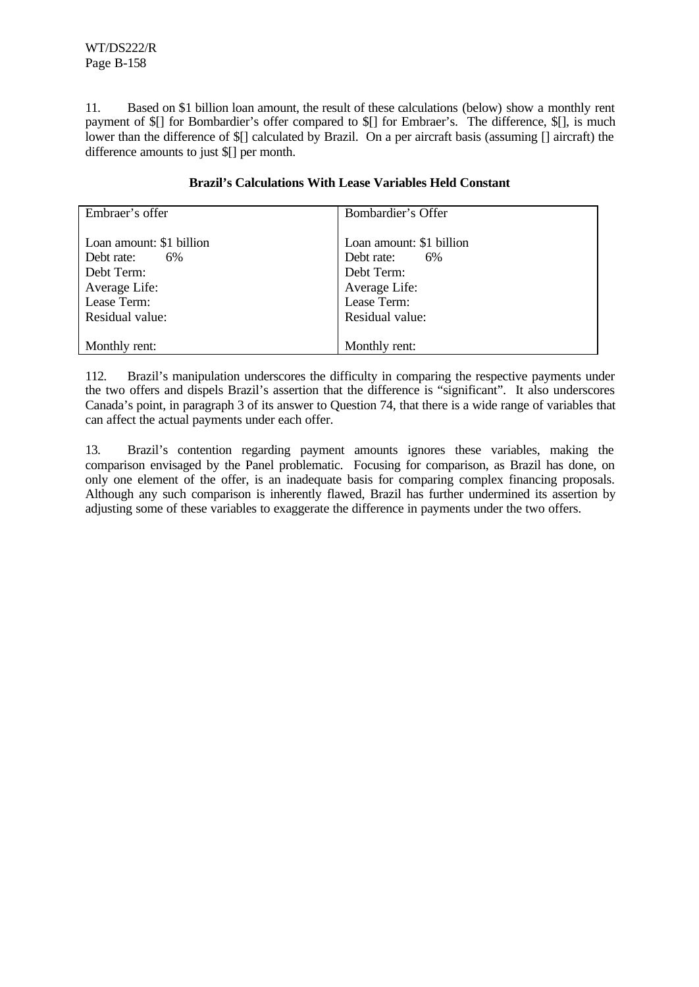11. Based on \$1 billion loan amount, the result of these calculations (below) show a monthly rent payment of \$[] for Bombardier's offer compared to \$[] for Embraer's. The difference, \$[], is much lower than the difference of \$[] calculated by Brazil. On a per aircraft basis (assuming [] aircraft) the difference amounts to just \$[] per month.

| Embraer's offer          | Bombardier's Offer       |
|--------------------------|--------------------------|
|                          |                          |
| Loan amount: \$1 billion | Loan amount: \$1 billion |
| Debt rate:<br>6%         | Debt rate:<br>6%         |
| Debt Term:               | Debt Term:               |
| Average Life:            | Average Life:            |
| Lease Term:              | Lease Term:              |
| Residual value:          | Residual value:          |
|                          |                          |
| Monthly rent:            | Monthly rent:            |

# **Brazil's Calculations With Lease Variables Held Constant**

112. Brazil's manipulation underscores the difficulty in comparing the respective payments under the two offers and dispels Brazil's assertion that the difference is "significant". It also underscores Canada's point, in paragraph 3 of its answer to Question 74, that there is a wide range of variables that can affect the actual payments under each offer.

13. Brazil's contention regarding payment amounts ignores these variables, making the comparison envisaged by the Panel problematic. Focusing for comparison, as Brazil has done, on only one element of the offer, is an inadequate basis for comparing complex financing proposals. Although any such comparison is inherently flawed, Brazil has further undermined its assertion by adjusting some of these variables to exaggerate the difference in payments under the two offers.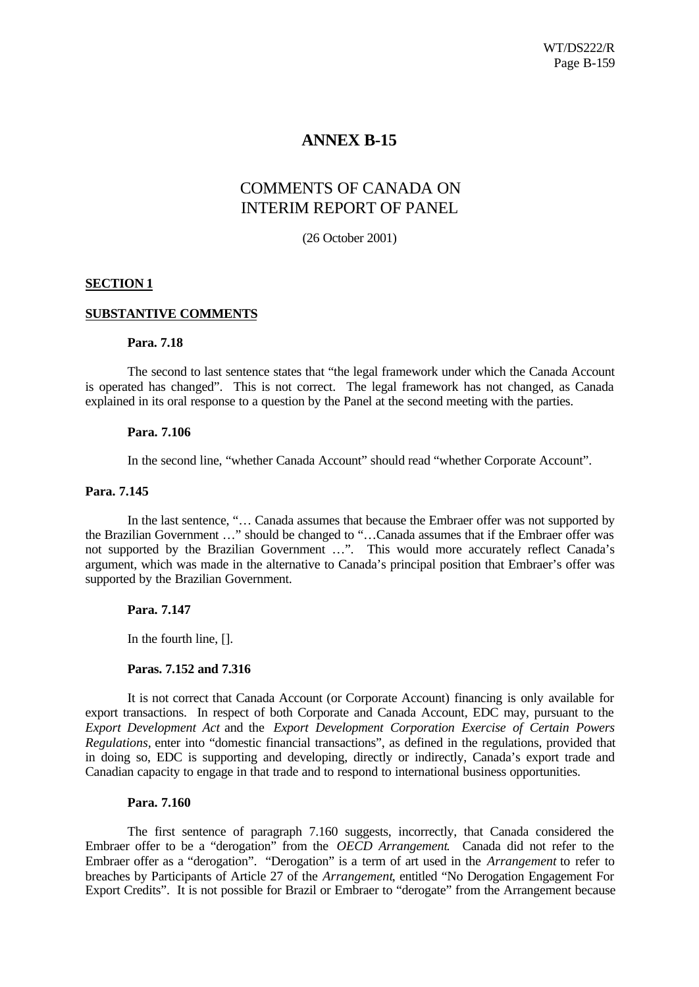# COMMENTS OF CANADA ON INTERIM REPORT OF PANEL

(26 October 2001)

#### **SECTION 1**

#### **SUBSTANTIVE COMMENTS**

#### **Para. 7.18**

The second to last sentence states that "the legal framework under which the Canada Account is operated has changed". This is not correct. The legal framework has not changed, as Canada explained in its oral response to a question by the Panel at the second meeting with the parties.

#### **Para. 7.106**

In the second line, "whether Canada Account" should read "whether Corporate Account".

#### **Para. 7.145**

In the last sentence, "... Canada assumes that because the Embraer offer was not supported by the Brazilian Government …" should be changed to "…Canada assumes that if the Embraer offer was not supported by the Brazilian Government …". This would more accurately reflect Canada's argument, which was made in the alternative to Canada's principal position that Embraer's offer was supported by the Brazilian Government.

#### **Para. 7.147**

In the fourth line, [].

#### **Paras. 7.152 and 7.316**

It is not correct that Canada Account (or Corporate Account) financing is only available for export transactions. In respect of both Corporate and Canada Account, EDC may, pursuant to the *Export Development Act* and the *Export Development Corporation Exercise of Certain Powers Regulations,* enter into "domestic financial transactions", as defined in the regulations, provided that in doing so, EDC is supporting and developing, directly or indirectly, Canada's export trade and Canadian capacity to engage in that trade and to respond to international business opportunities.

### **Para. 7.160**

The first sentence of paragraph 7.160 suggests, incorrectly, that Canada considered the Embraer offer to be a "derogation" from the *OECD Arrangement*. Canada did not refer to the Embraer offer as a "derogation". "Derogation" is a term of art used in the *Arrangement* to refer to breaches by Participants of Article 27 of the *Arrangement*, entitled "No Derogation Engagement For Export Credits". It is not possible for Brazil or Embraer to "derogate" from the Arrangement because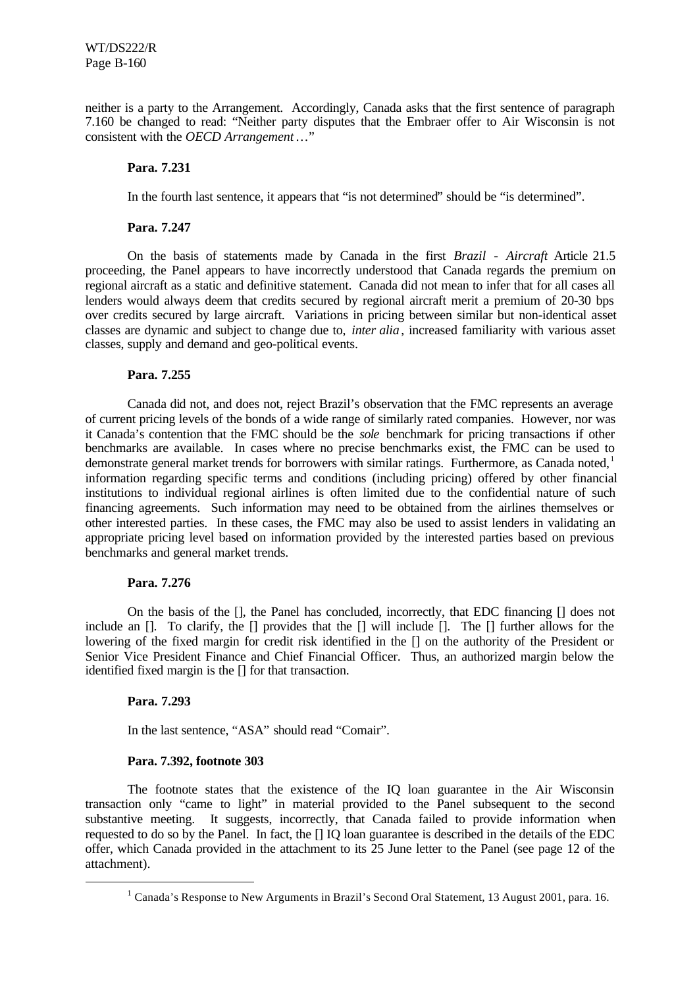neither is a party to the Arrangement. Accordingly, Canada asks that the first sentence of paragraph 7.160 be changed to read: "Neither party disputes that the Embraer offer to Air Wisconsin is not consistent with the *OECD Arrangement* …"

### **Para. 7.231**

In the fourth last sentence, it appears that "is not determined" should be "is determined".

#### **Para. 7.247**

On the basis of statements made by Canada in the first *Brazil - Aircraft* Article 21.5 proceeding, the Panel appears to have incorrectly understood that Canada regards the premium on regional aircraft as a static and definitive statement. Canada did not mean to infer that for all cases all lenders would always deem that credits secured by regional aircraft merit a premium of 20-30 bps over credits secured by large aircraft. Variations in pricing between similar but non-identical asset classes are dynamic and subject to change due to, *inter alia*, increased familiarity with various asset classes, supply and demand and geo-political events.

### **Para. 7.255**

Canada did not, and does not, reject Brazil's observation that the FMC represents an average of current pricing levels of the bonds of a wide range of similarly rated companies. However, nor was it Canada's contention that the FMC should be the *sole* benchmark for pricing transactions if other benchmarks are available. In cases where no precise benchmarks exist, the FMC can be used to demonstrate general market trends for borrowers with similar ratings. Furthermore, as Canada noted,  $\frac{1}{1}$ information regarding specific terms and conditions (including pricing) offered by other financial institutions to individual regional airlines is often limited due to the confidential nature of such financing agreements. Such information may need to be obtained from the airlines themselves or other interested parties. In these cases, the FMC may also be used to assist lenders in validating an appropriate pricing level based on information provided by the interested parties based on previous benchmarks and general market trends.

### **Para. 7.276**

On the basis of the [], the Panel has concluded, incorrectly, that EDC financing [] does not include an []. To clarify, the [] provides that the [] will include []. The [] further allows for the lowering of the fixed margin for credit risk identified in the [] on the authority of the President or Senior Vice President Finance and Chief Financial Officer. Thus, an authorized margin below the identified fixed margin is the [] for that transaction.

### **Para. 7.293**

l

In the last sentence, "ASA" should read "Comair".

### **Para. 7.392, footnote 303**

The footnote states that the existence of the IQ loan guarantee in the Air Wisconsin transaction only "came to light" in material provided to the Panel subsequent to the second substantive meeting. It suggests, incorrectly, that Canada failed to provide information when requested to do so by the Panel. In fact, the [] IQ loan guarantee is described in the details of the EDC offer, which Canada provided in the attachment to its 25 June letter to the Panel (see page 12 of the attachment).

<sup>&</sup>lt;sup>1</sup> Canada's Response to New Arguments in Brazil's Second Oral Statement, 13 August 2001, para. 16.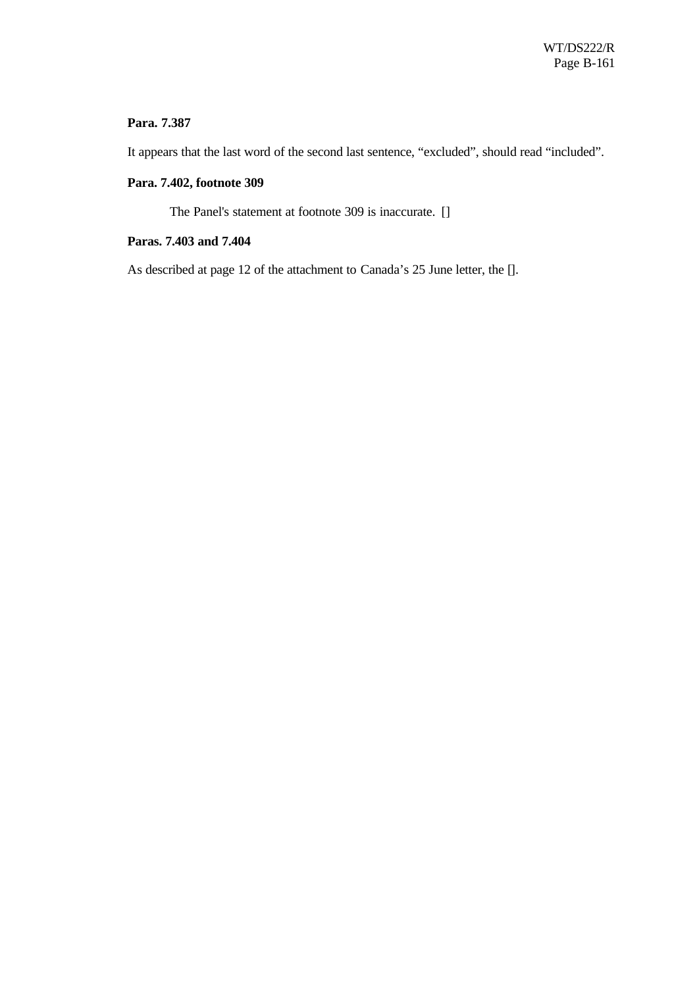# **Para. 7.387**

It appears that the last word of the second last sentence, "excluded", should read "included".

### **Para. 7.402, footnote 309**

The Panel's statement at footnote 309 is inaccurate. []

### **Paras. 7.403 and 7.404**

As described at page 12 of the attachment to Canada's 25 June letter, the [].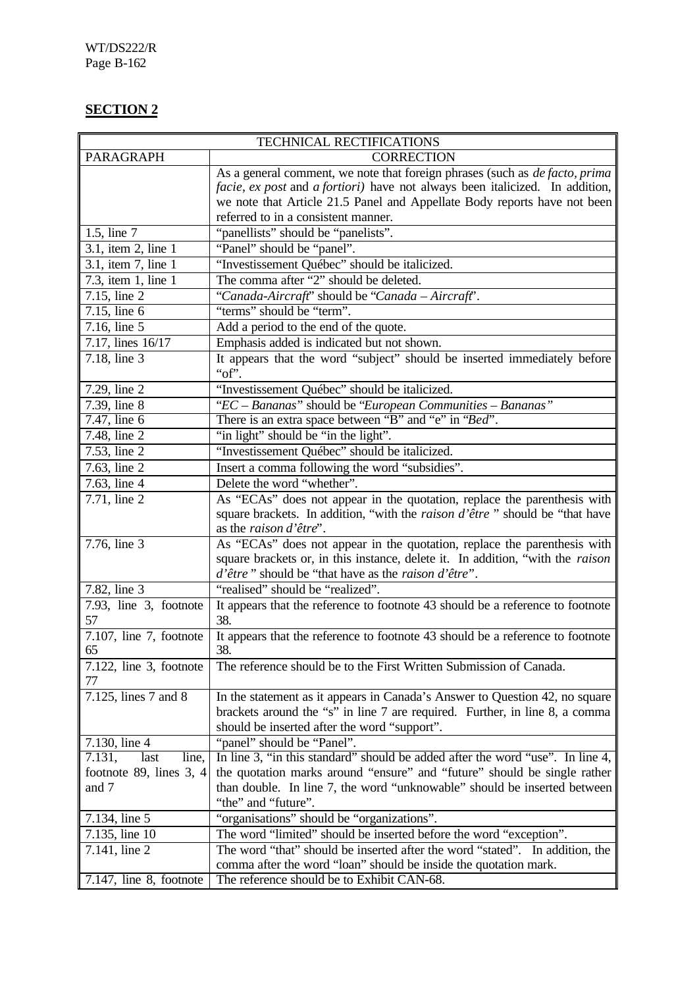# **SECTION 2**

| <b>TECHNICAL RECTIFICATIONS</b> |                                                                                    |  |
|---------------------------------|------------------------------------------------------------------------------------|--|
| PARAGRAPH                       | <b>CORRECTION</b>                                                                  |  |
|                                 | As a general comment, we note that foreign phrases (such as <i>de facto, prima</i> |  |
|                                 | facie, ex post and a fortiori) have not always been italicized. In addition,       |  |
|                                 | we note that Article 21.5 Panel and Appellate Body reports have not been           |  |
|                                 | referred to in a consistent manner.                                                |  |
| 1.5, line 7                     | "panellists" should be "panelists".                                                |  |
| 3.1, item 2, line 1             | "Panel" should be "panel".                                                         |  |
| 3.1, item 7, line 1             | "Investissement Québec" should be italicized.                                      |  |
| 7.3, item 1, line 1             | The comma after "2" should be deleted.                                             |  |
| 7.15, line 2                    | "Canada-Aircraft" should be "Canada - Aircraft".                                   |  |
| 7.15, line 6                    | "terms" should be "term".                                                          |  |
| 7.16, line 5                    | Add a period to the end of the quote.                                              |  |
| 7.17, lines 16/17               | Emphasis added is indicated but not shown.                                         |  |
| 7.18, line 3                    | It appears that the word "subject" should be inserted immediately before           |  |
|                                 | "of".                                                                              |  |
| 7.29, line 2                    | "Investissement Québec" should be italicized.                                      |  |
| 7.39, line 8                    | "EC - Bananas" should be "European Communities - Bananas"                          |  |
| $7.47$ , line 6                 | There is an extra space between "B" and "e" in "Bed".                              |  |
| 7.48, line 2                    | "in light" should be "in the light".                                               |  |
| 7.53, line 2                    | "Investissement Québec" should be italicized.                                      |  |
| 7.63, line 2                    | Insert a comma following the word "subsidies".                                     |  |
| 7.63, line 4                    | Delete the word "whether".                                                         |  |
| 7.71, line 2                    | As "ECAs" does not appear in the quotation, replace the parenthesis with           |  |
|                                 | square brackets. In addition, "with the raison d'être" should be "that have        |  |
|                                 | as the <i>raison d'être</i> ".                                                     |  |
| 7.76, line 3                    | As "ECAs" does not appear in the quotation, replace the parenthesis with           |  |
|                                 | square brackets or, in this instance, delete it. In addition, "with the raison     |  |
|                                 | d'être" should be "that have as the raison d'être".                                |  |
| 7.82, line 3                    | "realised" should be "realized".                                                   |  |
| 7.93, line 3, footnote          | It appears that the reference to footnote 43 should be a reference to footnote     |  |
| 57                              | 38.                                                                                |  |
| 7.107, line 7, footnote         | It appears that the reference to footnote 43 should be a reference to footnote     |  |
| 65                              | 38.                                                                                |  |
| 7.122, line 3, footnote         | The reference should be to the First Written Submission of Canada.                 |  |
| 77                              |                                                                                    |  |
| 7.125, lines 7 and 8            | In the statement as it appears in Canada's Answer to Question 42, no square        |  |
|                                 | brackets around the "s" in line 7 are required. Further, in line 8, a comma        |  |
|                                 | should be inserted after the word "support".                                       |  |
| 7.130, line 4                   | "panel" should be "Panel".                                                         |  |
| 7.131,<br>line,<br>last         | In line 3, "in this standard" should be added after the word "use". In line 4,     |  |
| footnote 89, lines 3, 4         | the quotation marks around "ensure" and "future" should be single rather           |  |
| and 7                           | than double. In line 7, the word "unknowable" should be inserted between           |  |
|                                 | "the" and "future".                                                                |  |
| 7.134, line 5                   | "organisations" should be "organizations".                                         |  |
| 7.135, line 10                  | The word "limited" should be inserted before the word "exception".                 |  |
| 7.141, line 2                   | The word "that" should be inserted after the word "stated". In addition, the       |  |
|                                 | comma after the word "loan" should be inside the quotation mark.                   |  |
| $7.147$ , line 8, footnote      | The reference should be to Exhibit CAN-68.                                         |  |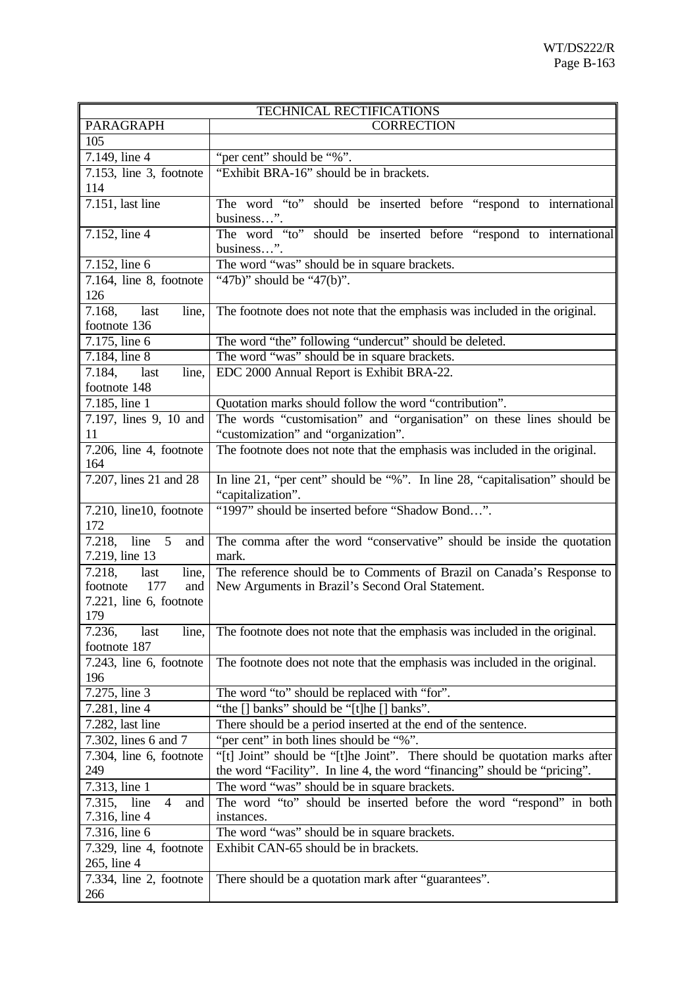|                                                   | <b>TECHNICAL RECTIFICATIONS</b>                                                 |
|---------------------------------------------------|---------------------------------------------------------------------------------|
| <b>PARAGRAPH</b>                                  | <b>CORRECTION</b>                                                               |
| 105                                               |                                                                                 |
| $7.149$ , line 4                                  | "per cent" should be "%".                                                       |
| 7.153, line 3, footnote                           | "Exhibit BRA-16" should be in brackets.                                         |
| 114                                               |                                                                                 |
| 7.151, last line                                  | The word "to" should be inserted before "respond to international               |
|                                                   | business".                                                                      |
| $7.\overline{152}$ , line 4                       | The word "to" should be inserted before "respond to international<br>business". |
| 7.152, line 6                                     | The word "was" should be in square brackets.                                    |
| 7.164, line 8, footnote                           | "47b)" should be "47 $(b)$ ".                                                   |
| 126                                               |                                                                                 |
| last<br>7.168,<br>line,                           | The footnote does not note that the emphasis was included in the original.      |
| footnote 136                                      |                                                                                 |
| 7.175, line 6                                     | The word "the" following "undercut" should be deleted.                          |
| 7.184, line 8                                     | The word "was" should be in square brackets.                                    |
| 7.184,<br>last<br>line,                           | EDC 2000 Annual Report is Exhibit BRA-22.                                       |
| footnote 148                                      |                                                                                 |
| 7.185, line 1                                     | Quotation marks should follow the word "contribution".                          |
| 7.197, lines 9, 10 and                            | The words "customisation" and "organisation" on these lines should be           |
| 11                                                | "customization" and "organization".                                             |
| 7.206, line 4, footnote                           | The footnote does not note that the emphasis was included in the original.      |
| 164                                               |                                                                                 |
| 7.207, lines 21 and 28                            | In line 21, "per cent" should be "%". In line 28, "capitalisation" should be    |
|                                                   | "capitalization".                                                               |
| 7.210, line10, footnote                           | "1997" should be inserted before "Shadow Bond".                                 |
| 172                                               |                                                                                 |
| 7.218, line<br>5<br>and                           | The comma after the word "conservative" should be inside the quotation          |
| 7.219, line 13                                    | mark.                                                                           |
| 7.218,<br>last<br>line,                           | The reference should be to Comments of Brazil on Canada's Response to           |
| 177<br>footnote<br>and<br>7.221, line 6, footnote | New Arguments in Brazil's Second Oral Statement.                                |
| 179                                               |                                                                                 |
| 7.236,<br>last<br>line,                           | The footnote does not note that the emphasis was included in the original.      |
| footnote 187                                      |                                                                                 |
| 7.243, line 6, footnote                           | The footnote does not note that the emphasis was included in the original.      |
| 196                                               |                                                                                 |
| 7.275, line 3                                     | The word "to" should be replaced with "for".                                    |
| 7.281, line 4                                     | "the [] banks" should be "[t]he [] banks".                                      |
| 7.282, last line                                  | There should be a period inserted at the end of the sentence.                   |
| 7.302, lines 6 and 7                              | "per cent" in both lines should be "%".                                         |
| 7.304, line 6, footnote                           | "[t] Joint" should be "[t]he Joint". There should be quotation marks after      |
| 249                                               | the word "Facility". In line 4, the word "financing" should be "pricing".       |
| 7.313, line 1                                     | The word "was" should be in square brackets.                                    |
| 7.315, line<br>$\overline{4}$<br>and              | The word "to" should be inserted before the word "respond" in both              |
| 7.316, line 4                                     | instances.                                                                      |
| 7.316, line 6                                     | The word "was" should be in square brackets.                                    |
| 7.329, line 4, footnote                           | Exhibit CAN-65 should be in brackets.                                           |
| 265, line 4                                       |                                                                                 |
| 7.334, line 2, footnote                           | There should be a quotation mark after "guarantees".                            |
| 266                                               |                                                                                 |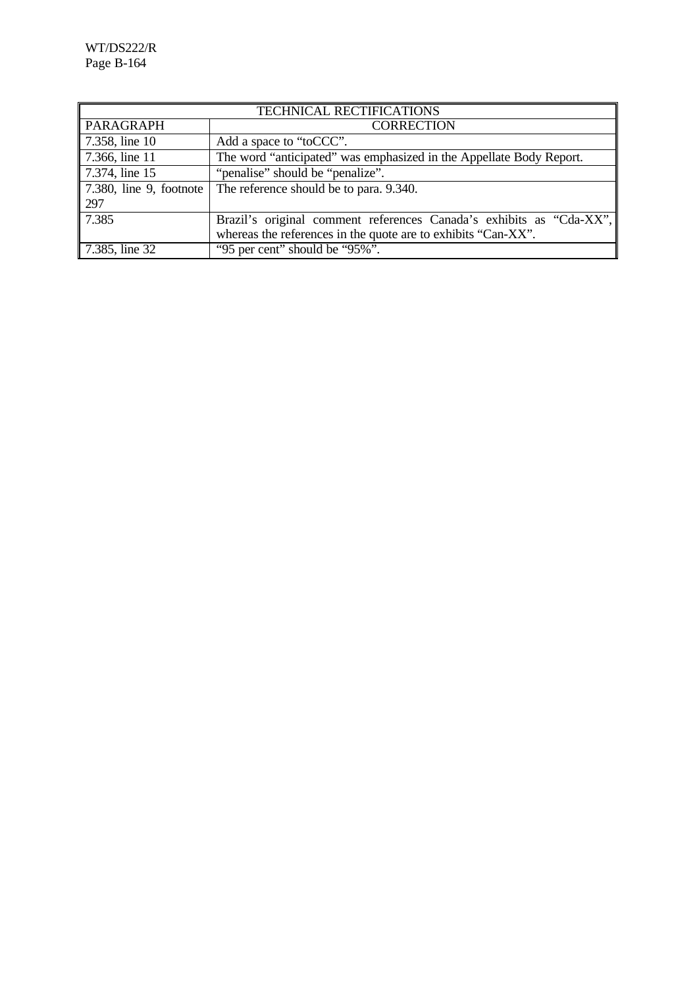| <b>TECHNICAL RECTIFICATIONS</b> |                                                                     |  |
|---------------------------------|---------------------------------------------------------------------|--|
| PARAGRAPH                       | <b>CORRECTION</b>                                                   |  |
| 7.358, line 10                  | Add a space to "toCCC".                                             |  |
| 7.366, line 11                  | The word "anticipated" was emphasized in the Appellate Body Report. |  |
| 7.374, line 15                  | "penalise" should be "penalize".                                    |  |
| $\vert$ 7.380, line 9, footnote | The reference should be to para. 9.340.                             |  |
| 297                             |                                                                     |  |
| 7.385                           | Brazil's original comment references Canada's exhibits as "Cda-XX", |  |
|                                 | whereas the references in the quote are to exhibits "Can-XX".       |  |
| 7.385, line 32                  | "95 per cent" should be "95%".                                      |  |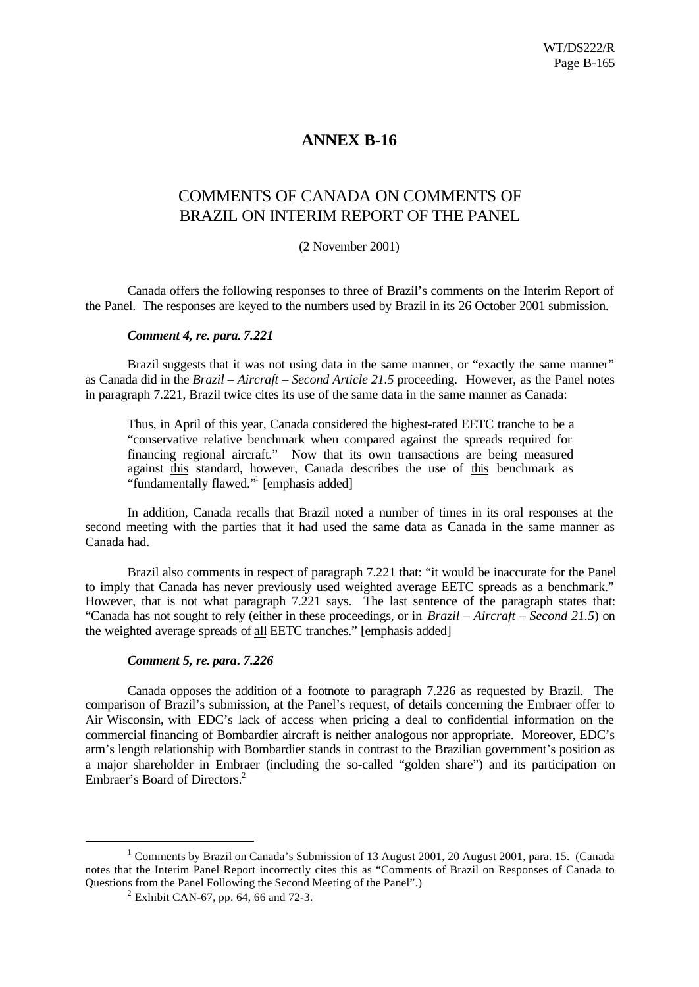# COMMENTS OF CANADA ON COMMENTS OF BRAZIL ON INTERIM REPORT OF THE PANEL

(2 November 2001)

Canada offers the following responses to three of Brazil's comments on the Interim Report of the Panel. The responses are keyed to the numbers used by Brazil in its 26 October 2001 submission.

#### *Comment 4, re. para. 7.221*

Brazil suggests that it was not using data in the same manner, or "exactly the same manner" as Canada did in the *Brazil – Aircraft – Second Article 21.5* proceeding. However, as the Panel notes in paragraph 7.221, Brazil twice cites its use of the same data in the same manner as Canada:

Thus, in April of this year, Canada considered the highest-rated EETC tranche to be a "conservative relative benchmark when compared against the spreads required for financing regional aircraft." Now that its own transactions are being measured against this standard, however, Canada describes the use of this benchmark as "fundamentally flawed."<sup>1</sup> [emphasis added]

In addition, Canada recalls that Brazil noted a number of times in its oral responses at the second meeting with the parties that it had used the same data as Canada in the same manner as Canada had.

Brazil also comments in respect of paragraph 7.221 that: "it would be inaccurate for the Panel to imply that Canada has never previously used weighted average EETC spreads as a benchmark." However, that is not what paragraph 7.221 says. The last sentence of the paragraph states that: "Canada has not sought to rely (either in these proceedings, or in *Brazil – Aircraft – Second 21.5*) on the weighted average spreads of all EETC tranches." [emphasis added]

### *Comment 5, re. para. 7.226*

Canada opposes the addition of a footnote to paragraph 7.226 as requested by Brazil. The comparison of Brazil's submission, at the Panel's request, of details concerning the Embraer offer to Air Wisconsin, with EDC's lack of access when pricing a deal to confidential information on the commercial financing of Bombardier aircraft is neither analogous nor appropriate. Moreover, EDC's arm's length relationship with Bombardier stands in contrast to the Brazilian government's position as a major shareholder in Embraer (including the so-called "golden share") and its participation on Embraer's Board of Directors.<sup>2</sup>

l

<sup>&</sup>lt;sup>1</sup> Comments by Brazil on Canada's Submission of 13 August 2001, 20 August 2001, para. 15. (Canada notes that the Interim Panel Report incorrectly cites this as "Comments of Brazil on Responses of Canada to Questions from the Panel Following the Second Meeting of the Panel".)

 $2^{2}$  Exhibit CAN-67, pp. 64, 66 and 72-3.